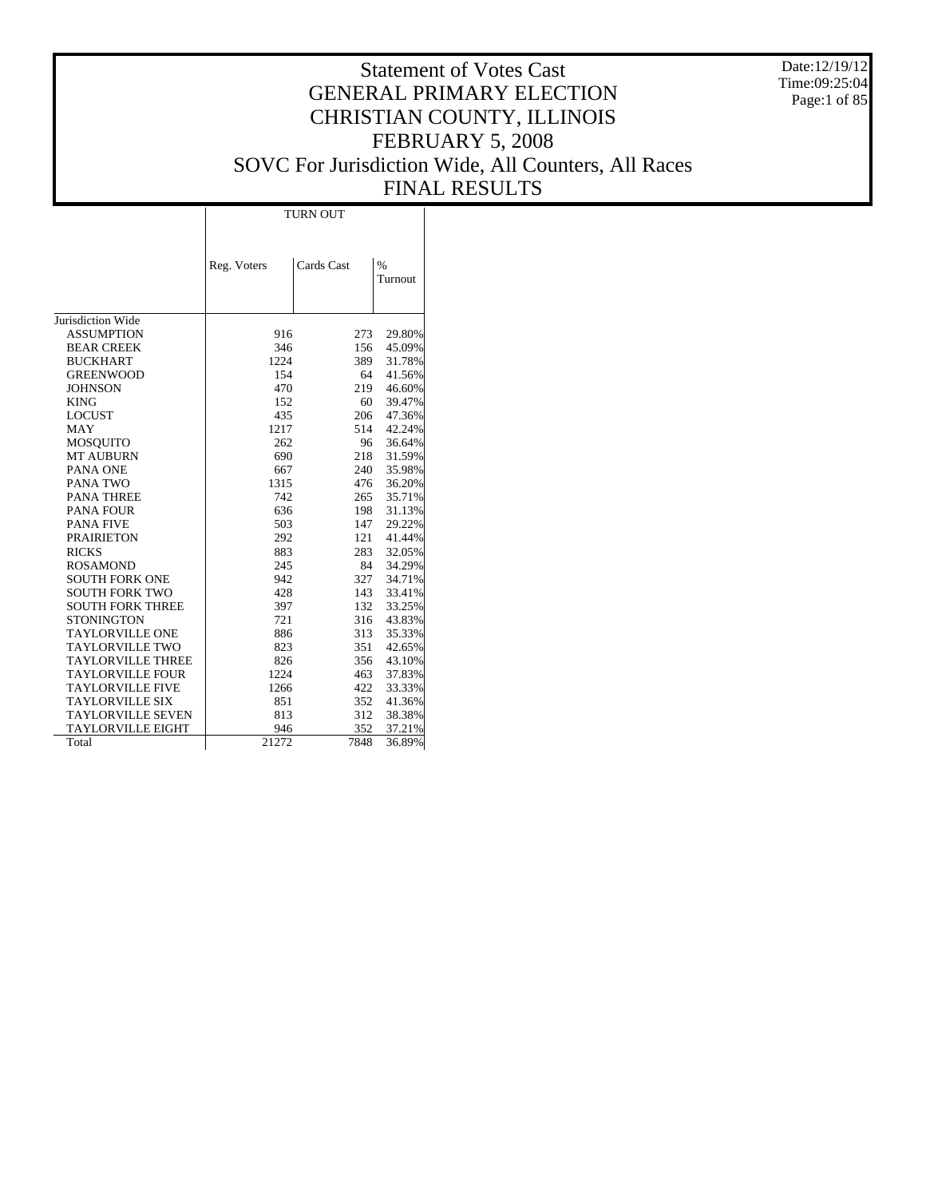Date:12/19/12 Time:09:25:04 Page:1 of 85

# Statement of Votes Cast GENERAL PRIMARY ELECTION CHRISTIAN COUNTY, ILLINOIS FEBRUARY 5, 2008 SOVC For Jurisdiction Wide, All Counters, All Races FINAL RESULTS

Τ

|                          |             | <b>TURN OUT</b> |                 |
|--------------------------|-------------|-----------------|-----------------|
|                          | Reg. Voters | Cards Cast      | $\%$<br>Turnout |
| Jurisdiction Wide        |             |                 |                 |
| <b>ASSUMPTION</b>        | 916         | 273             | 29.80%          |
| <b>BEAR CREEK</b>        | 346         | 156             | 45.09%          |
| <b>BUCKHART</b>          | 1224        | 389             | 31.78%          |
| <b>GREENWOOD</b>         | 154         | 64              | 41.56%          |
| <b>JOHNSON</b>           | 470         | 219             | 46.60%          |
| <b>KING</b>              | 152         | 60              | 39.47%          |
| <b>LOCUST</b>            | 435         | 206             | 47.36%          |
| <b>MAY</b>               | 1217        | 514             | 42.24%          |
| <b>MOSQUITO</b>          | 262         | 96              | 36.64%          |
| <b>MT AUBURN</b>         | 690         | 218             | 31.59%          |
| PANA ONE                 | 667         | 240             | 35.98%          |
| PANA TWO                 | 1315        | 476             | 36.20%          |
| <b>PANA THREE</b>        | 742         | 265             | 35.71%          |
| <b>PANA FOUR</b>         | 636         | 198             | 31.13%          |
| <b>PANA FIVE</b>         | 503         | 147             | 29.22%          |
| <b>PRAIRIETON</b>        | 292         | 121             | 41.44%          |
| <b>RICKS</b>             | 883         | 283             | 32.05%          |
| <b>ROSAMOND</b>          | 245         | 84              | 34.29%          |
| <b>SOUTH FORK ONE</b>    | 942         | 327             | 34.71%          |
| <b>SOUTH FORK TWO</b>    | 428         | 143             | 33.41%          |
| <b>SOUTH FORK THREE</b>  | 397         | 132             | 33.25%          |
| <b>STONINGTON</b>        | 721         | 316             | 43.83%          |
| <b>TAYLORVILLE ONE</b>   | 886         | 313             | 35.33%          |
| <b>TAYLORVILLE TWO</b>   | 823         | 351             | 42.65%          |
| <b>TAYLORVILLE THREE</b> | 826         | 356             | 43.10%          |
| <b>TAYLORVILLE FOUR</b>  | 1224        | 463             | 37.83%          |
| <b>TAYLORVILLE FIVE</b>  | 1266        | 422             | 33.33%          |
| <b>TAYLORVILLE SIX</b>   | 851         | 352             | 41.36%          |
| <b>TAYLORVILLE SEVEN</b> | 813         | 312             | 38.38%          |
| <b>TAYLORVILLE EIGHT</b> | 946         | 352             | 37.21%          |
| Total                    | 21272       | 7848            | 36.89%          |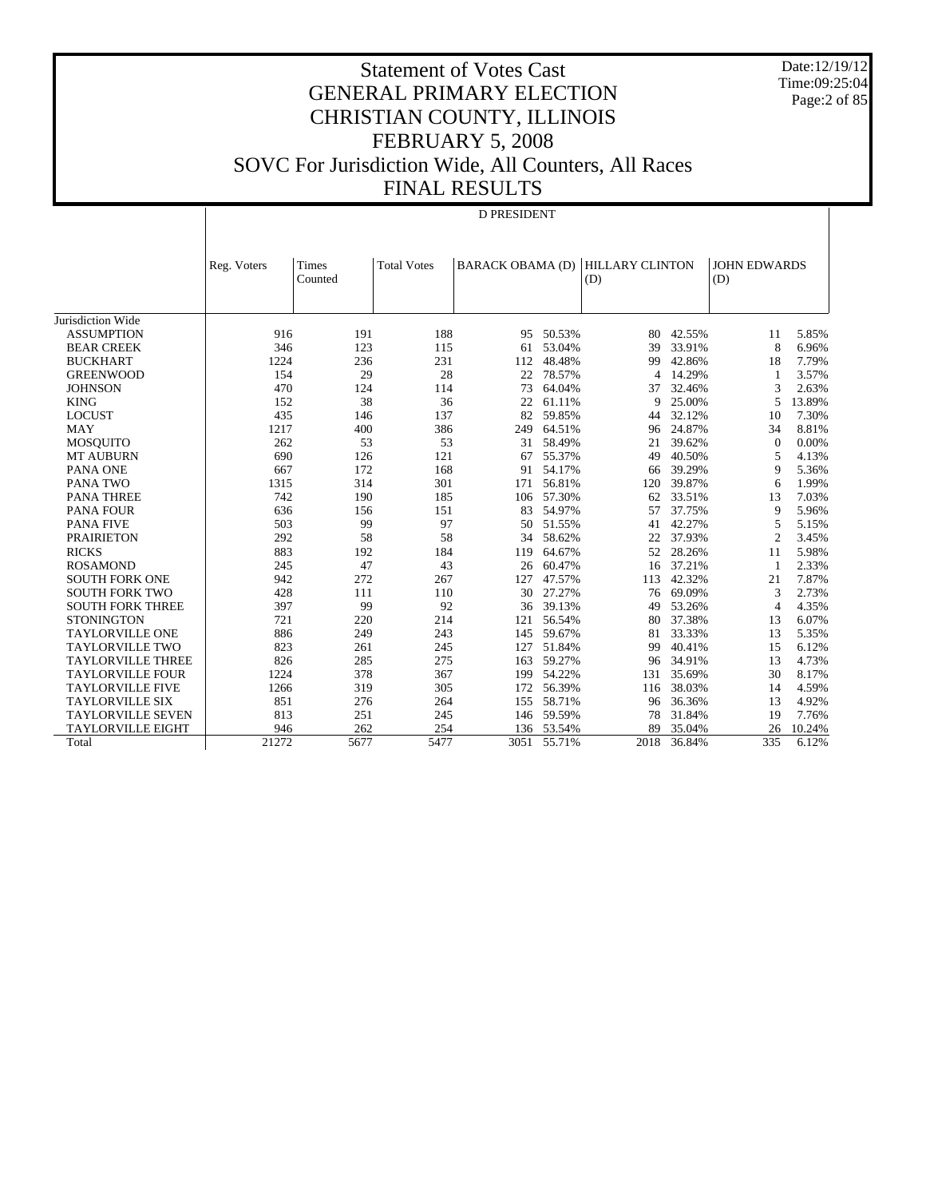Date:12/19/12 Time:09:25:04 Page:2 of 85

# Statement of Votes Cast GENERAL PRIMARY ELECTION CHRISTIAN COUNTY, ILLINOIS FEBRUARY 5, 2008 SOVC For Jurisdiction Wide, All Counters, All Races FINAL RESULTS

# D PRESIDENT

|                          | Reg. Voters | Times<br>Counted | <b>Total Votes</b> | <b>BARACK OBAMA (D)</b> |            | <b>HILLARY CLINTON</b><br>(D) |        | <b>JOHN EDWARDS</b><br>(D) |        |
|--------------------------|-------------|------------------|--------------------|-------------------------|------------|-------------------------------|--------|----------------------------|--------|
|                          |             |                  |                    |                         |            |                               |        |                            |        |
| Jurisdiction Wide        |             |                  |                    |                         |            |                               |        |                            |        |
| <b>ASSUMPTION</b>        | 916         | 191              | 188                | 95                      | 50.53%     | 80                            | 42.55% | 11                         | 5.85%  |
| <b>BEAR CREEK</b>        | 346         | 123              | 115                | 61                      | 53.04%     | 39                            | 33.91% | 8                          | 6.96%  |
| <b>BUCKHART</b>          | 1224        | 236              | 231                | 112                     | 48.48%     | 99                            | 42.86% | 18                         | 7.79%  |
| <b>GREENWOOD</b>         | 154         | 29               | 28                 | 22                      | 78.57%     | $\overline{4}$                | 14.29% | 1                          | 3.57%  |
| <b>JOHNSON</b>           | 470         | 124              | 114                | 73                      | 64.04%     | 37                            | 32.46% | 3                          | 2.63%  |
| <b>KING</b>              | 152         | 38               | 36                 | 22                      | 61.11%     | 9                             | 25.00% | 5                          | 13.89% |
| <b>LOCUST</b>            | 435         | 146              | 137                | 82                      | 59.85%     | 44                            | 32.12% | 10                         | 7.30%  |
| <b>MAY</b>               | 1217        | 400              | 386                | 249                     | 64.51%     | 96                            | 24.87% | 34                         | 8.81%  |
| <b>MOSQUITO</b>          | 262         | 53               | 53                 | 31                      | 58.49%     | 21                            | 39.62% | $\theta$                   | 0.00%  |
| <b>MT AUBURN</b>         | 690         | 126              | 121                | 67                      | 55.37%     | 49                            | 40.50% | 5                          | 4.13%  |
| <b>PANA ONE</b>          | 667         | 172              | 168                | 91                      | 54.17%     | 66                            | 39.29% | 9                          | 5.36%  |
| <b>PANA TWO</b>          | 1315        | 314              | 301                | 171                     | 56.81%     | 120                           | 39.87% | 6                          | 1.99%  |
| <b>PANA THREE</b>        | 742         | 190              | 185                | 106                     | 57.30%     | 62                            | 33.51% | 13                         | 7.03%  |
| <b>PANA FOUR</b>         | 636         | 156              | 151                | 83                      | 54.97%     | 57                            | 37.75% | 9                          | 5.96%  |
| PANA FIVE                | 503         | 99               | 97                 | 50                      | 51.55%     | 41                            | 42.27% | 5                          | 5.15%  |
| <b>PRAIRIETON</b>        | 292         | 58               | 58                 | 34                      | 58.62%     | 22                            | 37.93% | $\overline{c}$             | 3.45%  |
| <b>RICKS</b>             | 883         | 192              | 184                | 119                     | 64.67%     | 52                            | 28.26% | 11                         | 5.98%  |
| <b>ROSAMOND</b>          | 245         | 47               | 43                 | 26                      | 60.47%     | 16                            | 37.21% | $\mathbf{1}$               | 2.33%  |
| <b>SOUTH FORK ONE</b>    | 942         | 272              | 267                | 127                     | 47.57%     | 113                           | 42.32% | 21                         | 7.87%  |
| <b>SOUTH FORK TWO</b>    | 428         | 111              | 110                | 30                      | 27.27%     | 76                            | 69.09% | 3                          | 2.73%  |
| <b>SOUTH FORK THREE</b>  | 397         | 99               | 92                 | 36                      | 39.13%     | 49                            | 53.26% | 4                          | 4.35%  |
| <b>STONINGTON</b>        | 721         | 220              | 214                | 121                     | 56.54%     | 80                            | 37.38% | 13                         | 6.07%  |
| <b>TAYLORVILLE ONE</b>   | 886         | 249              | 243                | 145                     | 59.67%     | 81                            | 33.33% | 13                         | 5.35%  |
| <b>TAYLORVILLE TWO</b>   | 823         | 261              | 245                | 127                     | 51.84%     | 99                            | 40.41% | 15                         | 6.12%  |
| <b>TAYLORVILLE THREE</b> | 826         | 285              | 275                | 163                     | 59.27%     | 96                            | 34.91% | 13                         | 4.73%  |
| <b>TAYLORVILLE FOUR</b>  | 1224        | 378              | 367                | 199                     | 54.22%     | 131                           | 35.69% | 30                         | 8.17%  |
| <b>TAYLORVILLE FIVE</b>  | 1266        | 319              | 305                | 172                     | 56.39%     | 116                           | 38.03% | 14                         | 4.59%  |
| <b>TAYLORVILLE SIX</b>   | 851         | 276              | 264                | 155                     | 58.71%     | 96                            | 36.36% | 13                         | 4.92%  |
| <b>TAYLORVILLE SEVEN</b> | 813         | 251              | 245                | 146                     | 59.59%     | 78                            | 31.84% | 19                         | 7.76%  |
| <b>TAYLORVILLE EIGHT</b> | 946         | 262              | 254                |                         | 136 53.54% | 89                            | 35.04% | 26                         | 10.24% |
| Total                    | 21272       | 5677             | 5477               | 3051                    | 55.71%     | 2018                          | 36.84% | 335                        | 6.12%  |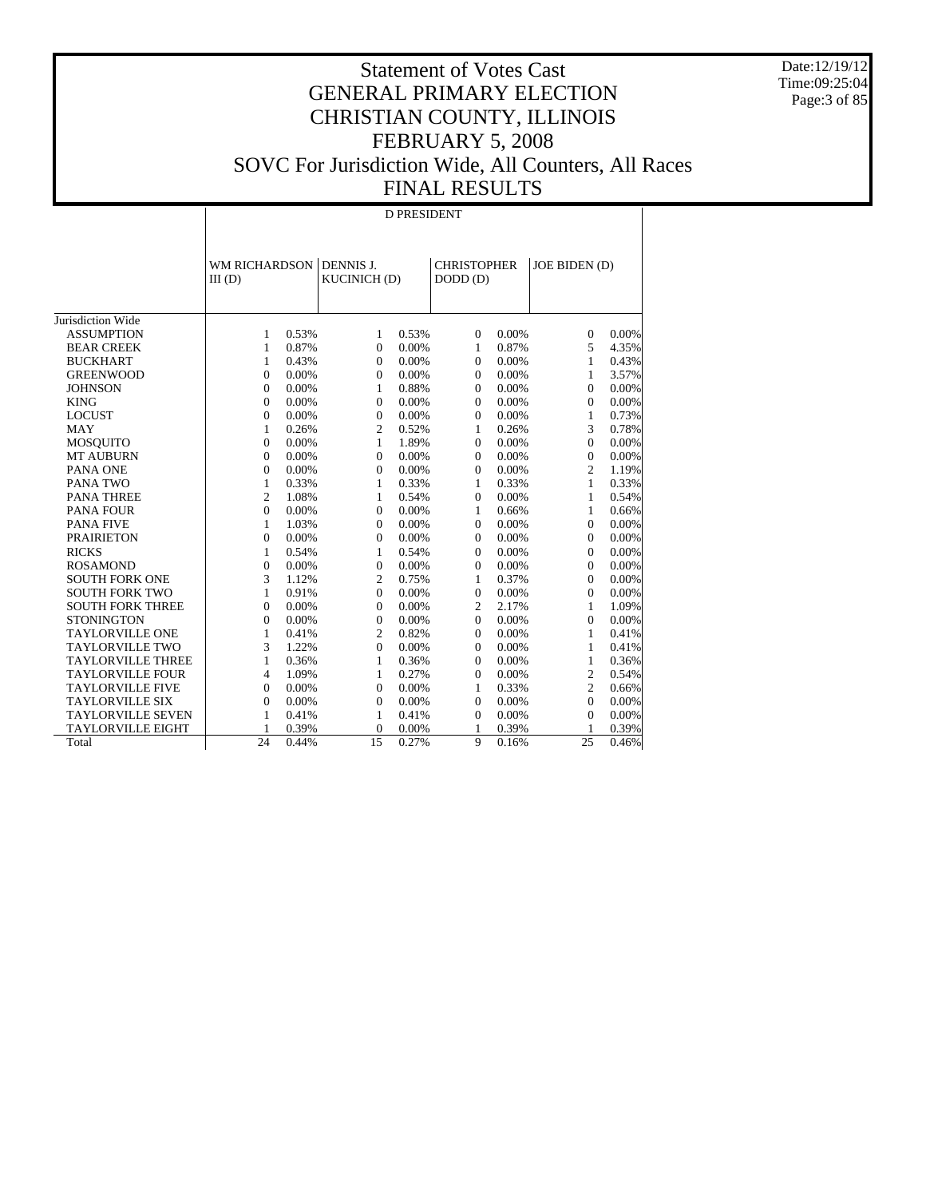Date:12/19/12 Time:09:25:04 Page:3 of 85

# Statement of Votes Cast GENERAL PRIMARY ELECTION CHRISTIAN COUNTY, ILLINOIS FEBRUARY 5, 2008 SOVC For Jurisdiction Wide, All Counters, All Races FINAL RESULTS

#### D PRESIDENT

|                          | <b>WM RICHARDSON</b><br>$III$ (D) |       | DENNIS J.<br><b>KUCINICH (D)</b> |          | <b>CHRISTOPHER</b><br>DODD(D) |       | JOE BIDEN (D)  |       |
|--------------------------|-----------------------------------|-------|----------------------------------|----------|-------------------------------|-------|----------------|-------|
| Jurisdiction Wide        |                                   |       |                                  |          |                               |       |                |       |
| <b>ASSUMPTION</b>        | $\mathbf{1}$                      | 0.53% | $\mathbf{1}$                     | 0.53%    | $\Omega$                      | 0.00% | $\mathbf{0}$   | 0.00% |
| <b>BEAR CREEK</b>        | 1                                 | 0.87% | $\Omega$                         | 0.00%    | 1                             | 0.87% | 5              | 4.35% |
| <b>BUCKHART</b>          | 1                                 | 0.43% | $\Omega$                         | 0.00%    | $\Omega$                      | 0.00% | 1              | 0.43% |
| <b>GREENWOOD</b>         | $\theta$                          | 0.00% | $\Omega$                         | $0.00\%$ | $\Omega$                      | 0.00% | 1              | 3.57% |
| <b>JOHNSON</b>           | $\boldsymbol{0}$                  | 0.00% | $\mathbf{1}$                     | 0.88%    | $\mathbf{0}$                  | 0.00% | $\overline{0}$ | 0.00% |
| <b>KING</b>              | $\overline{0}$                    | 0.00% | $\Omega$                         | $0.00\%$ | $\Omega$                      | 0.00% | $\Omega$       | 0.00% |
| <b>LOCUST</b>            | $\boldsymbol{0}$                  | 0.00% | $\mathbf{0}$                     | 0.00%    | $\mathbf{0}$                  | 0.00% | 1              | 0.73% |
| <b>MAY</b>               | 1                                 | 0.26% | $\overline{c}$                   | 0.52%    | 1                             | 0.26% | 3              | 0.78% |
| <b>MOSOUITO</b>          | $\overline{0}$                    | 0.00% | 1                                | 1.89%    | $\mathbf{0}$                  | 0.00% | $\overline{0}$ | 0.00% |
| <b>MT AUBURN</b>         | $\overline{0}$                    | 0.00% | $\mathbf{0}$                     | $0.00\%$ | $\mathbf{0}$                  | 0.00% | $\overline{0}$ | 0.00% |
| PANA ONE                 | $\overline{0}$                    | 0.00% | $\mathbf{0}$                     | $0.00\%$ | $\mathbf{0}$                  | 0.00% | $\overline{c}$ | 1.19% |
| <b>PANA TWO</b>          | $\mathbf{1}$                      | 0.33% | $\mathbf{1}$                     | 0.33%    | $\mathbf{1}$                  | 0.33% | $\mathbf{1}$   | 0.33% |
| <b>PANA THREE</b>        | $\overline{c}$                    | 1.08% | 1                                | 0.54%    | $\mathbf{0}$                  | 0.00% | 1              | 0.54% |
| <b>PANA FOUR</b>         | $\overline{0}$                    | 0.00% | $\mathbf{0}$                     | $0.00\%$ | $\mathbf{1}$                  | 0.66% | $\mathbf{1}$   | 0.66% |
| <b>PANA FIVE</b>         | 1                                 | 1.03% | $\Omega$                         | 0.00%    | $\Omega$                      | 0.00% | $\Omega$       | 0.00% |
| <b>PRAIRIETON</b>        | $\overline{0}$                    | 0.00% | $\Omega$                         | $0.00\%$ | $\mathbf{0}$                  | 0.00% | $\mathbf{0}$   | 0.00% |
| <b>RICKS</b>             | 1                                 | 0.54% | 1                                | 0.54%    | $\Omega$                      | 0.00% | $\Omega$       | 0.00% |
| <b>ROSAMOND</b>          | $\overline{0}$                    | 0.00% | $\Omega$                         | $0.00\%$ | $\Omega$                      | 0.00% | $\Omega$       | 0.00% |
| <b>SOUTH FORK ONE</b>    | 3                                 | 1.12% | $\overline{c}$                   | 0.75%    | 1                             | 0.37% | $\Omega$       | 0.00% |
| <b>SOUTH FORK TWO</b>    | 1                                 | 0.91% | $\Omega$                         | $0.00\%$ | $\mathbf{0}$                  | 0.00% | $\Omega$       | 0.00% |
| <b>SOUTH FORK THREE</b>  | $\theta$                          | 0.00% | $\Omega$                         | 0.00%    | $\overline{c}$                | 2.17% | 1              | 1.09% |
| <b>STONINGTON</b>        | $\boldsymbol{0}$                  | 0.00% | $\Omega$                         | $0.00\%$ | $\Omega$                      | 0.00% | $\Omega$       | 0.00% |
| <b>TAYLORVILLE ONE</b>   | 1                                 | 0.41% | $\overline{c}$                   | 0.82%    | $\Omega$                      | 0.00% | 1              | 0.41% |
| <b>TAYLORVILLE TWO</b>   | 3                                 | 1.22% | $\Omega$                         | $0.00\%$ | $\Omega$                      | 0.00% | 1              | 0.41% |
| <b>TAYLORVILLE THREE</b> | 1                                 | 0.36% | 1                                | 0.36%    | $\Omega$                      | 0.00% | 1              | 0.36% |
| <b>TAYLORVILLE FOUR</b>  | 4                                 | 1.09% | 1                                | 0.27%    | $\Omega$                      | 0.00% | $\overline{c}$ | 0.54% |
| <b>TAYLORVILLE FIVE</b>  | $\Omega$                          | 0.00% | $\Omega$                         | $0.00\%$ | 1                             | 0.33% | $\overline{c}$ | 0.66% |
| <b>TAYLORVILLE SIX</b>   | $\theta$                          | 0.00% | $\Omega$                         | $0.00\%$ | $\Omega$                      | 0.00% | $\Omega$       | 0.00% |
| <b>TAYLORVILLE SEVEN</b> | 1                                 | 0.41% | 1                                | 0.41%    | $\Omega$                      | 0.00% | $\Omega$       | 0.00% |
| <b>TAYLORVILLE EIGHT</b> | 1                                 | 0.39% | $\Omega$                         | 0.00%    | 1                             | 0.39% |                | 0.39% |
| Total                    | 24                                | 0.44% | 15                               | 0.27%    | 9                             | 0.16% | 25             | 0.46% |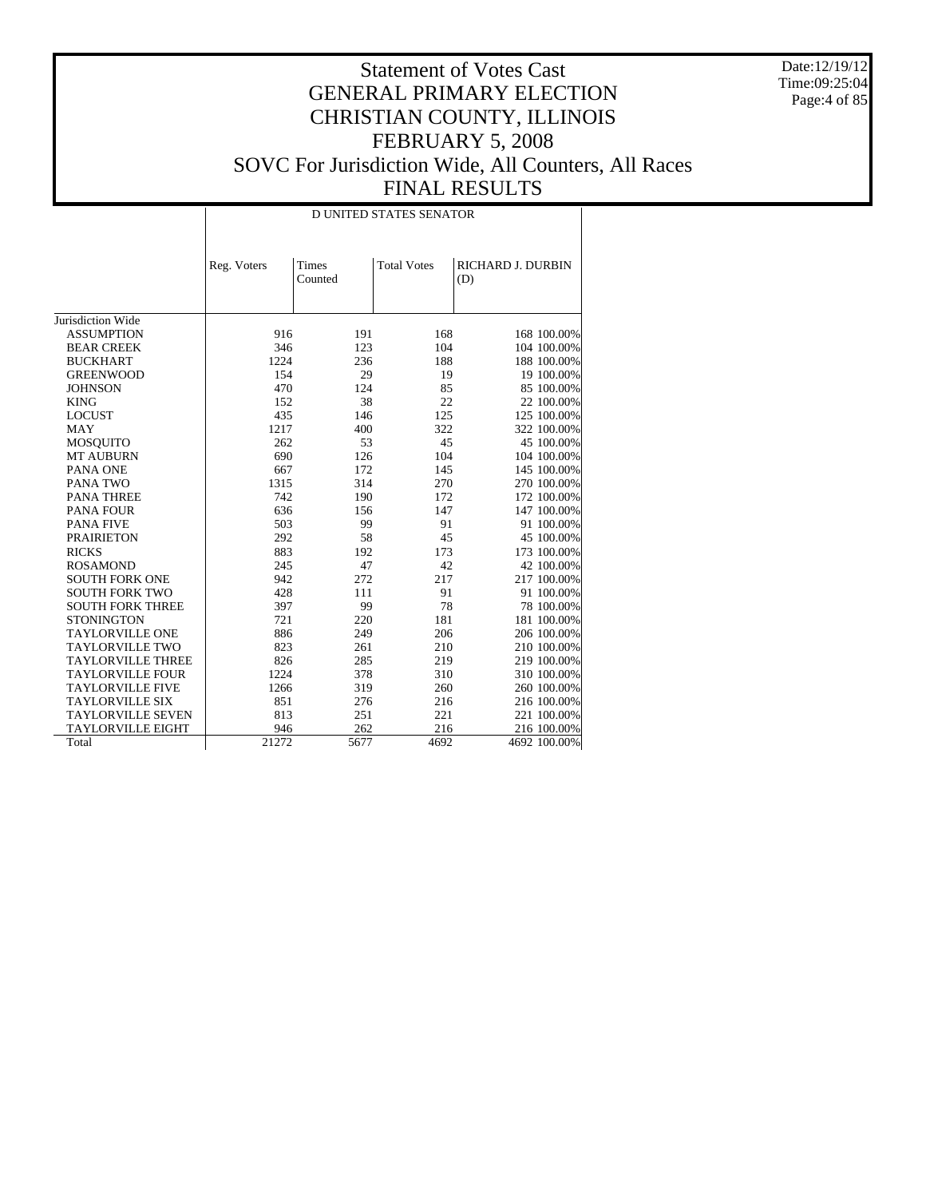Date:12/19/12 Time:09:25:04 Page:4 of 85

#### Statement of Votes Cast GENERAL PRIMARY ELECTION CHRISTIAN COUNTY, ILLINOIS FEBRUARY 5, 2008 SOVC For Jurisdiction Wide, All Counters, All Races FINAL RESULTS

Jurisdiction Wide ASSUMPTION BEAR CREEK BUCKHART GREENWOOD **JOHNSON**  KING LOCUST MAY MOSQUITO MT AUBURN PANA ONE PANA TWO PANA THREE PANA FOUR PANA FIVE PRAIRIETON RICKS ROSAMOND SOUTH FORK ONE SOUTH FORK TWO SOUTH FORK THREE **STONINGTON**  TAYLORVILLE ONE TAYLORVILLE TWO TAYLORVILLE THREE TAYLORVILLE FOUR TAYLORVILLE FIVE TAYLORVILLE SIX TAYLORVILLE SEVEN TAYLORVILLE EIGHT Total Reg. Voters | Times Counted Total Votes | RICHARD J. DURBIN (D) D UNITED STATES SENATOR 916 191 168 168 100.00%<br>346 123 104 104 100.00% 124 123 104 104 100.00%<br>1224 236 188 188 100.00% 1224 236 188 188 100.00%<br>154 29 19 19 100.00% 154 29 19 19 100.00%<br>470 124 85 85 100.00% 85 100.00% 152 38 22 22 100.00%<br>435 146 125 125 100.00% 146 125 125 100.00%<br>400 322 322 100.00% 1217 400 322 322 100.00%<br>262 53 45 45 100.00% 262 53 45 45 100.00%<br>690 126 104 104 100.00% 104 100.00% 067 172 145 145 100.00%<br>1315 314 270 270 100.00% 1314 270 270 100.00%<br>190 172 172 100.00% 112 12 190 172 172 100.00%<br>
536 156 147 147 100.00% 636 156 147 147 100.00%<br>503 99 91 91 100.00% 503 99 91 91 100.00% 292 58 45 45 100.00% 883 192 173 173 100.00% 245 47 42 42 42 100.00%<br>942 272 217 217 100.00% 942 272 217 217 100.00%<br>428 111 91 91 100.00% 428 111 91 91 00.00%<br>397 99 78 78 100.00% 397 99 78 78 100.00%<br>721 220 181 181 100.00% 0220 181 181 100.00% 249 206 206 100.00% 886 249 206 206 206 100.00%<br>823 261 210 210 210 100.00% 261 210 210 210 100.00%<br>285 219 219 219 100.00% 826 285 219 219 100.00%<br>1224 378 310 310 100.00% 1224 378 310 310 100.00%<br>1266 319 260 260 100.00% 260 100.00% 851 276 216 216 216 00.00%<br>813 251 221 221 100.00% 221 100.00% 946 262 216 216 00.00%<br>21272 5677 4692 4692 100.00% 4692 100.00%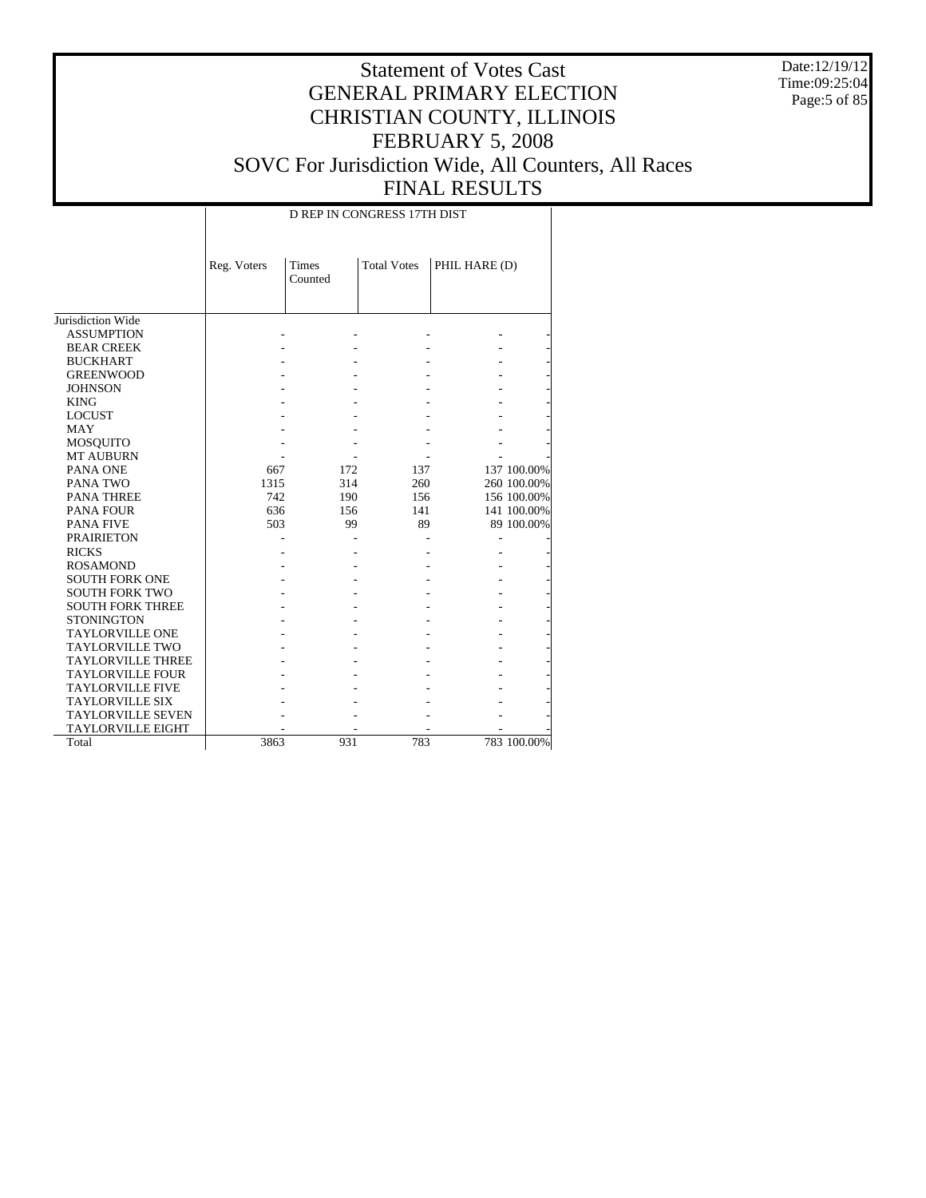Date:12/19/12 Time:09:25:04 Page:5 of 85

# Statement of Votes Cast GENERAL PRIMARY ELECTION CHRISTIAN COUNTY, ILLINOIS FEBRUARY 5, 2008 SOVC For Jurisdiction Wide, All Counters, All Races FINAL RESULTS

D REP IN CONGRESS 17TH DIST

|                          | Reg. Voters | <b>Times</b><br>Counted | <b>Total Votes</b> | PHIL HARE (D) |             |
|--------------------------|-------------|-------------------------|--------------------|---------------|-------------|
| Jurisdiction Wide        |             |                         |                    |               |             |
| <b>ASSUMPTION</b>        |             |                         |                    |               |             |
| <b>BEAR CREEK</b>        |             |                         |                    |               |             |
| <b>BUCKHART</b>          |             |                         |                    |               |             |
| <b>GREENWOOD</b>         |             |                         |                    |               |             |
| <b>JOHNSON</b>           |             |                         |                    |               |             |
| <b>KING</b>              |             |                         |                    |               |             |
| <b>LOCUST</b>            |             |                         |                    |               |             |
| <b>MAY</b>               |             |                         |                    |               |             |
| <b>MOSQUITO</b>          |             |                         |                    |               |             |
| <b>MT AUBURN</b>         |             |                         |                    |               |             |
| PANA ONE                 | 667         | 172                     | 137                |               | 137 100.00% |
| PANA TWO                 | 1315        | 314                     | 260                |               | 260 100.00% |
| <b>PANA THREE</b>        | 742         | 190                     | 156                |               | 156 100.00% |
| <b>PANA FOUR</b>         | 636         | 156                     | 141                |               | 141 100.00% |
| <b>PANA FIVE</b>         | 503         | 99                      | 89                 |               | 89 100.00%  |
| <b>PRAIRIETON</b>        |             |                         |                    |               |             |
| <b>RICKS</b>             |             |                         |                    |               |             |
| <b>ROSAMOND</b>          |             |                         |                    |               |             |
| <b>SOUTH FORK ONE</b>    |             |                         |                    |               |             |
| <b>SOUTH FORK TWO</b>    |             |                         |                    |               |             |
| <b>SOUTH FORK THREE</b>  |             |                         |                    |               |             |
| <b>STONINGTON</b>        |             |                         |                    |               |             |
| <b>TAYLORVILLE ONE</b>   |             |                         |                    |               |             |
| <b>TAYLORVILLE TWO</b>   |             |                         |                    |               |             |
| <b>TAYLORVILLE THREE</b> |             |                         |                    |               |             |
| <b>TAYLORVILLE FOUR</b>  |             |                         |                    |               |             |
| <b>TAYLORVILLE FIVE</b>  |             |                         |                    |               |             |
| <b>TAYLORVILLE SIX</b>   |             |                         |                    |               |             |
| <b>TAYLORVILLE SEVEN</b> |             |                         |                    |               |             |
| <b>TAYLORVILLE EIGHT</b> |             |                         |                    |               |             |
| Total                    | 3863        | 931                     | 783                |               | 783 100.00% |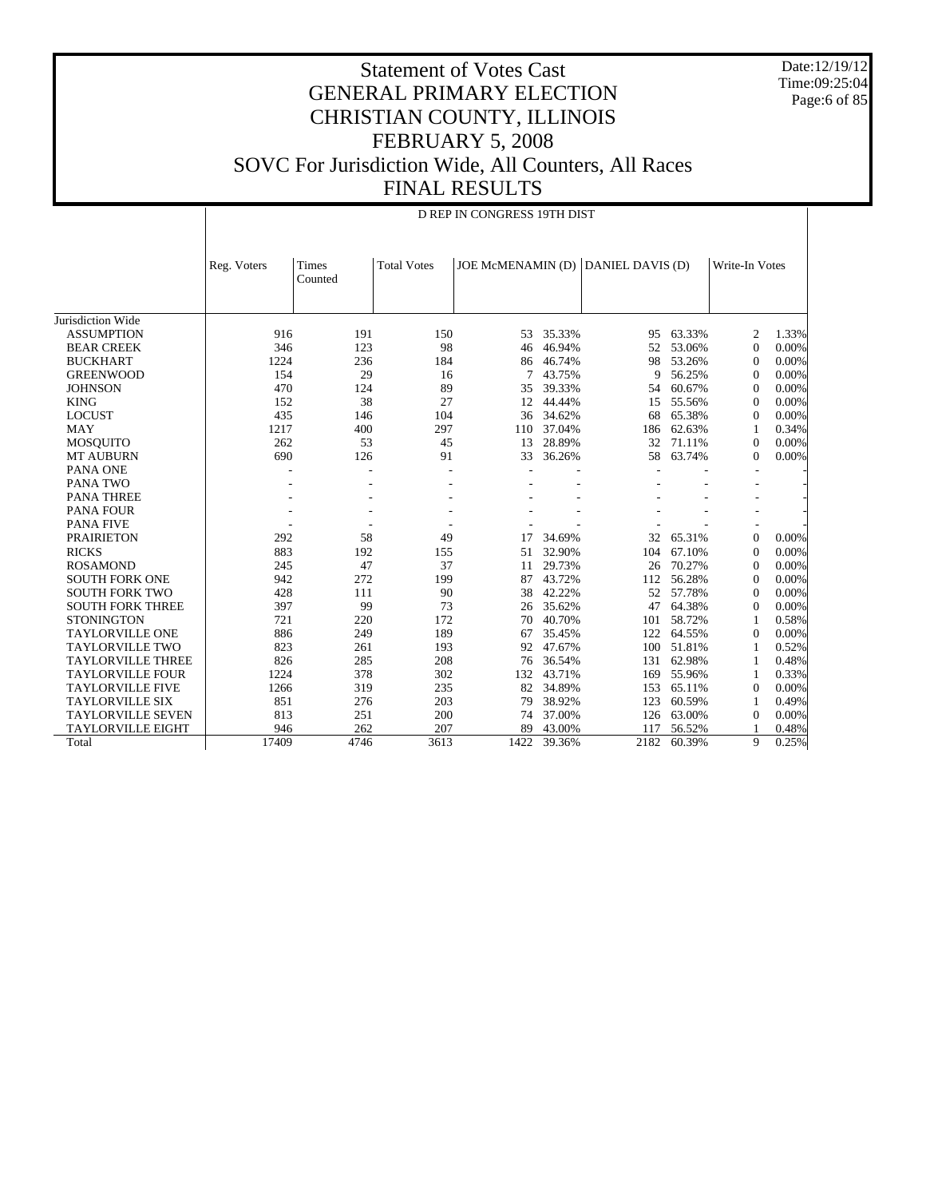Date:12/19/12 Time:09:25:04 Page:6 of 85

#### Statement of Votes Cast GENERAL PRIMARY ELECTION CHRISTIAN COUNTY, ILLINOIS FEBRUARY 5, 2008 SOVC For Jurisdiction Wide, All Counters, All Races FINAL RESULTS

|                          |                                 | D REP IN CONGRESS 19TH DIST |                    |                                    |        |      |        |                          |       |  |  |  |
|--------------------------|---------------------------------|-----------------------------|--------------------|------------------------------------|--------|------|--------|--------------------------|-------|--|--|--|
|                          | Reg. Voters<br>Times<br>Counted |                             | <b>Total Votes</b> | JOE McMENAMIN (D) DANIEL DAVIS (D) |        |      |        | Write-In Votes           |       |  |  |  |
| Jurisdiction Wide        |                                 |                             |                    |                                    |        |      |        |                          |       |  |  |  |
| <b>ASSUMPTION</b>        | 916                             | 191                         | 150                | 53.                                | 35.33% | 95   | 63.33% | 2                        | 1.33% |  |  |  |
| <b>BEAR CREEK</b>        | 346                             | 123                         | 98                 | 46                                 | 46.94% | 52   | 53.06% | $\Omega$                 | 0.00% |  |  |  |
| <b>BUCKHART</b>          | 1224                            | 236                         | 184                | 86                                 | 46.74% | 98   | 53.26% | $\Omega$                 | 0.00% |  |  |  |
| <b>GREENWOOD</b>         | 154                             | 29                          | 16                 | 7                                  | 43.75% | 9    | 56.25% | $\theta$                 | 0.00% |  |  |  |
| <b>JOHNSON</b>           | 470                             | 124                         | 89                 | 35                                 | 39.33% | 54   | 60.67% | $\Omega$                 | 0.00% |  |  |  |
| <b>KING</b>              | 152                             | 38                          | 27                 | 12                                 | 44.44% | 15   | 55.56% | $\Omega$                 | 0.00% |  |  |  |
| <b>LOCUST</b>            | 435                             | 146                         | 104                | 36                                 | 34.62% | 68   | 65.38% | $\theta$                 | 0.00% |  |  |  |
| <b>MAY</b>               | 1217                            | 400                         | 297                | 110                                | 37.04% | 186  | 62.63% | 1                        | 0.34% |  |  |  |
| <b>MOSQUITO</b>          | 262                             | 53                          | 45                 | 13                                 | 28.89% | 32   | 71.11% | $\Omega$                 | 0.00% |  |  |  |
| <b>MT AUBURN</b>         | 690                             | 126                         | 91                 | 33                                 | 36.26% | 58   | 63.74% | 0                        | 0.00% |  |  |  |
| PANA ONE                 |                                 |                             |                    |                                    |        |      |        |                          |       |  |  |  |
| PANA TWO                 |                                 |                             |                    |                                    |        |      |        | $\overline{\phantom{a}}$ |       |  |  |  |
| PANA THREE               |                                 |                             |                    |                                    |        |      |        |                          |       |  |  |  |
| <b>PANA FOUR</b>         |                                 |                             |                    |                                    |        |      |        | $\overline{a}$           |       |  |  |  |
| <b>PANA FIVE</b>         |                                 |                             |                    |                                    |        |      |        |                          |       |  |  |  |
| <b>PRAIRIETON</b>        | 292                             | 58                          | 49                 | 17                                 | 34.69% | 32   | 65.31% | $\theta$                 | 0.00% |  |  |  |
| <b>RICKS</b>             | 883                             | 192                         | 155                | 51                                 | 32.90% | 104  | 67.10% | $\Omega$                 | 0.00% |  |  |  |
| <b>ROSAMOND</b>          | 245                             | 47                          | 37                 | 11                                 | 29.73% | 26   | 70.27% | $\Omega$                 | 0.00% |  |  |  |
| <b>SOUTH FORK ONE</b>    | 942                             | 272                         | 199                | 87                                 | 43.72% | 112  | 56.28% | $\Omega$                 | 0.00% |  |  |  |
| <b>SOUTH FORK TWO</b>    | 428                             | 111                         | 90                 | 38                                 | 42.22% | 52   | 57.78% | $\theta$                 | 0.00% |  |  |  |
| <b>SOUTH FORK THREE</b>  | 397                             | 99                          | 73                 | 26                                 | 35.62% | 47   | 64.38% | $\Omega$                 | 0.00% |  |  |  |
| <b>STONINGTON</b>        | 721                             | 220                         | 172                | 70                                 | 40.70% | 101  | 58.72% | 1                        | 0.58% |  |  |  |
| <b>TAYLORVILLE ONE</b>   | 886                             | 249                         | 189                | 67                                 | 35.45% | 122  | 64.55% | $\theta$                 | 0.00% |  |  |  |
| <b>TAYLORVILLE TWO</b>   | 823                             | 261                         | 193                | 92                                 | 47.67% | 100  | 51.81% | 1                        | 0.52% |  |  |  |
| <b>TAYLORVILLE THREE</b> | 826                             | 285                         | 208                | 76                                 | 36.54% | 131  | 62.98% | 1                        | 0.48% |  |  |  |
| <b>TAYLORVILLE FOUR</b>  | 1224                            | 378                         | 302                | 132                                | 43.71% | 169  | 55.96% | 1                        | 0.33% |  |  |  |
| <b>TAYLORVILLE FIVE</b>  | 1266                            | 319                         | 235                | 82                                 | 34.89% | 153  | 65.11% | 0                        | 0.00% |  |  |  |
| <b>TAYLORVILLE SIX</b>   | 851                             | 276                         | 203                | 79                                 | 38.92% | 123  | 60.59% | 1                        | 0.49% |  |  |  |
| <b>TAYLORVILLE SEVEN</b> | 813                             | 251                         | 200                | 74                                 | 37.00% | 126  | 63.00% | $\overline{0}$           | 0.00% |  |  |  |
| TAYLORVILLE EIGHT        | 946                             | 262                         | 207                | 89                                 | 43.00% | 117  | 56.52% |                          | 0.48% |  |  |  |
| Total                    | 17409                           | 4746                        | 3613               | 1422                               | 39.36% | 2182 | 60.39% | 9                        | 0.25% |  |  |  |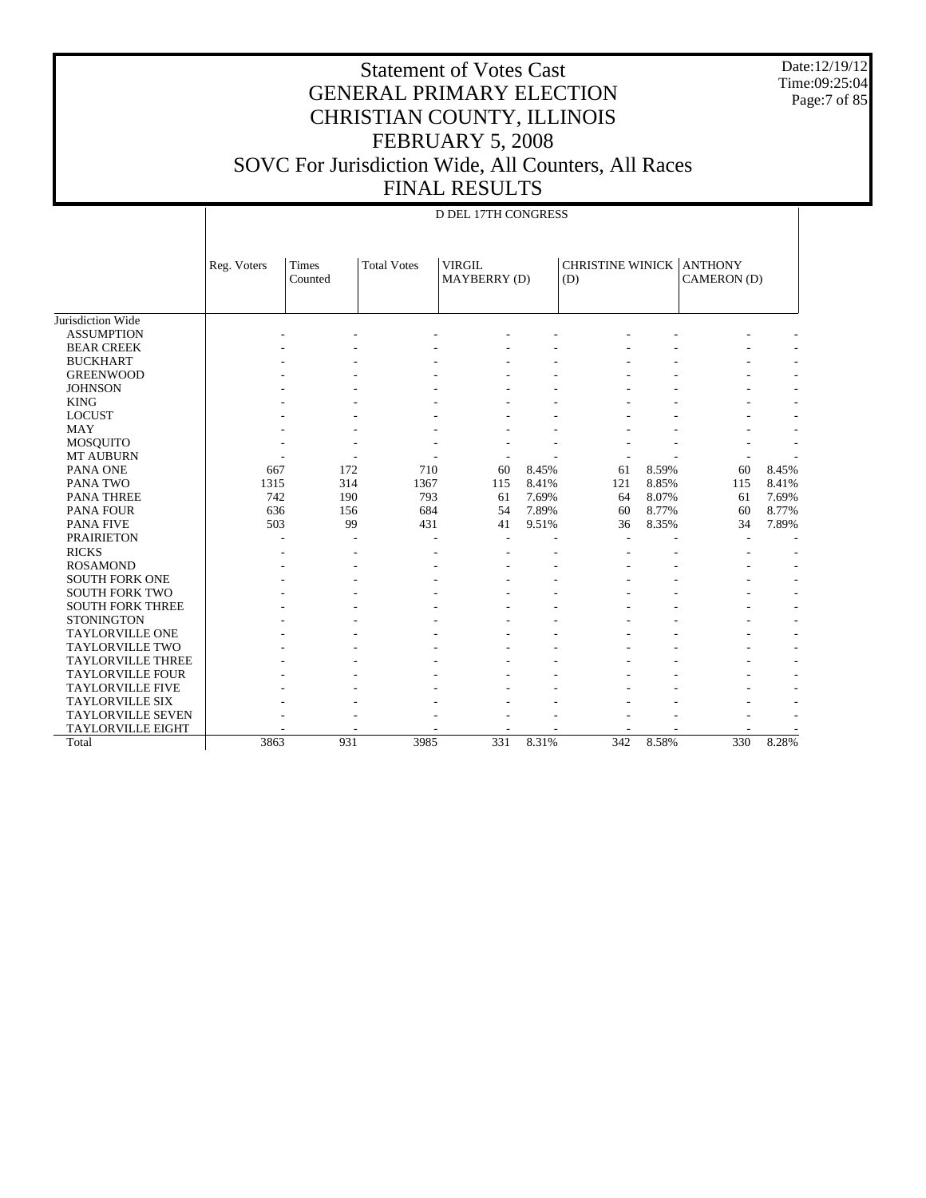Date:12/19/12 Time:09:25:04 Page:7 of 85

| D DEL 17TH CONGRESS |
|---------------------|

|                          | Reg. Voters | <b>Times</b><br>Counted | <b>Total Votes</b> | <b>VIRGIL</b><br>MAYBERRY (D) |       | <b>CHRISTINE WINICK ANTHONY</b><br>(D) |       | CAMERON (D) |       |
|--------------------------|-------------|-------------------------|--------------------|-------------------------------|-------|----------------------------------------|-------|-------------|-------|
|                          |             |                         |                    |                               |       |                                        |       |             |       |
| Jurisdiction Wide        |             |                         |                    |                               |       |                                        |       |             |       |
| <b>ASSUMPTION</b>        |             |                         |                    |                               |       |                                        |       |             |       |
| <b>BEAR CREEK</b>        |             |                         |                    |                               |       |                                        |       |             |       |
| <b>BUCKHART</b>          |             |                         |                    |                               |       |                                        |       |             |       |
| <b>GREENWOOD</b>         |             |                         |                    |                               |       |                                        |       |             |       |
| <b>JOHNSON</b>           |             |                         |                    |                               |       |                                        |       |             |       |
| <b>KING</b>              |             |                         |                    |                               |       |                                        |       |             |       |
| <b>LOCUST</b>            |             |                         |                    |                               |       |                                        |       |             |       |
| <b>MAY</b>               |             |                         |                    |                               |       |                                        |       |             |       |
| <b>MOSQUITO</b>          |             |                         |                    |                               |       |                                        |       |             |       |
| <b>MT AUBURN</b>         |             |                         |                    |                               |       |                                        |       |             |       |
| PANA ONE                 | 667         | 172                     | 710                | 60                            | 8.45% | 61                                     | 8.59% | 60          | 8.45% |
| <b>PANA TWO</b>          | 1315        | 314                     | 1367               | 115                           | 8.41% | 121                                    | 8.85% | 115         | 8.41% |
| <b>PANA THREE</b>        | 742         | 190                     | 793                | 61                            | 7.69% | 64                                     | 8.07% | 61          | 7.69% |
| <b>PANA FOUR</b>         | 636         | 156                     | 684                | 54                            | 7.89% | 60                                     | 8.77% | 60          | 8.77% |
| <b>PANA FIVE</b>         | 503         | 99                      | 431                | 41                            | 9.51% | 36                                     | 8.35% | 34          | 7.89% |
| <b>PRAIRIETON</b>        |             |                         |                    | ÷                             |       |                                        |       |             |       |
| <b>RICKS</b>             |             |                         |                    |                               |       |                                        |       |             |       |
| <b>ROSAMOND</b>          |             |                         |                    |                               |       |                                        |       |             |       |
| <b>SOUTH FORK ONE</b>    |             |                         |                    |                               |       |                                        |       |             |       |
| <b>SOUTH FORK TWO</b>    |             |                         |                    |                               |       |                                        |       |             |       |
| <b>SOUTH FORK THREE</b>  |             |                         |                    |                               |       |                                        |       |             |       |
| <b>STONINGTON</b>        |             |                         |                    |                               |       |                                        |       |             |       |
| <b>TAYLORVILLE ONE</b>   |             |                         |                    |                               |       |                                        |       |             |       |
| <b>TAYLORVILLE TWO</b>   |             |                         |                    |                               |       |                                        |       |             |       |
| <b>TAYLORVILLE THREE</b> |             |                         |                    |                               |       |                                        |       |             |       |
| <b>TAYLORVILLE FOUR</b>  |             |                         |                    |                               |       |                                        |       |             |       |
| <b>TAYLORVILLE FIVE</b>  |             |                         |                    |                               |       |                                        |       |             |       |
| <b>TAYLORVILLE SIX</b>   |             |                         |                    |                               |       |                                        |       |             |       |
| <b>TAYLORVILLE SEVEN</b> |             |                         |                    |                               |       |                                        |       |             |       |
| <b>TAYLORVILLE EIGHT</b> |             |                         |                    |                               |       |                                        |       |             |       |
| Total                    | 3863        | 931                     | 3985               | 331                           | 8.31% | 342                                    | 8.58% | 330         | 8.28% |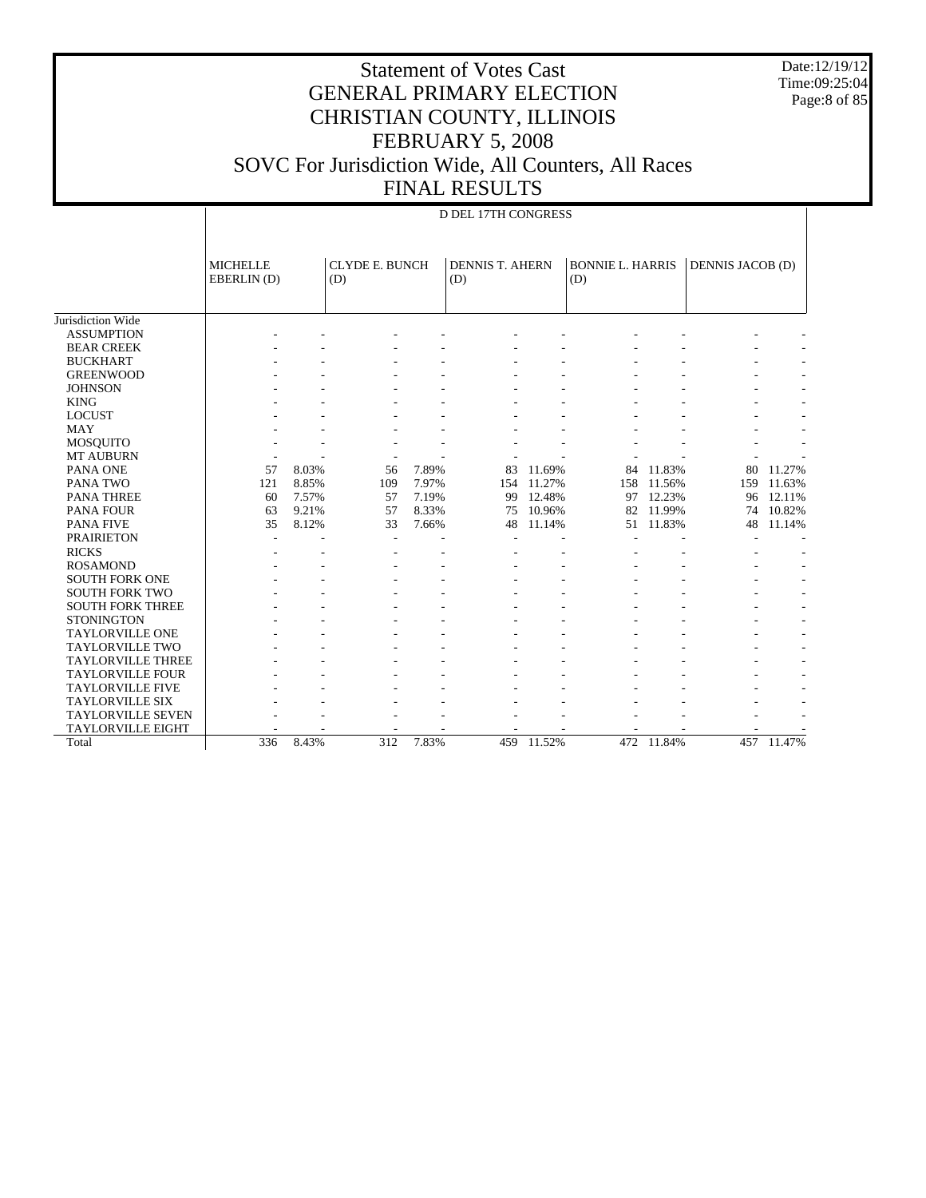Date:12/19/12 Time:09:25:04 Page:8 of 85

# Statement of Votes Cast GENERAL PRIMARY ELECTION CHRISTIAN COUNTY, ILLINOIS FEBRUARY 5, 2008 SOVC For Jurisdiction Wide, All Counters, All Races FINAL RESULTS

#### D DEL 17TH CONGRESS

|                          | <b>MICHELLE</b><br>EBERLIN(D) |       | <b>CLYDE E. BUNCH</b><br>(D) |       | <b>DENNIS T. AHERN</b><br>(D) |        | <b>BONNIE L. HARRIS</b><br>(D) |        | <b>DENNIS JACOB (D)</b> |                          |
|--------------------------|-------------------------------|-------|------------------------------|-------|-------------------------------|--------|--------------------------------|--------|-------------------------|--------------------------|
| Jurisdiction Wide        |                               |       |                              |       |                               |        |                                |        |                         |                          |
| <b>ASSUMPTION</b>        |                               |       |                              |       |                               |        |                                |        |                         |                          |
| <b>BEAR CREEK</b>        |                               |       |                              |       |                               |        |                                |        |                         |                          |
| <b>BUCKHART</b>          |                               |       |                              |       |                               |        |                                |        |                         |                          |
| <b>GREENWOOD</b>         |                               |       |                              |       |                               |        |                                |        |                         |                          |
| <b>JOHNSON</b>           |                               |       |                              |       |                               |        |                                |        |                         |                          |
| <b>KING</b>              |                               |       |                              |       |                               |        |                                |        |                         |                          |
| <b>LOCUST</b>            |                               |       |                              |       |                               |        |                                |        |                         |                          |
| <b>MAY</b>               |                               |       |                              |       |                               |        |                                |        |                         |                          |
| <b>MOSQUITO</b>          |                               |       |                              |       |                               |        |                                |        |                         |                          |
| <b>MT AUBURN</b>         |                               |       |                              |       |                               |        |                                |        |                         |                          |
| PANA ONE                 | 57                            | 8.03% | 56                           | 7.89% | 83                            | 11.69% | 84                             | 11.83% | 80                      | 11.27%                   |
| PANA TWO                 | 121                           | 8.85% | 109                          | 7.97% | 154                           | 11.27% | 158                            | 11.56% | 159                     | 11.63%                   |
| <b>PANA THREE</b>        | 60                            | 7.57% | 57                           | 7.19% | 99                            | 12.48% | 97                             | 12.23% | 96                      | 12.11%                   |
| <b>PANA FOUR</b>         | 63                            | 9.21% | 57                           | 8.33% | 75                            | 10.96% | 82                             | 11.99% | 74                      | 10.82%                   |
| <b>PANA FIVE</b>         | 35                            | 8.12% | 33                           | 7.66% | 48                            | 11.14% | 51                             | 11.83% | 48                      | 11.14%                   |
| <b>PRAIRIETON</b>        | $\overline{\phantom{a}}$      |       |                              |       |                               |        |                                |        |                         |                          |
| <b>RICKS</b>             |                               |       |                              |       |                               |        |                                |        |                         |                          |
| <b>ROSAMOND</b>          |                               |       |                              |       |                               |        |                                |        |                         | $\overline{\phantom{a}}$ |
| <b>SOUTH FORK ONE</b>    |                               |       |                              |       |                               |        |                                |        |                         |                          |
| <b>SOUTH FORK TWO</b>    |                               |       |                              |       |                               |        |                                |        |                         |                          |
| <b>SOUTH FORK THREE</b>  |                               |       |                              |       |                               |        |                                |        |                         |                          |
| <b>STONINGTON</b>        |                               |       |                              |       |                               |        |                                |        |                         |                          |
| <b>TAYLORVILLE ONE</b>   |                               |       |                              |       |                               |        |                                |        |                         |                          |
| <b>TAYLORVILLE TWO</b>   |                               |       |                              |       |                               |        |                                |        |                         |                          |
| <b>TAYLORVILLE THREE</b> |                               |       |                              |       |                               |        |                                |        |                         |                          |
| <b>TAYLORVILLE FOUR</b>  |                               |       |                              |       |                               |        |                                |        |                         |                          |
| <b>TAYLORVILLE FIVE</b>  |                               |       |                              |       |                               |        |                                |        |                         |                          |
| <b>TAYLORVILLE SIX</b>   |                               |       |                              |       |                               |        |                                |        |                         |                          |
| <b>TAYLORVILLE SEVEN</b> |                               |       |                              |       |                               |        |                                |        |                         |                          |
| <b>TAYLORVILLE EIGHT</b> |                               |       |                              |       |                               |        |                                |        |                         |                          |
| Total                    | 336                           | 8.43% | 312                          | 7.83% | 459                           | 11.52% | 472                            | 11.84% | 457                     | 11.47%                   |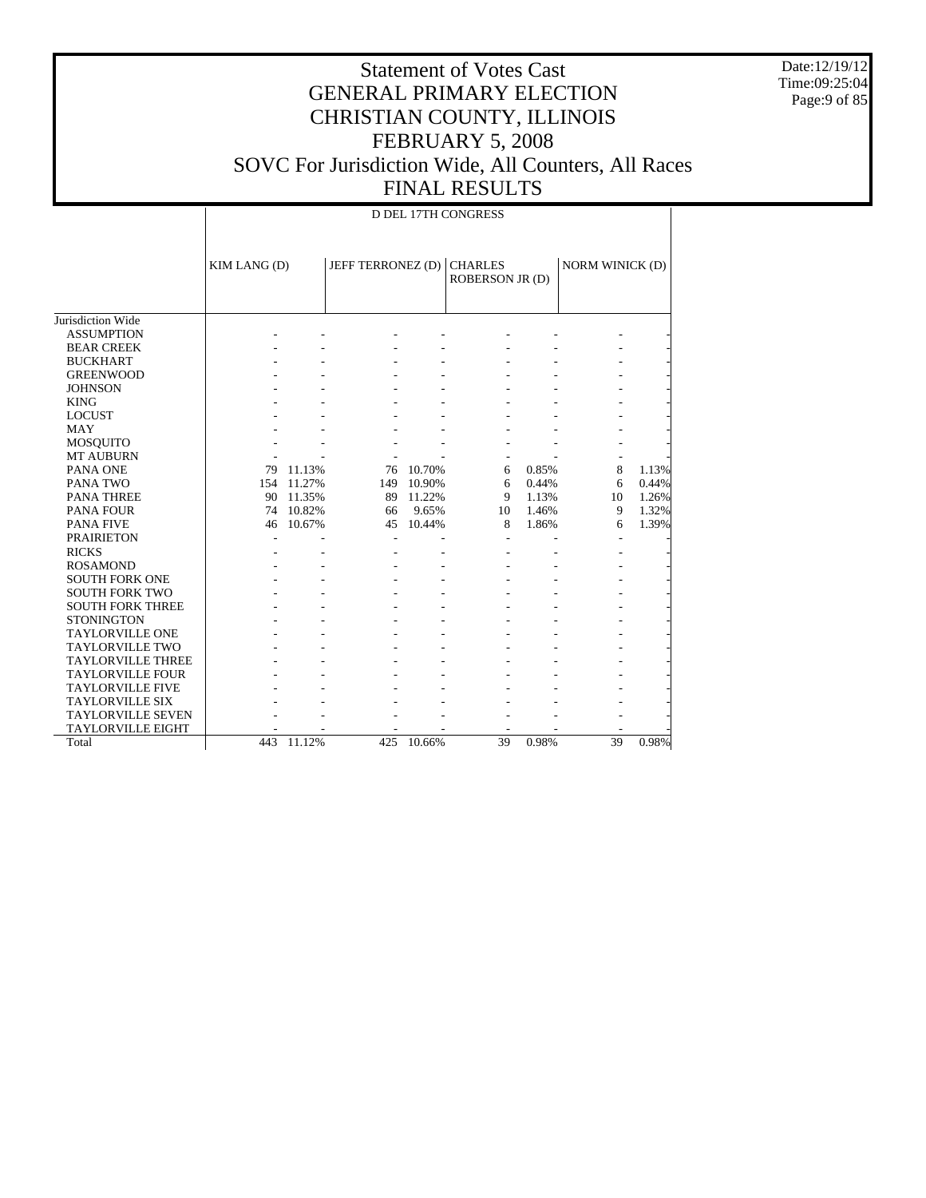Date:12/19/12 Time:09:25:04 Page:9 of 85

|                          |              |        |                           |        | <b>D DEL 17TH CONGRESS</b> |       |                        |       |  |
|--------------------------|--------------|--------|---------------------------|--------|----------------------------|-------|------------------------|-------|--|
|                          | KIM LANG (D) |        | JEFF TERRONEZ (D) CHARLES |        | <b>ROBERSON JR (D)</b>     |       | <b>NORM WINICK (D)</b> |       |  |
| Jurisdiction Wide        |              |        |                           |        |                            |       |                        |       |  |
| <b>ASSUMPTION</b>        |              |        |                           |        |                            |       |                        |       |  |
| <b>BEAR CREEK</b>        |              |        |                           |        |                            |       |                        |       |  |
| <b>BUCKHART</b>          |              |        |                           |        |                            |       |                        |       |  |
| <b>GREENWOOD</b>         |              |        |                           |        |                            |       |                        |       |  |
| <b>JOHNSON</b>           |              |        |                           |        |                            |       |                        |       |  |
| <b>KING</b>              |              |        |                           |        |                            |       |                        |       |  |
| <b>LOCUST</b>            |              |        |                           |        |                            |       |                        |       |  |
| <b>MAY</b>               |              |        |                           |        |                            |       |                        |       |  |
| <b>MOSQUITO</b>          |              |        |                           |        |                            |       |                        |       |  |
| <b>MT AUBURN</b>         |              |        |                           |        |                            |       |                        |       |  |
| PANA ONE                 | 79           | 11.13% | 76                        | 10.70% | 6                          | 0.85% | 8                      | 1.13% |  |
| PANA TWO                 | 154          | 11.27% | 149                       | 10.90% | 6                          | 0.44% | 6                      | 0.44% |  |
| <b>PANA THREE</b>        | 90           | 11.35% | 89                        | 11.22% | 9                          | 1.13% | 10                     | 1.26% |  |
| <b>PANA FOUR</b>         | 74           | 10.82% | 66                        | 9.65%  | 10                         | 1.46% | 9                      | 1.32% |  |
| <b>PANA FIVE</b>         | 46           | 10.67% | 45                        | 10.44% | 8                          | 1.86% | 6                      | 1.39% |  |
| <b>PRAIRIETON</b>        |              |        |                           |        |                            |       |                        |       |  |
| <b>RICKS</b>             |              |        |                           |        |                            |       |                        |       |  |
| <b>ROSAMOND</b>          |              |        |                           |        |                            |       |                        |       |  |
| <b>SOUTH FORK ONE</b>    |              |        |                           |        |                            |       |                        |       |  |
| <b>SOUTH FORK TWO</b>    |              |        |                           |        |                            |       |                        |       |  |
| <b>SOUTH FORK THREE</b>  |              |        |                           |        |                            |       |                        |       |  |
| <b>STONINGTON</b>        |              |        |                           |        |                            |       |                        |       |  |
| <b>TAYLORVILLE ONE</b>   |              |        |                           |        |                            |       |                        |       |  |
| <b>TAYLORVILLE TWO</b>   |              |        |                           |        |                            |       |                        |       |  |
| <b>TAYLORVILLE THREE</b> |              |        |                           |        |                            |       |                        |       |  |
| <b>TAYLORVILLE FOUR</b>  |              |        |                           |        |                            |       |                        |       |  |
| <b>TAYLORVILLE FIVE</b>  |              |        |                           |        |                            |       |                        |       |  |
| <b>TAYLORVILLE SIX</b>   |              |        |                           |        |                            |       |                        |       |  |
| <b>TAYLORVILLE SEVEN</b> |              |        |                           |        |                            |       |                        |       |  |
| <b>TAYLORVILLE EIGHT</b> |              |        |                           |        | $\overline{\phantom{a}}$   |       |                        |       |  |
| Total                    | 443          | 11.12% | 425                       | 10.66% | 39                         | 0.98% | 39                     | 0.98% |  |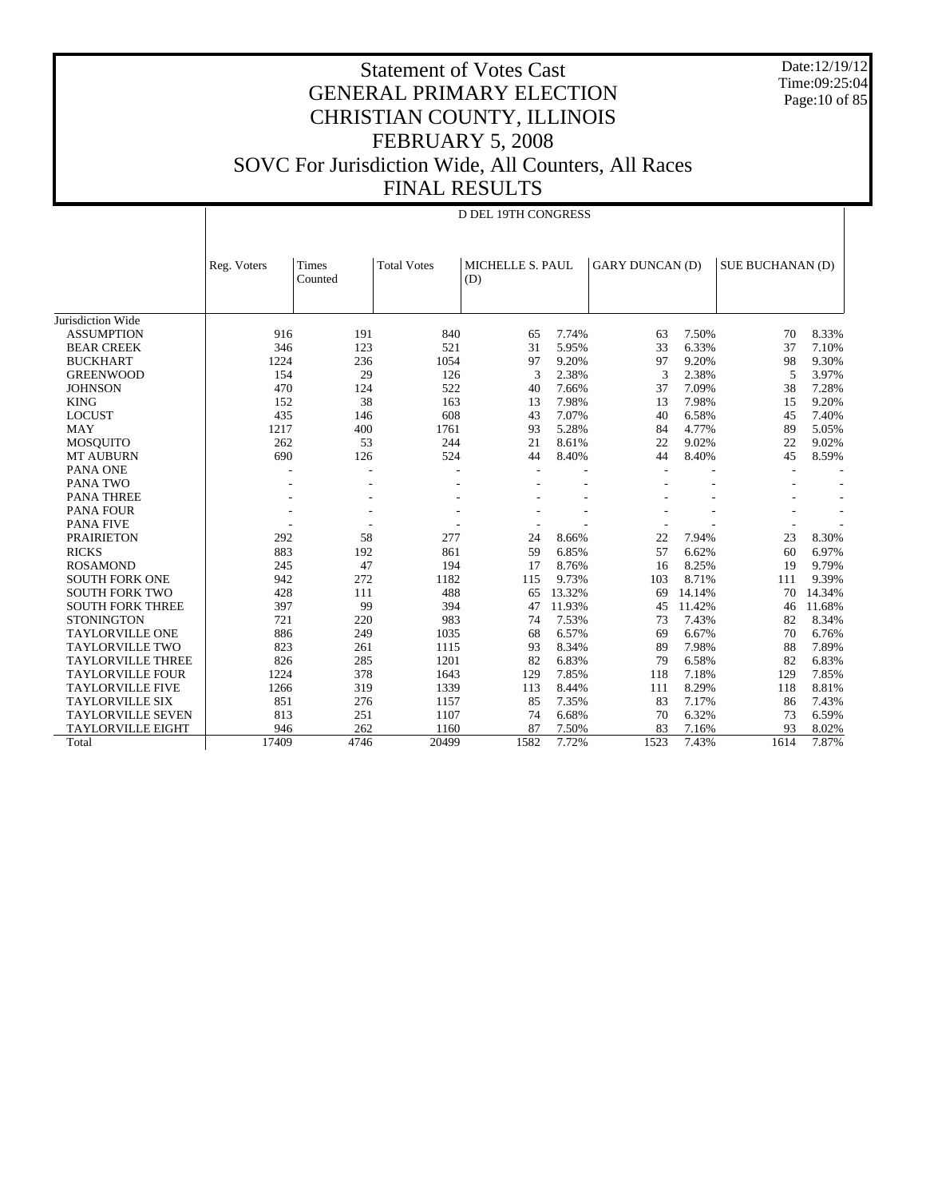Date:12/19/12 Time:09:25:04 Page:10 of 85

|                          | Reg. Voters | Times   | <b>Total Votes</b> | MICHELLE S. PAUL |        | <b>GARY DUNCAN (D)</b> |        | <b>SUE BUCHANAN (D)</b> |        |
|--------------------------|-------------|---------|--------------------|------------------|--------|------------------------|--------|-------------------------|--------|
|                          |             | Counted |                    | (D)              |        |                        |        |                         |        |
|                          |             |         |                    |                  |        |                        |        |                         |        |
| Jurisdiction Wide        |             |         |                    |                  |        |                        |        |                         |        |
| <b>ASSUMPTION</b>        | 916         | 191     | 840                | 65               | 7.74%  | 63                     | 7.50%  | 70                      | 8.33%  |
|                          | 346         | 123     | 521                |                  |        | 33                     | 6.33%  | 37                      |        |
| <b>BEAR CREEK</b>        |             |         |                    | 31<br>97         | 5.95%  |                        |        |                         | 7.10%  |
| <b>BUCKHART</b>          | 1224        | 236     | 1054               |                  | 9.20%  | 97                     | 9.20%  | 98                      | 9.30%  |
| <b>GREENWOOD</b>         | 154         | 29      | 126                | 3                | 2.38%  | 3                      | 2.38%  | 5                       | 3.97%  |
| <b>JOHNSON</b>           | 470         | 124     | 522                | 40               | 7.66%  | 37                     | 7.09%  | 38                      | 7.28%  |
| <b>KING</b>              | 152         | 38      | 163                | 13               | 7.98%  | 13                     | 7.98%  | 15                      | 9.20%  |
| <b>LOCUST</b>            | 435         | 146     | 608                | 43               | 7.07%  | 40                     | 6.58%  | 45                      | 7.40%  |
| <b>MAY</b>               | 1217        | 400     | 1761               | 93               | 5.28%  | 84                     | 4.77%  | 89                      | 5.05%  |
| <b>MOSQUITO</b>          | 262         | 53      | 244                | 21               | 8.61%  | 22                     | 9.02%  | 22                      | 9.02%  |
| <b>MT AUBURN</b>         | 690         | 126     | 524                | 44               | 8.40%  | 44                     | 8.40%  | 45                      | 8.59%  |
| <b>PANA ONE</b>          |             |         |                    |                  |        |                        |        |                         | ٠      |
| PANA TWO                 |             |         |                    |                  |        |                        |        |                         |        |
| <b>PANA THREE</b>        |             |         |                    |                  |        |                        |        |                         |        |
| <b>PANA FOUR</b>         |             |         |                    |                  |        |                        |        |                         |        |
| <b>PANA FIVE</b>         |             |         |                    |                  |        |                        |        |                         |        |
| <b>PRAIRIETON</b>        | 292         | 58      | 277                | 24               | 8.66%  | 22                     | 7.94%  | 23                      | 8.30%  |
| <b>RICKS</b>             | 883         | 192     | 861                | 59               | 6.85%  | 57                     | 6.62%  | 60                      | 6.97%  |
| <b>ROSAMOND</b>          | 245         | 47      | 194                | 17               | 8.76%  | 16                     | 8.25%  | 19                      | 9.79%  |
| <b>SOUTH FORK ONE</b>    | 942         | 272     | 1182               | 115              | 9.73%  | 103                    | 8.71%  | 111                     | 9.39%  |
| <b>SOUTH FORK TWO</b>    | 428         | 111     | 488                | 65               | 13.32% | 69                     | 14.14% | 70                      | 14.34% |
| <b>SOUTH FORK THREE</b>  | 397         | 99      | 394                | 47               | 11.93% | 45                     | 11.42% | 46                      | 11.68% |
| <b>STONINGTON</b>        | 721         | 220     | 983                | 74               | 7.53%  | 73                     | 7.43%  | 82                      | 8.34%  |
| <b>TAYLORVILLE ONE</b>   | 886         | 249     | 1035               | 68               | 6.57%  | 69                     | 6.67%  | 70                      | 6.76%  |
| <b>TAYLORVILLE TWO</b>   | 823         | 261     | 1115               | 93               | 8.34%  | 89                     | 7.98%  | 88                      | 7.89%  |
| <b>TAYLORVILLE THREE</b> | 826         | 285     | 1201               | 82               | 6.83%  | 79                     | 6.58%  | 82                      | 6.83%  |
| <b>TAYLORVILLE FOUR</b>  | 1224        | 378     | 1643               | 129              | 7.85%  | 118                    | 7.18%  | 129                     | 7.85%  |
| <b>TAYLORVILLE FIVE</b>  | 1266        | 319     | 1339               | 113              | 8.44%  | 111                    | 8.29%  | 118                     | 8.81%  |
| <b>TAYLORVILLE SIX</b>   | 851         | 276     | 1157               | 85               | 7.35%  | 83                     | 7.17%  | 86                      | 7.43%  |
| <b>TAYLORVILLE SEVEN</b> | 813         | 251     | 1107               | 74               | 6.68%  | 70                     | 6.32%  | 73                      | 6.59%  |
| <b>TAYLORVILLE EIGHT</b> | 946         | 262     | 1160               | 87               | 7.50%  | 83                     | 7.16%  | 93                      | 8.02%  |
| Total                    | 17409       | 4746    | 20499              | 1582             | 7.72%  | 1523                   | 7.43%  | 1614                    | 7.87%  |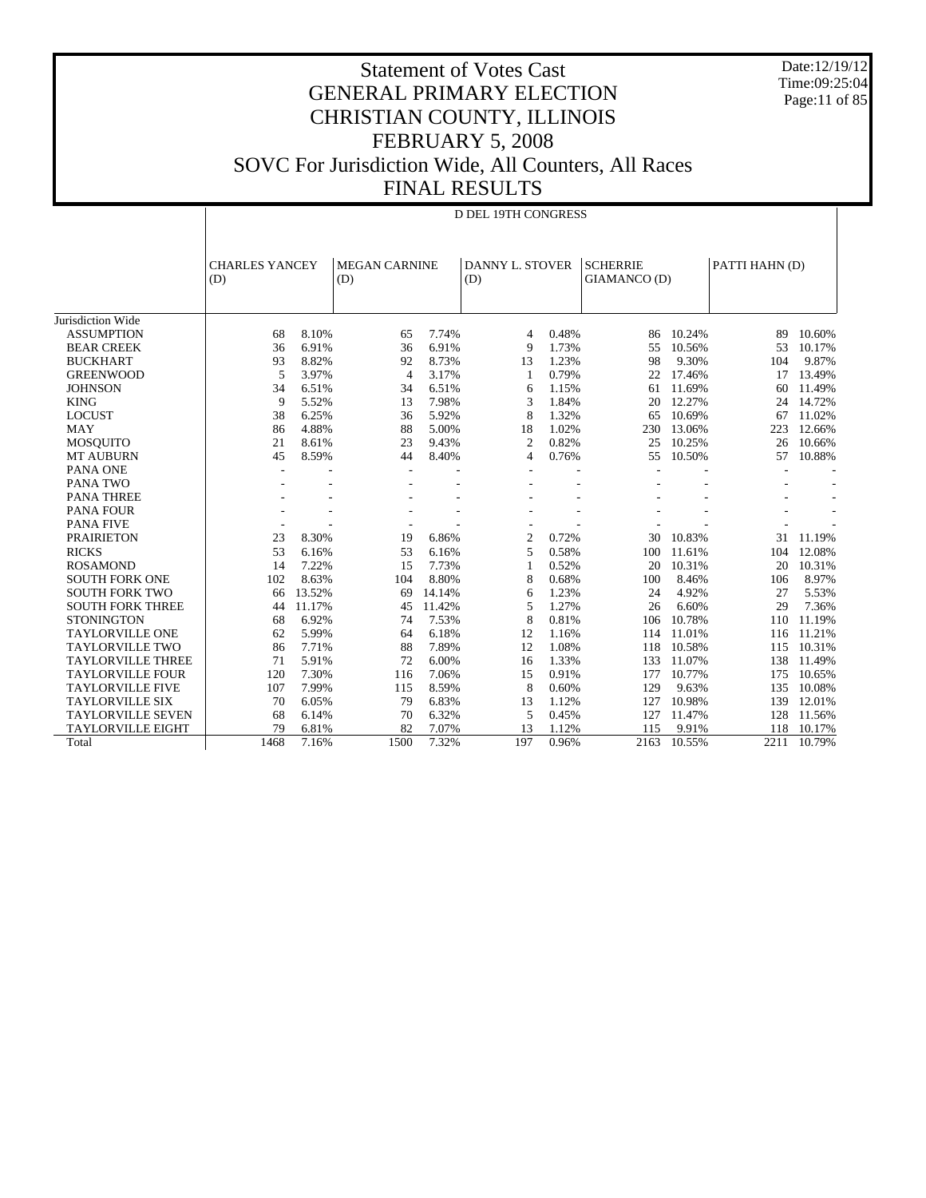Date:12/19/12 Time:09:25:04 Page:11 of 85

D DEL 19TH CONGRESS

|                          | (D)          |        |                | <b>CHARLES YANCEY</b> |                | <b>MEGAN CARNINE</b><br>(D) |      |        | <b>DANNY L. STOVER</b><br>(D) |        | <b>SCHERRIE</b><br>GIAMANCO (D) |  | PATTI HAHN (D) |  |
|--------------------------|--------------|--------|----------------|-----------------------|----------------|-----------------------------|------|--------|-------------------------------|--------|---------------------------------|--|----------------|--|
|                          |              |        |                |                       |                |                             |      |        |                               |        |                                 |  |                |  |
| Jurisdiction Wide        |              |        |                |                       |                |                             |      |        |                               |        |                                 |  |                |  |
| <b>ASSUMPTION</b>        | 68           | 8.10%  | 65             | 7.74%                 | $\overline{4}$ | 0.48%                       | 86   | 10.24% | 89                            | 10.60% |                                 |  |                |  |
| <b>BEAR CREEK</b>        | 36           | 6.91%  | 36             | 6.91%                 | 9              | 1.73%                       | 55   | 10.56% | 53                            | 10.17% |                                 |  |                |  |
| <b>BUCKHART</b>          | 93           | 8.82%  | 92             | 8.73%                 | 13             | 1.23%                       | 98   | 9.30%  | 104                           | 9.87%  |                                 |  |                |  |
| <b>GREENWOOD</b>         | 5            | 3.97%  | $\overline{4}$ | 3.17%                 | -1             | 0.79%                       | 22   | 17.46% | 17                            | 13.49% |                                 |  |                |  |
| <b>JOHNSON</b>           | 34           | 6.51%  | 34             | 6.51%                 | 6              | 1.15%                       | 61   | 11.69% | 60                            | 11.49% |                                 |  |                |  |
| <b>KING</b>              | $\mathbf{Q}$ | 5.52%  | 13             | 7.98%                 | 3              | 1.84%                       | 20   | 12.27% | 24                            | 14.72% |                                 |  |                |  |
| <b>LOCUST</b>            | 38           | 6.25%  | 36             | 5.92%                 | 8              | 1.32%                       | 65   | 10.69% | 67                            | 11.02% |                                 |  |                |  |
| <b>MAY</b>               | 86           | 4.88%  | 88             | 5.00%                 | 18             | 1.02%                       | 230  | 13.06% | 223                           | 12.66% |                                 |  |                |  |
| <b>MOSOUITO</b>          | 21           | 8.61%  | 23             | 9.43%                 | $\overline{2}$ | 0.82%                       | 25   | 10.25% | 26                            | 10.66% |                                 |  |                |  |
| <b>MT AUBURN</b>         | 45           | 8.59%  | 44             | 8.40%                 | $\overline{4}$ | 0.76%                       | 55   | 10.50% | 57                            | 10.88% |                                 |  |                |  |
| PANA ONE                 |              |        |                |                       |                |                             |      |        |                               |        |                                 |  |                |  |
| PANA TWO                 |              |        |                |                       |                |                             |      |        |                               |        |                                 |  |                |  |
| <b>PANA THREE</b>        |              |        |                |                       |                |                             |      |        |                               |        |                                 |  |                |  |
| <b>PANA FOUR</b>         |              |        |                |                       |                |                             |      |        |                               |        |                                 |  |                |  |
| <b>PANA FIVE</b>         |              |        |                |                       |                |                             |      |        |                               |        |                                 |  |                |  |
| <b>PRAIRIETON</b>        | 23           | 8.30%  | 19             | 6.86%                 | $\overline{2}$ | 0.72%                       | 30   | 10.83% | 31                            | 11.19% |                                 |  |                |  |
| <b>RICKS</b>             | 53           | 6.16%  | 53             | 6.16%                 | 5              | 0.58%                       | 100  | 11.61% | 104                           | 12.08% |                                 |  |                |  |
| <b>ROSAMOND</b>          | 14           | 7.22%  | 15             | 7.73%                 | 1              | 0.52%                       | 20   | 10.31% | 20                            | 10.31% |                                 |  |                |  |
| <b>SOUTH FORK ONE</b>    | 102          | 8.63%  | 104            | 8.80%                 | 8              | 0.68%                       | 100  | 8.46%  | 106                           | 8.97%  |                                 |  |                |  |
| <b>SOUTH FORK TWO</b>    | 66           | 13.52% | 69             | 14.14%                | 6              | 1.23%                       | 24   | 4.92%  | 27                            | 5.53%  |                                 |  |                |  |
| <b>SOUTH FORK THREE</b>  | 44           | 11.17% | 45             | 11.42%                | 5              | 1.27%                       | 26   | 6.60%  | 29                            | 7.36%  |                                 |  |                |  |
| <b>STONINGTON</b>        | 68           | 6.92%  | 74             | 7.53%                 | 8              | 0.81%                       | 106  | 10.78% | 110                           | 11.19% |                                 |  |                |  |
| <b>TAYLORVILLE ONE</b>   | 62           | 5.99%  | 64             | 6.18%                 | 12             | 1.16%                       | 114  | 11.01% | 116                           | 11.21% |                                 |  |                |  |
| <b>TAYLORVILLE TWO</b>   | 86           | 7.71%  | 88             | 7.89%                 | 12             | 1.08%                       | 118  | 10.58% | 115                           | 10.31% |                                 |  |                |  |
| <b>TAYLORVILLE THREE</b> | 71           | 5.91%  | 72             | 6.00%                 | 16             | 1.33%                       | 133  | 11.07% | 138                           | 11.49% |                                 |  |                |  |
| <b>TAYLORVILLE FOUR</b>  | 120          | 7.30%  | 116            | 7.06%                 | 15             | 0.91%                       | 177  | 10.77% | 175                           | 10.65% |                                 |  |                |  |
| <b>TAYLORVILLE FIVE</b>  | 107          | 7.99%  | 115            | 8.59%                 | 8              | 0.60%                       | 129  | 9.63%  | 135                           | 10.08% |                                 |  |                |  |
| <b>TAYLORVILLE SIX</b>   | 70           | 6.05%  | 79             | 6.83%                 | 13             | 1.12%                       | 127  | 10.98% | 139                           | 12.01% |                                 |  |                |  |
| <b>TAYLORVILLE SEVEN</b> | 68           | 6.14%  | 70             | 6.32%                 | 5              | 0.45%                       | 127  | 11.47% | 128                           | 11.56% |                                 |  |                |  |
| <b>TAYLORVILLE EIGHT</b> | 79           | 6.81%  | 82             | 7.07%                 | 13             | 1.12%                       | 115  | 9.91%  | 118                           | 10.17% |                                 |  |                |  |
| Total                    | 1468         | 7.16%  | 1500           | 7.32%                 | 197            | 0.96%                       | 2163 | 10.55% | 2211                          | 10.79% |                                 |  |                |  |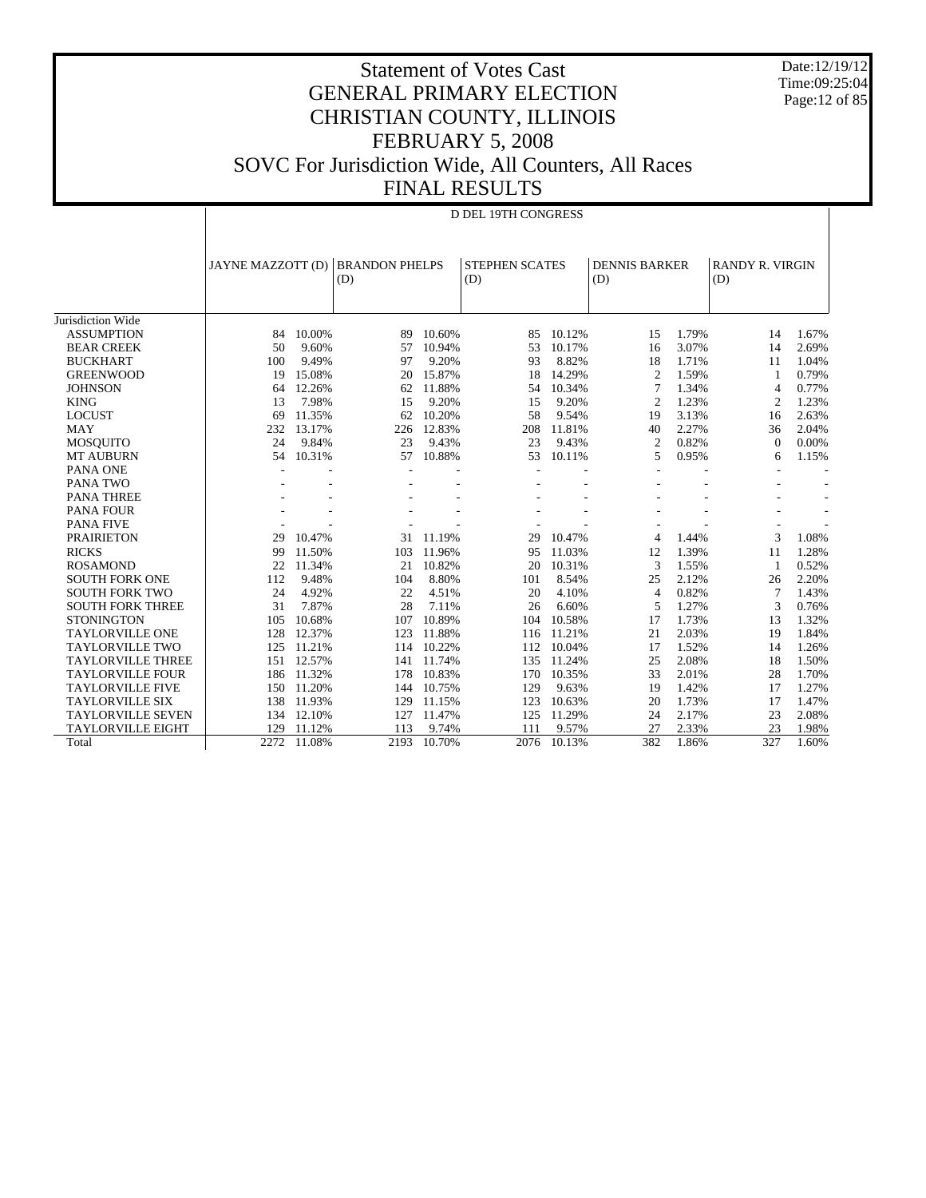Date:12/19/12 Time:09:25:04 Page:12 of 85

| 11 YO NEVOLTU       |
|---------------------|
| D DEL 19TH CONGRESS |

|                          | JAYNE MAZZOTT (D) |        | <b>BRANDON PHELPS</b> |        | <b>STEPHEN SCATES</b> |        | <b>DENNIS BARKER</b> |       | <b>RANDY R. VIRGIN</b>   |                          |
|--------------------------|-------------------|--------|-----------------------|--------|-----------------------|--------|----------------------|-------|--------------------------|--------------------------|
|                          |                   |        | (D)                   |        | (D)                   |        | (D)                  |       | (D)                      |                          |
|                          |                   |        |                       |        |                       |        |                      |       |                          |                          |
| Jurisdiction Wide        |                   |        |                       |        |                       |        |                      |       |                          |                          |
| <b>ASSUMPTION</b>        | 84                | 10.00% | 89                    | 10.60% | 85                    | 10.12% | 15                   | 1.79% | 14                       | 1.67%                    |
| <b>BEAR CREEK</b>        | 50                | 9.60%  | 57                    | 10.94% | 53                    | 10.17% | 16                   | 3.07% | 14                       | 2.69%                    |
| <b>BUCKHART</b>          | 100               | 9.49%  | 97                    | 9.20%  | 93                    | 8.82%  | 18                   | 1.71% | 11                       | 1.04%                    |
| <b>GREENWOOD</b>         | 19                | 15.08% | 20                    | 15.87% | 18                    | 14.29% | $\overline{c}$       | 1.59% | 1                        | 0.79%                    |
| <b>JOHNSON</b>           | 64                | 12.26% | 62                    | 11.88% | 54                    | 10.34% | 7                    | 1.34% | $\overline{4}$           | 0.77%                    |
| <b>KING</b>              | 13                | 7.98%  | 15                    | 9.20%  | 15                    | 9.20%  | $\overline{c}$       | 1.23% | $\overline{c}$           | 1.23%                    |
| <b>LOCUST</b>            | 69                | 11.35% | 62                    | 10.20% | 58                    | 9.54%  | 19                   | 3.13% | 16                       | 2.63%                    |
| <b>MAY</b>               | 232               | 13.17% | 226                   | 12.83% | 208                   | 11.81% | 40                   | 2.27% | 36                       | 2.04%                    |
| <b>MOSOUITO</b>          | 24                | 9.84%  | 23                    | 9.43%  | 23                    | 9.43%  | 2                    | 0.82% | $\Omega$                 | 0.00%                    |
| <b>MT AUBURN</b>         | 54                | 10.31% | 57                    | 10.88% | 53                    | 10.11% | 5                    | 0.95% | 6                        | 1.15%                    |
| <b>PANA ONE</b>          |                   |        |                       |        |                       |        |                      |       | $\overline{\phantom{a}}$ | $\overline{\phantom{a}}$ |
| PANA TWO                 |                   |        |                       |        |                       |        |                      |       |                          |                          |
| <b>PANA THREE</b>        |                   |        |                       |        |                       |        |                      |       |                          | $\overline{\phantom{a}}$ |
| <b>PANA FOUR</b>         |                   |        |                       |        |                       |        |                      |       |                          | $\overline{a}$           |
| <b>PANA FIVE</b>         |                   |        |                       |        |                       |        |                      |       | $\overline{\phantom{a}}$ |                          |
| <b>PRAIRIETON</b>        | 29                | 10.47% | 31                    | 11.19% | 29                    | 10.47% | 4                    | 1.44% | 3                        | 1.08%                    |
| <b>RICKS</b>             | 99                | 11.50% | 103                   | 11.96% | 95                    | 11.03% | 12                   | 1.39% | 11                       | 1.28%                    |
| <b>ROSAMOND</b>          | 22                | 11.34% | 21                    | 10.82% | 20                    | 10.31% | 3                    | 1.55% | -1                       | 0.52%                    |
| <b>SOUTH FORK ONE</b>    | 112               | 9.48%  | 104                   | 8.80%  | 101                   | 8.54%  | 25                   | 2.12% | 26                       | 2.20%                    |
| <b>SOUTH FORK TWO</b>    | 24                | 4.92%  | 22                    | 4.51%  | 20                    | 4.10%  | $\overline{4}$       | 0.82% | 7                        | 1.43%                    |
| <b>SOUTH FORK THREE</b>  | 31                | 7.87%  | 28                    | 7.11%  | 26                    | 6.60%  | 5                    | 1.27% | 3                        | 0.76%                    |
| <b>STONINGTON</b>        | 105               | 10.68% | 107                   | 10.89% | 104                   | 10.58% | 17                   | 1.73% | 13                       | 1.32%                    |
| <b>TAYLORVILLE ONE</b>   | 128               | 12.37% | 123                   | 11.88% | 116                   | 11.21% | 21                   | 2.03% | 19                       | 1.84%                    |
| <b>TAYLORVILLE TWO</b>   | 125               | 11.21% | 114                   | 10.22% | 112                   | 10.04% | 17                   | 1.52% | 14                       | 1.26%                    |
| <b>TAYLORVILLE THREE</b> | 151               | 12.57% | 141                   | 11.74% | 135                   | 11.24% | 25                   | 2.08% | 18                       | 1.50%                    |
| <b>TAYLORVILLE FOUR</b>  | 186               | 11.32% | 178                   | 10.83% | 170                   | 10.35% | 33                   | 2.01% | 28                       | 1.70%                    |
| <b>TAYLORVILLE FIVE</b>  | 150               | 11.20% | 144                   | 10.75% | 129                   | 9.63%  | 19                   | 1.42% | 17                       | 1.27%                    |
| <b>TAYLORVILLE SIX</b>   | 138               | 11.93% | 129                   | 11.15% | 123                   | 10.63% | 20                   | 1.73% | 17                       | 1.47%                    |
| <b>TAYLORVILLE SEVEN</b> | 134               | 12.10% | 127                   | 11.47% | 125                   | 11.29% | 24                   | 2.17% | 23                       | 2.08%                    |
| TAYLORVILLE EIGHT        | 129               | 11.12% | 113                   | 9.74%  | 111                   | 9.57%  | 27                   | 2.33% | 23                       | 1.98%                    |
| Total                    | 2272              | 11.08% | 2193                  | 10.70% | 2076                  | 10.13% | 382                  | 1.86% | 327                      | 1.60%                    |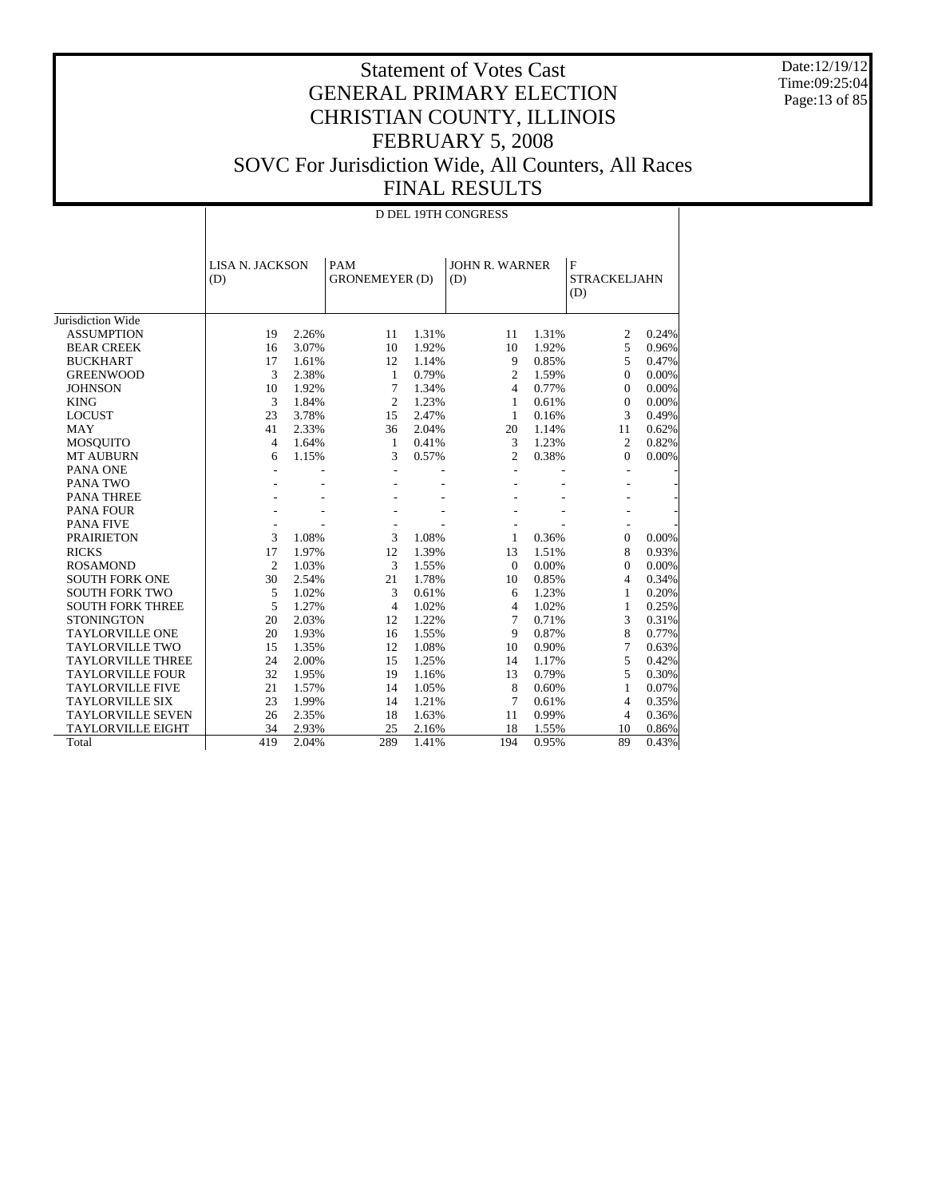Date:12/19/12 Time:09:25:04 Page:13 of 85

|                          |                | <b>D DEL 19TH CONGRESS</b> |                |                                     |                |                       |                                           |       |  |  |
|--------------------------|----------------|----------------------------|----------------|-------------------------------------|----------------|-----------------------|-------------------------------------------|-------|--|--|
|                          | (D)            | <b>LISA N. JACKSON</b>     |                | PAM<br><b>GRONEMEYER (D)</b><br>(D) |                | <b>JOHN R. WARNER</b> | $\mathbf F$<br><b>STRACKELJAHN</b><br>(D) |       |  |  |
| Jurisdiction Wide        |                |                            |                |                                     |                |                       |                                           |       |  |  |
| <b>ASSUMPTION</b>        | 19             | 2.26%                      | 11             | 1.31%                               | 11             | 1.31%                 | 2                                         | 0.24% |  |  |
| <b>BEAR CREEK</b>        | 16             | 3.07%                      | 10             | 1.92%                               | 10             | 1.92%                 | 5                                         | 0.96% |  |  |
| <b>BUCKHART</b>          | 17             | 1.61%                      | 12             | 1.14%                               | 9              | 0.85%                 | 5                                         | 0.47% |  |  |
| <b>GREENWOOD</b>         | 3              | 2.38%                      | 1              | 0.79%                               | $\overline{c}$ | 1.59%                 | $\Omega$                                  | 0.00% |  |  |
| <b>JOHNSON</b>           | 10             | 1.92%                      | 7              | 1.34%                               | $\overline{4}$ | 0.77%                 | $\Omega$                                  | 0.00% |  |  |
| <b>KING</b>              | 3              | 1.84%                      | $\overline{c}$ | 1.23%                               | 1              | 0.61%                 | $\Omega$                                  | 0.00% |  |  |
| <b>LOCUST</b>            | 23             | 3.78%                      | 15             | 2.47%                               | 1              | 0.16%                 | 3                                         | 0.49% |  |  |
| <b>MAY</b>               | 41             | 2.33%                      | 36             | 2.04%                               | 20             | 1.14%                 | 11                                        | 0.62% |  |  |
| <b>MOSQUITO</b>          | $\overline{4}$ | 1.64%                      | $\mathbf{1}$   | 0.41%                               | 3              | 1.23%                 | $\overline{c}$                            | 0.82% |  |  |
| <b>MT AUBURN</b>         | 6              | 1.15%                      | 3              | 0.57%                               | $\overline{c}$ | 0.38%                 | $\Omega$                                  | 0.00% |  |  |
| PANA ONE                 |                |                            |                |                                     |                |                       |                                           |       |  |  |
| PANA TWO                 |                |                            |                |                                     |                |                       |                                           |       |  |  |
| <b>PANA THREE</b>        |                |                            |                |                                     |                |                       |                                           |       |  |  |
| <b>PANA FOUR</b>         |                |                            |                |                                     |                |                       |                                           |       |  |  |
| <b>PANA FIVE</b>         |                |                            |                |                                     |                |                       |                                           |       |  |  |
| <b>PRAIRIETON</b>        | 3              | 1.08%                      | 3              | 1.08%                               | 1              | 0.36%                 | $\mathbf{0}$                              | 0.00% |  |  |
| <b>RICKS</b>             | 17             | 1.97%                      | 12             | 1.39%                               | 13             | 1.51%                 | 8                                         | 0.93% |  |  |
| <b>ROSAMOND</b>          | $\overline{2}$ | 1.03%                      | 3              | 1.55%                               | $\Omega$       | 0.00%                 | $\Omega$                                  | 0.00% |  |  |
| <b>SOUTH FORK ONE</b>    | 30             | 2.54%                      | 21             | 1.78%                               | 10             | 0.85%                 | $\overline{4}$                            | 0.34% |  |  |
| <b>SOUTH FORK TWO</b>    | 5              | 1.02%                      | 3              | 0.61%                               | 6              | 1.23%                 | $\mathbf{1}$                              | 0.20% |  |  |
| <b>SOUTH FORK THREE</b>  | 5              | 1.27%                      | $\overline{4}$ | 1.02%                               | $\overline{4}$ | 1.02%                 | 1                                         | 0.25% |  |  |
| <b>STONINGTON</b>        | 20             | 2.03%                      | 12             | 1.22%                               | 7              | 0.71%                 | 3                                         | 0.31% |  |  |
| <b>TAYLORVILLE ONE</b>   | 20             | 1.93%                      | 16             | 1.55%                               | 9              | 0.87%                 | 8                                         | 0.77% |  |  |
| <b>TAYLORVILLE TWO</b>   | 15             | 1.35%                      | 12             | 1.08%                               | 10             | 0.90%                 | $7\phantom{.0}$                           | 0.63% |  |  |
| <b>TAYLORVILLE THREE</b> | 24             | 2.00%                      | 15             | 1.25%                               | 14             | 1.17%                 | 5                                         | 0.42% |  |  |
| <b>TAYLORVILLE FOUR</b>  | 32             | 1.95%                      | 19             | 1.16%                               | 13             | 0.79%                 | 5                                         | 0.30% |  |  |
| <b>TAYLORVILLE FIVE</b>  | 21             | 1.57%                      | 14             | 1.05%                               | 8              | 0.60%                 | 1                                         | 0.07% |  |  |
| <b>TAYLORVILLE SIX</b>   | 23             | 1.99%                      | 14             | 1.21%                               | 7              | 0.61%                 | $\overline{4}$                            | 0.35% |  |  |
| <b>TAYLORVILLE SEVEN</b> | 26             | 2.35%                      | 18             | 1.63%                               | 11             | 0.99%                 | 4                                         | 0.36% |  |  |
| <b>TAYLORVILLE EIGHT</b> | 34             | 2.93%                      | 25             | 2.16%                               | 18             | 1.55%                 | 10                                        | 0.86% |  |  |
| Total                    | 419            | 2.04%                      | 289            | 1.41%                               | 194            | 0.95%                 | 89                                        | 0.43% |  |  |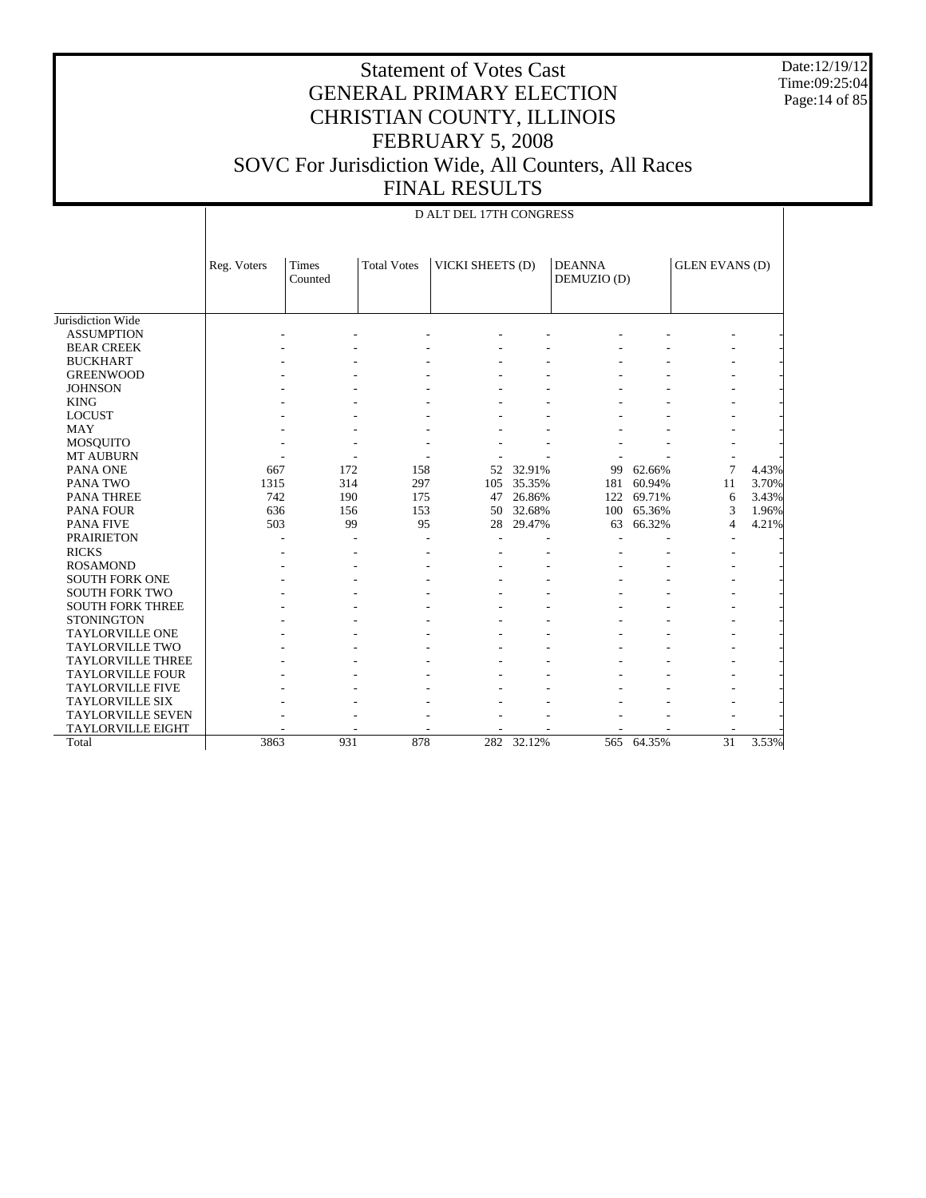Date:12/19/12 Time:09:25:04 Page:14 of 85

|                          |             | D ALT DEL 17TH CONGRESS                                    |     |                              |            |                       |            |    |       |  |
|--------------------------|-------------|------------------------------------------------------------|-----|------------------------------|------------|-----------------------|------------|----|-------|--|
|                          | Reg. Voters | VICKI SHEETS (D)<br><b>Total Votes</b><br>Times<br>Counted |     | <b>DEANNA</b><br>DEMUZIO (D) |            | <b>GLEN EVANS (D)</b> |            |    |       |  |
| Jurisdiction Wide        |             |                                                            |     |                              |            |                       |            |    |       |  |
| <b>ASSUMPTION</b>        |             |                                                            |     |                              |            |                       |            |    |       |  |
| <b>BEAR CREEK</b>        |             |                                                            |     |                              |            |                       |            |    |       |  |
| <b>BUCKHART</b>          |             |                                                            |     |                              |            |                       |            |    |       |  |
| <b>GREENWOOD</b>         |             |                                                            |     |                              |            |                       |            |    |       |  |
| <b>JOHNSON</b>           |             |                                                            |     |                              |            |                       |            |    |       |  |
| <b>KING</b>              |             |                                                            |     |                              |            |                       |            |    |       |  |
| <b>LOCUST</b>            |             |                                                            |     |                              |            |                       |            |    |       |  |
| <b>MAY</b>               |             |                                                            |     |                              |            |                       |            |    |       |  |
| <b>MOSQUITO</b>          |             |                                                            |     |                              |            |                       |            |    |       |  |
| <b>MT AUBURN</b>         |             |                                                            |     |                              |            |                       |            |    |       |  |
| PANA ONE                 | 667         | 172                                                        | 158 | 52                           | 32.91%     | 99                    | 62.66%     | 7  | 4.43% |  |
| PANA TWO                 | 1315        | 314                                                        | 297 | 105                          | 35.35%     | 181                   | 60.94%     | 11 | 3.70% |  |
| <b>PANA THREE</b>        | 742         | 190                                                        | 175 | 47                           | 26.86%     | 122                   | 69.71%     | 6  | 3.43% |  |
| <b>PANA FOUR</b>         | 636         | 156                                                        | 153 | 50                           | 32.68%     | 100                   | 65.36%     | 3  | 1.96% |  |
| <b>PANA FIVE</b>         | 503         | 99                                                         | 95  | 28                           | 29.47%     | 63                    | 66.32%     | 4  | 4.21% |  |
| <b>PRAIRIETON</b>        |             |                                                            |     |                              |            |                       |            |    |       |  |
| <b>RICKS</b>             |             |                                                            |     |                              |            |                       |            |    |       |  |
| <b>ROSAMOND</b>          |             |                                                            |     |                              |            |                       |            |    |       |  |
| <b>SOUTH FORK ONE</b>    |             |                                                            |     |                              |            |                       |            |    |       |  |
| <b>SOUTH FORK TWO</b>    |             |                                                            |     |                              |            |                       |            |    |       |  |
| <b>SOUTH FORK THREE</b>  |             |                                                            |     |                              |            |                       |            |    |       |  |
| <b>STONINGTON</b>        |             |                                                            |     |                              |            |                       |            |    |       |  |
| <b>TAYLORVILLE ONE</b>   |             |                                                            |     |                              |            |                       |            |    |       |  |
| <b>TAYLORVILLE TWO</b>   |             |                                                            |     |                              |            |                       |            |    |       |  |
| <b>TAYLORVILLE THREE</b> |             |                                                            |     |                              |            |                       |            |    |       |  |
| <b>TAYLORVILLE FOUR</b>  |             |                                                            |     |                              |            |                       |            |    |       |  |
| <b>TAYLORVILLE FIVE</b>  |             |                                                            |     |                              |            |                       |            |    |       |  |
| <b>TAYLORVILLE SIX</b>   |             |                                                            |     |                              |            |                       |            |    |       |  |
| <b>TAYLORVILLE SEVEN</b> |             |                                                            |     |                              |            |                       |            |    |       |  |
| <b>TAYLORVILLE EIGHT</b> |             |                                                            |     |                              |            |                       |            |    |       |  |
| Total                    | 3863        | 931                                                        | 878 |                              | 282 32.12% |                       | 565 64.35% | 31 | 3.53% |  |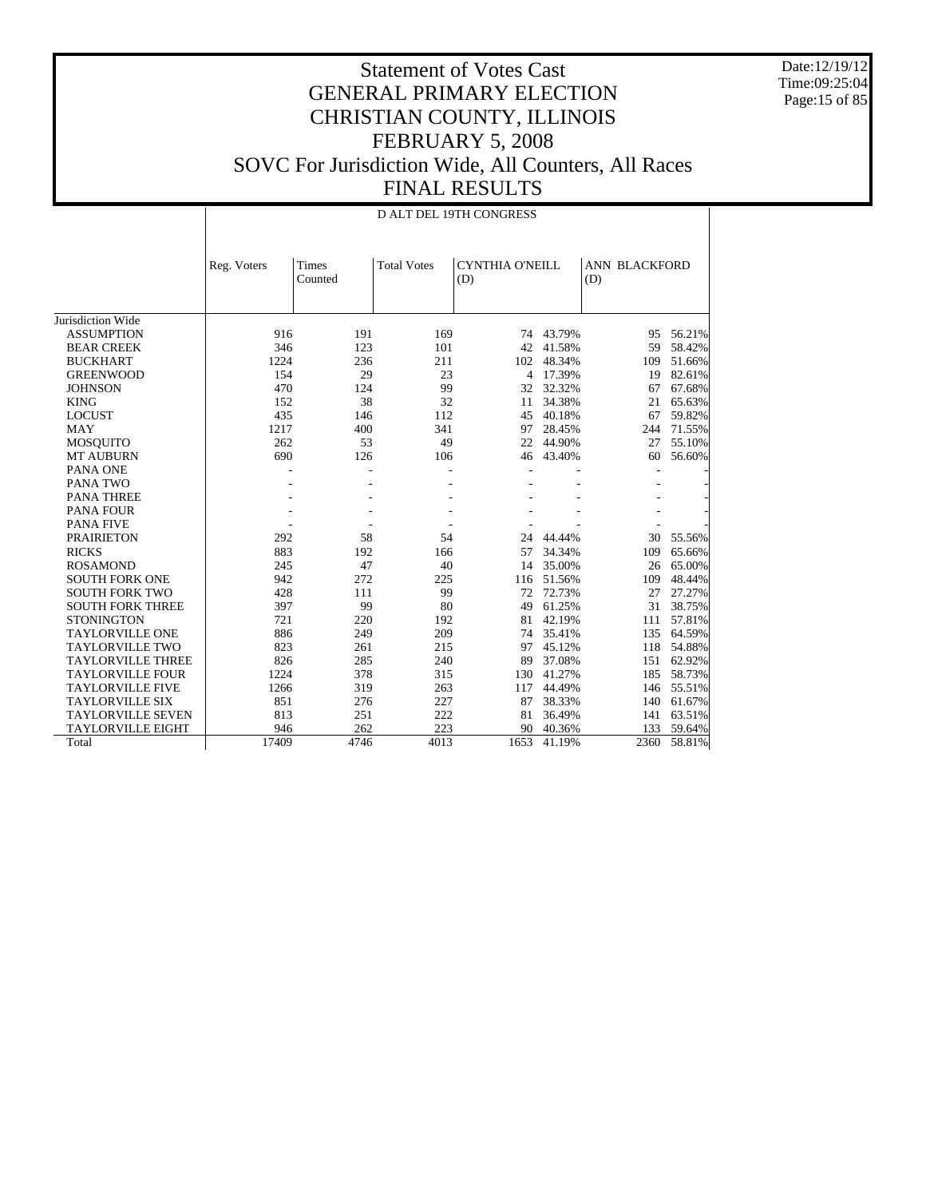Date:12/19/12 Time:09:25:04 Page: 15 of 85

|                          |             | D ALT DEL 19TH CONGRESS |                    |                               |        |                      |        |  |  |  |
|--------------------------|-------------|-------------------------|--------------------|-------------------------------|--------|----------------------|--------|--|--|--|
|                          | Reg. Voters | <b>Times</b><br>Counted | <b>Total Votes</b> | <b>CYNTHIA O'NEILL</b><br>(D) |        | ANN BLACKFORD<br>(D) |        |  |  |  |
| Jurisdiction Wide        |             |                         |                    |                               |        |                      |        |  |  |  |
| <b>ASSUMPTION</b>        | 916         | 191                     | 169                | 74                            | 43.79% | 95                   | 56.21% |  |  |  |
| <b>BEAR CREEK</b>        | 346         | 123                     | 101                | 42                            | 41.58% | 59                   | 58.42% |  |  |  |
| <b>BUCKHART</b>          | 1224        | 236                     | 211                | 102                           | 48.34% | 109                  | 51.66% |  |  |  |
| <b>GREENWOOD</b>         | 154         | 29                      | 23                 | 4                             | 17.39% | 19                   | 82.61% |  |  |  |
| <b>JOHNSON</b>           | 470         | 124                     | 99                 | 32                            | 32.32% | 67                   | 67.68% |  |  |  |
| <b>KING</b>              | 152         | 38                      | 32                 | 11                            | 34.38% | 21                   | 65.63% |  |  |  |
| <b>LOCUST</b>            | 435         | 146                     | 112                | 45                            | 40.18% | 67                   | 59.82% |  |  |  |
| <b>MAY</b>               | 1217        | 400                     | 341                | 97                            | 28.45% | 244                  | 71.55% |  |  |  |
| <b>MOSQUITO</b>          | 262         | 53                      | 49                 | 22                            | 44.90% | 27                   | 55.10% |  |  |  |
| <b>MT AUBURN</b>         | 690         | 126                     | 106                | 46                            | 43.40% | 60                   | 56.60% |  |  |  |
| PANA ONE                 |             |                         |                    |                               |        |                      |        |  |  |  |
| PANA TWO                 |             |                         |                    |                               |        |                      |        |  |  |  |
| <b>PANA THREE</b>        |             |                         |                    |                               |        |                      |        |  |  |  |
| PANA FOUR                |             |                         |                    |                               |        |                      |        |  |  |  |
| <b>PANA FIVE</b>         |             |                         |                    |                               |        |                      |        |  |  |  |
| <b>PRAIRIETON</b>        | 292         | 58                      | 54                 | 24                            | 44.44% | 30                   | 55.56% |  |  |  |
| <b>RICKS</b>             | 883         | 192                     | 166                | 57                            | 34.34% | 109                  | 65.66% |  |  |  |
| <b>ROSAMOND</b>          | 245         | 47                      | 40                 | 14                            | 35.00% | 26                   | 65.00% |  |  |  |
| <b>SOUTH FORK ONE</b>    | 942         | 272                     | 225                | 116                           | 51.56% | 109                  | 48.44% |  |  |  |
| <b>SOUTH FORK TWO</b>    | 428         | 111                     | 99                 | 72                            | 72.73% | 27                   | 27.27% |  |  |  |
| <b>SOUTH FORK THREE</b>  | 397         | 99                      | 80                 | 49                            | 61.25% | 31                   | 38.75% |  |  |  |
| <b>STONINGTON</b>        | 721         | 220                     | 192                | 81                            | 42.19% | 111                  | 57.81% |  |  |  |
| <b>TAYLORVILLE ONE</b>   | 886         | 249                     | 209                | 74                            | 35.41% | 135                  | 64.59% |  |  |  |
| <b>TAYLORVILLE TWO</b>   | 823         | 261                     | 215                | 97                            | 45.12% | 118                  | 54.88% |  |  |  |
| <b>TAYLORVILLE THREE</b> | 826         | 285                     | 240                | 89                            | 37.08% | 151                  | 62.92% |  |  |  |
| <b>TAYLORVILLE FOUR</b>  | 1224        | 378                     | 315                | 130                           | 41.27% | 185                  | 58.73% |  |  |  |
| <b>TAYLORVILLE FIVE</b>  | 1266        | 319                     | 263                | 117                           | 44.49% | 146                  | 55.51% |  |  |  |
| <b>TAYLORVILLE SIX</b>   | 851         | 276                     | 227                | 87                            | 38.33% | 140                  | 61.67% |  |  |  |
| <b>TAYLORVILLE SEVEN</b> | 813         | 251                     | 222                | 81                            | 36.49% | 141                  | 63.51% |  |  |  |
| <b>TAYLORVILLE EIGHT</b> | 946         | 262                     | 223                | 90                            | 40.36% | 133                  | 59.64% |  |  |  |
| Total                    | 17409       | 4746                    | 4013               | 1653                          | 41.19% | 2360                 | 58.81% |  |  |  |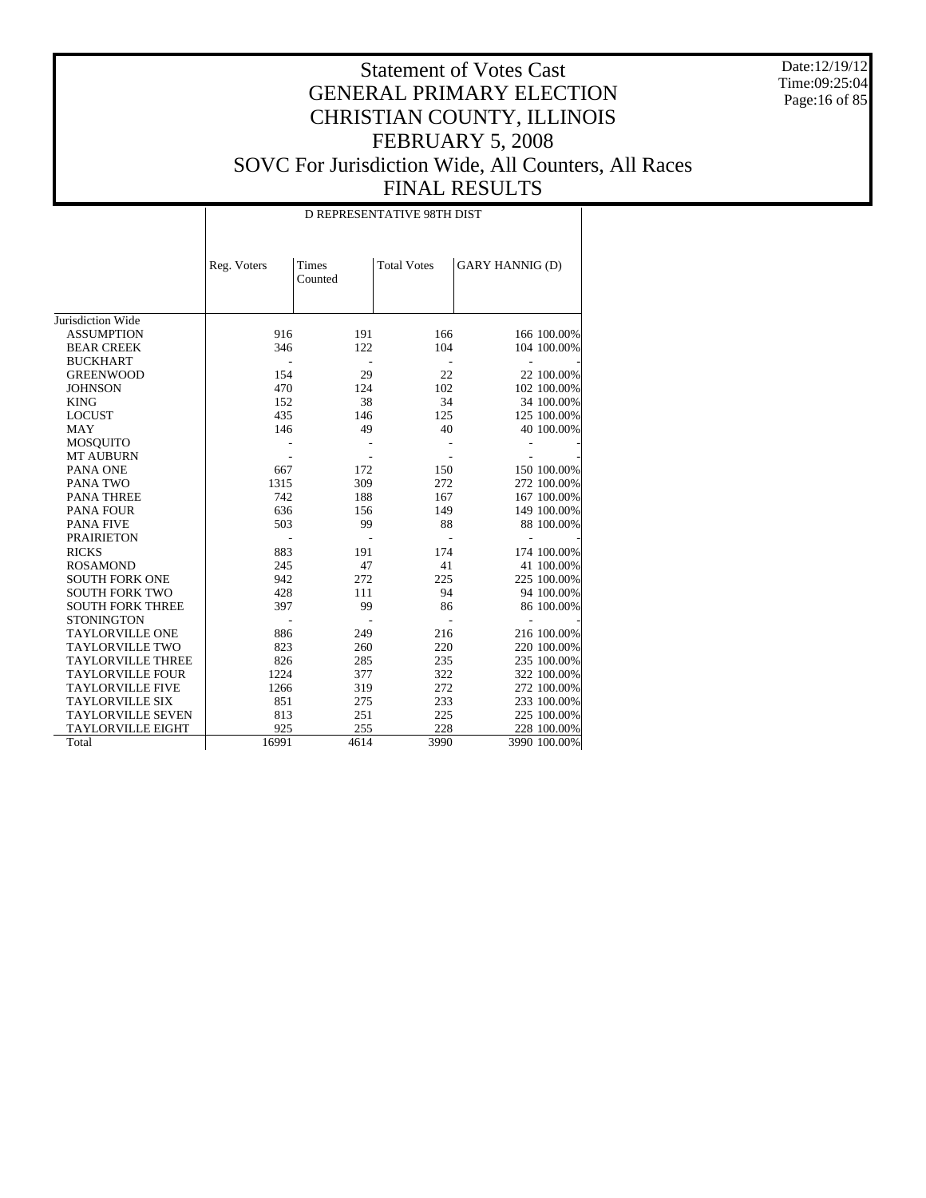Date:12/19/12 Time:09:25:04 Page:16 of 85

# Statement of Votes Cast GENERAL PRIMARY ELECTION CHRISTIAN COUNTY, ILLINOIS FEBRUARY 5, 2008 SOVC For Jurisdiction Wide, All Counters, All Races FINAL RESULTS

D REPRESENTATIVE 98TH DIST

|                          | Reg. Voters | Times   | <b>Total Votes</b> | <b>GARY HANNIG (D)</b> |
|--------------------------|-------------|---------|--------------------|------------------------|
|                          |             | Counted |                    |                        |
|                          |             |         |                    |                        |
| Jurisdiction Wide        |             |         |                    |                        |
| <b>ASSUMPTION</b>        | 916         | 191     | 166                | 166 100.00%            |
| <b>BEAR CREEK</b>        | 346         | 122     | 104                | 104 100.00%            |
| <b>BUCKHART</b>          |             |         |                    |                        |
| <b>GREENWOOD</b>         | 154         | 29      | 22                 | 22 100.00%             |
| <b>JOHNSON</b>           | 470         | 124     | 102                | 102 100.00%            |
| <b>KING</b>              | 152         | 38      | 34                 | 34 100.00%             |
| <b>LOCUST</b>            | 435         | 146     | 125                | 125 100.00%            |
| <b>MAY</b>               | 146         | 49      | 40                 | 40 100.00%             |
| <b>MOSQUITO</b>          |             |         |                    |                        |
| <b>MT AUBURN</b>         |             |         |                    |                        |
| PANA ONE                 | 667         | 172     | 150                | 150 100.00%            |
| PANA TWO                 | 1315        | 309     | 272                | 272 100.00%            |
| <b>PANA THREE</b>        | 742         | 188     | 167                | 167 100.00%            |
| <b>PANA FOUR</b>         | 636         | 156     | 149                | 149 100.00%            |
| <b>PANA FIVE</b>         | 503         | 99      | 88                 | 88 100.00%             |
| <b>PRAIRIETON</b>        |             |         |                    | ä,                     |
| <b>RICKS</b>             | 883         | 191     | 174                | 174 100.00%            |
| <b>ROSAMOND</b>          | 245         | 47      | 41                 | 41 100.00%             |
| <b>SOUTH FORK ONE</b>    | 942         | 272     | 225                | 225 100.00%            |
| <b>SOUTH FORK TWO</b>    | 428         | 111     | 94                 | 94 100.00%             |
| <b>SOUTH FORK THREE</b>  | 397         | 99      | 86                 | 86 100.00%             |
| <b>STONINGTON</b>        |             |         |                    |                        |
| <b>TAYLORVILLE ONE</b>   | 886         | 249     | 216                | 216 100.00%            |
| <b>TAYLORVILLE TWO</b>   | 823         | 260     | 220                | 220 100.00%            |
| <b>TAYLORVILLE THREE</b> | 826         | 285     | 235                | 235 100.00%            |
| <b>TAYLORVILLE FOUR</b>  | 1224        | 377     | 322                | 322 100.00%            |
| <b>TAYLORVILLE FIVE</b>  | 1266        | 319     | 272                | 272 100.00%            |
| <b>TAYLORVILLE SIX</b>   | 851         | 275     | 233                | 233 100.00%            |
| <b>TAYLORVILLE SEVEN</b> | 813         | 251     | 225                | 225 100.00%            |
| <b>TAYLORVILLE EIGHT</b> | 925         | 255     | 228                | 228 100.00%            |
| Total                    | 16991       | 4614    | 3990               | 3990 100.00%           |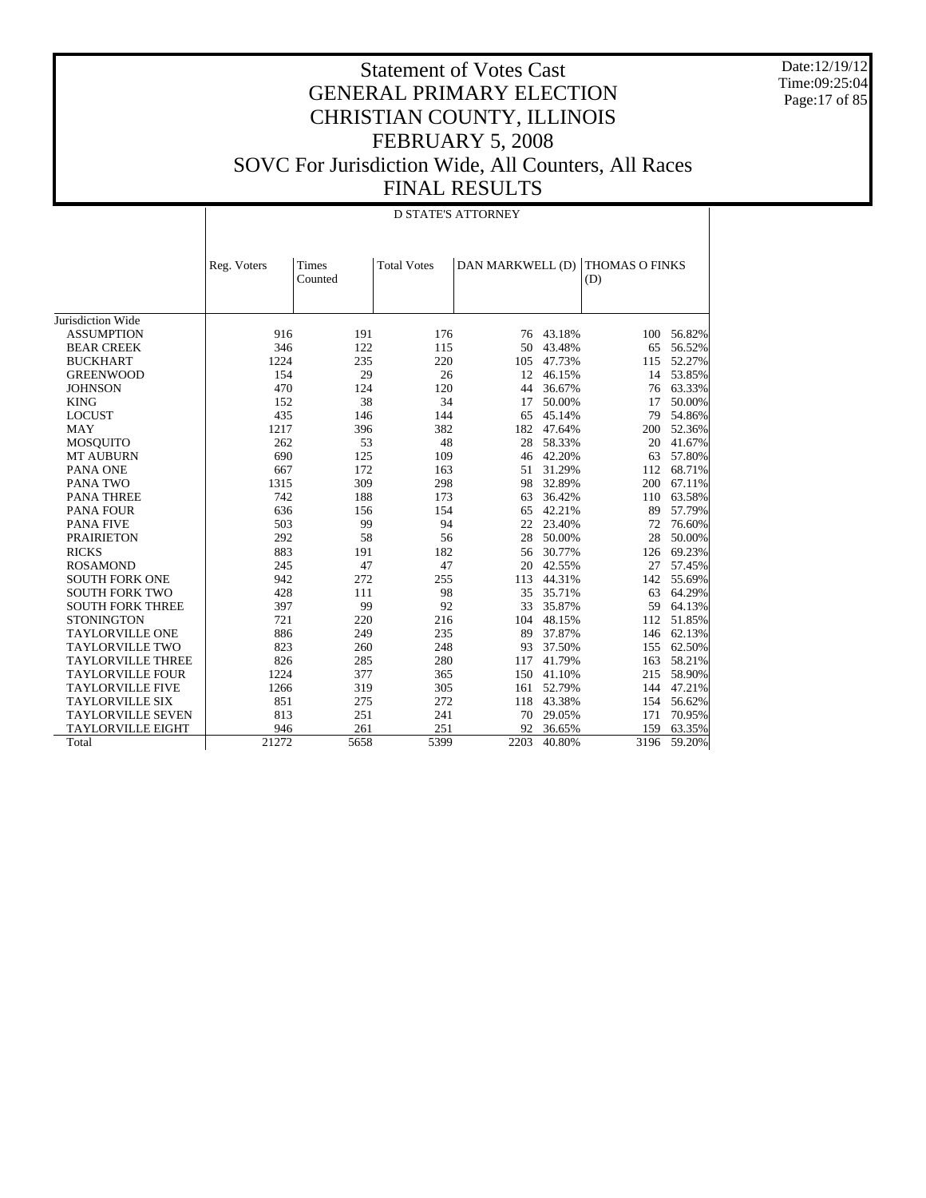Date:12/19/12 Time:09:25:04 Page:17 of 85

|                          |             | <b>D STATE'S ATTORNEY</b> |                    |                  |        |                              |            |  |  |  |  |
|--------------------------|-------------|---------------------------|--------------------|------------------|--------|------------------------------|------------|--|--|--|--|
|                          | Reg. Voters | Times<br>Counted          | <b>Total Votes</b> | DAN MARKWELL (D) |        | <b>THOMAS O FINKS</b><br>(D) |            |  |  |  |  |
| Jurisdiction Wide        |             |                           |                    |                  |        |                              |            |  |  |  |  |
| <b>ASSUMPTION</b>        | 916         | 191                       | 176                | 76               | 43.18% | 100                          | 56.82%     |  |  |  |  |
| <b>BEAR CREEK</b>        | 346         | 122                       | 115                | 50               | 43.48% | 65                           | 56.52%     |  |  |  |  |
| <b>BUCKHART</b>          | 1224        | 235                       | 220                | 105              | 47.73% | 115                          | 52.27%     |  |  |  |  |
| <b>GREENWOOD</b>         | 154         | 29                        | 26                 | 12               | 46.15% |                              | 14 53.85%  |  |  |  |  |
| <b>JOHNSON</b>           | 470         | 124                       | 120                | 44               | 36.67% |                              | 76 63.33%  |  |  |  |  |
| <b>KING</b>              | 152         | 38                        | 34                 | 17               | 50.00% | 17                           | 50.00%     |  |  |  |  |
| <b>LOCUST</b>            | 435         | 146                       | 144                | 65               | 45.14% | 79                           | 54.86%     |  |  |  |  |
| <b>MAY</b>               | 1217        | 396                       | 382                | 182              | 47.64% | 200                          | 52.36%     |  |  |  |  |
| <b>MOSQUITO</b>          | 262         | 53                        | 48                 | 28               | 58.33% | 20                           | 41.67%     |  |  |  |  |
| <b>MT AUBURN</b>         | 690         | 125                       | 109                | 46               | 42.20% | 63                           | 57.80%     |  |  |  |  |
| PANA ONE                 | 667         | 172                       | 163                | 51               | 31.29% | 112                          | 68.71%     |  |  |  |  |
| PANA TWO                 | 1315        | 309                       | 298                | 98               | 32.89% | 200                          | 67.11%     |  |  |  |  |
| <b>PANA THREE</b>        | 742         | 188                       | 173                | 63               | 36.42% | 110                          | 63.58%     |  |  |  |  |
| <b>PANA FOUR</b>         | 636         | 156                       | 154                | 65               | 42.21% | 89                           | 57.79%     |  |  |  |  |
| <b>PANA FIVE</b>         | 503         | 99                        | 94                 | 22               | 23.40% | 72                           | 76.60%     |  |  |  |  |
| <b>PRAIRIETON</b>        | 292         | 58                        | 56                 | 28               | 50.00% | 28                           | 50.00%     |  |  |  |  |
| <b>RICKS</b>             | 883         | 191                       | 182                | 56               | 30.77% | 126                          | 69.23%     |  |  |  |  |
| <b>ROSAMOND</b>          | 245         | 47                        | 47                 | 20               | 42.55% | 27                           | 57.45%     |  |  |  |  |
| <b>SOUTH FORK ONE</b>    | 942         | 272                       | 255                | 113              | 44.31% | 142                          | 55.69%     |  |  |  |  |
| <b>SOUTH FORK TWO</b>    | 428         | 111                       | 98                 | 35               | 35.71% | 63                           | 64.29%     |  |  |  |  |
| <b>SOUTH FORK THREE</b>  | 397         | 99                        | 92                 | 33               | 35.87% | 59                           | 64.13%     |  |  |  |  |
| <b>STONINGTON</b>        | 721         | 220                       | 216                | 104              | 48.15% |                              | 112 51.85% |  |  |  |  |
| <b>TAYLORVILLE ONE</b>   | 886         | 249                       | 235                | 89               | 37.87% |                              | 146 62.13% |  |  |  |  |
| <b>TAYLORVILLE TWO</b>   | 823         | 260                       | 248                | 93               | 37.50% |                              | 155 62.50% |  |  |  |  |
| <b>TAYLORVILLE THREE</b> | 826         | 285                       | 280                | 117              | 41.79% | 163                          | 58.21%     |  |  |  |  |
| <b>TAYLORVILLE FOUR</b>  | 1224        | 377                       | 365                | 150              | 41.10% | 215                          | 58.90%     |  |  |  |  |
| <b>TAYLORVILLE FIVE</b>  | 1266        | 319                       | 305                | 161              | 52.79% | 144                          | 47.21%     |  |  |  |  |
| <b>TAYLORVILLE SIX</b>   | 851         | 275                       | 272                | 118              | 43.38% | 154                          | 56.62%     |  |  |  |  |
| <b>TAYLORVILLE SEVEN</b> | 813         | 251                       | 241                | 70               | 29.05% | 171                          | 70.95%     |  |  |  |  |
| <b>TAYLORVILLE EIGHT</b> | 946         | 261                       | 251                | 92               | 36.65% | 159                          | 63.35%     |  |  |  |  |
| Total                    | 21272       | 5658                      | 5399               | 2203             | 40.80% | 3196                         | 59.20%     |  |  |  |  |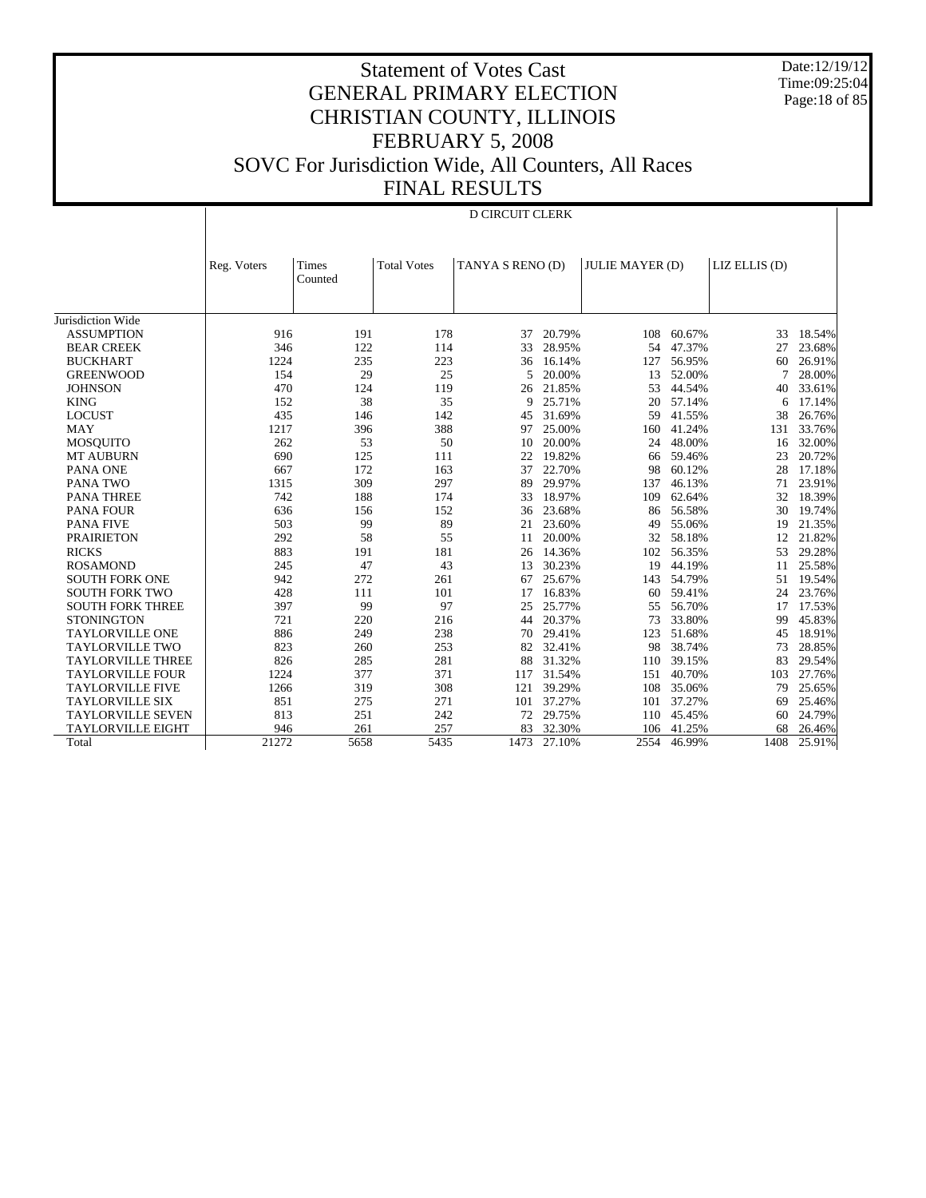Date:12/19/12 Time:09:25:04 Page:18 of 85

# Statement of Votes Cast GENERAL PRIMARY ELECTION CHRISTIAN COUNTY, ILLINOIS FEBRUARY 5, 2008 SOVC For Jurisdiction Wide, All Counters, All Races FINAL RESULTS

#### D CIRCUIT CLERK

|                          | Reg. Voters | Times   | <b>Total Votes</b> | TANYA S RENO (D) |        | <b>JULIE MAYER (D)</b> |        | LIZ ELLIS (D) |        |
|--------------------------|-------------|---------|--------------------|------------------|--------|------------------------|--------|---------------|--------|
|                          |             | Counted |                    |                  |        |                        |        |               |        |
|                          |             |         |                    |                  |        |                        |        |               |        |
|                          |             |         |                    |                  |        |                        |        |               |        |
| Jurisdiction Wide        |             |         |                    |                  |        |                        |        |               |        |
| <b>ASSUMPTION</b>        | 916         | 191     | 178                | 37               | 20.79% | 108                    | 60.67% | 33            | 18.54% |
| <b>BEAR CREEK</b>        | 346         | 122     | 114                | 33               | 28.95% | 54                     | 47.37% | 27            | 23.68% |
| <b>BUCKHART</b>          | 1224        | 235     | 223                | 36               | 16.14% | 127                    | 56.95% | 60            | 26.91% |
| <b>GREENWOOD</b>         | 154         | 29      | 25                 | 5                | 20.00% | 13                     | 52.00% | 7             | 28.00% |
| <b>JOHNSON</b>           | 470         | 124     | 119                | 26               | 21.85% | 53                     | 44.54% | 40            | 33.61% |
| <b>KING</b>              | 152         | 38      | 35                 | 9                | 25.71% | 20                     | 57.14% | 6             | 17.14% |
| <b>LOCUST</b>            | 435         | 146     | 142                | 45               | 31.69% | 59                     | 41.55% | 38            | 26.76% |
| <b>MAY</b>               | 1217        | 396     | 388                | 97               | 25.00% | 160                    | 41.24% | 131           | 33.76% |
| <b>MOSQUITO</b>          | 262         | 53      | 50                 | 10               | 20.00% | 24                     | 48.00% | 16            | 32.00% |
| <b>MT AUBURN</b>         | 690         | 125     | 111                | 22               | 19.82% | 66                     | 59.46% | 23            | 20.72% |
| PANA ONE                 | 667         | 172     | 163                | 37               | 22.70% | 98                     | 60.12% | 28            | 17.18% |
| PANA TWO                 | 1315        | 309     | 297                | 89               | 29.97% | 137                    | 46.13% | 71            | 23.91% |
| <b>PANA THREE</b>        | 742         | 188     | 174                | 33               | 18.97% | 109                    | 62.64% | 32            | 18.39% |
| PANA FOUR                | 636         | 156     | 152                | 36               | 23.68% | 86                     | 56.58% | 30            | 19.74% |
| <b>PANA FIVE</b>         | 503         | 99      | 89                 | 21               | 23.60% | 49                     | 55.06% | 19            | 21.35% |
| <b>PRAIRIETON</b>        | 292         | 58      | 55                 | 11               | 20.00% | 32                     | 58.18% | 12            | 21.82% |
| <b>RICKS</b>             | 883         | 191     | 181                | 26               | 14.36% | 102                    | 56.35% | 53            | 29.28% |
| <b>ROSAMOND</b>          | 245         | 47      | 43                 | 13               | 30.23% | 19                     | 44.19% | 11            | 25.58% |
| <b>SOUTH FORK ONE</b>    | 942         | 272     | 261                | 67               | 25.67% | 143                    | 54.79% | 51            | 19.54% |
| <b>SOUTH FORK TWO</b>    | 428         | 111     | 101                | 17               | 16.83% | 60                     | 59.41% | 24            | 23.76% |
| <b>SOUTH FORK THREE</b>  | 397         | 99      | 97                 | 25               | 25.77% | 55                     | 56.70% | 17            | 17.53% |
| <b>STONINGTON</b>        | 721         | 220     | 216                | 44               | 20.37% | 73                     | 33.80% | 99            | 45.83% |
| <b>TAYLORVILLE ONE</b>   | 886         | 249     | 238                | 70               | 29.41% | 123                    | 51.68% | 45            | 18.91% |
| <b>TAYLORVILLE TWO</b>   | 823         | 260     | 253                | 82               | 32.41% | 98                     | 38.74% | 73            | 28.85% |
| <b>TAYLORVILLE THREE</b> | 826         | 285     | 281                | 88               | 31.32% | 110                    | 39.15% | 83            | 29.54% |
| <b>TAYLORVILLE FOUR</b>  | 1224        | 377     | 371                | 117              | 31.54% | 151                    | 40.70% | 103           | 27.76% |
| <b>TAYLORVILLE FIVE</b>  | 1266        | 319     | 308                | 121              | 39.29% | 108                    | 35.06% | 79            | 25.65% |
| <b>TAYLORVILLE SIX</b>   | 851         | 275     | 271                | 101              | 37.27% | 101                    | 37.27% | 69            | 25.46% |
| <b>TAYLORVILLE SEVEN</b> | 813         | 251     | 242                | 72               | 29.75% | 110                    | 45.45% | 60            | 24.79% |
| <b>TAYLORVILLE EIGHT</b> | 946         | 261     | 257                | 83               | 32.30% | 106                    | 41.25% | 68            | 26.46% |
| Total                    | 21272       | 5658    | 5435               | 1473             | 27.10% | 2554                   | 46.99% | 1408          | 25.91% |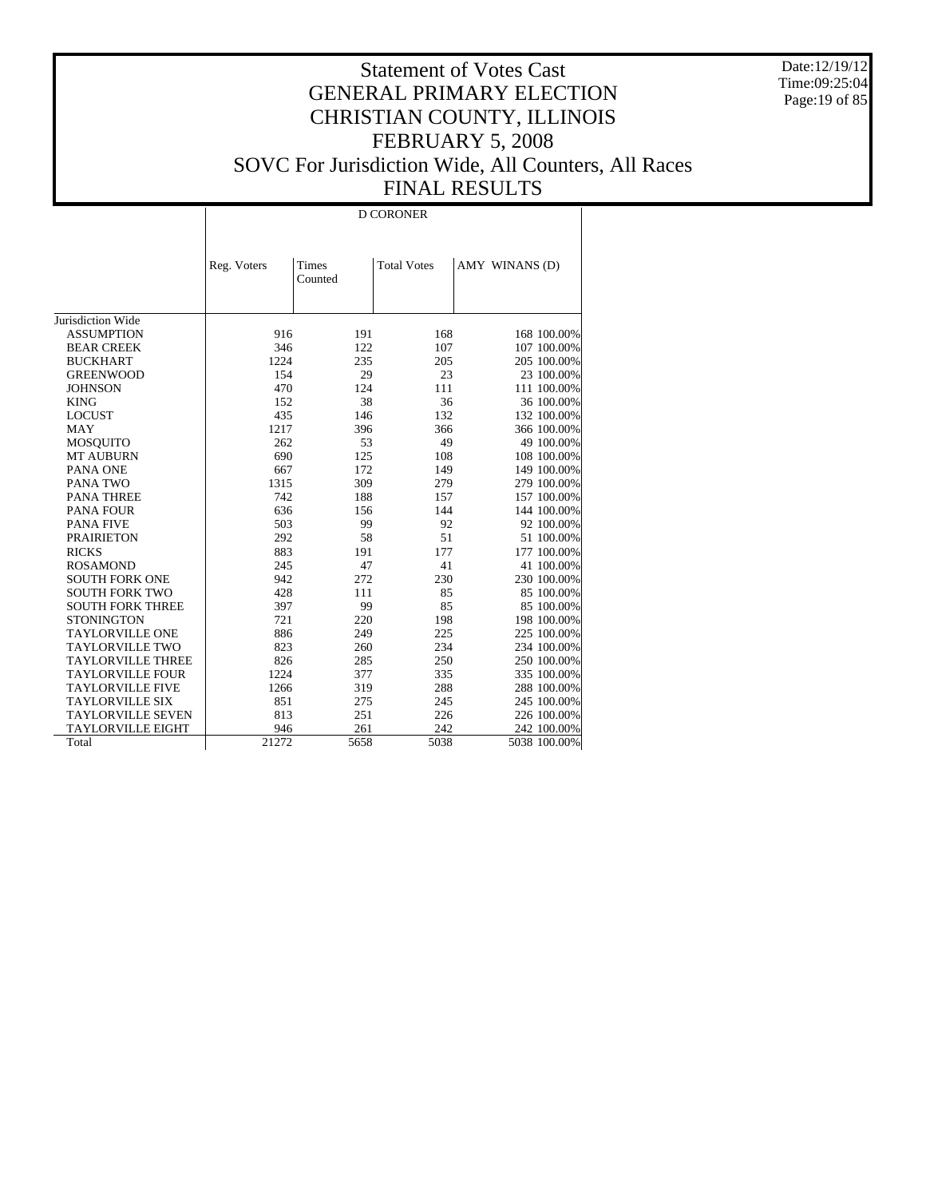Date:12/19/12 Time:09:25:04 Page:19 of 85

# Statement of Votes Cast GENERAL PRIMARY ELECTION CHRISTIAN COUNTY, ILLINOIS FEBRUARY 5, 2008 SOVC For Jurisdiction Wide, All Counters, All Races FINAL RESULTS

D CORONER

|                          | Reg. Voters | Times   | <b>Total Votes</b> | AMY WINANS (D) |
|--------------------------|-------------|---------|--------------------|----------------|
|                          |             | Counted |                    |                |
|                          |             |         |                    |                |
|                          |             |         |                    |                |
| Jurisdiction Wide        |             |         |                    |                |
| <b>ASSUMPTION</b>        | 916         | 191     | 168                | 168 100.00%    |
| <b>BEAR CREEK</b>        | 346         | 122     | 107                | 107 100.00%    |
| <b>BUCKHART</b>          | 1224        | 235     | 205                | 205 100.00%    |
| <b>GREENWOOD</b>         | 154         | 29      | 23                 | 23 100.00%     |
| <b>JOHNSON</b>           | 470         | 124     | 111                | 111 100.00%    |
| <b>KING</b>              | 152         | 38      | 36                 | 36 100.00%     |
| <b>LOCUST</b>            | 435         | 146     | 132                | 132 100.00%    |
| MAY                      | 1217        | 396     | 366                | 366 100.00%    |
| MOSQUITO                 | 262         | 53      | 49                 | 49 100.00%     |
| <b>MT AUBURN</b>         | 690         | 125     | 108                | 108 100.00%    |
| PANA ONE                 | 667         | 172     | 149                | 149 100.00%    |
| PANA TWO                 | 1315        | 309     | 279                | 279 100.00%    |
| <b>PANA THREE</b>        | 742         | 188     | 157                | 157 100.00%    |
| <b>PANA FOUR</b>         | 636         | 156     | 144                | 144 100.00%    |
| <b>PANA FIVE</b>         | 503         | 99      | 92                 | 92 100.00%     |
| <b>PRAIRIETON</b>        | 292         | 58      | 51                 | 51 100.00%     |
| <b>RICKS</b>             | 883         | 191     | 177                | 177 100.00%    |
| <b>ROSAMOND</b>          | 245         | 47      | 41                 | 41 100.00%     |
| <b>SOUTH FORK ONE</b>    | 942         | 272     | 230                | 230 100.00%    |
| <b>SOUTH FORK TWO</b>    | 428         | 111     | 85                 | 85 100.00%     |
| <b>SOUTH FORK THREE</b>  | 397         | 99      | 85                 | 85 100.00%     |
| <b>STONINGTON</b>        | 721         | 220     | 198                | 198 100.00%    |
| <b>TAYLORVILLE ONE</b>   | 886         | 249     | 225                | 225 100.00%    |
| <b>TAYLORVILLE TWO</b>   | 823         | 260     | 234                | 234 100.00%    |
| <b>TAYLORVILLE THREE</b> | 826         | 285     | 250                | 250 100.00%    |
| <b>TAYLORVILLE FOUR</b>  | 1224        | 377     | 335                | 335 100.00%    |
| <b>TAYLORVILLE FIVE</b>  | 1266        | 319     | 288                | 288 100.00%    |
| <b>TAYLORVILLE SIX</b>   | 851         | 275     | 245                | 245 100.00%    |
| <b>TAYLORVILLE SEVEN</b> | 813         | 251     | 226                | 226 100.00%    |
| <b>TAYLORVILLE EIGHT</b> | 946         | 261     | 242                | 242 100.00%    |
| Total                    | 21272       | 5658    | 5038               | 5038 100.00%   |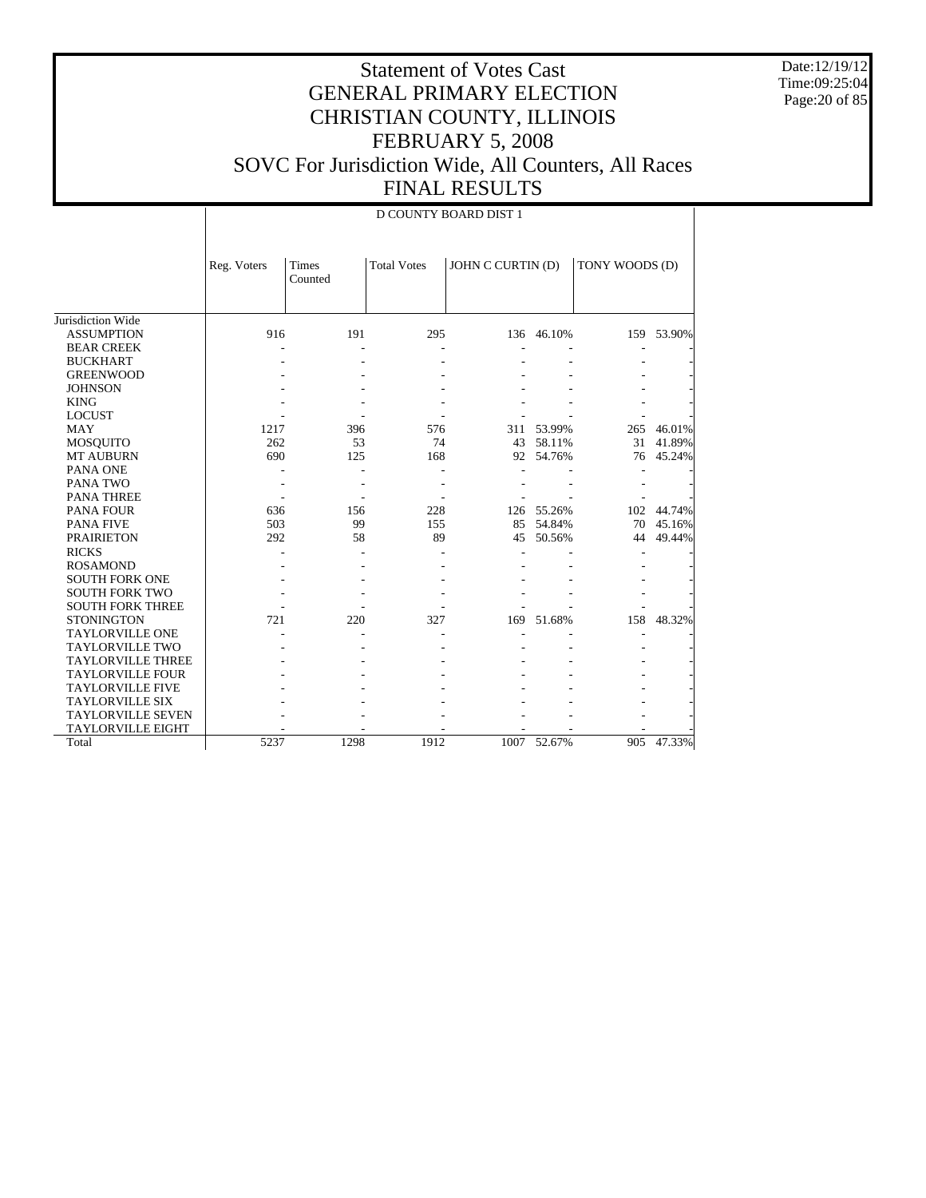Date:12/19/12 Time:09:25:04 Page: 20 of 85

#### Statement of Votes Cast GENERAL PRIMARY ELECTION CHRISTIAN COUNTY, ILLINOIS FEBRUARY 5, 2008 SOVC For Jurisdiction Wide, All Counters, All Races FINAL RESULTS

 $\overline{D}$  COUNTY BOARD DIST

|                          |             | D COUNTY BOARD DIST T   |                    |                   |             |                |            |  |  |  |  |
|--------------------------|-------------|-------------------------|--------------------|-------------------|-------------|----------------|------------|--|--|--|--|
|                          | Reg. Voters | <b>Times</b><br>Counted | <b>Total Votes</b> | JOHN C CURTIN (D) |             | TONY WOODS (D) |            |  |  |  |  |
| Jurisdiction Wide        |             |                         |                    |                   |             |                |            |  |  |  |  |
| <b>ASSUMPTION</b>        | 916         | 191                     | 295                |                   | 136 46.10%  |                | 159 53.90% |  |  |  |  |
| <b>BEAR CREEK</b>        |             |                         |                    |                   |             |                |            |  |  |  |  |
| <b>BUCKHART</b>          |             |                         |                    |                   |             |                |            |  |  |  |  |
| <b>GREENWOOD</b>         |             |                         |                    |                   |             |                |            |  |  |  |  |
| <b>JOHNSON</b>           |             |                         |                    |                   |             |                |            |  |  |  |  |
| <b>KING</b>              |             |                         |                    |                   |             |                |            |  |  |  |  |
| <b>LOCUST</b>            |             |                         |                    |                   |             |                |            |  |  |  |  |
| <b>MAY</b>               | 1217        | 396                     | 576                | 311               | 53.99%      | 265            | 46.01%     |  |  |  |  |
| <b>MOSQUITO</b>          | 262         | 53                      | 74                 | 43                | 58.11%      | 31             | 41.89%     |  |  |  |  |
| <b>MT AUBURN</b>         | 690         | 125                     | 168                | 92                | 54.76%      | 76             | 45.24%     |  |  |  |  |
| PANA ONE                 |             |                         |                    |                   |             |                |            |  |  |  |  |
| PANA TWO                 |             |                         |                    |                   |             |                |            |  |  |  |  |
| <b>PANA THREE</b>        |             |                         |                    |                   |             |                |            |  |  |  |  |
| <b>PANA FOUR</b>         | 636         | 156                     | 228                | 126               | 55.26%      | 102            | 44.74%     |  |  |  |  |
| <b>PANA FIVE</b>         | 503         | 99                      | 155                | 85                | 54.84%      | 70             | 45.16%     |  |  |  |  |
| <b>PRAIRIETON</b>        | 292         | 58                      | 89                 | 45                | 50.56%      | 44             | 49.44%     |  |  |  |  |
| <b>RICKS</b>             |             |                         |                    |                   |             |                |            |  |  |  |  |
| <b>ROSAMOND</b>          |             |                         |                    |                   |             |                |            |  |  |  |  |
| <b>SOUTH FORK ONE</b>    |             |                         |                    |                   |             |                |            |  |  |  |  |
| <b>SOUTH FORK TWO</b>    |             |                         |                    |                   |             |                |            |  |  |  |  |
| <b>SOUTH FORK THREE</b>  |             |                         |                    |                   |             |                |            |  |  |  |  |
| <b>STONINGTON</b>        | 721         | 220                     | 327                | 169               | 51.68%      | 158            | 48.32%     |  |  |  |  |
| <b>TAYLORVILLE ONE</b>   |             |                         |                    |                   |             |                |            |  |  |  |  |
| <b>TAYLORVILLE TWO</b>   |             |                         |                    |                   |             |                |            |  |  |  |  |
| <b>TAYLORVILLE THREE</b> |             |                         |                    |                   |             |                |            |  |  |  |  |
| <b>TAYLORVILLE FOUR</b>  |             |                         |                    |                   |             |                |            |  |  |  |  |
| <b>TAYLORVILLE FIVE</b>  |             |                         |                    |                   |             |                |            |  |  |  |  |
| <b>TAYLORVILLE SIX</b>   |             |                         |                    |                   |             |                |            |  |  |  |  |
| <b>TAYLORVILLE SEVEN</b> |             |                         |                    |                   |             |                |            |  |  |  |  |
| <b>TAYLORVILLE EIGHT</b> |             |                         |                    |                   |             |                |            |  |  |  |  |
| Total                    | 5237        | 1298                    | 1912               |                   | 1007 52.67% | 905            | 47.33%     |  |  |  |  |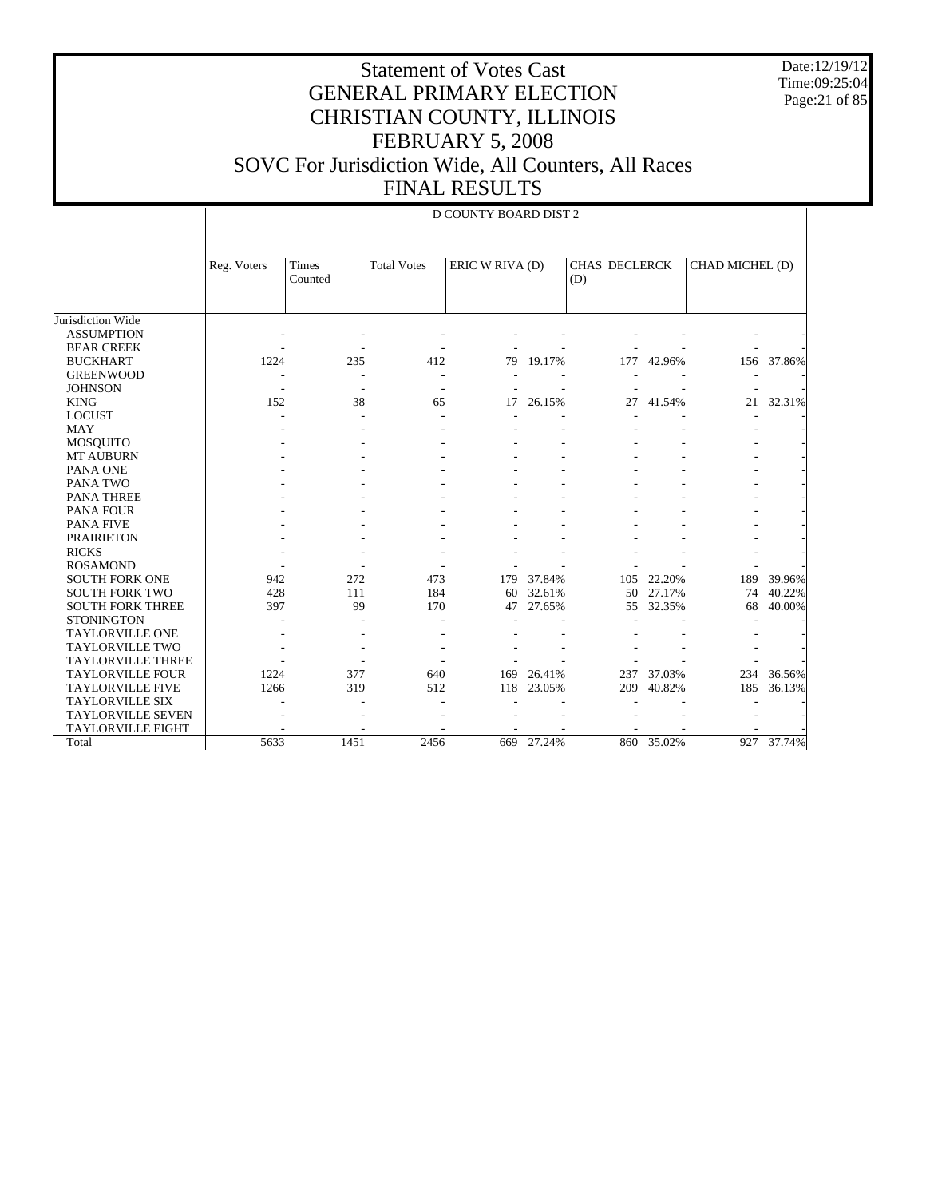Date:12/19/12 Time:09:25:04 Page:21 of 85

| D COUNTY BOARD DIST 2 |  |
|-----------------------|--|

|                          | Reg. Voters | <b>Times</b><br>Counted | <b>Total Votes</b>       | ERIC W RIVA (D)<br>(D) |        | <b>CHAS DECLERCK</b> |            | CHAD MICHEL (D) |        |
|--------------------------|-------------|-------------------------|--------------------------|------------------------|--------|----------------------|------------|-----------------|--------|
| Jurisdiction Wide        |             |                         |                          |                        |        |                      |            |                 |        |
| <b>ASSUMPTION</b>        |             |                         |                          |                        |        |                      |            |                 |        |
| <b>BEAR CREEK</b>        |             |                         |                          |                        |        |                      |            |                 |        |
| <b>BUCKHART</b>          | 1224        | 235                     | 412                      | 79                     | 19.17% | 177                  | 42.96%     | 156             | 37.86% |
| <b>GREENWOOD</b>         |             |                         | $\overline{\phantom{a}}$ |                        |        |                      |            |                 |        |
| <b>JOHNSON</b>           |             |                         |                          |                        |        |                      |            |                 |        |
| <b>KING</b>              | 152         | 38                      | 65                       | 17                     | 26.15% | 27                   | 41.54%     | 21              | 32.31% |
| <b>LOCUST</b>            |             |                         |                          |                        |        |                      |            |                 |        |
| <b>MAY</b>               |             |                         |                          |                        |        |                      |            |                 |        |
| <b>MOSQUITO</b>          |             |                         |                          |                        |        |                      |            |                 |        |
| <b>MT AUBURN</b>         |             |                         |                          |                        |        |                      |            |                 |        |
| PANA ONE                 |             |                         |                          |                        |        |                      |            |                 |        |
| PANA TWO                 |             |                         |                          |                        |        |                      |            |                 |        |
| <b>PANA THREE</b>        |             |                         |                          |                        |        |                      |            |                 |        |
| <b>PANA FOUR</b>         |             |                         |                          |                        |        |                      |            |                 |        |
| <b>PANA FIVE</b>         |             |                         |                          |                        |        |                      |            |                 |        |
| <b>PRAIRIETON</b>        |             |                         |                          |                        |        |                      |            |                 |        |
| <b>RICKS</b>             |             |                         |                          |                        |        |                      |            |                 |        |
| <b>ROSAMOND</b>          |             |                         |                          |                        |        |                      |            |                 |        |
| <b>SOUTH FORK ONE</b>    | 942         | 272                     | 473                      | 179                    | 37.84% | 105                  | 22.20%     | 189             | 39.96% |
| <b>SOUTH FORK TWO</b>    | 428         | 111                     | 184                      | 60                     | 32.61% | 50                   | 27.17%     | 74              | 40.22% |
| <b>SOUTH FORK THREE</b>  | 397         | 99                      | 170                      | 47                     | 27.65% | 55                   | 32.35%     | 68              | 40.00% |
| <b>STONINGTON</b>        |             |                         |                          |                        |        |                      |            |                 |        |
| <b>TAYLORVILLE ONE</b>   |             |                         |                          |                        |        |                      |            |                 |        |
| <b>TAYLORVILLE TWO</b>   |             |                         |                          |                        |        |                      |            |                 |        |
| <b>TAYLORVILLE THREE</b> |             |                         |                          |                        |        |                      |            |                 |        |
| <b>TAYLORVILLE FOUR</b>  | 1224        | 377                     | 640                      | 169                    | 26.41% | 237                  | 37.03%     | 234             | 36.56% |
| <b>TAYLORVILLE FIVE</b>  | 1266        | 319                     | 512                      | 118                    | 23.05% | 209                  | 40.82%     | 185             | 36.13% |
| TAYLORVILLE SIX          |             |                         |                          |                        |        |                      |            |                 |        |
| <b>TAYLORVILLE SEVEN</b> |             |                         |                          |                        |        |                      |            |                 |        |
| <b>TAYLORVILLE EIGHT</b> |             |                         |                          |                        |        |                      |            |                 |        |
| Total                    | 5633        | 1451                    | 2456                     | 669                    | 27.24% |                      | 860 35.02% | 927             | 37.74% |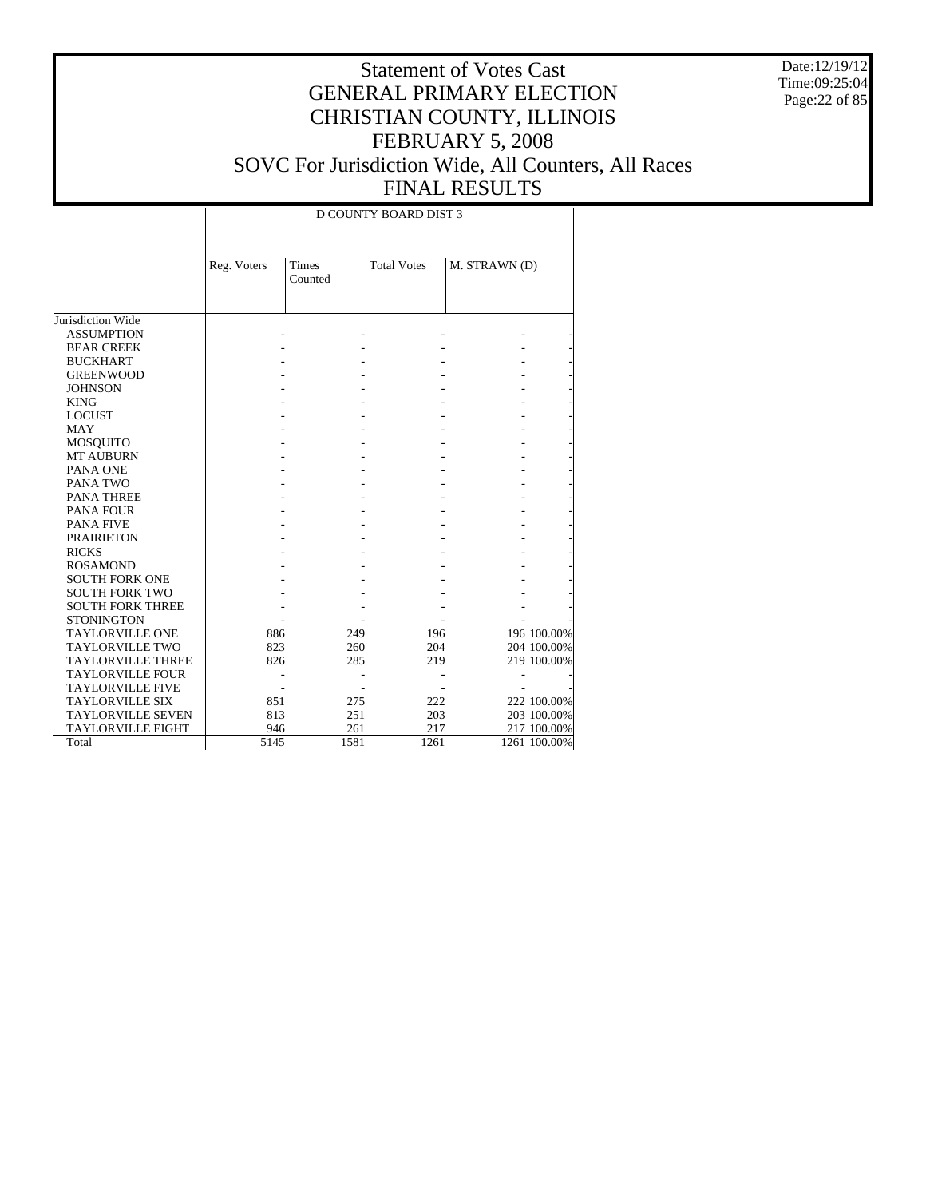Date:12/19/12 Time:09:25:04 Page:22 of 85

# Statement of Votes Cast GENERAL PRIMARY ELECTION CHRISTIAN COUNTY, ILLINOIS FEBRUARY 5, 2008 SOVC For Jurisdiction Wide, All Counters, All Races FINAL RESULTS

#### D COUNTY BOARD DIST 3

|                          |             | <b>Times</b> | <b>Total Votes</b> |               |              |
|--------------------------|-------------|--------------|--------------------|---------------|--------------|
|                          | Reg. Voters | Counted      |                    | M. STRAWN (D) |              |
|                          |             |              |                    |               |              |
|                          |             |              |                    |               |              |
| Jurisdiction Wide        |             |              |                    |               |              |
| <b>ASSUMPTION</b>        |             |              |                    |               |              |
| <b>BEAR CREEK</b>        |             |              |                    |               |              |
| <b>BUCKHART</b>          |             |              |                    |               |              |
| <b>GREENWOOD</b>         |             |              |                    |               |              |
| <b>JOHNSON</b>           |             |              |                    |               |              |
| <b>KING</b>              |             |              |                    |               |              |
| <b>LOCUST</b>            |             |              |                    |               |              |
| <b>MAY</b>               |             |              |                    |               |              |
| <b>MOSQUITO</b>          |             |              |                    |               |              |
| <b>MT AUBURN</b>         |             |              |                    |               |              |
| PANA ONE                 |             |              |                    |               |              |
| PANA TWO                 |             |              |                    |               |              |
| <b>PANA THREE</b>        |             |              |                    |               |              |
| <b>PANA FOUR</b>         |             |              |                    |               |              |
| <b>PANA FIVE</b>         |             |              |                    |               |              |
| <b>PRAIRIETON</b>        |             |              |                    |               |              |
| <b>RICKS</b>             |             |              |                    |               |              |
| <b>ROSAMOND</b>          |             |              |                    |               |              |
| <b>SOUTH FORK ONE</b>    |             |              |                    |               |              |
| <b>SOUTH FORK TWO</b>    |             |              |                    |               |              |
| <b>SOUTH FORK THREE</b>  |             |              |                    |               |              |
| <b>STONINGTON</b>        |             |              |                    |               |              |
| <b>TAYLORVILLE ONE</b>   | 886         | 249          | 196                |               | 196 100.00%  |
| <b>TAYLORVILLE TWO</b>   | 823         | 260          | 204                |               | 204 100.00%  |
| <b>TAYLORVILLE THREE</b> | 826         | 285          | 219                |               | 219 100.00%  |
| <b>TAYLORVILLE FOUR</b>  |             |              |                    |               |              |
| <b>TAYLORVILLE FIVE</b>  |             |              |                    |               |              |
| <b>TAYLORVILLE SIX</b>   | 851         | 275          | 222                |               | 222 100.00%  |
| <b>TAYLORVILLE SEVEN</b> | 813         | 251          | 203                |               | 203 100.00%  |
| <b>TAYLORVILLE EIGHT</b> | 946         | 261          | 217                |               | 217 100.00%  |
| Total                    | 5145        | 1581         | 1261               |               | 1261 100.00% |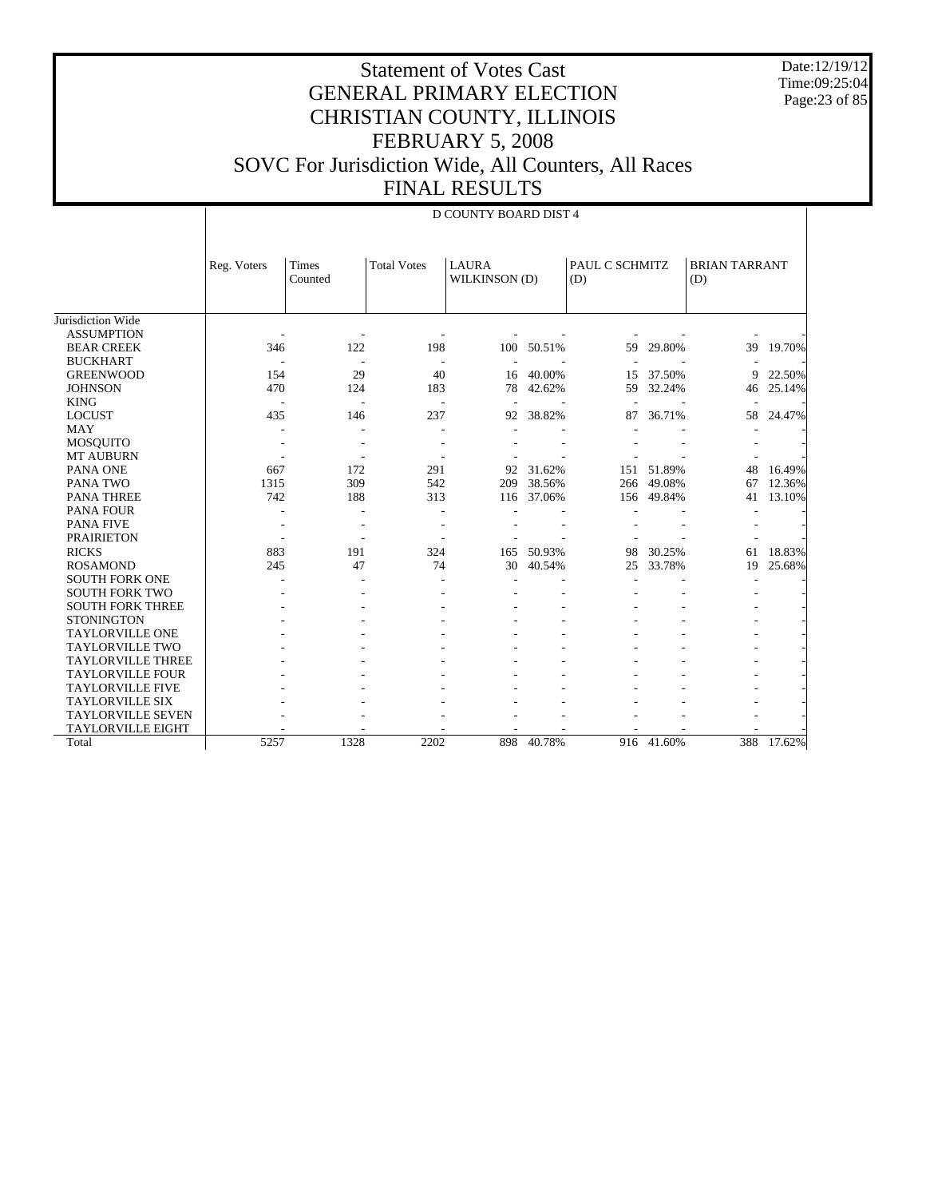Date:12/19/12 Time:09:25:04 Page:23 of 85

|                          |             |                  |                    | D COUNTY BOARD DIST 4         |        |                       |            |                             |        |
|--------------------------|-------------|------------------|--------------------|-------------------------------|--------|-----------------------|------------|-----------------------------|--------|
|                          | Reg. Voters | Times<br>Counted | <b>Total Votes</b> | <b>LAURA</b><br>WILKINSON (D) |        | PAUL C SCHMITZ<br>(D) |            | <b>BRIAN TARRANT</b><br>(D) |        |
| Jurisdiction Wide        |             |                  |                    |                               |        |                       |            |                             |        |
| <b>ASSUMPTION</b>        |             |                  |                    |                               |        |                       |            |                             |        |
| <b>BEAR CREEK</b>        | 346         | 122              | 198                | 100                           | 50.51% | 59                    | 29.80%     | 39                          | 19.70% |
| <b>BUCKHART</b>          |             |                  |                    |                               |        |                       |            |                             |        |
| <b>GREENWOOD</b>         | 154         | 29               | 40                 | 16                            | 40.00% | 15                    | 37.50%     | 9                           | 22.50% |
| <b>JOHNSON</b>           | 470         | 124              | 183                | 78                            | 42.62% | 59                    | 32.24%     | 46                          | 25.14% |
| <b>KING</b>              |             |                  |                    |                               |        | ٠                     |            |                             |        |
| <b>LOCUST</b>            | 435         | 146              | 237                | 92                            | 38.82% | 87                    | 36.71%     | 58                          | 24.47% |
| <b>MAY</b>               |             |                  |                    |                               |        |                       |            |                             |        |
| MOSQUITO                 |             |                  |                    |                               |        |                       |            |                             |        |
| <b>MT AUBURN</b>         |             |                  |                    |                               |        |                       |            |                             |        |
| PANA ONE                 | 667         | 172              | 291                | 92                            | 31.62% | 151                   | 51.89%     | 48                          | 16.49% |
| PANA TWO                 | 1315        | 309              | 542                | 209                           | 38.56% | 266                   | 49.08%     | 67                          | 12.36% |
| <b>PANA THREE</b>        | 742         | 188              | 313                | 116                           | 37.06% | 156                   | 49.84%     | 41                          | 13.10% |
| <b>PANA FOUR</b>         |             |                  |                    |                               |        |                       |            |                             |        |
| <b>PANA FIVE</b>         |             |                  |                    |                               |        |                       |            |                             |        |
| <b>PRAIRIETON</b>        |             |                  |                    |                               |        |                       |            |                             |        |
| <b>RICKS</b>             | 883         | 191              | 324                | 165                           | 50.93% | 98                    | 30.25%     | 61                          | 18.83% |
| <b>ROSAMOND</b>          | 245         | 47               | 74                 | 30                            | 40.54% | 25                    | 33.78%     | 19                          | 25.68% |
| <b>SOUTH FORK ONE</b>    |             |                  |                    |                               |        |                       |            |                             |        |
| <b>SOUTH FORK TWO</b>    |             |                  |                    |                               |        |                       |            |                             |        |
| <b>SOUTH FORK THREE</b>  |             |                  |                    |                               |        |                       |            |                             |        |
| <b>STONINGTON</b>        |             |                  |                    |                               |        |                       |            |                             |        |
| <b>TAYLORVILLE ONE</b>   |             |                  |                    |                               |        |                       |            |                             |        |
| <b>TAYLORVILLE TWO</b>   |             |                  |                    |                               |        |                       |            |                             |        |
| <b>TAYLORVILLE THREE</b> |             |                  |                    |                               |        |                       |            |                             |        |
| <b>TAYLORVILLE FOUR</b>  |             |                  |                    |                               |        |                       |            |                             |        |
| <b>TAYLORVILLE FIVE</b>  |             |                  |                    |                               |        |                       |            |                             |        |
| <b>TAYLORVILLE SIX</b>   |             |                  |                    |                               |        |                       |            |                             |        |
| <b>TAYLORVILLE SEVEN</b> |             |                  |                    |                               |        |                       |            |                             |        |
| <b>TAYLORVILLE EIGHT</b> |             |                  |                    |                               |        |                       |            |                             |        |
| Total                    | 5257        | 1328             | 2202               | 898                           | 40.78% |                       | 916 41.60% | 388                         | 17.62% |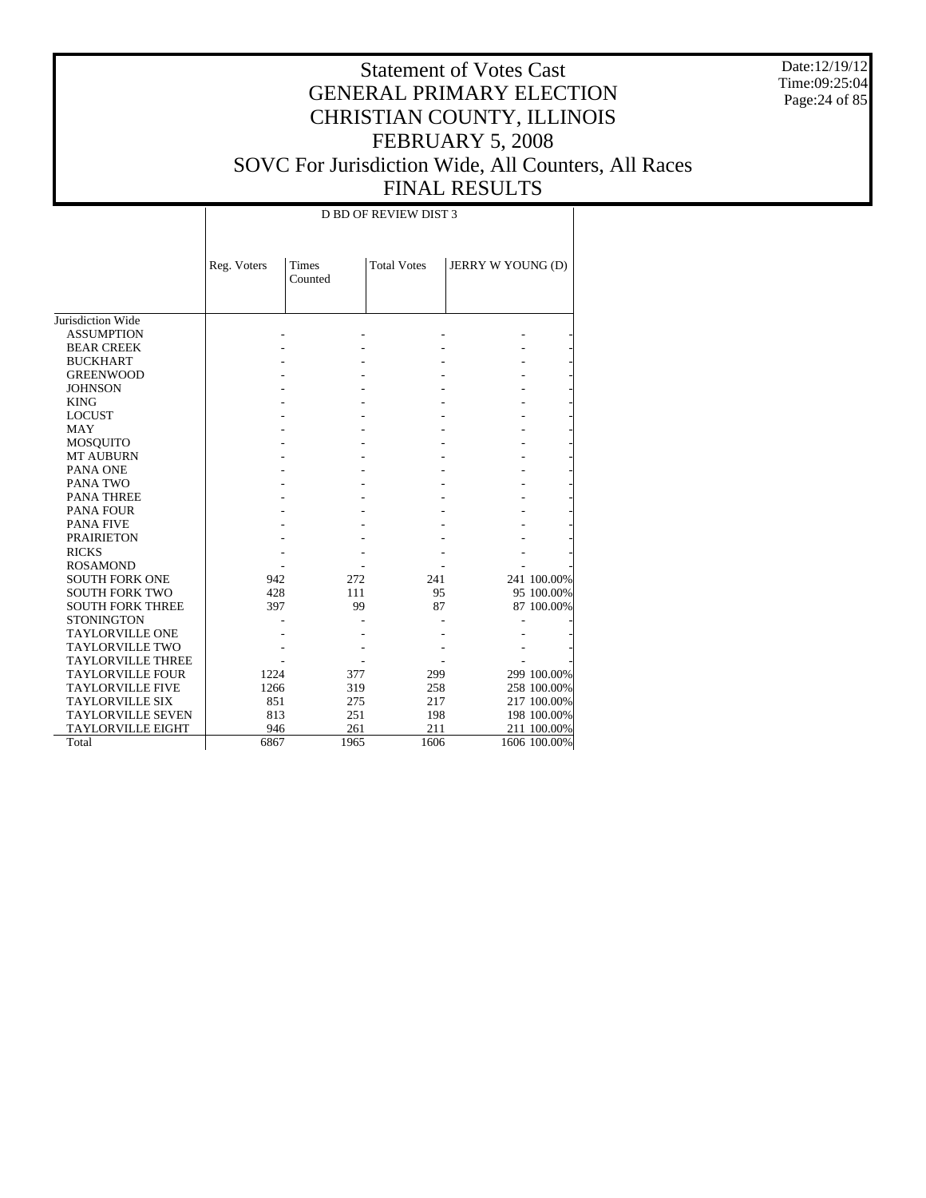Date:12/19/12 Time:09:25:04 Page:24 of 85

# Statement of Votes Cast GENERAL PRIMARY ELECTION CHRISTIAN COUNTY, ILLINOIS FEBRUARY 5, 2008 SOVC For Jurisdiction Wide, All Counters, All Races FINAL RESULTS

#### D BD OF REVIEW DIST 3

|                          | Reg. Voters | Times<br>Counted | <b>Total Votes</b> | JERRY W YOUNG (D) |              |
|--------------------------|-------------|------------------|--------------------|-------------------|--------------|
|                          |             |                  |                    |                   |              |
|                          |             |                  |                    |                   |              |
| Jurisdiction Wide        |             |                  |                    |                   |              |
| <b>ASSUMPTION</b>        |             |                  |                    |                   |              |
| <b>BEAR CREEK</b>        |             |                  |                    |                   |              |
| <b>BUCKHART</b>          |             |                  |                    |                   |              |
| <b>GREENWOOD</b>         |             |                  |                    |                   |              |
| <b>JOHNSON</b>           |             |                  |                    |                   |              |
| <b>KING</b>              |             |                  |                    |                   |              |
| <b>LOCUST</b>            |             |                  |                    |                   |              |
| <b>MAY</b>               |             |                  |                    |                   |              |
| <b>MOSQUITO</b>          |             |                  |                    |                   |              |
| <b>MT AUBURN</b>         |             |                  |                    |                   |              |
| PANA ONE                 |             |                  |                    |                   |              |
| PANA TWO                 |             |                  |                    |                   |              |
| <b>PANA THREE</b>        |             |                  |                    |                   |              |
| <b>PANA FOUR</b>         |             |                  |                    |                   |              |
| <b>PANA FIVE</b>         |             |                  |                    |                   |              |
| <b>PRAIRIETON</b>        |             |                  |                    |                   |              |
| <b>RICKS</b>             |             |                  |                    |                   |              |
| <b>ROSAMOND</b>          |             |                  |                    |                   |              |
| <b>SOUTH FORK ONE</b>    | 942         | 272              | 241                |                   | 241 100.00%  |
| <b>SOUTH FORK TWO</b>    | 428         | 111              | 95                 |                   | 95 100.00%   |
| <b>SOUTH FORK THREE</b>  | 397         | 99               | 87                 |                   | 87 100.00%   |
| <b>STONINGTON</b>        |             |                  |                    |                   |              |
| <b>TAYLORVILLE ONE</b>   |             |                  |                    |                   |              |
| <b>TAYLORVILLE TWO</b>   |             |                  |                    |                   |              |
| <b>TAYLORVILLE THREE</b> |             |                  |                    |                   |              |
| <b>TAYLORVILLE FOUR</b>  | 1224        | 377              | 299                |                   | 299 100.00%  |
| <b>TAYLORVILLE FIVE</b>  | 1266        | 319              | 258                |                   | 258 100.00%  |
| <b>TAYLORVILLE SIX</b>   | 851         | 275              | 217                |                   | 217 100.00%  |
| <b>TAYLORVILLE SEVEN</b> | 813         | 251              | 198                |                   | 198 100.00%  |
| <b>TAYLORVILLE EIGHT</b> | 946         | 261              | 211                |                   | 211 100.00%  |
| Total                    | 6867        | 1965             | 1606               |                   | 1606 100.00% |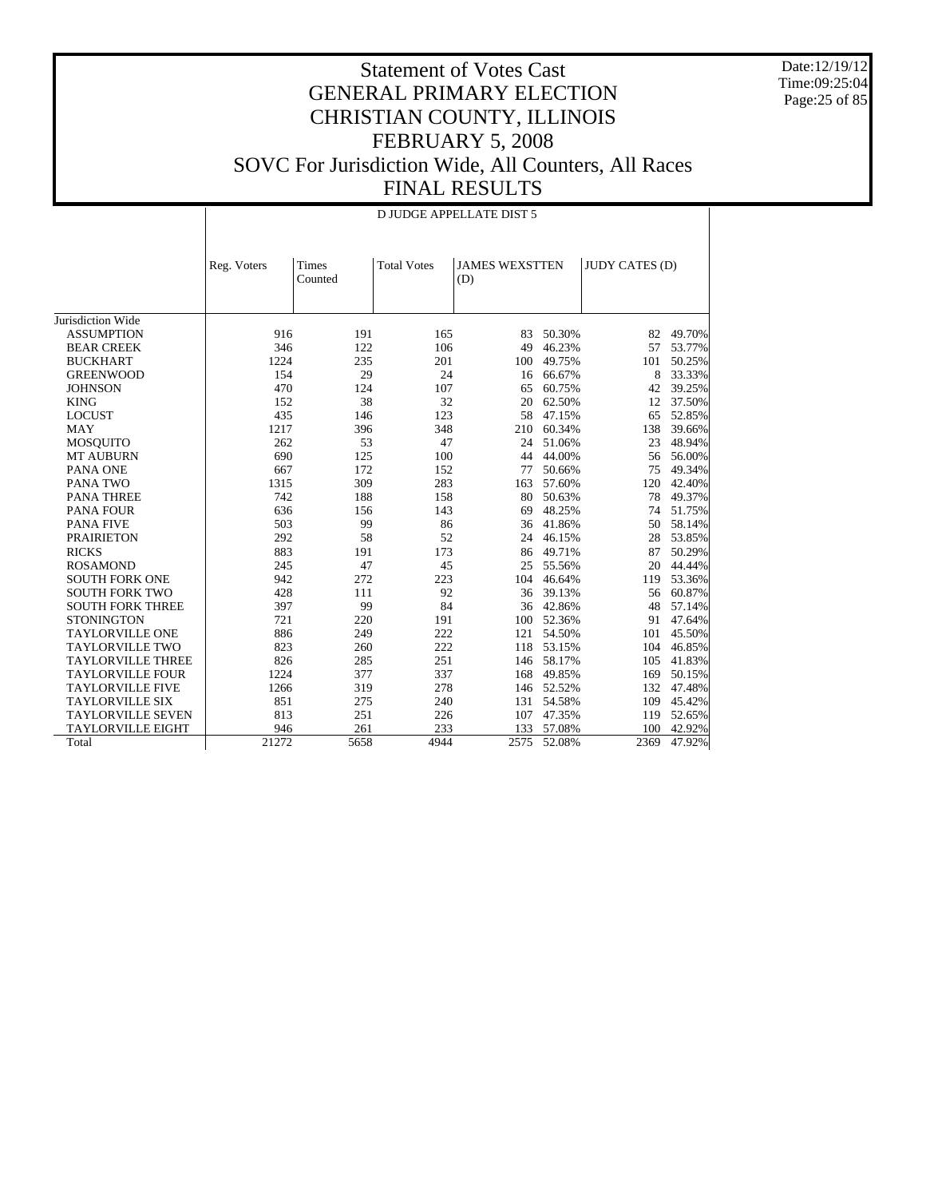Date:12/19/12 Time:09:25:04 Page:25 of 85

|                          |             |                  |                    | D JUDGE APPELLATE DIST 5     |            |                       |        |
|--------------------------|-------------|------------------|--------------------|------------------------------|------------|-----------------------|--------|
|                          | Reg. Voters | Times<br>Counted | <b>Total Votes</b> | <b>JAMES WEXSTTEN</b><br>(D) |            | <b>JUDY CATES (D)</b> |        |
| Jurisdiction Wide        |             |                  |                    |                              |            |                       |        |
| <b>ASSUMPTION</b>        | 916         | 191              | 165                | 83                           | 50.30%     | 82                    | 49.70% |
| <b>BEAR CREEK</b>        | 346         | 122              | 106                | 49                           | 46.23%     | 57                    | 53.77% |
| <b>BUCKHART</b>          | 1224        | 235              | 201                | 100                          | 49.75%     | 101                   | 50.25% |
| <b>GREENWOOD</b>         | 154         | 29               | 24                 | 16                           | 66.67%     | 8                     | 33.33% |
| <b>JOHNSON</b>           | 470         | 124              | 107                | 65                           | 60.75%     | 42                    | 39.25% |
| <b>KING</b>              | 152         | 38               | 32                 | 20                           | 62.50%     | 12                    | 37.50% |
| <b>LOCUST</b>            | 435         | 146              | 123                | 58                           | 47.15%     | 65                    | 52.85% |
| <b>MAY</b>               | 1217        | 396              | 348                | 210                          | 60.34%     | 138                   | 39.66% |
| <b>MOSQUITO</b>          | 262         | 53               | 47                 | 24                           | 51.06%     | 23                    | 48.94% |
| <b>MT AUBURN</b>         | 690         | 125              | 100                | 44                           | 44.00%     | 56                    | 56.00% |
| PANA ONE                 | 667         | 172              | 152                | 77                           | 50.66%     | 75                    | 49.34% |
| PANA TWO                 | 1315        | 309              | 283                | 163                          | 57.60%     | 120                   | 42.40% |
| <b>PANA THREE</b>        | 742         | 188              | 158                | 80                           | 50.63%     | 78                    | 49.37% |
| <b>PANA FOUR</b>         | 636         | 156              | 143                | 69                           | 48.25%     | 74                    | 51.75% |
| <b>PANA FIVE</b>         | 503         | 99               | 86                 | 36                           | 41.86%     | 50                    | 58.14% |
| <b>PRAIRIETON</b>        | 292         | 58               | 52                 | 24                           | 46.15%     | 28                    | 53.85% |
| <b>RICKS</b>             | 883         | 191              | 173                | 86                           | 49.71%     | 87                    | 50.29% |
| <b>ROSAMOND</b>          | 245         | 47               | 45                 | 25                           | 55.56%     | 20                    | 44.44% |
| <b>SOUTH FORK ONE</b>    | 942         | 272              | 223                | 104                          | 46.64%     | 119                   | 53.36% |
| <b>SOUTH FORK TWO</b>    | 428         | 111              | 92                 | 36                           | 39.13%     | 56                    | 60.87% |
| <b>SOUTH FORK THREE</b>  | 397         | 99               | 84                 | 36                           | 42.86%     | 48                    | 57.14% |
| <b>STONINGTON</b>        | 721         | 220              | 191                | 100                          | 52.36%     | 91                    | 47.64% |
| <b>TAYLORVILLE ONE</b>   | 886         | 249              | 222                | 121                          | 54.50%     | 101                   | 45.50% |
| <b>TAYLORVILLE TWO</b>   | 823         | 260              | 222                | 118                          | 53.15%     | 104                   | 46.85% |
| <b>TAYLORVILLE THREE</b> | 826         | 285              | 251                |                              | 146 58.17% | 105                   | 41.83% |
| <b>TAYLORVILLE FOUR</b>  | 1224        | 377              | 337                | 168                          | 49.85%     | 169                   | 50.15% |
| <b>TAYLORVILLE FIVE</b>  | 1266        | 319              | 278                | 146                          | 52.52%     | 132                   | 47.48% |
| <b>TAYLORVILLE SIX</b>   | 851         | 275              | 240                | 131                          | 54.58%     | 109                   | 45.42% |
| <b>TAYLORVILLE SEVEN</b> | 813         | 251              | 226                | 107                          | 47.35%     | 119                   | 52.65% |
| <b>TAYLORVILLE EIGHT</b> | 946         | 261              | 233                | 133                          | 57.08%     | 100                   | 42.92% |
| Total                    | 21272       | 5658             | 4944               | 2575                         | 52.08%     | 2369                  | 47.92% |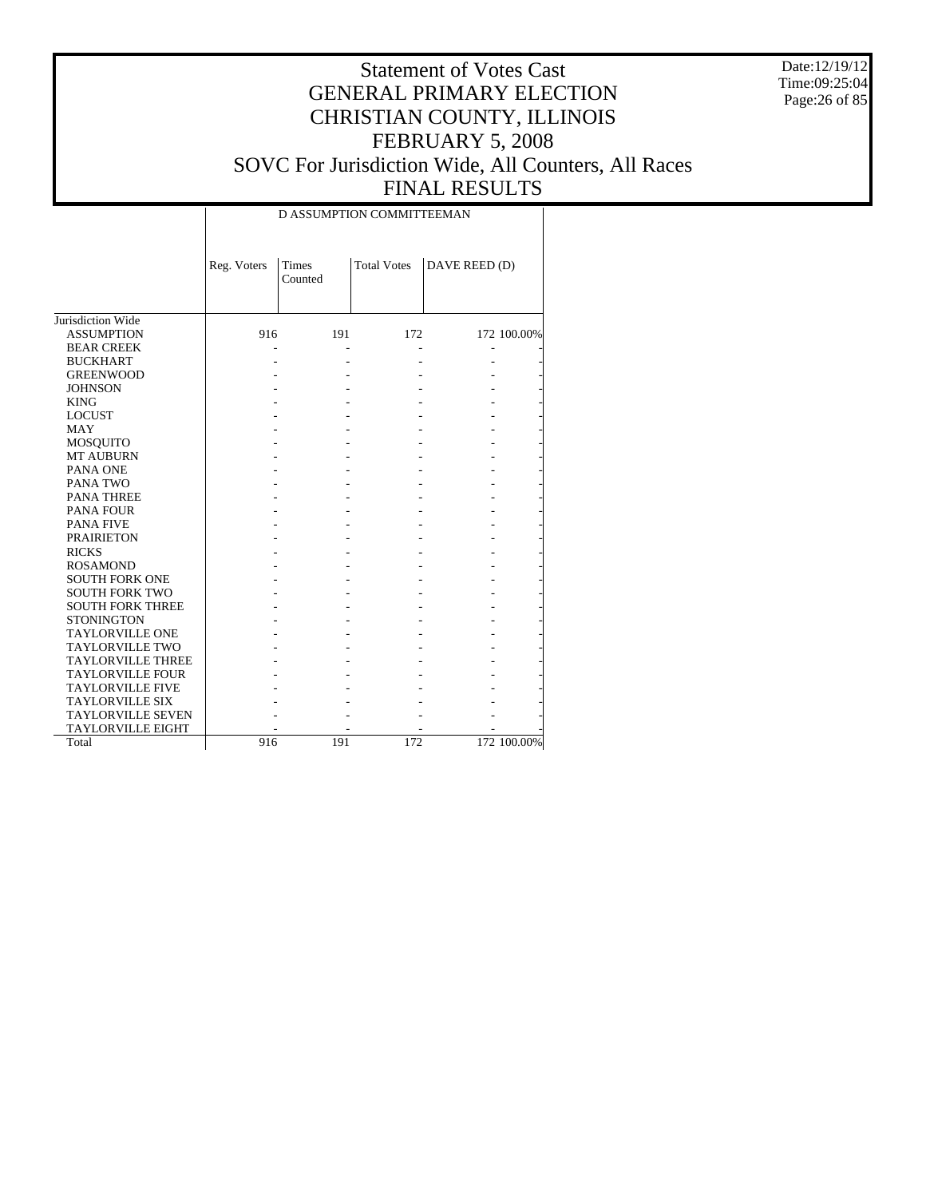Date:12/19/12 Time:09:25:04 Page:26 of 85

|                          |             | D ASSUMPTION COMMITTEEMAN |                    |               |             |
|--------------------------|-------------|---------------------------|--------------------|---------------|-------------|
|                          | Reg. Voters | <b>Times</b><br>Counted   | <b>Total Votes</b> | DAVE REED (D) |             |
| Jurisdiction Wide        |             |                           |                    |               |             |
| <b>ASSUMPTION</b>        | 916         | 191                       | 172                |               | 172 100.00% |
| <b>BEAR CREEK</b>        |             |                           |                    |               |             |
| <b>BUCKHART</b>          |             |                           |                    |               |             |
| <b>GREENWOOD</b>         |             |                           |                    |               |             |
| <b>JOHNSON</b>           |             |                           |                    |               |             |
| <b>KING</b>              |             |                           |                    |               |             |
| <b>LOCUST</b>            |             |                           |                    |               |             |
| MAY                      |             |                           |                    |               |             |
| <b>MOSQUITO</b>          |             |                           |                    |               |             |
| <b>MT AUBURN</b>         |             |                           |                    |               |             |
| PANA ONE                 |             |                           |                    |               |             |
| PANA TWO                 |             |                           |                    |               |             |
| PANA THREE               |             |                           |                    |               |             |
| PANA FOUR                |             |                           |                    |               |             |
| <b>PANA FIVE</b>         |             |                           |                    |               |             |
| <b>PRAIRIETON</b>        |             |                           |                    |               |             |
| <b>RICKS</b>             |             |                           |                    |               |             |
| <b>ROSAMOND</b>          |             |                           |                    |               |             |
| <b>SOUTH FORK ONE</b>    |             |                           |                    |               |             |
| <b>SOUTH FORK TWO</b>    |             |                           |                    |               |             |
| <b>SOUTH FORK THREE</b>  |             |                           |                    |               |             |
| <b>STONINGTON</b>        |             |                           |                    |               |             |
| <b>TAYLORVILLE ONE</b>   |             |                           |                    |               |             |
| <b>TAYLORVILLE TWO</b>   |             |                           |                    |               |             |
| <b>TAYLORVILLE THREE</b> |             |                           |                    |               |             |
| <b>TAYLORVILLE FOUR</b>  |             |                           |                    |               |             |
| <b>TAYLORVILLE FIVE</b>  |             |                           |                    |               |             |
| <b>TAYLORVILLE SIX</b>   |             |                           |                    |               |             |
| <b>TAYLORVILLE SEVEN</b> |             |                           |                    |               |             |
| <b>TAYLORVILLE EIGHT</b> |             |                           |                    |               |             |
| Total                    | 916         | 191                       | 172                |               | 172 100.00% |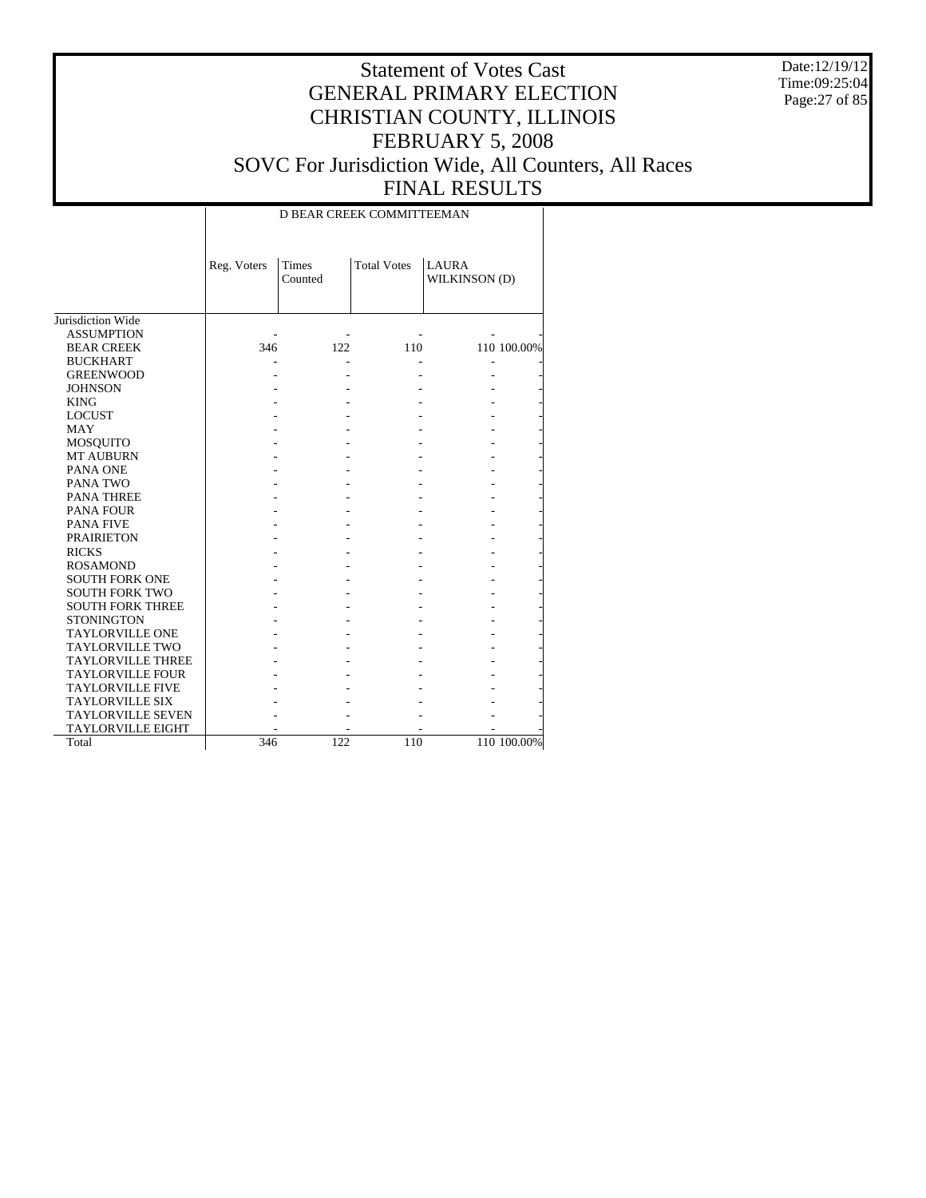Date:12/19/12 Time:09:25:04 Page:27 of 85

#### Statement of Votes Cast GENERAL PRIMARY ELECTION CHRISTIAN COUNTY, ILLINOIS FEBRUARY 5, 2008 SOVC For Jurisdiction Wide, All Counters, All Races FINAL RESULTS

Jurisdiction Wide ASSUMPTION BEAR CREEK BUCKHART GREENWOOD JOHNSON KING LOCUST MAY MOSQUITO MT AUBURN PANA ONE PANA TWO PANA THREE PANA FOUR PANA FIVE PRAIRIETON RICKS ROSAMOND SOUTH FORK ONE SOUTH FORK TWO SOUTH FORK THREE **STONINGTON**  TAYLORVILLE ONE TAYLORVILLE TWO TAYLORVILLE THREE TAYLORVILLE FOUR TAYLORVILLE FIVE TAYLORVILLE SIX TAYLORVILLE SEVEN TAYLORVILLE EIGHT Total Reg. Voters Times Counted Total Votes | LAURA WILKINSON (D) D BEAR CREEK COMMITTEEMAN - - - - - 346 122 110 110 100.00% - - - - - - - - - - - - - - - - - - - - - - - - - - - - - - - - - - - - - - - - - - - - - - - - - - - - - - - - - - - - - - - - - - - - - - - - - - - - - - - - - - - - - - - - - - - - - - - - - - - - - - - - - - - - - - - - - - - - - - - - - - - - - - - - - - - - - - - - - - - - 346 122 110 110 100.00%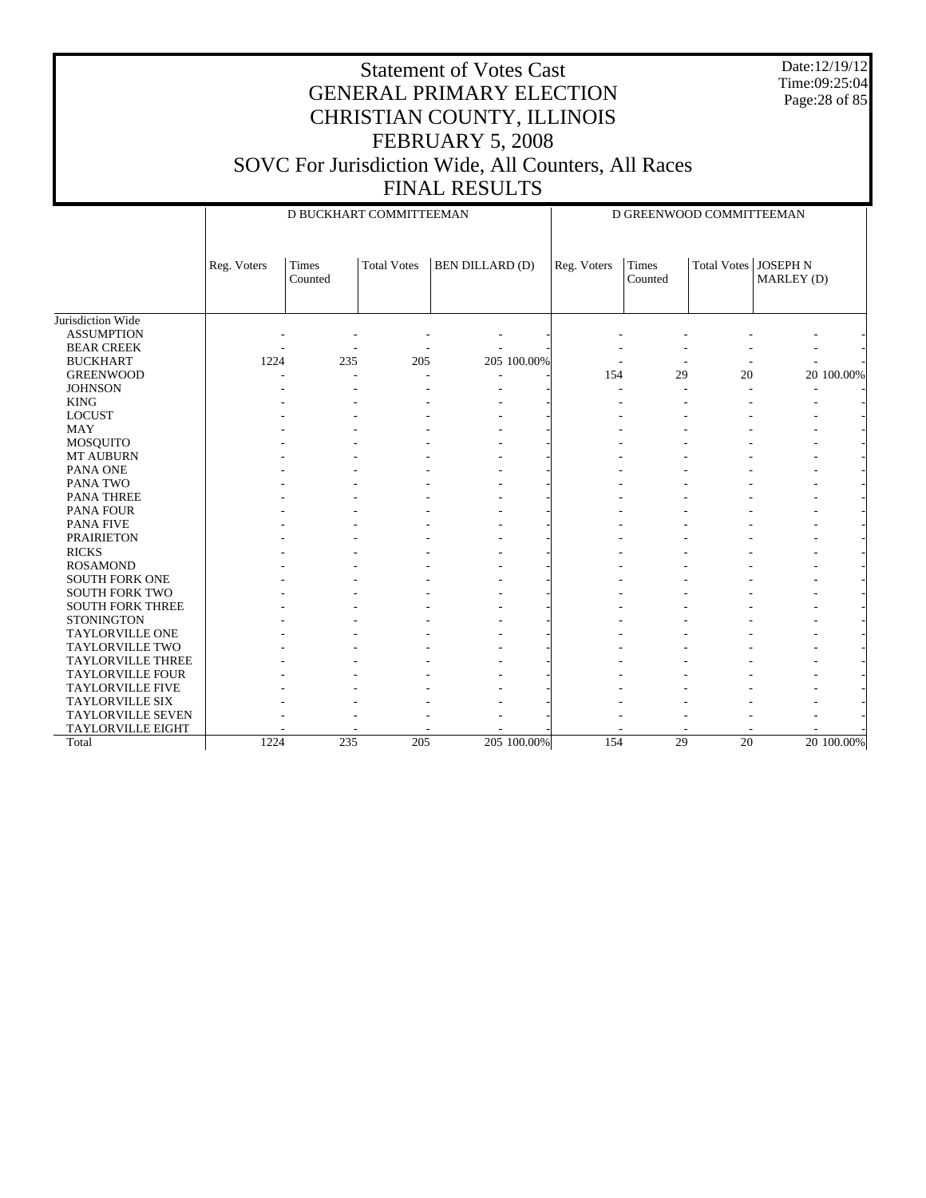Date:12/19/12 Time:09:25:04 Page:28 of 85

#### Statement of Votes Cast GENERAL PRIMARY ELECTION CHRISTIAN COUNTY, ILLINOIS FEBRUARY 5, 2008 SOVC For Jurisdiction Wide, All Counters, All Races FINAL RESULTS

Jurisdiction Wide ASSUMPTION BEAR CREEK BUCKHART GREENWOOD **JOHNSON**  KING LOCUST MAY MOSQUITO MT AUBURN PANA ONE PANA TWO PANA THREE PANA FOUR PANA FIVE PRAIRIETON RICKS ROSAMOND SOUTH FORK ONE SOUTH FORK TWO SOUTH FORK THREE **STONINGTON**  TAYLORVILLE ONE TAYLORVILLE TWO TAYLORVILLE THREE TAYLORVILLE FOUR TAYLORVILLE FIVE TAYLORVILLE SIX TAYLORVILLE SEVEN TAYLORVILLE EIGHT Total Reg. Voters | Times Counted Total Votes | BEN DILLARD (D) D BUCKHART COMMITTEEMAN Reg. Voters Times Counted Total Votes | JOSEPH N MARLEY (D) D GREENWOOD COMMITTEEMAN - - - - - - - - - - - - - - - - - - - - 1224 235 205 205 100.00% - - - - - - - - - - - - - 154 29 20 20 100.00% - - - - - - - - - - - - - - - - - - - - - - - - - - - - - - - - - - - - - - - - - - - - - - - - - - - - - - - - - - - - - - - - - - - - - - - - - - - - - - - - - - - - - - - - - - - - - - - - - - - - - - - - - - - - - - - - - - - - - - - - - - - - - - - - - - - - - - - - - - - - - - - - - - - - - - - - - - - - - - - - - - - - - - - - - - - - - - - - - - - - - - - - - - - - - - - - - - - - - - - - - - - - - - - - - - - - - - - - - - - - - - - - - - - - - - - - - - - - - - - - - - - - - - - - - - - - - - - - - - - - 1224 235 205 205 100.00% 154 29 20 20 100.00%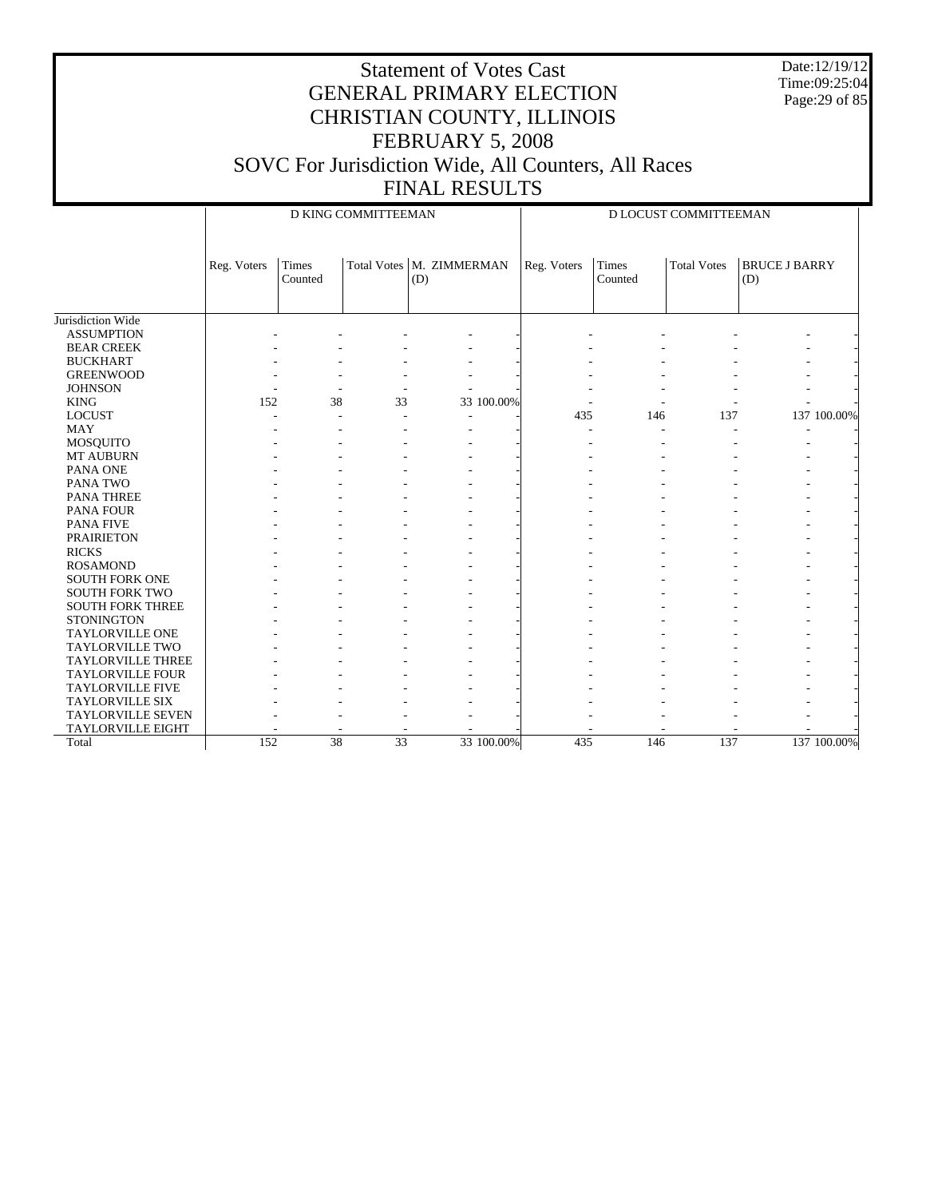Date:12/19/12 Time:09:25:04 Page:29 of 85

|                          |             | D KING COMMITTEEMAN     |                 |                                   |             | D LOCUST COMMITTEEMAN |                    |                             |  |
|--------------------------|-------------|-------------------------|-----------------|-----------------------------------|-------------|-----------------------|--------------------|-----------------------------|--|
|                          | Reg. Voters | <b>Times</b><br>Counted |                 | Total Votes   M. ZIMMERMAN<br>(D) | Reg. Voters | Times<br>Counted      | <b>Total Votes</b> | <b>BRUCE J BARRY</b><br>(D) |  |
| Jurisdiction Wide        |             |                         |                 |                                   |             |                       |                    |                             |  |
| <b>ASSUMPTION</b>        |             |                         |                 |                                   |             |                       |                    |                             |  |
| <b>BEAR CREEK</b>        |             |                         |                 |                                   |             |                       |                    |                             |  |
| <b>BUCKHART</b>          |             |                         |                 |                                   |             |                       |                    |                             |  |
| <b>GREENWOOD</b>         |             |                         |                 |                                   |             |                       |                    |                             |  |
| <b>JOHNSON</b>           |             |                         |                 |                                   |             |                       |                    |                             |  |
| <b>KING</b>              | 152         | 38                      | 33              | 33 100.00%                        |             |                       |                    |                             |  |
| <b>LOCUST</b>            |             |                         |                 |                                   | 435         | 146                   | 137                | 137 100.00%                 |  |
| <b>MAY</b>               |             |                         |                 |                                   |             |                       |                    |                             |  |
| <b>MOSQUITO</b>          |             |                         |                 |                                   |             |                       |                    |                             |  |
| MT AUBURN                |             |                         |                 |                                   |             |                       |                    |                             |  |
| PANA ONE                 |             |                         |                 |                                   |             |                       |                    |                             |  |
| PANA TWO                 |             |                         |                 |                                   |             |                       |                    |                             |  |
| <b>PANA THREE</b>        |             |                         |                 |                                   |             |                       |                    |                             |  |
| <b>PANA FOUR</b>         |             |                         |                 |                                   |             |                       |                    |                             |  |
| <b>PANA FIVE</b>         |             |                         |                 |                                   |             |                       |                    |                             |  |
| <b>PRAIRIETON</b>        |             |                         |                 |                                   |             |                       |                    |                             |  |
| <b>RICKS</b>             |             |                         |                 |                                   |             |                       |                    |                             |  |
| <b>ROSAMOND</b>          |             |                         |                 |                                   |             |                       |                    |                             |  |
| <b>SOUTH FORK ONE</b>    |             |                         |                 |                                   |             |                       |                    |                             |  |
| <b>SOUTH FORK TWO</b>    |             |                         |                 |                                   |             |                       |                    |                             |  |
| <b>SOUTH FORK THREE</b>  |             |                         |                 |                                   |             |                       |                    |                             |  |
| <b>STONINGTON</b>        |             |                         |                 |                                   |             |                       |                    |                             |  |
| <b>TAYLORVILLE ONE</b>   |             |                         |                 |                                   |             |                       |                    |                             |  |
| <b>TAYLORVILLE TWO</b>   |             |                         |                 |                                   |             |                       |                    |                             |  |
| <b>TAYLORVILLE THREE</b> |             |                         |                 |                                   |             |                       |                    |                             |  |
| <b>TAYLORVILLE FOUR</b>  |             |                         |                 |                                   |             |                       |                    |                             |  |
| <b>TAYLORVILLE FIVE</b>  |             |                         |                 |                                   |             |                       |                    |                             |  |
| <b>TAYLORVILLE SIX</b>   |             |                         |                 |                                   |             |                       |                    |                             |  |
| <b>TAYLORVILLE SEVEN</b> |             |                         |                 |                                   |             |                       |                    |                             |  |
| <b>TAYLORVILLE EIGHT</b> |             |                         |                 |                                   |             |                       |                    |                             |  |
| Total                    | 152         | 38                      | $\overline{33}$ | 33 100,00%                        | 435         | 146                   | 137                | 137 100.00%                 |  |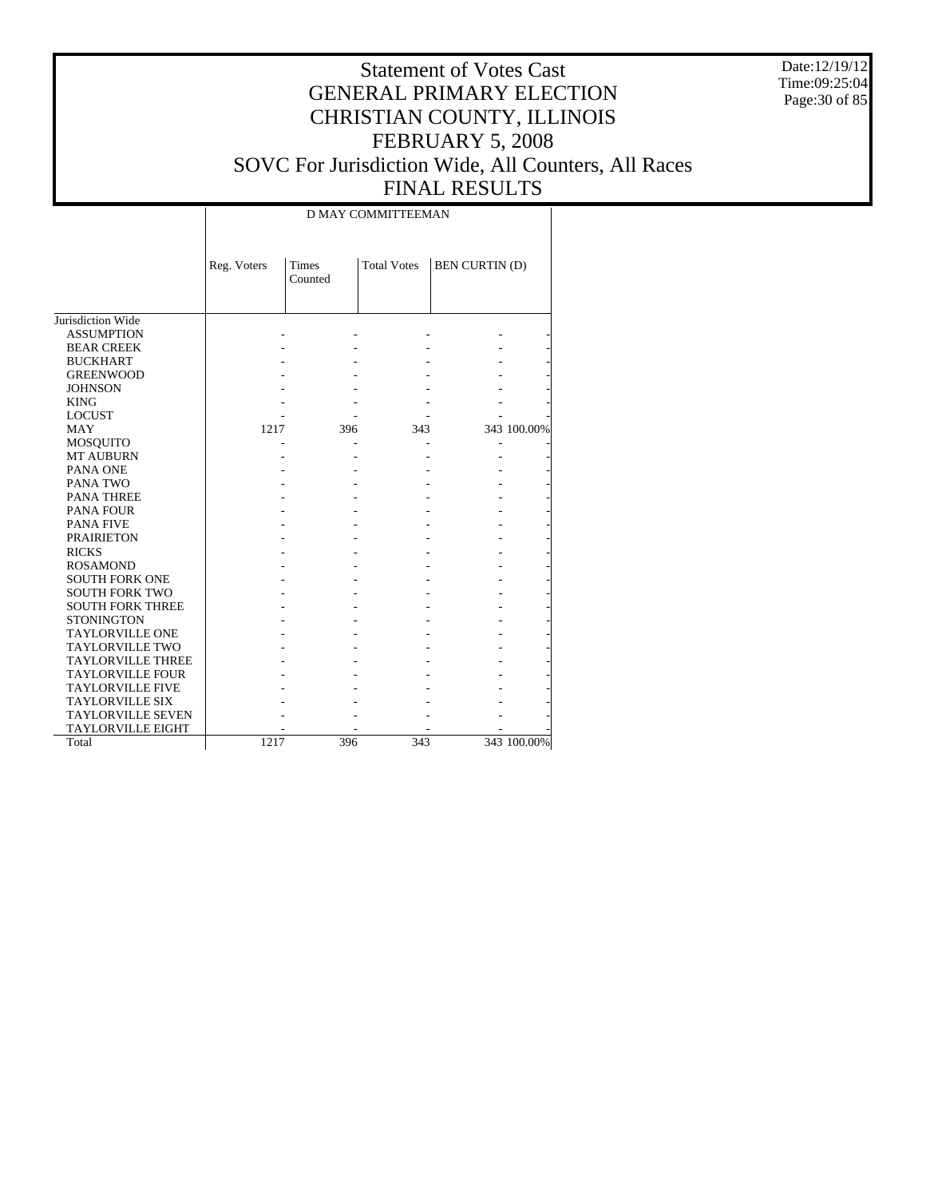Date:12/19/12 Time:09:25:04 Page:30 of 85

# Statement of Votes Cast GENERAL PRIMARY ELECTION CHRISTIAN COUNTY, ILLINOIS FEBRUARY 5, 2008 SOVC For Jurisdiction Wide, All Counters, All Races FINAL RESULTS

#### D MAY COMMITTEEMAN

|                          | Reg. Voters | <b>Times</b><br>Counted | <b>Total Votes</b> | <b>BEN CURTIN (D)</b> |             |
|--------------------------|-------------|-------------------------|--------------------|-----------------------|-------------|
|                          |             |                         |                    |                       |             |
|                          |             |                         |                    |                       |             |
| Jurisdiction Wide        |             |                         |                    |                       |             |
| <b>ASSUMPTION</b>        |             |                         |                    |                       |             |
| <b>BEAR CREEK</b>        |             |                         |                    |                       |             |
| <b>BUCKHART</b>          |             |                         |                    |                       |             |
| <b>GREENWOOD</b>         |             |                         |                    |                       |             |
| <b>JOHNSON</b>           |             |                         |                    |                       |             |
| <b>KING</b>              |             |                         |                    |                       |             |
| <b>LOCUST</b>            |             |                         |                    |                       |             |
| <b>MAY</b>               | 1217        | 396                     | 343                |                       | 343 100.00% |
| <b>MOSQUITO</b>          |             |                         |                    |                       |             |
| <b>MT AUBURN</b>         |             |                         |                    |                       |             |
| PANA ONE                 |             |                         |                    |                       |             |
| PANA TWO                 |             |                         |                    |                       |             |
| <b>PANA THREE</b>        |             |                         |                    |                       |             |
| <b>PANA FOUR</b>         |             |                         |                    |                       |             |
| <b>PANA FIVE</b>         |             |                         |                    |                       |             |
| <b>PRAIRIETON</b>        |             |                         |                    |                       |             |
| <b>RICKS</b>             |             |                         |                    |                       |             |
| <b>ROSAMOND</b>          |             |                         |                    |                       |             |
| <b>SOUTH FORK ONE</b>    |             |                         |                    |                       |             |
| <b>SOUTH FORK TWO</b>    |             |                         |                    |                       |             |
| <b>SOUTH FORK THREE</b>  |             |                         |                    |                       |             |
| <b>STONINGTON</b>        |             |                         |                    |                       |             |
| <b>TAYLORVILLE ONE</b>   |             |                         |                    |                       |             |
| <b>TAYLORVILLE TWO</b>   |             |                         |                    |                       |             |
| <b>TAYLORVILLE THREE</b> |             |                         |                    |                       |             |
| <b>TAYLORVILLE FOUR</b>  |             |                         |                    |                       |             |
| <b>TAYLORVILLE FIVE</b>  |             |                         |                    |                       |             |
| <b>TAYLORVILLE SIX</b>   |             |                         |                    |                       |             |
| <b>TAYLORVILLE SEVEN</b> |             |                         |                    |                       |             |
| <b>TAYLORVILLE EIGHT</b> |             |                         |                    |                       |             |
| Total                    | 1217        | 396                     | 343                |                       | 343 100.00% |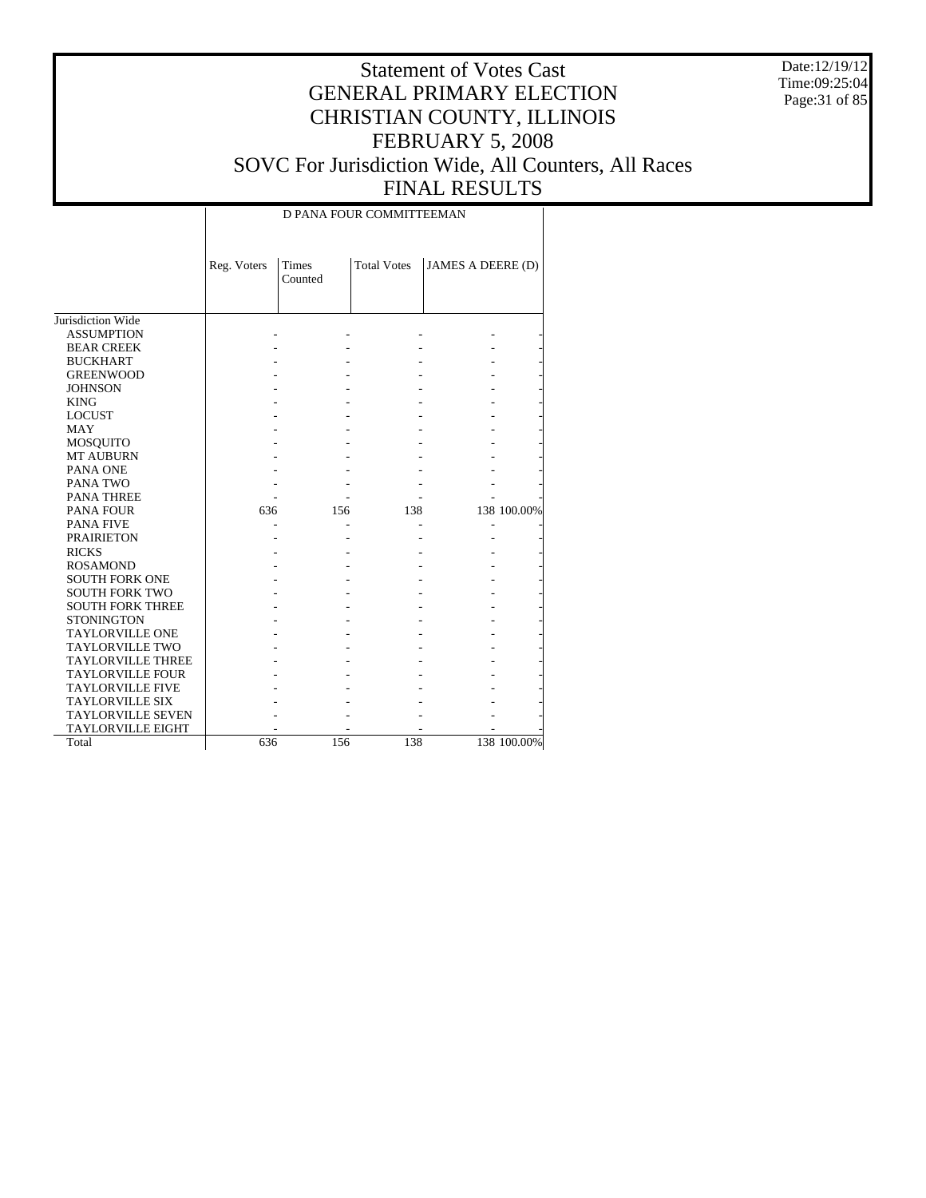Date:12/19/12 Time:09:25:04 Page:31 of 85

# Statement of Votes Cast GENERAL PRIMARY ELECTION CHRISTIAN COUNTY, ILLINOIS FEBRUARY 5, 2008 SOVC For Jurisdiction Wide, All Counters, All Races FINAL RESULTS

D PANA FOUR COMMITTEEMAN

|                          | Reg. Voters | Times<br>Counted | <b>Total Votes</b> | JAMES A DEERE (D) |             |
|--------------------------|-------------|------------------|--------------------|-------------------|-------------|
| Jurisdiction Wide        |             |                  |                    |                   |             |
| <b>ASSUMPTION</b>        |             |                  |                    |                   |             |
| <b>BEAR CREEK</b>        |             |                  |                    |                   |             |
| <b>BUCKHART</b>          |             |                  |                    |                   |             |
| <b>GREENWOOD</b>         |             |                  |                    |                   |             |
| <b>JOHNSON</b>           |             |                  |                    |                   |             |
| <b>KING</b>              |             |                  |                    |                   |             |
| <b>LOCUST</b>            |             |                  |                    |                   |             |
| <b>MAY</b>               |             |                  |                    |                   |             |
| <b>MOSQUITO</b>          |             |                  |                    |                   |             |
| <b>MT AUBURN</b>         |             |                  |                    |                   |             |
| PANA ONE                 |             |                  |                    |                   |             |
| PANA TWO                 |             |                  |                    |                   |             |
| <b>PANA THREE</b>        |             |                  |                    |                   |             |
| <b>PANA FOUR</b>         | 636         | 156              | 138                |                   | 138 100.00% |
| <b>PANA FIVE</b>         |             |                  |                    |                   |             |
| <b>PRAIRIETON</b>        |             |                  |                    |                   |             |
| <b>RICKS</b>             |             |                  |                    |                   |             |
| <b>ROSAMOND</b>          |             |                  |                    |                   |             |
| <b>SOUTH FORK ONE</b>    |             |                  |                    |                   |             |
| <b>SOUTH FORK TWO</b>    |             |                  |                    |                   |             |
| <b>SOUTH FORK THREE</b>  |             |                  |                    |                   |             |
| <b>STONINGTON</b>        |             |                  |                    |                   |             |
| <b>TAYLORVILLE ONE</b>   |             |                  |                    |                   |             |
| <b>TAYLORVILLE TWO</b>   |             |                  |                    |                   |             |
| <b>TAYLORVILLE THREE</b> |             |                  |                    |                   |             |
| <b>TAYLORVILLE FOUR</b>  |             |                  |                    |                   |             |
| <b>TAYLORVILLE FIVE</b>  |             |                  |                    |                   |             |
| <b>TAYLORVILLE SIX</b>   |             |                  |                    |                   |             |
| <b>TAYLORVILLE SEVEN</b> |             |                  |                    |                   |             |
| <b>TAYLORVILLE EIGHT</b> |             |                  |                    |                   |             |
| Total                    | 636         | 156              | 138                |                   | 138 100.00% |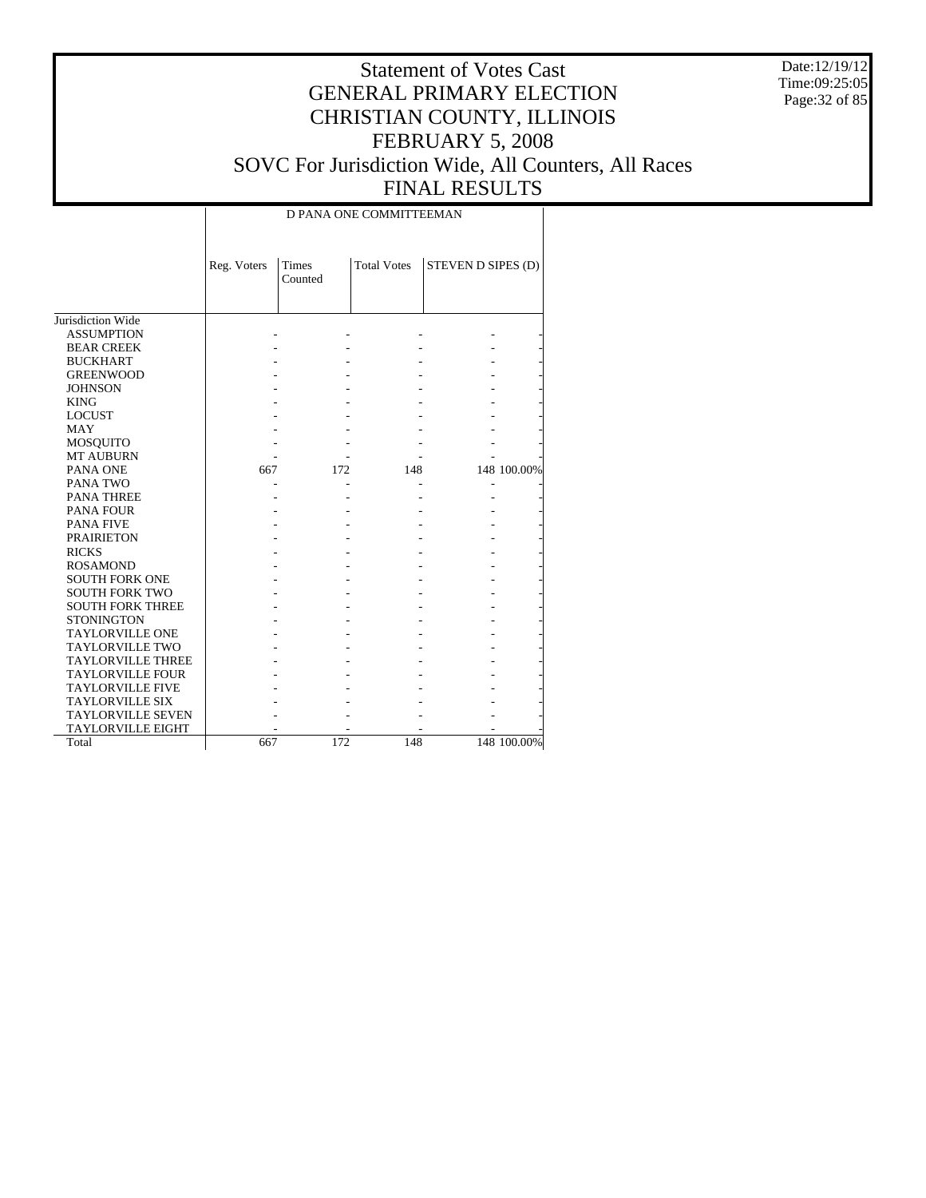Date:12/19/12 Time:09:25:05 Page:32 of 85

# Statement of Votes Cast GENERAL PRIMARY ELECTION CHRISTIAN COUNTY, ILLINOIS FEBRUARY 5, 2008 SOVC For Jurisdiction Wide, All Counters, All Races FINAL RESULTS

#### D PANA ONE COMMITTEEMAN

|                          | Reg. Voters | <b>Times</b><br>Counted | <b>Total Votes</b> | STEVEN D SIPES (D) |             |
|--------------------------|-------------|-------------------------|--------------------|--------------------|-------------|
| Jurisdiction Wide        |             |                         |                    |                    |             |
| <b>ASSUMPTION</b>        |             |                         |                    |                    |             |
| <b>BEAR CREEK</b>        |             |                         |                    |                    |             |
| <b>BUCKHART</b>          |             |                         |                    |                    |             |
| <b>GREENWOOD</b>         |             |                         |                    |                    |             |
| <b>JOHNSON</b>           |             |                         |                    |                    |             |
| <b>KING</b>              |             |                         |                    |                    |             |
| <b>LOCUST</b>            |             |                         |                    |                    |             |
| <b>MAY</b>               |             |                         |                    |                    |             |
| <b>MOSQUITO</b>          |             |                         |                    |                    |             |
| <b>MT AUBURN</b>         |             |                         |                    |                    |             |
| PANA ONE                 | 667         | 172                     | 148                |                    | 148 100.00% |
| PANA TWO                 |             |                         |                    |                    |             |
| <b>PANA THREE</b>        |             |                         |                    |                    |             |
| <b>PANA FOUR</b>         |             |                         |                    |                    |             |
| <b>PANA FIVE</b>         |             |                         |                    |                    |             |
| <b>PRAIRIETON</b>        |             |                         |                    |                    |             |
| <b>RICKS</b>             |             |                         |                    |                    |             |
| <b>ROSAMOND</b>          |             |                         |                    |                    |             |
| <b>SOUTH FORK ONE</b>    |             |                         |                    |                    |             |
| <b>SOUTH FORK TWO</b>    |             |                         |                    |                    |             |
| <b>SOUTH FORK THREE</b>  |             |                         |                    |                    |             |
| <b>STONINGTON</b>        |             |                         |                    |                    |             |
| <b>TAYLORVILLE ONE</b>   |             |                         |                    |                    |             |
| <b>TAYLORVILLE TWO</b>   |             |                         |                    |                    |             |
| <b>TAYLORVILLE THREE</b> |             |                         |                    |                    |             |
| <b>TAYLORVILLE FOUR</b>  |             |                         |                    |                    |             |
| <b>TAYLORVILLE FIVE</b>  |             |                         |                    |                    |             |
| <b>TAYLORVILLE SIX</b>   |             |                         |                    |                    |             |
| <b>TAYLORVILLE SEVEN</b> |             |                         |                    |                    |             |
| <b>TAYLORVILLE EIGHT</b> |             |                         |                    |                    |             |
| Total                    | 667         | 172                     | 148                |                    | 148 100.00% |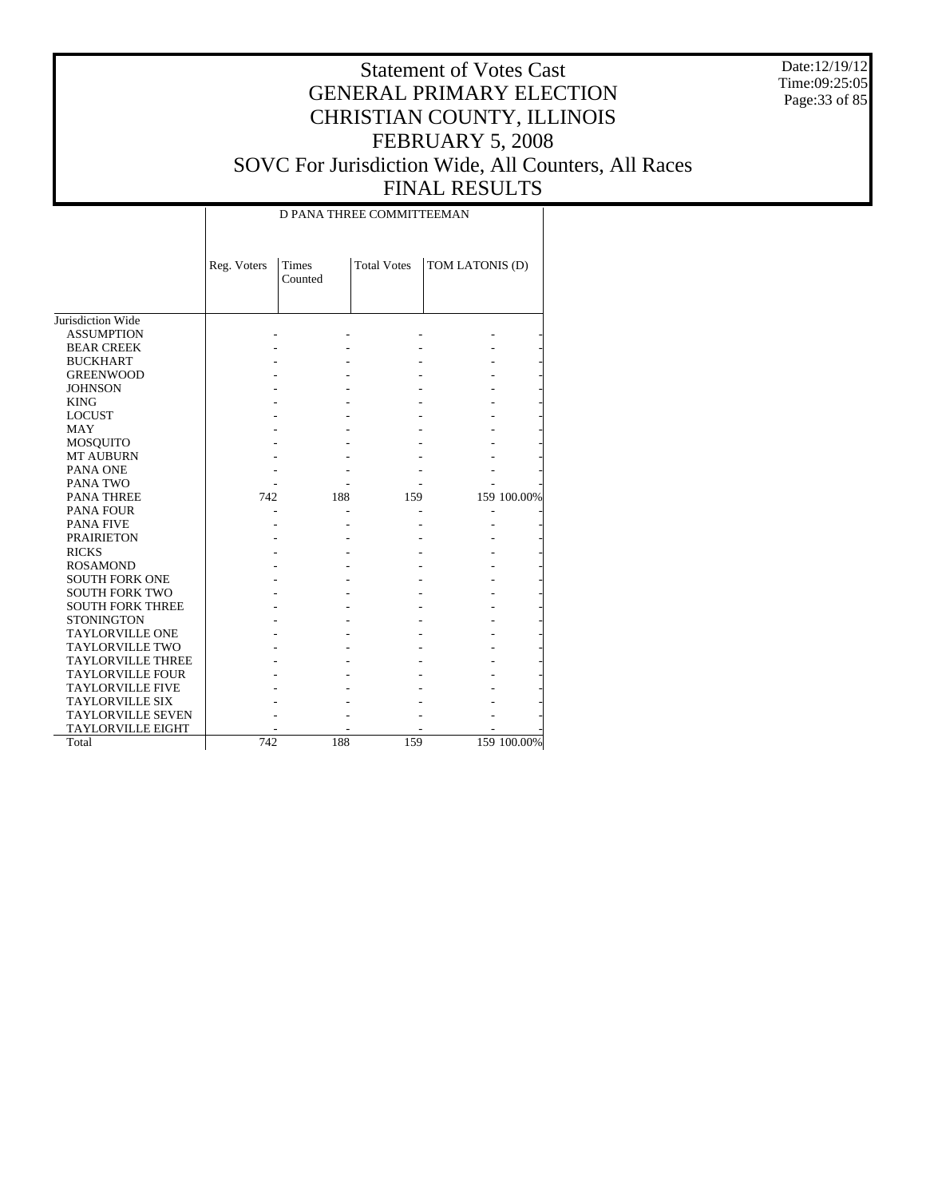Date:12/19/12 Time:09:25:05 Page:33 of 85

# Statement of Votes Cast GENERAL PRIMARY ELECTION CHRISTIAN COUNTY, ILLINOIS FEBRUARY 5, 2008 SOVC For Jurisdiction Wide, All Counters, All Races FINAL RESULTS

#### D PANA THREE COMMITTEEMAN

|                          | Reg. Voters | Times<br>Counted | <b>Total Votes</b> | TOM LATONIS (D) |             |
|--------------------------|-------------|------------------|--------------------|-----------------|-------------|
| Jurisdiction Wide        |             |                  |                    |                 |             |
| <b>ASSUMPTION</b>        |             |                  |                    |                 |             |
| <b>BEAR CREEK</b>        |             |                  |                    |                 |             |
| <b>BUCKHART</b>          |             |                  |                    |                 |             |
| <b>GREENWOOD</b>         |             |                  |                    |                 |             |
| <b>JOHNSON</b>           |             |                  |                    |                 |             |
| <b>KING</b>              |             |                  |                    |                 |             |
| <b>LOCUST</b>            |             |                  |                    |                 |             |
| <b>MAY</b>               |             |                  |                    |                 |             |
| <b>MOSQUITO</b>          |             |                  |                    |                 |             |
| <b>MT AUBURN</b>         |             |                  |                    |                 |             |
| PANA ONE                 |             |                  |                    |                 |             |
| PANA TWO                 |             |                  |                    |                 |             |
| <b>PANA THREE</b>        | 742         | 188              | 159                |                 | 159 100.00% |
| <b>PANA FOUR</b>         |             |                  |                    |                 |             |
| <b>PANA FIVE</b>         |             |                  |                    |                 |             |
| <b>PRAIRIETON</b>        |             |                  |                    |                 |             |
| <b>RICKS</b>             |             |                  |                    |                 |             |
| <b>ROSAMOND</b>          |             |                  |                    |                 |             |
| <b>SOUTH FORK ONE</b>    |             |                  |                    |                 |             |
| <b>SOUTH FORK TWO</b>    |             |                  |                    |                 |             |
| <b>SOUTH FORK THREE</b>  |             |                  |                    |                 |             |
| <b>STONINGTON</b>        |             |                  |                    |                 |             |
| <b>TAYLORVILLE ONE</b>   |             |                  |                    |                 |             |
| <b>TAYLORVILLE TWO</b>   |             |                  |                    |                 |             |
| <b>TAYLORVILLE THREE</b> |             |                  |                    |                 |             |
| <b>TAYLORVILLE FOUR</b>  |             |                  |                    |                 |             |
| <b>TAYLORVILLE FIVE</b>  |             |                  |                    |                 |             |
| <b>TAYLORVILLE SIX</b>   |             |                  |                    |                 |             |
| <b>TAYLORVILLE SEVEN</b> |             |                  |                    |                 |             |
| <b>TAYLORVILLE EIGHT</b> |             |                  |                    |                 |             |
| Total                    | 742         | 188              | 159                |                 | 159 100.00% |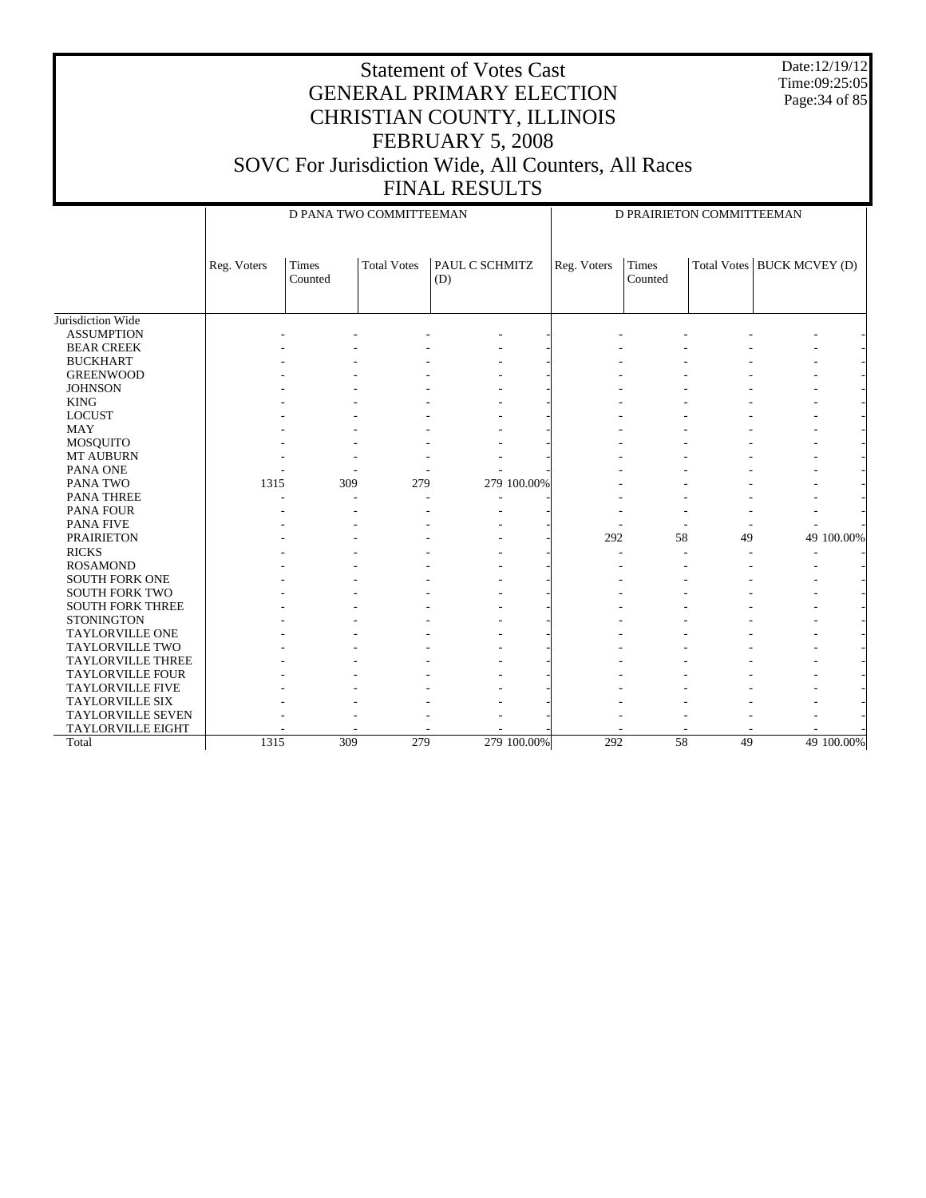Date:12/19/12 Time:09:25:05 Page:34 of 85

|                          |             | D PANA TWO COMMITTEEMAN |                    |                       |             | D PRAIRIETON COMMITTEEMAN |    |                              |  |
|--------------------------|-------------|-------------------------|--------------------|-----------------------|-------------|---------------------------|----|------------------------------|--|
|                          | Reg. Voters | Times<br>Counted        | <b>Total Votes</b> | PAUL C SCHMITZ<br>(D) | Reg. Voters | Times<br>Counted          |    | Total Votes   BUCK MCVEY (D) |  |
| Jurisdiction Wide        |             |                         |                    |                       |             |                           |    |                              |  |
| <b>ASSUMPTION</b>        |             |                         |                    |                       |             |                           |    |                              |  |
| <b>BEAR CREEK</b>        |             |                         |                    |                       |             |                           |    |                              |  |
| <b>BUCKHART</b>          |             |                         |                    |                       |             |                           |    |                              |  |
| <b>GREENWOOD</b>         |             |                         |                    |                       |             |                           |    |                              |  |
| <b>JOHNSON</b>           |             |                         |                    |                       |             |                           |    |                              |  |
| <b>KING</b>              |             |                         |                    |                       |             |                           |    |                              |  |
| <b>LOCUST</b>            |             |                         |                    |                       |             |                           |    |                              |  |
| <b>MAY</b>               |             |                         |                    |                       |             |                           |    |                              |  |
| MOSQUITO                 |             |                         |                    |                       |             |                           |    |                              |  |
| <b>MT AUBURN</b>         |             |                         |                    |                       |             |                           |    |                              |  |
| PANA ONE                 |             |                         |                    |                       |             |                           |    |                              |  |
| PANA TWO                 | 1315        | 309                     | 279                | 279 100.00%           |             |                           |    |                              |  |
| PANA THREE               |             |                         |                    |                       |             |                           |    |                              |  |
| <b>PANA FOUR</b>         |             |                         |                    |                       |             |                           |    |                              |  |
| <b>PANA FIVE</b>         |             |                         |                    |                       |             |                           |    |                              |  |
| <b>PRAIRIETON</b>        |             |                         |                    |                       | 292         | 58                        | 49 | 49 100.00%                   |  |
| <b>RICKS</b>             |             |                         |                    |                       |             |                           |    |                              |  |
| <b>ROSAMOND</b>          |             |                         |                    |                       |             |                           |    |                              |  |
| <b>SOUTH FORK ONE</b>    |             |                         |                    |                       |             |                           |    |                              |  |
| <b>SOUTH FORK TWO</b>    |             |                         |                    |                       |             |                           |    |                              |  |
| <b>SOUTH FORK THREE</b>  |             |                         |                    |                       |             |                           |    |                              |  |
| <b>STONINGTON</b>        |             |                         |                    |                       |             |                           |    |                              |  |
| <b>TAYLORVILLE ONE</b>   |             |                         |                    |                       |             |                           |    |                              |  |
| <b>TAYLORVILLE TWO</b>   |             |                         |                    |                       |             |                           |    |                              |  |
| <b>TAYLORVILLE THREE</b> |             |                         |                    |                       |             |                           |    |                              |  |
| <b>TAYLORVILLE FOUR</b>  |             |                         |                    |                       |             |                           |    |                              |  |
| <b>TAYLORVILLE FIVE</b>  |             |                         |                    |                       |             |                           |    |                              |  |
| <b>TAYLORVILLE SIX</b>   |             |                         |                    |                       |             |                           |    |                              |  |
| <b>TAYLORVILLE SEVEN</b> |             |                         |                    |                       |             |                           |    |                              |  |
| <b>TAYLORVILLE EIGHT</b> |             |                         |                    |                       |             |                           |    |                              |  |
| Total                    | 1315        | 309                     | 279                | 279 100,00%           | 292         | 58                        | 49 | 49 100.00%                   |  |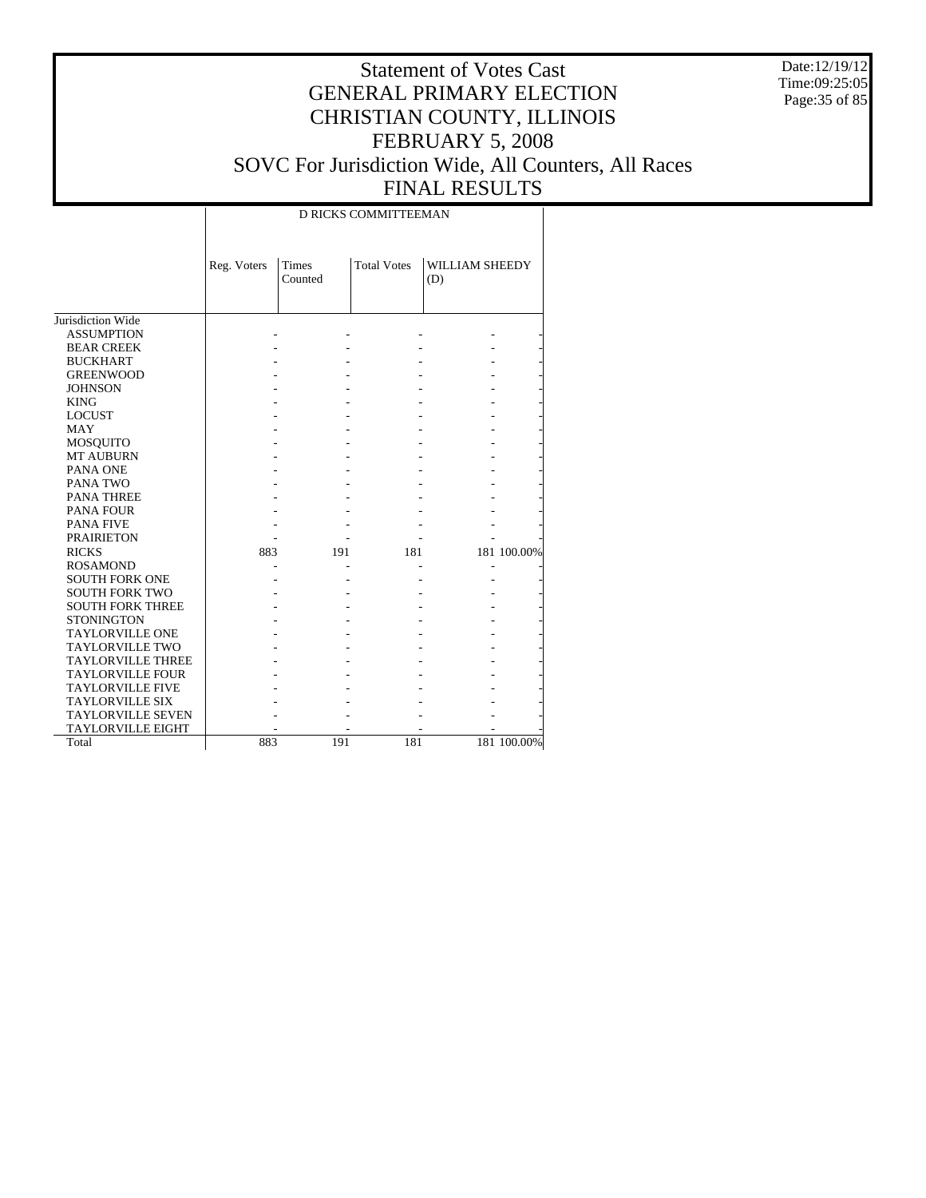Date:12/19/12 Time:09:25:05 Page:35 of 85

# Statement of Votes Cast GENERAL PRIMARY ELECTION CHRISTIAN COUNTY, ILLINOIS FEBRUARY 5, 2008 SOVC For Jurisdiction Wide, All Counters, All Races FINAL RESULTS

#### D RICKS COMMITTEEMAN

|                          | Reg. Voters | Times<br>Counted | <b>Total Votes</b> | WILLIAM SHEEDY<br>(D) |             |
|--------------------------|-------------|------------------|--------------------|-----------------------|-------------|
| Jurisdiction Wide        |             |                  |                    |                       |             |
| <b>ASSUMPTION</b>        |             |                  |                    |                       |             |
| <b>BEAR CREEK</b>        |             |                  |                    |                       |             |
| <b>BUCKHART</b>          |             |                  |                    |                       |             |
| <b>GREENWOOD</b>         |             |                  |                    |                       |             |
| <b>JOHNSON</b>           |             |                  |                    |                       |             |
| <b>KING</b>              |             |                  |                    |                       |             |
| <b>LOCUST</b>            |             |                  |                    |                       |             |
| <b>MAY</b>               |             |                  |                    |                       |             |
| <b>MOSQUITO</b>          |             |                  |                    |                       |             |
| <b>MT AUBURN</b>         |             |                  |                    |                       |             |
| PANA ONE                 |             |                  |                    |                       |             |
| PANA TWO                 |             |                  |                    |                       |             |
| <b>PANA THREE</b>        |             |                  |                    |                       |             |
| <b>PANA FOUR</b>         |             |                  |                    |                       |             |
| <b>PANA FIVE</b>         |             |                  |                    |                       |             |
| <b>PRAIRIETON</b>        |             |                  |                    |                       |             |
| <b>RICKS</b>             | 883         | 191              | 181                |                       | 181 100.00% |
| <b>ROSAMOND</b>          |             |                  |                    | L,                    |             |
| <b>SOUTH FORK ONE</b>    |             |                  |                    |                       |             |
| <b>SOUTH FORK TWO</b>    |             |                  |                    |                       |             |
| <b>SOUTH FORK THREE</b>  |             |                  |                    |                       |             |
| <b>STONINGTON</b>        |             |                  |                    |                       |             |
| <b>TAYLORVILLE ONE</b>   |             |                  |                    |                       |             |
| <b>TAYLORVILLE TWO</b>   |             |                  |                    |                       |             |
| <b>TAYLORVILLE THREE</b> |             |                  |                    |                       |             |
| <b>TAYLORVILLE FOUR</b>  |             |                  |                    |                       |             |
| <b>TAYLORVILLE FIVE</b>  |             |                  |                    |                       |             |
| <b>TAYLORVILLE SIX</b>   |             |                  |                    |                       |             |
| <b>TAYLORVILLE SEVEN</b> |             |                  |                    |                       |             |
| <b>TAYLORVILLE EIGHT</b> |             |                  |                    |                       |             |
| Total                    | 883         | 191              | 181                |                       | 181 100.00% |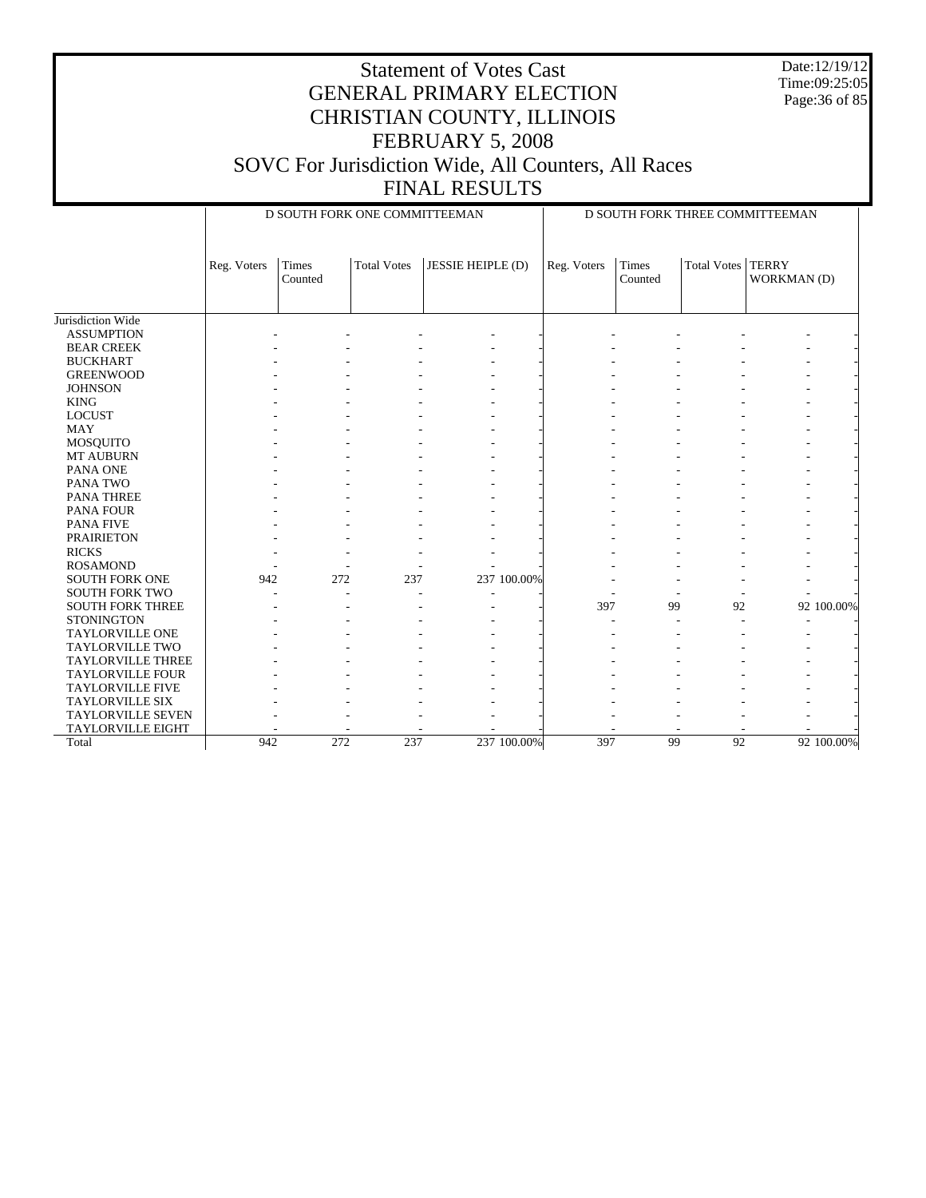Date:12/19/12 Time:09:25:05 Page:36 of 85

|                          | D SOUTH FORK ONE COMMITTEEMAN |                  |                    |                   |  | D SOUTH FORK THREE COMMITTEEMAN |                  |             |                             |            |
|--------------------------|-------------------------------|------------------|--------------------|-------------------|--|---------------------------------|------------------|-------------|-----------------------------|------------|
|                          | Reg. Voters                   | Times<br>Counted | <b>Total Votes</b> | JESSIE HEIPLE (D) |  | Reg. Voters                     | Times<br>Counted | Total Votes | <b>TERRY</b><br>WORKMAN (D) |            |
| Jurisdiction Wide        |                               |                  |                    |                   |  |                                 |                  |             |                             |            |
| <b>ASSUMPTION</b>        |                               |                  |                    |                   |  |                                 |                  |             |                             |            |
| <b>BEAR CREEK</b>        |                               |                  |                    |                   |  |                                 |                  |             |                             |            |
| <b>BUCKHART</b>          |                               |                  |                    |                   |  |                                 |                  |             |                             |            |
| <b>GREENWOOD</b>         |                               |                  |                    |                   |  |                                 |                  |             |                             |            |
| <b>JOHNSON</b>           |                               |                  |                    |                   |  |                                 |                  |             |                             |            |
| <b>KING</b>              |                               |                  |                    |                   |  |                                 |                  |             |                             |            |
| <b>LOCUST</b>            |                               |                  |                    |                   |  |                                 |                  |             |                             |            |
| <b>MAY</b>               |                               |                  |                    |                   |  |                                 |                  |             |                             |            |
| <b>MOSQUITO</b>          |                               |                  |                    |                   |  |                                 |                  |             |                             |            |
| <b>MT AUBURN</b>         |                               |                  |                    |                   |  |                                 |                  |             |                             |            |
| PANA ONE                 |                               |                  |                    |                   |  |                                 |                  |             |                             |            |
| PANA TWO                 |                               |                  |                    |                   |  |                                 |                  |             |                             |            |
| <b>PANA THREE</b>        |                               |                  |                    |                   |  |                                 |                  |             |                             |            |
| <b>PANA FOUR</b>         |                               |                  |                    |                   |  |                                 |                  |             |                             |            |
| <b>PANA FIVE</b>         |                               |                  |                    |                   |  |                                 |                  |             |                             |            |
| <b>PRAIRIETON</b>        |                               |                  |                    |                   |  |                                 |                  |             |                             |            |
| <b>RICKS</b>             |                               |                  |                    |                   |  |                                 |                  |             |                             |            |
| <b>ROSAMOND</b>          |                               |                  |                    |                   |  |                                 |                  |             |                             |            |
| <b>SOUTH FORK ONE</b>    | 942                           | 272              | 237                | 237 100.00%       |  |                                 |                  |             |                             |            |
| <b>SOUTH FORK TWO</b>    |                               |                  |                    |                   |  |                                 |                  |             |                             |            |
| <b>SOUTH FORK THREE</b>  |                               |                  |                    |                   |  | 397                             | 99               | 92          |                             | 92 100.00% |
| <b>STONINGTON</b>        |                               |                  |                    |                   |  |                                 |                  |             |                             |            |
| <b>TAYLORVILLE ONE</b>   |                               |                  |                    |                   |  |                                 |                  |             |                             |            |
| <b>TAYLORVILLE TWO</b>   |                               |                  |                    |                   |  |                                 |                  |             |                             |            |
| <b>TAYLORVILLE THREE</b> |                               |                  |                    |                   |  |                                 |                  |             |                             |            |
| <b>TAYLORVILLE FOUR</b>  |                               |                  |                    |                   |  |                                 |                  |             |                             |            |
| <b>TAYLORVILLE FIVE</b>  |                               |                  |                    |                   |  |                                 |                  |             |                             |            |
| <b>TAYLORVILLE SIX</b>   |                               |                  |                    |                   |  |                                 |                  |             |                             |            |
| <b>TAYLORVILLE SEVEN</b> |                               |                  |                    |                   |  |                                 |                  |             |                             |            |
| <b>TAYLORVILLE EIGHT</b> |                               |                  |                    |                   |  |                                 |                  |             |                             |            |
| Total                    | 942                           | 272              | 237                | 237 100.00%       |  | 397                             | 99               | 92          |                             | 92 100.00% |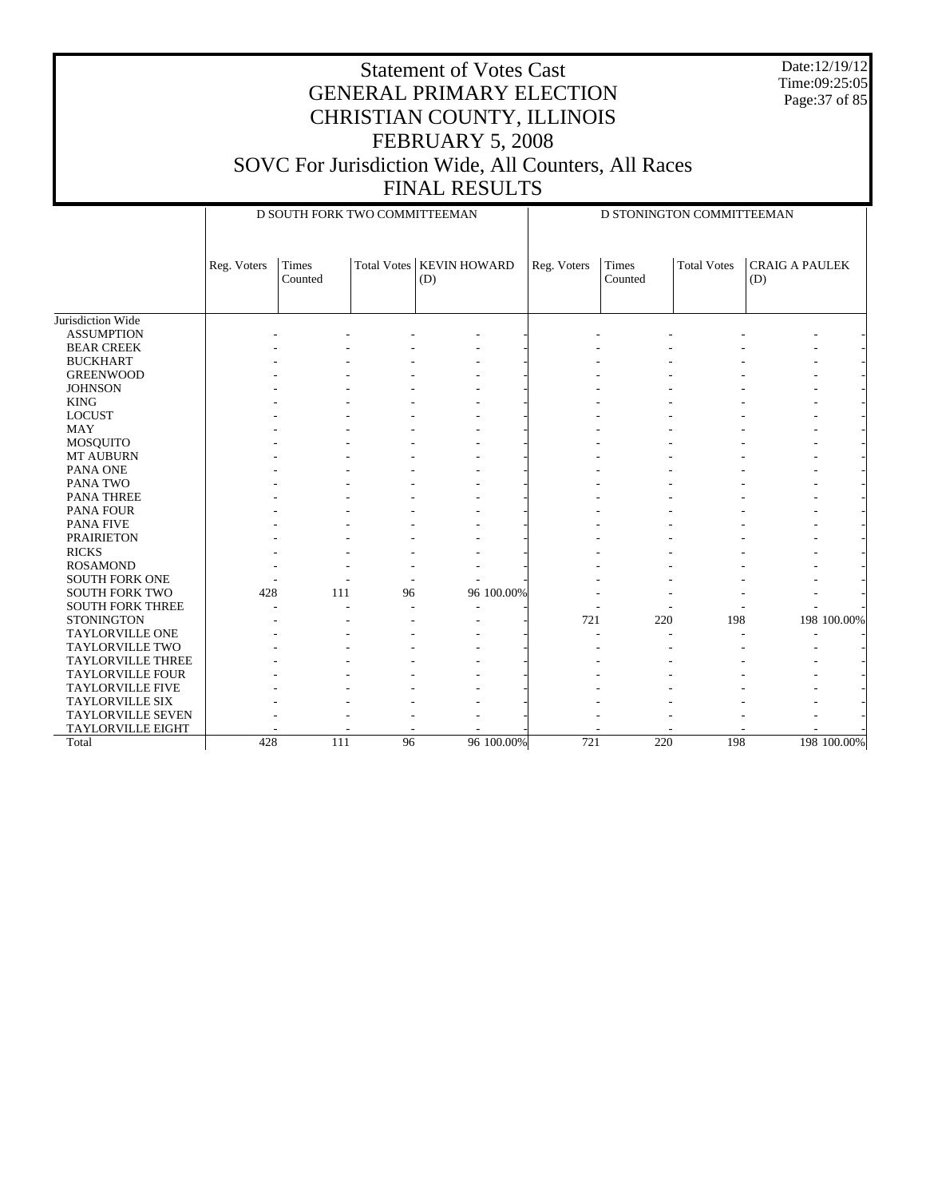Date:12/19/12 Time:09:25:05 Page:37 of 85

#### Statement of Votes Cast GENERAL PRIMARY ELECTION CHRISTIAN COUNTY, ILLINOIS FEBRUARY 5, 2008 SOVC For Jurisdiction Wide, All Counters, All Races FINAL RESULTS

Jurisdiction Wide ASSUMPTION BEAR CREEK BUCKHART GREENWOOD **JOHNSON**  KING LOCUST MAY MOSQUITO MT AUBURN PANA ONE PANA TWO PANA THREE PANA FOUR PANA FIVE PRAIRIETON RICKS ROSAMOND SOUTH FORK ONE SOUTH FORK TWO SOUTH FORK THREE **STONINGTON**  TAYLORVILLE ONE TAYLORVILLE TWO TAYLORVILLE THREE TAYLORVILLE FOUR TAYLORVILLE FIVE TAYLORVILLE SIX TAYLORVILLE SEVEN TAYLORVILLE EIGHT Total Reg. Voters Times Counted Total Votes | KEVIN HOWARD (D) D SOUTH FORK TWO COMMITTEEMAN Reg. Voters Times Counted Total Votes | CRAIG A PAULEK (D) D STONINGTON COMMITTEEMAN - - - - - - - - - - - - - - - - - - - - - - - - - - - - - - - - - - - - - - - - - - - - - - - - - - - - - - - - - - - - - - - - - - - - - - - - - - - - - - - - - - - - - - - - - - - - - - - - - - - - - - - - - - - - - - - - - - - - - - - - - - - - - - - - - - - - - - - - - - - - - - - - - - - - - - - - - - - - - - - - - - - - - - - - - - - - - - - - - - - - - - - - - - - - - - 428 111 96 96 100.00% - - - - - - - -- - - - - - - - - - - - - - - - - - - 721 220 198 198 100.00% - - - - - - - - - - - - - - - - - - - - - - - - - - - - - - - - - - - - - - - - - - - - - - - - - - - - - - - - - - - - - - - - - - - - - - - - - - - - - - - - 428 111 96 96 100.00% 721 220 198 198 100.00%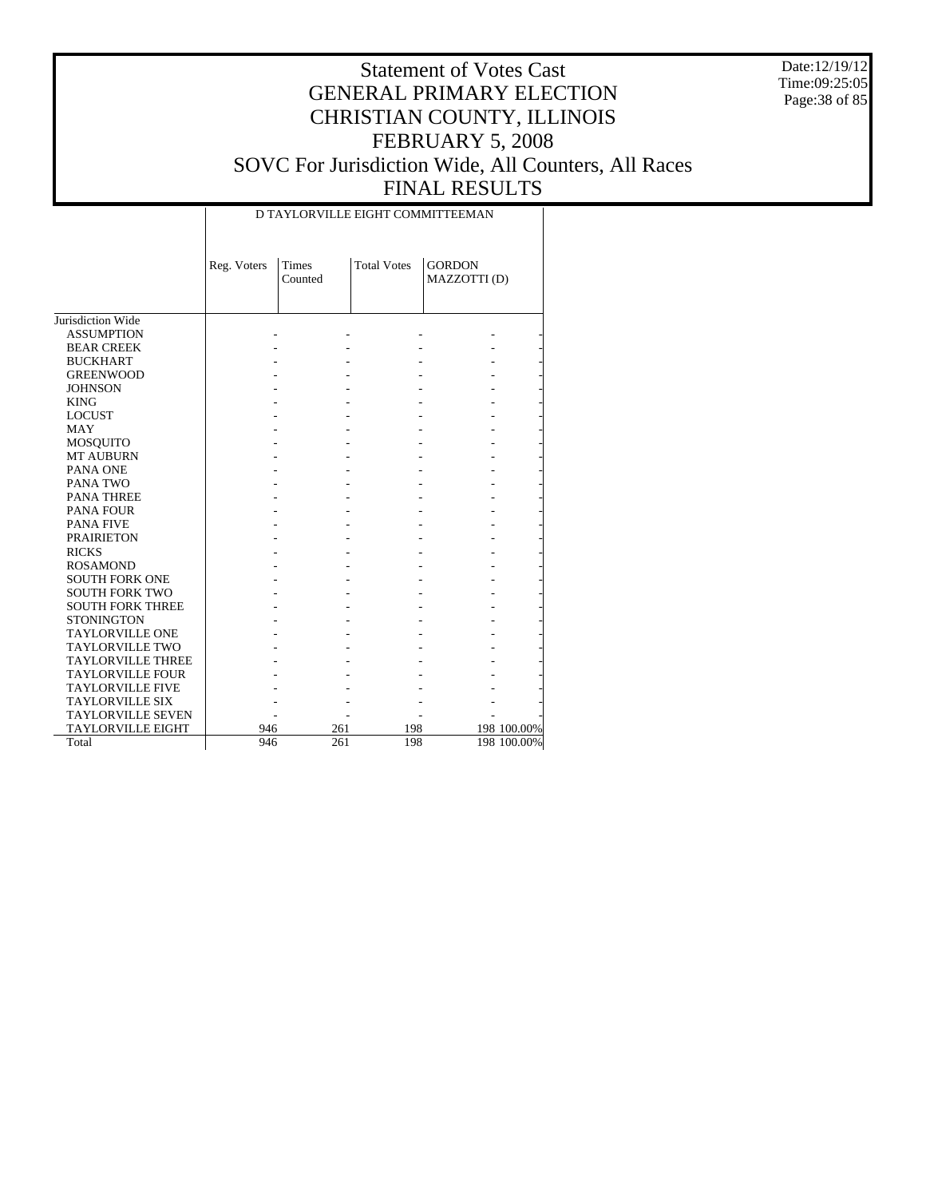Date:12/19/12 Time:09:25:05 Page:38 of 85

|                          |             | D TAYLORVILLE EIGHT COMMITTEEMAN |                    |                               |             |
|--------------------------|-------------|----------------------------------|--------------------|-------------------------------|-------------|
|                          | Reg. Voters | <b>Times</b><br>Counted          | <b>Total Votes</b> | <b>GORDON</b><br>MAZZOTTI (D) |             |
|                          |             |                                  |                    |                               |             |
| Jurisdiction Wide        |             |                                  |                    |                               |             |
| <b>ASSUMPTION</b>        |             |                                  |                    |                               |             |
| <b>BEAR CREEK</b>        |             |                                  |                    |                               |             |
| <b>BUCKHART</b>          |             |                                  |                    |                               |             |
| <b>GREENWOOD</b>         |             |                                  |                    |                               |             |
| <b>JOHNSON</b>           |             |                                  |                    |                               |             |
| <b>KING</b>              |             |                                  |                    |                               |             |
| <b>LOCUST</b>            |             |                                  |                    |                               |             |
| <b>MAY</b>               |             |                                  |                    |                               |             |
| <b>MOSQUITO</b>          |             |                                  |                    |                               |             |
| <b>MT AUBURN</b>         |             |                                  |                    |                               |             |
| PANA ONE                 |             |                                  |                    |                               |             |
| PANA TWO                 |             |                                  |                    |                               |             |
| <b>PANA THREE</b>        |             |                                  |                    |                               |             |
| <b>PANA FOUR</b>         |             |                                  |                    |                               |             |
| <b>PANA FIVE</b>         |             |                                  |                    |                               |             |
| <b>PRAIRIETON</b>        |             |                                  |                    |                               |             |
| <b>RICKS</b>             |             |                                  |                    |                               |             |
| <b>ROSAMOND</b>          |             |                                  |                    |                               |             |
| <b>SOUTH FORK ONE</b>    |             |                                  |                    |                               |             |
| <b>SOUTH FORK TWO</b>    |             |                                  |                    |                               |             |
| <b>SOUTH FORK THREE</b>  |             |                                  |                    |                               |             |
| <b>STONINGTON</b>        |             |                                  |                    |                               |             |
| <b>TAYLORVILLE ONE</b>   |             |                                  |                    |                               |             |
| <b>TAYLORVILLE TWO</b>   |             |                                  |                    |                               |             |
| <b>TAYLORVILLE THREE</b> |             |                                  |                    |                               |             |
| <b>TAYLORVILLE FOUR</b>  |             |                                  |                    |                               |             |
| <b>TAYLORVILLE FIVE</b>  |             |                                  |                    |                               |             |
| <b>TAYLORVILLE SIX</b>   |             |                                  |                    |                               |             |
| <b>TAYLORVILLE SEVEN</b> |             |                                  |                    |                               |             |
|                          |             |                                  |                    |                               |             |
| <b>TAYLORVILLE EIGHT</b> | 946         | 261                              | 198                |                               | 198 100.00% |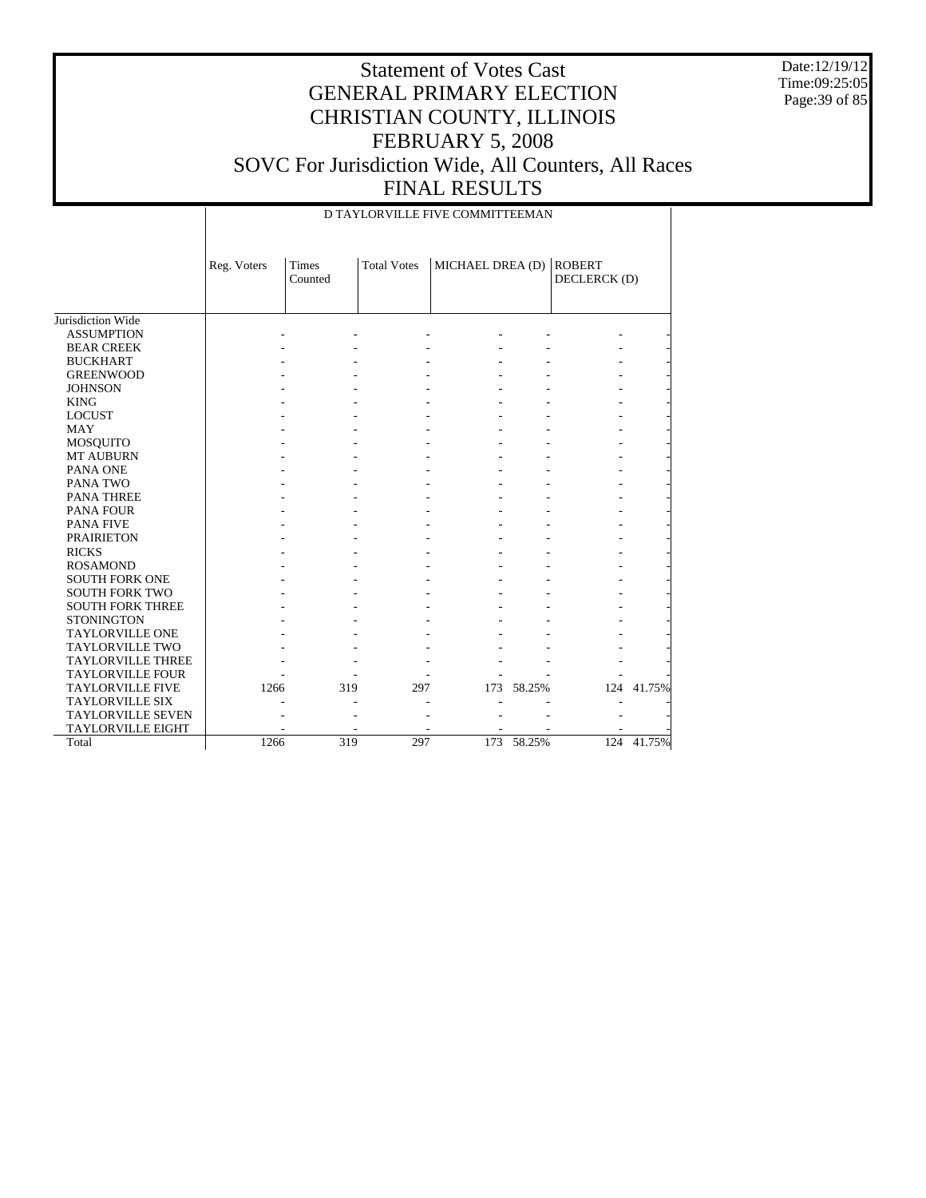Date:12/19/12 Time:09:25:05 Page:39 of 85

|                          |             |                         |                    | D TAYLORVILLE FIVE COMMITTEEMAN |            |                               |            |
|--------------------------|-------------|-------------------------|--------------------|---------------------------------|------------|-------------------------------|------------|
|                          | Reg. Voters | <b>Times</b><br>Counted | <b>Total Votes</b> | MICHAEL DREA (D)                |            | <b>ROBERT</b><br>DECLERCK (D) |            |
| Jurisdiction Wide        |             |                         |                    |                                 |            |                               |            |
| <b>ASSUMPTION</b>        |             |                         |                    |                                 |            |                               |            |
| <b>BEAR CREEK</b>        |             |                         |                    |                                 |            |                               |            |
| <b>BUCKHART</b>          |             |                         |                    |                                 |            |                               |            |
| <b>GREENWOOD</b>         |             |                         |                    |                                 |            |                               |            |
| <b>JOHNSON</b>           |             |                         |                    |                                 |            |                               |            |
| <b>KING</b>              |             |                         |                    |                                 |            |                               |            |
| <b>LOCUST</b>            |             |                         |                    |                                 |            |                               |            |
| <b>MAY</b>               |             |                         |                    |                                 |            |                               |            |
| MOSQUITO                 |             |                         |                    |                                 |            |                               |            |
| <b>MT AUBURN</b>         |             |                         |                    |                                 |            |                               |            |
| PANA ONE                 |             |                         |                    |                                 |            |                               |            |
| PANA TWO                 |             |                         |                    |                                 |            |                               |            |
| <b>PANA THREE</b>        |             |                         |                    |                                 |            |                               |            |
| PANA FOUR                |             |                         |                    |                                 |            |                               |            |
| <b>PANA FIVE</b>         |             |                         |                    |                                 |            |                               |            |
| <b>PRAIRIETON</b>        |             |                         |                    |                                 |            |                               |            |
| <b>RICKS</b>             |             |                         |                    |                                 |            |                               |            |
| <b>ROSAMOND</b>          |             |                         |                    |                                 |            |                               |            |
| <b>SOUTH FORK ONE</b>    |             |                         |                    |                                 |            |                               |            |
| <b>SOUTH FORK TWO</b>    |             |                         |                    |                                 |            |                               |            |
| <b>SOUTH FORK THREE</b>  |             |                         |                    |                                 |            |                               |            |
| <b>STONINGTON</b>        |             |                         |                    |                                 |            |                               |            |
| <b>TAYLORVILLE ONE</b>   |             |                         |                    |                                 |            |                               |            |
| TAYLORVILLE TWO          |             |                         |                    |                                 |            |                               |            |
| <b>TAYLORVILLE THREE</b> |             |                         |                    |                                 |            |                               |            |
| <b>TAYLORVILLE FOUR</b>  |             |                         |                    |                                 |            |                               |            |
| <b>TAYLORVILLE FIVE</b>  | 1266        |                         | 319<br>297         |                                 | 173 58.25% |                               | 124 41.75% |
| <b>TAYLORVILLE SIX</b>   |             |                         |                    |                                 |            |                               |            |
| <b>TAYLORVILLE SEVEN</b> |             |                         |                    |                                 |            |                               |            |
| <b>TAYLORVILLE EIGHT</b> |             |                         |                    |                                 |            |                               |            |
| Total                    | 1266        |                         | 319<br>297         |                                 | 173 58.25% |                               | 124 41.75% |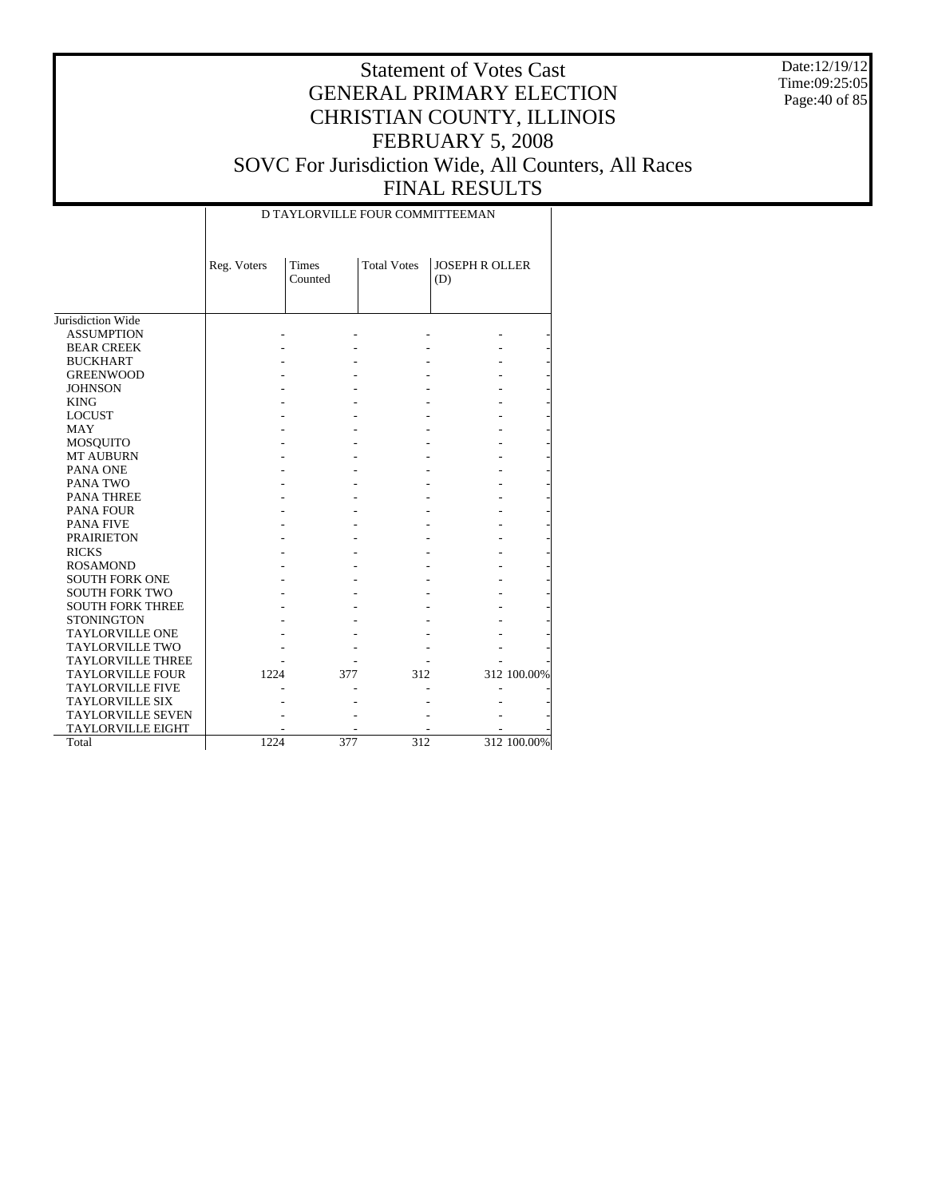Date:12/19/12 Time:09:25:05 Page:40 of 85

|                          |             | D TAYLORVILLE FOUR COMMITTEEMAN |                    |                              |             |
|--------------------------|-------------|---------------------------------|--------------------|------------------------------|-------------|
|                          | Reg. Voters | Times<br>Counted                | <b>Total Votes</b> | <b>JOSEPH R OLLER</b><br>(D) |             |
| Jurisdiction Wide        |             |                                 |                    |                              |             |
| <b>ASSUMPTION</b>        |             |                                 |                    |                              |             |
| <b>BEAR CREEK</b>        |             |                                 |                    |                              |             |
| <b>BUCKHART</b>          |             |                                 |                    |                              |             |
| <b>GREENWOOD</b>         |             |                                 |                    |                              |             |
| <b>JOHNSON</b>           |             |                                 |                    |                              |             |
| <b>KING</b>              |             |                                 |                    |                              |             |
| <b>LOCUST</b>            |             |                                 |                    |                              |             |
| <b>MAY</b>               |             |                                 |                    |                              |             |
| <b>MOSQUITO</b>          |             |                                 |                    |                              |             |
| <b>MT AUBURN</b>         |             |                                 |                    |                              |             |
| PANA ONE                 |             |                                 |                    |                              |             |
| PANA TWO                 |             |                                 |                    |                              |             |
| <b>PANA THREE</b>        |             |                                 |                    |                              |             |
| <b>PANA FOUR</b>         |             |                                 |                    |                              |             |
| <b>PANA FIVE</b>         |             |                                 |                    |                              |             |
| <b>PRAIRIETON</b>        |             |                                 |                    |                              |             |
| <b>RICKS</b>             |             |                                 |                    |                              |             |
| <b>ROSAMOND</b>          |             |                                 |                    |                              |             |
| <b>SOUTH FORK ONE</b>    |             |                                 |                    |                              |             |
| <b>SOUTH FORK TWO</b>    |             |                                 |                    |                              |             |
| <b>SOUTH FORK THREE</b>  |             |                                 |                    |                              |             |
| <b>STONINGTON</b>        |             |                                 |                    |                              |             |
| <b>TAYLORVILLE ONE</b>   |             |                                 |                    |                              |             |
| <b>TAYLORVILLE TWO</b>   |             |                                 |                    |                              |             |
| <b>TAYLORVILLE THREE</b> |             |                                 |                    |                              |             |
| <b>TAYLORVILLE FOUR</b>  | 1224        | 377                             | 312                |                              | 312 100.00% |
| <b>TAYLORVILLE FIVE</b>  |             |                                 |                    |                              |             |
| <b>TAYLORVILLE SIX</b>   |             |                                 |                    |                              |             |
| <b>TAYLORVILLE SEVEN</b> |             |                                 |                    |                              |             |
| <b>TAYLORVILLE EIGHT</b> |             |                                 |                    |                              |             |
| Total                    | 1224        | 377                             | 312                |                              | 312 100.00% |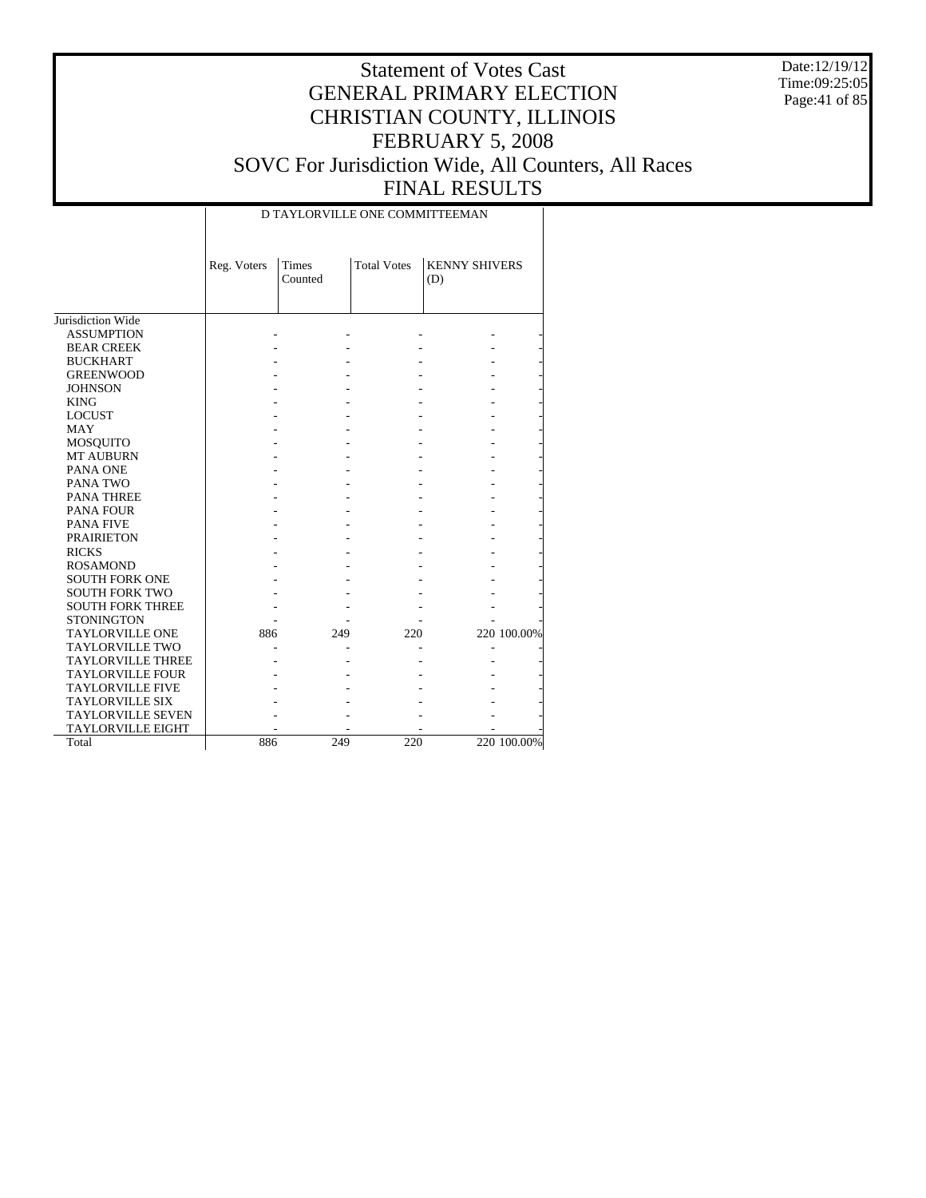Date:12/19/12 Time:09:25:05 Page:41 of 85

|                          |             |                  | D TAYLORVILLE ONE COMMITTEEMAN |                             |             |
|--------------------------|-------------|------------------|--------------------------------|-----------------------------|-------------|
|                          | Reg. Voters | Times<br>Counted | <b>Total Votes</b>             | <b>KENNY SHIVERS</b><br>(D) |             |
| Jurisdiction Wide        |             |                  |                                |                             |             |
| <b>ASSUMPTION</b>        |             |                  |                                |                             |             |
| <b>BEAR CREEK</b>        |             |                  |                                |                             |             |
| <b>BUCKHART</b>          |             |                  |                                |                             |             |
| <b>GREENWOOD</b>         |             |                  |                                |                             |             |
| <b>JOHNSON</b>           |             |                  |                                |                             |             |
| <b>KING</b>              |             |                  |                                |                             |             |
|                          |             |                  |                                |                             |             |
| <b>LOCUST</b>            |             |                  |                                |                             |             |
| <b>MAY</b>               |             |                  |                                |                             |             |
| MOSQUITO                 |             |                  |                                |                             |             |
| <b>MT AUBURN</b>         |             |                  |                                |                             |             |
| PANA ONE                 |             |                  |                                |                             |             |
| PANA TWO                 |             |                  |                                |                             |             |
| PANA THREE               |             |                  |                                |                             |             |
| <b>PANA FOUR</b>         |             |                  |                                |                             |             |
| <b>PANA FIVE</b>         |             |                  |                                |                             |             |
| <b>PRAIRIETON</b>        |             |                  |                                |                             |             |
| <b>RICKS</b>             |             |                  |                                |                             |             |
| <b>ROSAMOND</b>          |             |                  |                                |                             |             |
| <b>SOUTH FORK ONE</b>    |             |                  |                                |                             |             |
| <b>SOUTH FORK TWO</b>    |             |                  |                                |                             |             |
| <b>SOUTH FORK THREE</b>  |             |                  |                                |                             |             |
| <b>STONINGTON</b>        |             |                  |                                |                             |             |
| <b>TAYLORVILLE ONE</b>   | 886         | 249              | 220                            |                             | 220 100.00% |
| <b>TAYLORVILLE TWO</b>   |             |                  |                                |                             |             |
| <b>TAYLORVILLE THREE</b> |             |                  |                                |                             |             |
| <b>TAYLORVILLE FOUR</b>  |             |                  |                                |                             |             |
| <b>TAYLORVILLE FIVE</b>  |             |                  |                                |                             |             |
| <b>TAYLORVILLE SIX</b>   |             |                  |                                |                             |             |
| <b>TAYLORVILLE SEVEN</b> |             |                  |                                |                             |             |
| <b>TAYLORVILLE EIGHT</b> |             |                  |                                |                             |             |
| Total                    | 886         | 249              | 220                            |                             | 220 100.00% |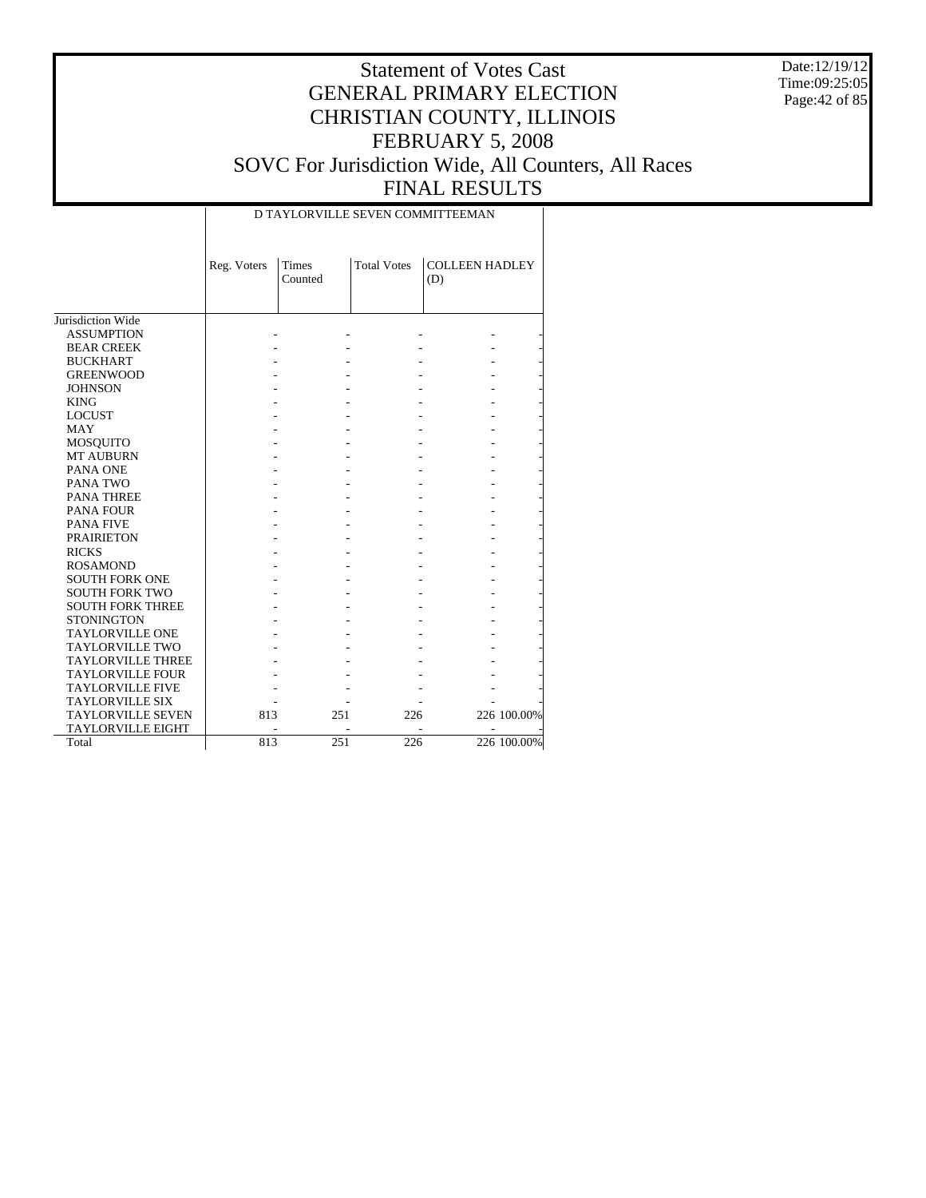Date:12/19/12 Time:09:25:05 Page:42 of 85

| <b>Total Votes</b><br><b>COLLEEN HADLEY</b><br>Reg. Voters<br>Times<br>Counted<br>(D)<br>Jurisdiction Wide<br><b>ASSUMPTION</b><br><b>BEAR CREEK</b><br><b>BUCKHART</b><br><b>GREENWOOD</b><br><b>JOHNSON</b><br><b>KING</b><br><b>LOCUST</b><br><b>MAY</b><br><b>MOSQUITO</b><br><b>MT AUBURN</b><br>PANA ONE<br>PANA TWO<br><b>PANA THREE</b><br><b>PANA FOUR</b><br><b>PANA FIVE</b><br><b>PRAIRIETON</b><br><b>RICKS</b><br><b>ROSAMOND</b><br><b>SOUTH FORK ONE</b><br><b>SOUTH FORK TWO</b><br><b>SOUTH FORK THREE</b><br><b>STONINGTON</b><br><b>TAYLORVILLE ONE</b><br><b>TAYLORVILLE TWO</b><br><b>TAYLORVILLE THREE</b><br><b>TAYLORVILLE FOUR</b><br><b>TAYLORVILLE FIVE</b><br><b>TAYLORVILLE SIX</b><br>226 100.00%<br><b>TAYLORVILLE SEVEN</b><br>813<br>251<br>226<br><b>TAYLORVILLE EIGHT</b> |       |     |     |                  | D TAYLORVILLE SEVEN COMMITTEEMAN |             |
|---------------------------------------------------------------------------------------------------------------------------------------------------------------------------------------------------------------------------------------------------------------------------------------------------------------------------------------------------------------------------------------------------------------------------------------------------------------------------------------------------------------------------------------------------------------------------------------------------------------------------------------------------------------------------------------------------------------------------------------------------------------------------------------------------------------|-------|-----|-----|------------------|----------------------------------|-------------|
|                                                                                                                                                                                                                                                                                                                                                                                                                                                                                                                                                                                                                                                                                                                                                                                                               |       |     |     |                  |                                  |             |
|                                                                                                                                                                                                                                                                                                                                                                                                                                                                                                                                                                                                                                                                                                                                                                                                               |       |     |     |                  |                                  |             |
|                                                                                                                                                                                                                                                                                                                                                                                                                                                                                                                                                                                                                                                                                                                                                                                                               |       |     |     |                  |                                  |             |
|                                                                                                                                                                                                                                                                                                                                                                                                                                                                                                                                                                                                                                                                                                                                                                                                               |       |     |     |                  |                                  |             |
|                                                                                                                                                                                                                                                                                                                                                                                                                                                                                                                                                                                                                                                                                                                                                                                                               |       |     |     |                  |                                  |             |
|                                                                                                                                                                                                                                                                                                                                                                                                                                                                                                                                                                                                                                                                                                                                                                                                               |       |     |     |                  |                                  |             |
|                                                                                                                                                                                                                                                                                                                                                                                                                                                                                                                                                                                                                                                                                                                                                                                                               |       |     |     |                  |                                  |             |
|                                                                                                                                                                                                                                                                                                                                                                                                                                                                                                                                                                                                                                                                                                                                                                                                               |       |     |     |                  |                                  |             |
|                                                                                                                                                                                                                                                                                                                                                                                                                                                                                                                                                                                                                                                                                                                                                                                                               |       |     |     |                  |                                  |             |
|                                                                                                                                                                                                                                                                                                                                                                                                                                                                                                                                                                                                                                                                                                                                                                                                               |       |     |     |                  |                                  |             |
|                                                                                                                                                                                                                                                                                                                                                                                                                                                                                                                                                                                                                                                                                                                                                                                                               |       |     |     |                  |                                  |             |
|                                                                                                                                                                                                                                                                                                                                                                                                                                                                                                                                                                                                                                                                                                                                                                                                               |       |     |     |                  |                                  |             |
|                                                                                                                                                                                                                                                                                                                                                                                                                                                                                                                                                                                                                                                                                                                                                                                                               |       |     |     |                  |                                  |             |
|                                                                                                                                                                                                                                                                                                                                                                                                                                                                                                                                                                                                                                                                                                                                                                                                               |       |     |     |                  |                                  |             |
|                                                                                                                                                                                                                                                                                                                                                                                                                                                                                                                                                                                                                                                                                                                                                                                                               |       |     |     |                  |                                  |             |
|                                                                                                                                                                                                                                                                                                                                                                                                                                                                                                                                                                                                                                                                                                                                                                                                               |       |     |     |                  |                                  |             |
|                                                                                                                                                                                                                                                                                                                                                                                                                                                                                                                                                                                                                                                                                                                                                                                                               |       |     |     |                  |                                  |             |
|                                                                                                                                                                                                                                                                                                                                                                                                                                                                                                                                                                                                                                                                                                                                                                                                               |       |     |     |                  |                                  |             |
|                                                                                                                                                                                                                                                                                                                                                                                                                                                                                                                                                                                                                                                                                                                                                                                                               |       |     |     |                  |                                  |             |
|                                                                                                                                                                                                                                                                                                                                                                                                                                                                                                                                                                                                                                                                                                                                                                                                               |       |     |     |                  |                                  |             |
|                                                                                                                                                                                                                                                                                                                                                                                                                                                                                                                                                                                                                                                                                                                                                                                                               |       |     |     |                  |                                  |             |
|                                                                                                                                                                                                                                                                                                                                                                                                                                                                                                                                                                                                                                                                                                                                                                                                               |       |     |     |                  |                                  |             |
|                                                                                                                                                                                                                                                                                                                                                                                                                                                                                                                                                                                                                                                                                                                                                                                                               |       |     |     |                  |                                  |             |
|                                                                                                                                                                                                                                                                                                                                                                                                                                                                                                                                                                                                                                                                                                                                                                                                               |       |     |     |                  |                                  |             |
|                                                                                                                                                                                                                                                                                                                                                                                                                                                                                                                                                                                                                                                                                                                                                                                                               |       |     |     |                  |                                  |             |
|                                                                                                                                                                                                                                                                                                                                                                                                                                                                                                                                                                                                                                                                                                                                                                                                               |       |     |     |                  |                                  |             |
|                                                                                                                                                                                                                                                                                                                                                                                                                                                                                                                                                                                                                                                                                                                                                                                                               |       |     |     |                  |                                  |             |
|                                                                                                                                                                                                                                                                                                                                                                                                                                                                                                                                                                                                                                                                                                                                                                                                               |       |     |     |                  |                                  |             |
|                                                                                                                                                                                                                                                                                                                                                                                                                                                                                                                                                                                                                                                                                                                                                                                                               |       |     |     |                  |                                  |             |
|                                                                                                                                                                                                                                                                                                                                                                                                                                                                                                                                                                                                                                                                                                                                                                                                               |       |     |     |                  |                                  |             |
|                                                                                                                                                                                                                                                                                                                                                                                                                                                                                                                                                                                                                                                                                                                                                                                                               |       |     |     |                  |                                  |             |
|                                                                                                                                                                                                                                                                                                                                                                                                                                                                                                                                                                                                                                                                                                                                                                                                               |       |     |     |                  |                                  |             |
|                                                                                                                                                                                                                                                                                                                                                                                                                                                                                                                                                                                                                                                                                                                                                                                                               | Total | 813 | 251 | $\overline{226}$ |                                  | 226 100.00% |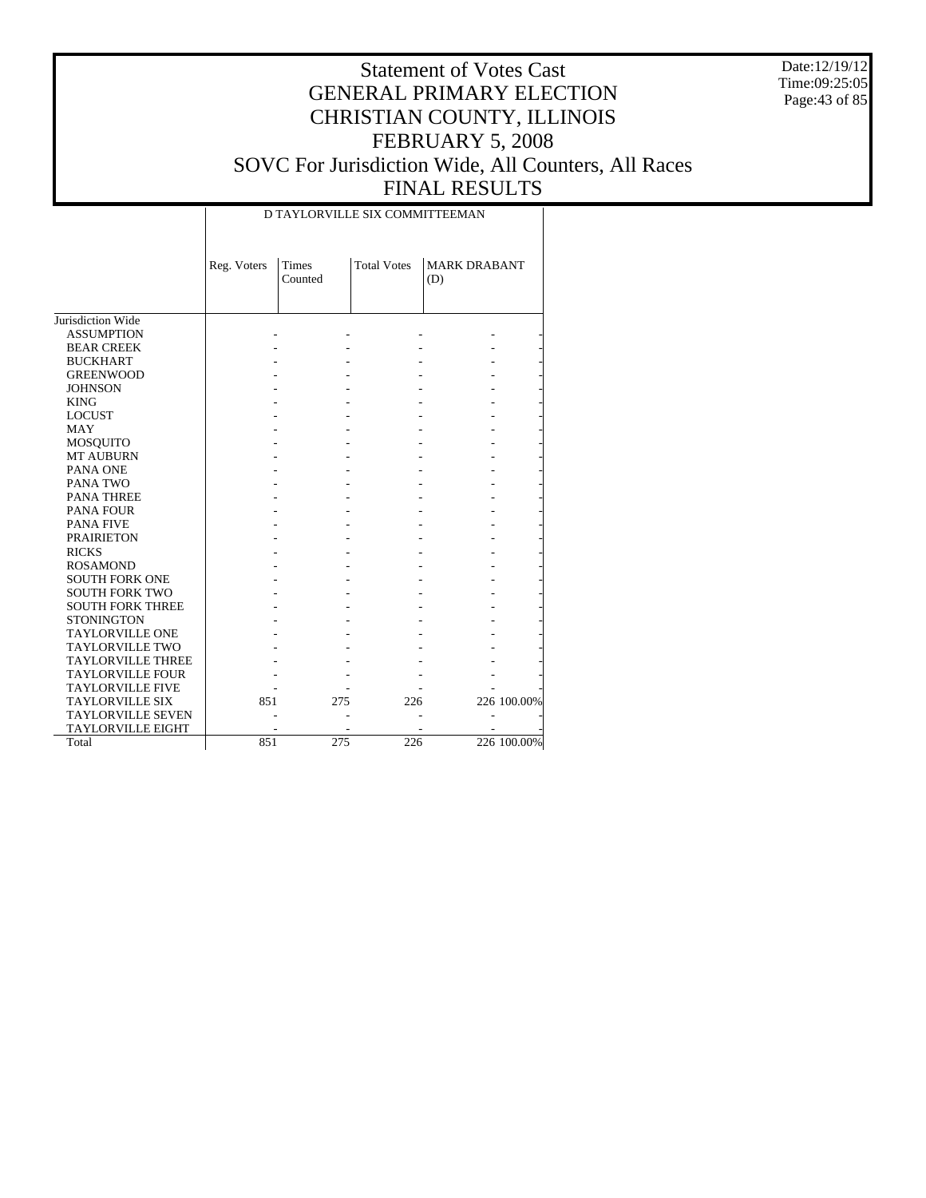Date:12/19/12 Time:09:25:05 Page:43 of 85

| <b>Total Votes</b><br><b>MARK DRABANT</b><br>Reg. Voters<br>Times<br>Counted<br>(D)<br>Jurisdiction Wide<br><b>ASSUMPTION</b><br><b>BEAR CREEK</b><br><b>BUCKHART</b><br><b>GREENWOOD</b><br><b>JOHNSON</b><br><b>KING</b><br><b>LOCUST</b><br><b>MAY</b><br><b>MOSQUITO</b><br><b>MT AUBURN</b><br>PANA ONE<br>PANA TWO<br><b>PANA THREE</b><br><b>PANA FOUR</b><br><b>PANA FIVE</b><br><b>PRAIRIETON</b><br><b>RICKS</b><br><b>ROSAMOND</b><br><b>SOUTH FORK ONE</b><br><b>SOUTH FORK TWO</b><br><b>SOUTH FORK THREE</b><br><b>STONINGTON</b><br><b>TAYLORVILLE ONE</b><br><b>TAYLORVILLE TWO</b><br><b>TAYLORVILLE THREE</b><br><b>TAYLORVILLE FOUR</b><br><b>TAYLORVILLE FIVE</b><br>226 100.00%<br><b>TAYLORVILLE SIX</b><br>851<br>226<br>275<br><b>TAYLORVILLE SEVEN</b><br><b>TAYLORVILLE EIGHT</b><br>226 100.00%<br>226<br>275 |       |     | D TAYLORVILLE SIX COMMITTEEMAN |  |
|------------------------------------------------------------------------------------------------------------------------------------------------------------------------------------------------------------------------------------------------------------------------------------------------------------------------------------------------------------------------------------------------------------------------------------------------------------------------------------------------------------------------------------------------------------------------------------------------------------------------------------------------------------------------------------------------------------------------------------------------------------------------------------------------------------------------------------------|-------|-----|--------------------------------|--|
|                                                                                                                                                                                                                                                                                                                                                                                                                                                                                                                                                                                                                                                                                                                                                                                                                                          |       |     |                                |  |
|                                                                                                                                                                                                                                                                                                                                                                                                                                                                                                                                                                                                                                                                                                                                                                                                                                          |       |     |                                |  |
|                                                                                                                                                                                                                                                                                                                                                                                                                                                                                                                                                                                                                                                                                                                                                                                                                                          |       |     |                                |  |
|                                                                                                                                                                                                                                                                                                                                                                                                                                                                                                                                                                                                                                                                                                                                                                                                                                          |       |     |                                |  |
|                                                                                                                                                                                                                                                                                                                                                                                                                                                                                                                                                                                                                                                                                                                                                                                                                                          |       |     |                                |  |
|                                                                                                                                                                                                                                                                                                                                                                                                                                                                                                                                                                                                                                                                                                                                                                                                                                          |       |     |                                |  |
|                                                                                                                                                                                                                                                                                                                                                                                                                                                                                                                                                                                                                                                                                                                                                                                                                                          |       |     |                                |  |
|                                                                                                                                                                                                                                                                                                                                                                                                                                                                                                                                                                                                                                                                                                                                                                                                                                          |       |     |                                |  |
|                                                                                                                                                                                                                                                                                                                                                                                                                                                                                                                                                                                                                                                                                                                                                                                                                                          |       |     |                                |  |
|                                                                                                                                                                                                                                                                                                                                                                                                                                                                                                                                                                                                                                                                                                                                                                                                                                          |       |     |                                |  |
|                                                                                                                                                                                                                                                                                                                                                                                                                                                                                                                                                                                                                                                                                                                                                                                                                                          |       |     |                                |  |
|                                                                                                                                                                                                                                                                                                                                                                                                                                                                                                                                                                                                                                                                                                                                                                                                                                          |       |     |                                |  |
|                                                                                                                                                                                                                                                                                                                                                                                                                                                                                                                                                                                                                                                                                                                                                                                                                                          |       |     |                                |  |
|                                                                                                                                                                                                                                                                                                                                                                                                                                                                                                                                                                                                                                                                                                                                                                                                                                          |       |     |                                |  |
|                                                                                                                                                                                                                                                                                                                                                                                                                                                                                                                                                                                                                                                                                                                                                                                                                                          |       |     |                                |  |
|                                                                                                                                                                                                                                                                                                                                                                                                                                                                                                                                                                                                                                                                                                                                                                                                                                          |       |     |                                |  |
|                                                                                                                                                                                                                                                                                                                                                                                                                                                                                                                                                                                                                                                                                                                                                                                                                                          |       |     |                                |  |
|                                                                                                                                                                                                                                                                                                                                                                                                                                                                                                                                                                                                                                                                                                                                                                                                                                          |       |     |                                |  |
|                                                                                                                                                                                                                                                                                                                                                                                                                                                                                                                                                                                                                                                                                                                                                                                                                                          |       |     |                                |  |
|                                                                                                                                                                                                                                                                                                                                                                                                                                                                                                                                                                                                                                                                                                                                                                                                                                          |       |     |                                |  |
|                                                                                                                                                                                                                                                                                                                                                                                                                                                                                                                                                                                                                                                                                                                                                                                                                                          |       |     |                                |  |
|                                                                                                                                                                                                                                                                                                                                                                                                                                                                                                                                                                                                                                                                                                                                                                                                                                          |       |     |                                |  |
|                                                                                                                                                                                                                                                                                                                                                                                                                                                                                                                                                                                                                                                                                                                                                                                                                                          |       |     |                                |  |
|                                                                                                                                                                                                                                                                                                                                                                                                                                                                                                                                                                                                                                                                                                                                                                                                                                          |       |     |                                |  |
|                                                                                                                                                                                                                                                                                                                                                                                                                                                                                                                                                                                                                                                                                                                                                                                                                                          |       |     |                                |  |
|                                                                                                                                                                                                                                                                                                                                                                                                                                                                                                                                                                                                                                                                                                                                                                                                                                          |       |     |                                |  |
|                                                                                                                                                                                                                                                                                                                                                                                                                                                                                                                                                                                                                                                                                                                                                                                                                                          |       |     |                                |  |
|                                                                                                                                                                                                                                                                                                                                                                                                                                                                                                                                                                                                                                                                                                                                                                                                                                          |       |     |                                |  |
|                                                                                                                                                                                                                                                                                                                                                                                                                                                                                                                                                                                                                                                                                                                                                                                                                                          |       |     |                                |  |
|                                                                                                                                                                                                                                                                                                                                                                                                                                                                                                                                                                                                                                                                                                                                                                                                                                          |       |     |                                |  |
|                                                                                                                                                                                                                                                                                                                                                                                                                                                                                                                                                                                                                                                                                                                                                                                                                                          |       |     |                                |  |
|                                                                                                                                                                                                                                                                                                                                                                                                                                                                                                                                                                                                                                                                                                                                                                                                                                          |       |     |                                |  |
|                                                                                                                                                                                                                                                                                                                                                                                                                                                                                                                                                                                                                                                                                                                                                                                                                                          | Total | 851 |                                |  |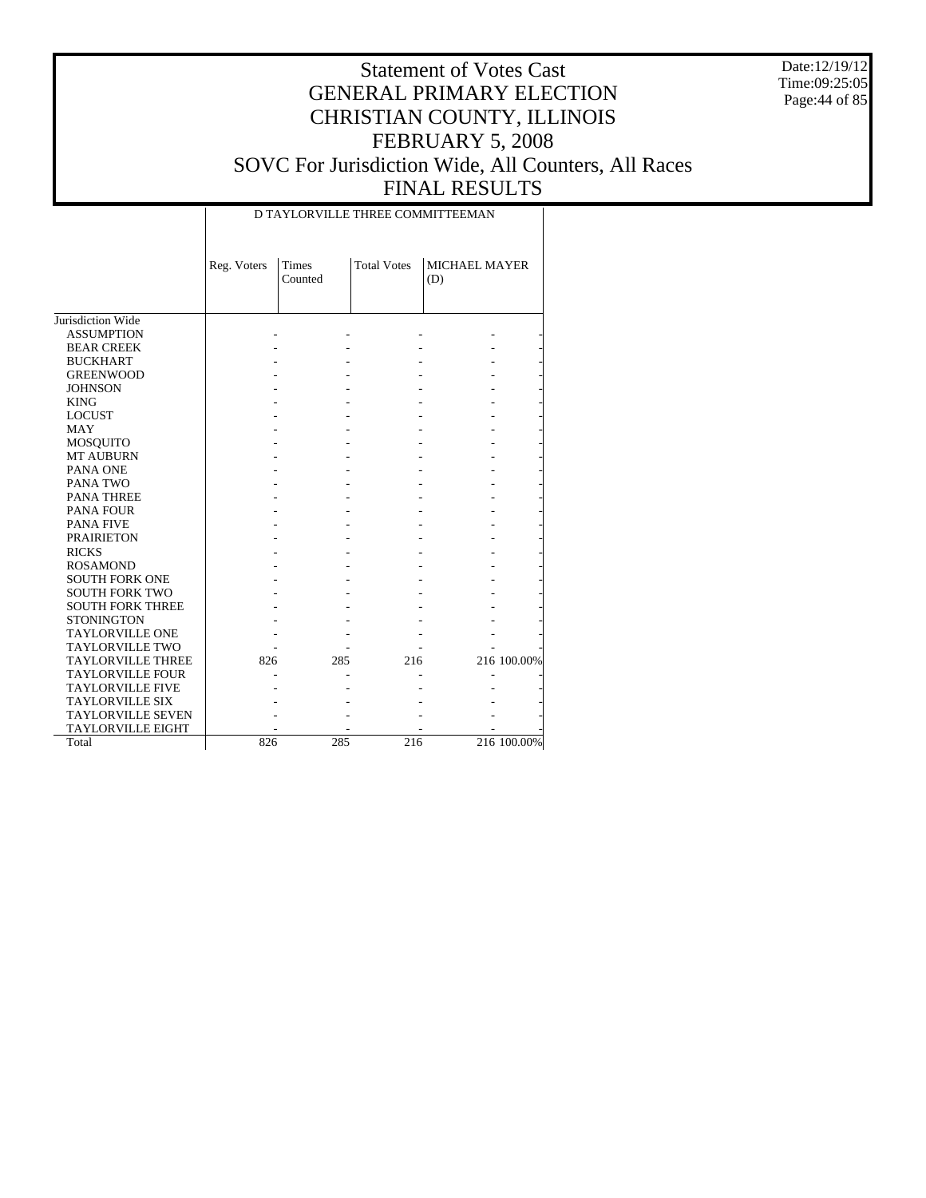Date:12/19/12 Time:09:25:05 Page:44 of 85

|                          |             |                  |                    | D TAYLORVILLE THREE COMMITTEEMAN |             |
|--------------------------|-------------|------------------|--------------------|----------------------------------|-------------|
|                          | Reg. Voters | Times<br>Counted | <b>Total Votes</b> | <b>MICHAEL MAYER</b><br>(D)      |             |
| Jurisdiction Wide        |             |                  |                    |                                  |             |
| <b>ASSUMPTION</b>        |             |                  |                    |                                  |             |
| <b>BEAR CREEK</b>        |             |                  |                    |                                  |             |
|                          |             |                  |                    |                                  |             |
| <b>BUCKHART</b>          |             |                  |                    |                                  |             |
| <b>GREENWOOD</b>         |             |                  |                    |                                  |             |
| <b>JOHNSON</b>           |             |                  |                    |                                  |             |
| <b>KING</b>              |             |                  |                    |                                  |             |
| <b>LOCUST</b>            |             |                  |                    |                                  |             |
| <b>MAY</b>               |             |                  |                    |                                  |             |
| MOSQUITO                 |             |                  |                    |                                  |             |
| <b>MT AUBURN</b>         |             |                  |                    |                                  |             |
| PANA ONE                 |             |                  |                    |                                  |             |
| PANA TWO                 |             |                  |                    |                                  |             |
| <b>PANA THREE</b>        |             |                  |                    |                                  |             |
| <b>PANA FOUR</b>         |             |                  |                    |                                  |             |
| <b>PANA FIVE</b>         |             |                  |                    |                                  |             |
| <b>PRAIRIETON</b>        |             |                  |                    |                                  |             |
| <b>RICKS</b>             |             |                  |                    |                                  |             |
| <b>ROSAMOND</b>          |             |                  |                    |                                  |             |
| <b>SOUTH FORK ONE</b>    |             |                  |                    |                                  |             |
| <b>SOUTH FORK TWO</b>    |             |                  |                    |                                  |             |
| <b>SOUTH FORK THREE</b>  |             |                  |                    |                                  |             |
| <b>STONINGTON</b>        |             |                  |                    |                                  |             |
| <b>TAYLORVILLE ONE</b>   |             |                  |                    |                                  |             |
| <b>TAYLORVILLE TWO</b>   |             |                  |                    |                                  |             |
| <b>TAYLORVILLE THREE</b> | 826         | 285              | 216                |                                  | 216 100.00% |
| <b>TAYLORVILLE FOUR</b>  |             |                  |                    |                                  |             |
| <b>TAYLORVILLE FIVE</b>  |             |                  |                    |                                  |             |
| <b>TAYLORVILLE SIX</b>   |             |                  |                    |                                  |             |
| <b>TAYLORVILLE SEVEN</b> |             |                  |                    |                                  |             |
| <b>TAYLORVILLE EIGHT</b> |             |                  |                    |                                  |             |
| Total                    | 826         | 285              | 216                |                                  | 216 100.00% |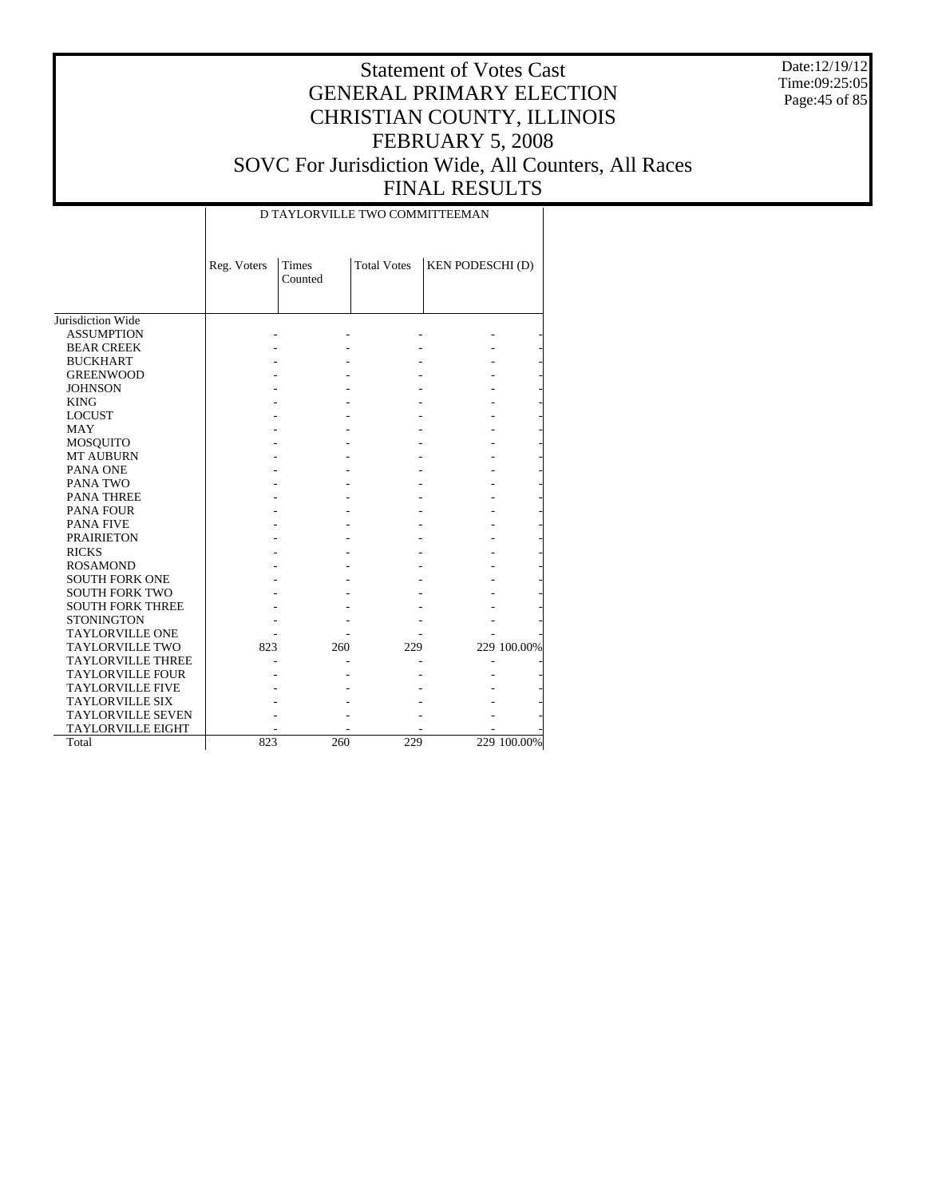Date:12/19/12 Time:09:25:05 Page:45 of 85

|                          |             | D TAYLORVILLE TWO COMMITTEEMAN |                    |                         |             |
|--------------------------|-------------|--------------------------------|--------------------|-------------------------|-------------|
|                          | Reg. Voters | Times<br>Counted               | <b>Total Votes</b> | <b>KEN PODESCHI (D)</b> |             |
| Jurisdiction Wide        |             |                                |                    |                         |             |
| <b>ASSUMPTION</b>        |             |                                |                    |                         |             |
| <b>BEAR CREEK</b>        |             |                                |                    |                         |             |
| <b>BUCKHART</b>          |             |                                |                    |                         |             |
| <b>GREENWOOD</b>         |             |                                |                    |                         |             |
| <b>JOHNSON</b>           |             |                                |                    |                         |             |
| <b>KING</b>              |             |                                |                    |                         |             |
| <b>LOCUST</b>            |             |                                |                    |                         |             |
| <b>MAY</b>               |             |                                |                    |                         |             |
| <b>MOSQUITO</b>          |             |                                |                    |                         |             |
| <b>MT AUBURN</b>         |             |                                |                    |                         |             |
| PANA ONE                 |             |                                |                    |                         |             |
| PANA TWO                 |             |                                |                    |                         |             |
| <b>PANA THREE</b>        |             |                                |                    |                         |             |
| <b>PANA FOUR</b>         |             |                                |                    |                         |             |
| <b>PANA FIVE</b>         |             |                                |                    |                         |             |
| <b>PRAIRIETON</b>        |             |                                |                    |                         |             |
| <b>RICKS</b>             |             |                                |                    |                         |             |
| <b>ROSAMOND</b>          |             |                                |                    |                         |             |
| <b>SOUTH FORK ONE</b>    |             |                                |                    |                         |             |
| <b>SOUTH FORK TWO</b>    |             |                                |                    |                         |             |
| <b>SOUTH FORK THREE</b>  |             |                                |                    |                         |             |
| <b>STONINGTON</b>        |             |                                |                    |                         |             |
| <b>TAYLORVILLE ONE</b>   |             |                                |                    |                         |             |
| <b>TAYLORVILLE TWO</b>   | 823         | 260                            | 229                |                         | 229 100.00% |
| <b>TAYLORVILLE THREE</b> |             |                                |                    |                         |             |
| <b>TAYLORVILLE FOUR</b>  |             |                                |                    |                         |             |
| <b>TAYLORVILLE FIVE</b>  |             |                                |                    |                         |             |
| <b>TAYLORVILLE SIX</b>   |             |                                |                    |                         |             |
| <b>TAYLORVILLE SEVEN</b> |             |                                |                    |                         |             |
| <b>TAYLORVILLE EIGHT</b> |             |                                |                    |                         |             |
| Total                    | 823         | 260                            | 229                |                         | 229 100.00% |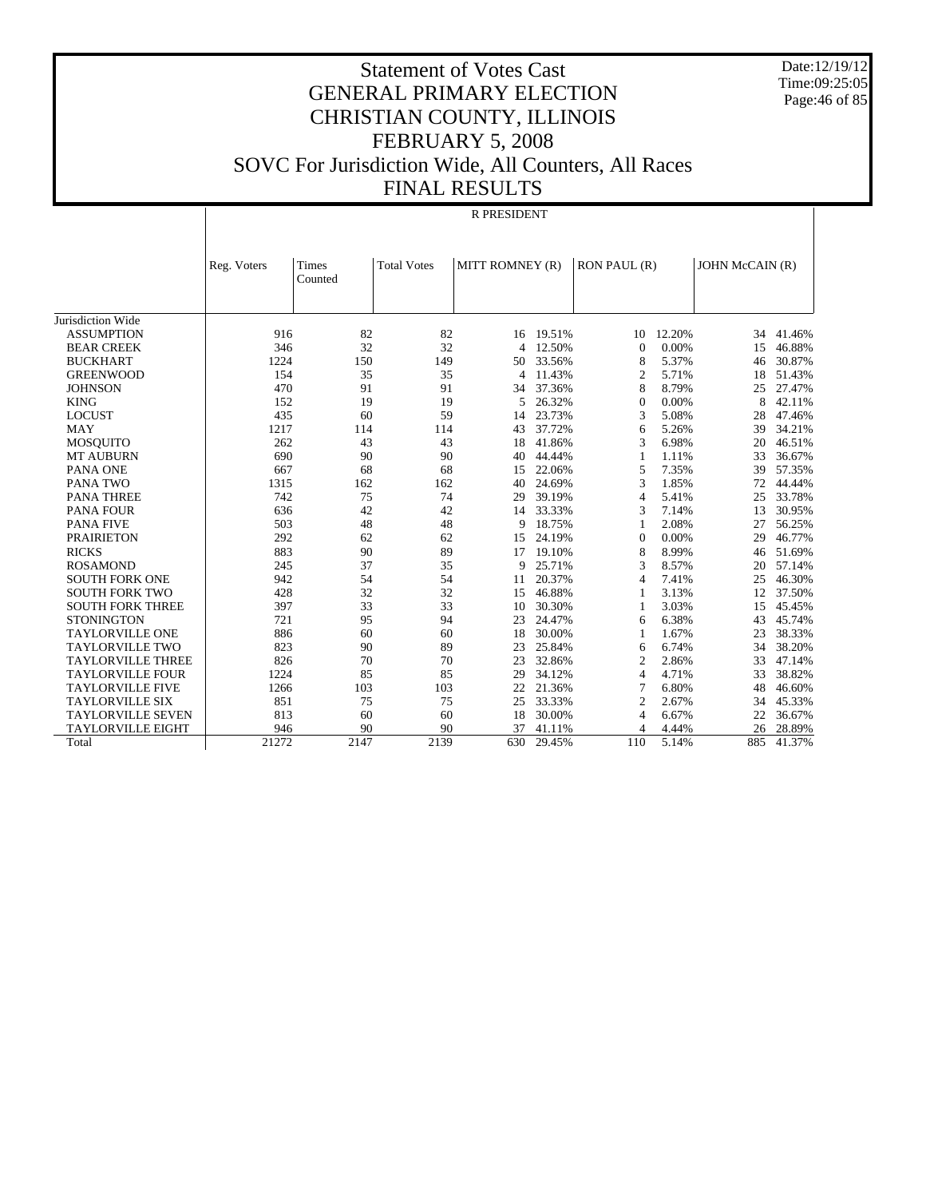Date:12/19/12 Time:09:25:05 Page:46 of 85

# Statement of Votes Cast GENERAL PRIMARY ELECTION CHRISTIAN COUNTY, ILLINOIS FEBRUARY 5, 2008 SOVC For Jurisdiction Wide, All Counters, All Races FINAL RESULTS

#### R PRESIDENT

|                          | Reg. Voters | <b>Times</b><br>Counted | <b>Total Votes</b> | MITT ROMNEY (R) |        | RON PAUL (R)             |        | JOHN McCAIN (R) |        |
|--------------------------|-------------|-------------------------|--------------------|-----------------|--------|--------------------------|--------|-----------------|--------|
|                          |             |                         |                    |                 |        |                          |        |                 |        |
| Jurisdiction Wide        |             |                         |                    |                 |        |                          |        |                 |        |
| <b>ASSUMPTION</b>        | 916         | 82                      | 82                 | 16              | 19.51% | 10                       | 12.20% | 34              | 41.46% |
| <b>BEAR CREEK</b>        | 346         | 32                      | 32                 | 4               | 12.50% | $\Omega$                 | 0.00%  | 15              | 46.88% |
| <b>BUCKHART</b>          | 1224        | 150                     | 149                | 50              | 33.56% | 8                        | 5.37%  | 46              | 30.87% |
| <b>GREENWOOD</b>         | 154         | 35                      | 35                 | 4               | 11.43% | $\overline{2}$           | 5.71%  | 18              | 51.43% |
| <b>JOHNSON</b>           | 470         | 91                      | 91                 | 34              | 37.36% | 8                        | 8.79%  | 25              | 27.47% |
| <b>KING</b>              | 152         | 19                      | 19                 | 5               | 26.32% | $\Omega$                 | 0.00%  | 8               | 42.11% |
| <b>LOCUST</b>            | 435         | 60                      | 59                 | 14              | 23.73% | 3                        | 5.08%  | 28              | 47.46% |
| <b>MAY</b>               | 1217        | 114                     | 114                | 43              | 37.72% | 6                        | 5.26%  | 39              | 34.21% |
| <b>MOSQUITO</b>          | 262         | 43                      | 43                 | 18              | 41.86% | 3                        | 6.98%  | 20              | 46.51% |
| <b>MT AUBURN</b>         | 690         | 90                      | 90                 | 40              | 44.44% | $\mathbf{1}$             | 1.11%  | 33              | 36.67% |
| <b>PANA ONE</b>          | 667         | 68                      | 68                 | 15              | 22.06% | 5                        | 7.35%  | 39              | 57.35% |
| <b>PANA TWO</b>          | 1315        | 162                     | 162                | 40              | 24.69% | 3                        | 1.85%  | 72              | 44.44% |
| <b>PANA THREE</b>        | 742         | 75                      | 74                 | 29              | 39.19% | $\overline{4}$           | 5.41%  | 25              | 33.78% |
| <b>PANA FOUR</b>         | 636         | 42                      | 42                 | 14              | 33.33% | 3                        | 7.14%  | 13              | 30.95% |
| <b>PANA FIVE</b>         | 503         | 48                      | 48                 | 9               | 18.75% | 1                        | 2.08%  | 27              | 56.25% |
| <b>PRAIRIETON</b>        | 292         | 62                      | 62                 | 15              | 24.19% | $\Omega$                 | 0.00%  | 29              | 46.77% |
| <b>RICKS</b>             | 883         | 90                      | 89                 | 17              | 19.10% | 8                        | 8.99%  | 46              | 51.69% |
| <b>ROSAMOND</b>          | 245         | 37                      | 35                 | 9               | 25.71% | 3                        | 8.57%  | 20              | 57.14% |
| <b>SOUTH FORK ONE</b>    | 942         | 54                      | 54                 | 11              | 20.37% | $\overline{\mathcal{A}}$ | 7.41%  | 25              | 46.30% |
| <b>SOUTH FORK TWO</b>    | 428         | 32                      | 32                 | 15              | 46.88% |                          | 3.13%  | 12              | 37.50% |
| <b>SOUTH FORK THREE</b>  | 397         | 33                      | 33                 | 10              | 30.30% | $\mathbf{1}$             | 3.03%  | 15              | 45.45% |
| <b>STONINGTON</b>        | 721         | 95                      | 94                 | 23              | 24.47% | 6                        | 6.38%  | 43              | 45.74% |
| <b>TAYLORVILLE ONE</b>   | 886         | 60                      | 60                 | 18              | 30.00% | $\mathbf{1}$             | 1.67%  | 23              | 38.33% |
| <b>TAYLORVILLE TWO</b>   | 823         | 90                      | 89                 | 23              | 25.84% | 6                        | 6.74%  | 34              | 38.20% |
| <b>TAYLORVILLE THREE</b> | 826         | 70                      | 70                 | 23              | 32.86% | $\overline{2}$           | 2.86%  | 33              | 47.14% |
| <b>TAYLORVILLE FOUR</b>  | 1224        | 85                      | 85                 | 29              | 34.12% | $\overline{4}$           | 4.71%  | 33              | 38.82% |
| <b>TAYLORVILLE FIVE</b>  | 1266        | 103                     | 103                | 22              | 21.36% | $\overline{7}$           | 6.80%  | 48              | 46.60% |
| <b>TAYLORVILLE SIX</b>   | 851         | 75                      | 75                 | 25              | 33.33% | $\overline{2}$           | 2.67%  | 34              | 45.33% |
| <b>TAYLORVILLE SEVEN</b> | 813         | 60                      | 60                 | 18              | 30.00% | 4                        | 6.67%  | 22              | 36.67% |
| TAYLORVILLE EIGHT        | 946         | 90                      | 90                 | 37              | 41.11% | 4                        | 4.44%  | 26              | 28.89% |
| Total                    | 21272       | 2147                    | 2139               | 630             | 29.45% | 110                      | 5.14%  | 885             | 41.37% |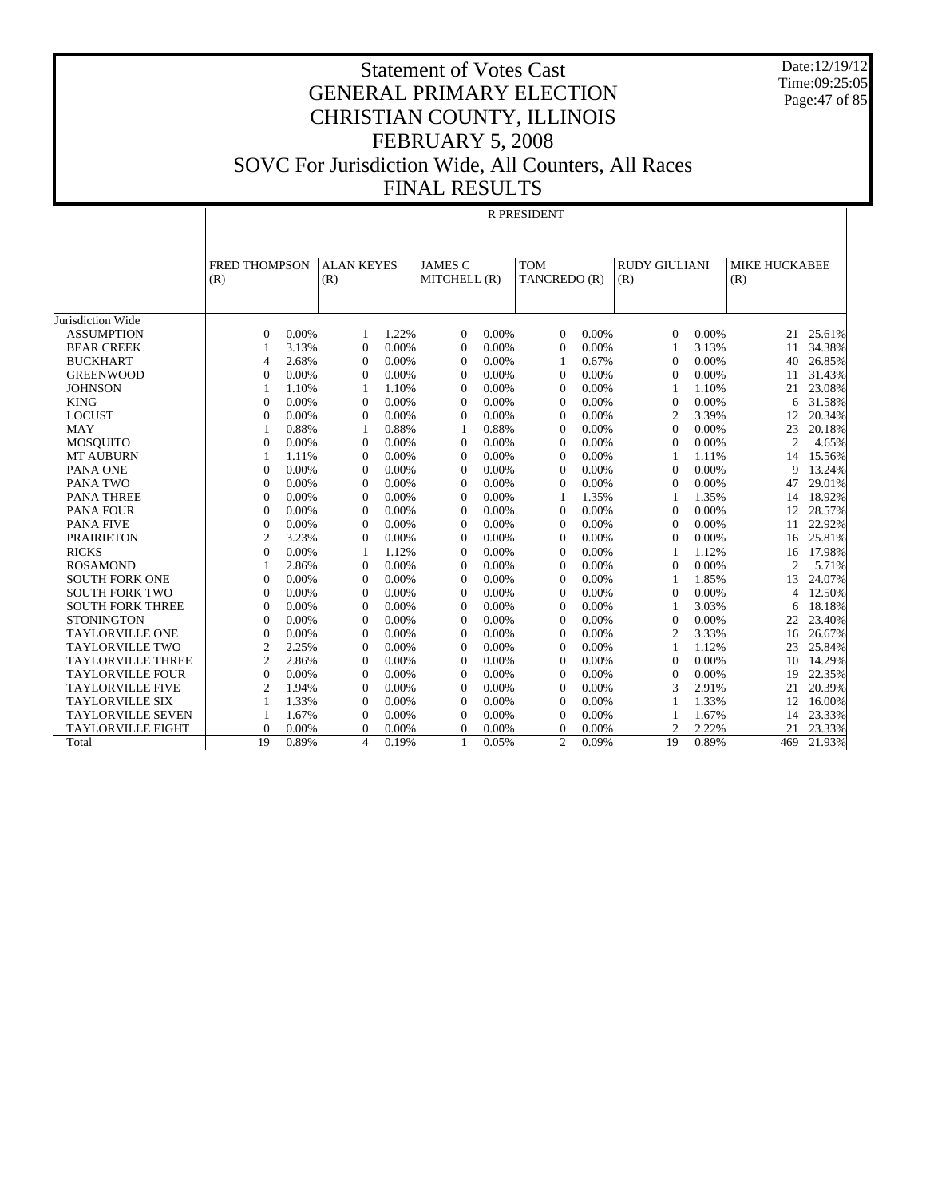Date:12/19/12 Time:09:25:05 Page:47 of 85

R PRESIDENT

|                          | <b>FRED THOMPSON</b> |       | <b>ALAN KEYES</b> |          | <b>JAMES C</b> |       | <b>TOM</b>     |       | <b>RUDY GIULIANI</b> |       | <b>MIKE HUCKABEE</b> |        |
|--------------------------|----------------------|-------|-------------------|----------|----------------|-------|----------------|-------|----------------------|-------|----------------------|--------|
|                          | (R)                  |       | (R)               |          | MITCHELL (R)   |       | TANCREDO (R)   |       | (R)                  |       | (R)                  |        |
|                          |                      |       |                   |          |                |       |                |       |                      |       |                      |        |
|                          |                      |       |                   |          |                |       |                |       |                      |       |                      |        |
| Jurisdiction Wide        |                      |       |                   |          |                |       |                |       |                      |       |                      |        |
| <b>ASSUMPTION</b>        | $\Omega$             | 0.00% | 1                 | 1.22%    | $\Omega$       | 0.00% | $\Omega$       | 0.00% | $\Omega$             | 0.00% | 21                   | 25.61% |
| <b>BEAR CREEK</b>        | 1                    | 3.13% | $\theta$          | 0.00%    | $\Omega$       | 0.00% | $\Omega$       | 0.00% | 1                    | 3.13% | 11                   | 34.38% |
| <b>BUCKHART</b>          | 4                    | 2.68% | $\theta$          | 0.00%    | $\Omega$       | 0.00% | $\mathbf{1}$   | 0.67% | $\Omega$             | 0.00% | 40                   | 26.85% |
| <b>GREENWOOD</b>         | $\Omega$             | 0.00% | $\theta$          | 0.00%    | $\Omega$       | 0.00% | $\Omega$       | 0.00% | $\Omega$             | 0.00% | 11                   | 31.43% |
| <b>JOHNSON</b>           | 1                    | 1.10% | 1                 | 1.10%    | $\Omega$       | 0.00% | $\Omega$       | 0.00% | 1                    | 1.10% | 21                   | 23.08% |
| <b>KING</b>              | $\theta$             | 0.00% | $\theta$          | 0.00%    | $\Omega$       | 0.00% | $\Omega$       | 0.00% | $\Omega$             | 0.00% | 6                    | 31.58% |
| <b>LOCUST</b>            | $\theta$             | 0.00% | $\theta$          | 0.00%    | $\Omega$       | 0.00% | $\Omega$       | 0.00% | $\overline{2}$       | 3.39% | 12                   | 20.34% |
| <b>MAY</b>               | 1                    | 0.88% | 1                 | 0.88%    | -1             | 0.88% | $\Omega$       | 0.00% | $\Omega$             | 0.00% | 23                   | 20.18% |
| <b>MOSQUITO</b>          | $\theta$             | 0.00% | $\theta$          | 0.00%    | $\overline{0}$ | 0.00% | $\theta$       | 0.00% | $\mathbf{0}$         | 0.00% | $\overline{2}$       | 4.65%  |
| <b>MT AUBURN</b>         | 1                    | 1.11% | $\theta$          | 0.00%    | $\Omega$       | 0.00% | $\Omega$       | 0.00% | $\mathbf{1}$         | 1.11% | 14                   | 15.56% |
| <b>PANA ONE</b>          | $\theta$             | 0.00% | $\theta$          | 0.00%    | $\Omega$       | 0.00% | $\Omega$       | 0.00% | $\Omega$             | 0.00% | 9                    | 13.24% |
| <b>PANA TWO</b>          | $\theta$             | 0.00% | $\theta$          | 0.00%    | $\overline{0}$ | 0.00% | $\Omega$       | 0.00% | $\mathbf{0}$         | 0.00% | 47                   | 29.01% |
| <b>PANA THREE</b>        | $\theta$             | 0.00% | $\theta$          | 0.00%    | $\Omega$       | 0.00% |                | 1.35% | 1                    | 1.35% | 14                   | 18.92% |
| <b>PANA FOUR</b>         | $\theta$             | 0.00% | $\theta$          | 0.00%    | $\theta$       | 0.00% | $\Omega$       | 0.00% | $\mathbf{0}$         | 0.00% | 12                   | 28.57% |
| <b>PANA FIVE</b>         | $\theta$             | 0.00% | $\Omega$          | 0.00%    | $\Omega$       | 0.00% | $\Omega$       | 0.00% | $\Omega$             | 0.00% | 11                   | 22.92% |
| <b>PRAIRIETON</b>        | $\overline{2}$       | 3.23% | $\theta$          | $0.00\%$ | $\Omega$       | 0.00% | $\Omega$       | 0.00% | $\Omega$             | 0.00% | 16                   | 25.81% |
| <b>RICKS</b>             | $\theta$             | 0.00% | 1                 | 1.12%    | $\Omega$       | 0.00% | $\Omega$       | 0.00% | 1                    | 1.12% | 16                   | 17.98% |
| <b>ROSAMOND</b>          | 1                    | 2.86% | $\theta$          | 0.00%    | $\Omega$       | 0.00% | $\Omega$       | 0.00% | $\Omega$             | 0.00% | $\overline{c}$       | 5.71%  |
| <b>SOUTH FORK ONE</b>    | $\theta$             | 0.00% | $\theta$          | 0.00%    | $\Omega$       | 0.00% | $\Omega$       | 0.00% | 1                    | 1.85% | 13                   | 24.07% |
| <b>SOUTH FORK TWO</b>    | $\Omega$             | 0.00% | $\Omega$          | 0.00%    | $\Omega$       | 0.00% | $\Omega$       | 0.00% | $\Omega$             | 0.00% | $\overline{4}$       | 12.50% |
| <b>SOUTH FORK THREE</b>  | $\mathbf{0}$         | 0.00% | $\theta$          | 0.00%    | $\Omega$       | 0.00% | $\Omega$       | 0.00% | 1                    | 3.03% | 6                    | 18.18% |
| <b>STONINGTON</b>        | $\theta$             | 0.00% | $\Omega$          | 0.00%    | $\Omega$       | 0.00% | $\Omega$       | 0.00% | $\Omega$             | 0.00% | 22                   | 23.40% |
| <b>TAYLORVILLE ONE</b>   | $\Omega$             | 0.00% | $\Omega$          | 0.00%    | $\Omega$       | 0.00% | $\Omega$       | 0.00% | $\overline{2}$       | 3.33% | 16                   | 26.67% |
| <b>TAYLORVILLE TWO</b>   | 2                    | 2.25% | $\Omega$          | 0.00%    | $\theta$       | 0.00% | $\Omega$       | 0.00% | 1                    | 1.12% | 23                   | 25.84% |
| <b>TAYLORVILLE THREE</b> | $\overline{2}$       | 2.86% | $\Omega$          | 0.00%    | $\Omega$       | 0.00% | $\Omega$       | 0.00% | $\mathbf{0}$         | 0.00% | 10                   | 14.29% |
| <b>TAYLORVILLE FOUR</b>  | $\overline{0}$       | 0.00% | $\overline{0}$    | 0.00%    | $\theta$       | 0.00% | $\overline{0}$ | 0.00% | $\mathbf{0}$         | 0.00% | 19                   | 22.35% |
| <b>TAYLORVILLE FIVE</b>  | $\overline{2}$       | 1.94% | $\theta$          | 0.00%    | $\theta$       | 0.00% | $\Omega$       | 0.00% | 3                    | 2.91% | 21                   | 20.39% |
| <b>TAYLORVILLE SIX</b>   |                      | 1.33% | $\overline{0}$    | 0.00%    | $\theta$       | 0.00% | $\theta$       | 0.00% | 1                    | 1.33% | 12                   | 16.00% |
| <b>TAYLORVILLE SEVEN</b> | 1                    | 1.67% | $\overline{0}$    | 0.00%    | $\theta$       | 0.00% | $\overline{0}$ | 0.00% | 1                    | 1.67% | 14                   | 23.33% |
| <b>TAYLORVILLE EIGHT</b> | $\Omega$             | 0.00% | $\theta$          | 0.00%    | $\Omega$       | 0.00% | $\Omega$       | 0.00% | $\overline{c}$       | 2.22% | 21                   | 23.33% |
| Total                    | 19                   | 0.89% | $\overline{4}$    | 0.19%    | $\overline{1}$ | 0.05% | $\overline{c}$ | 0.09% | 19                   | 0.89% | 469                  | 21.93% |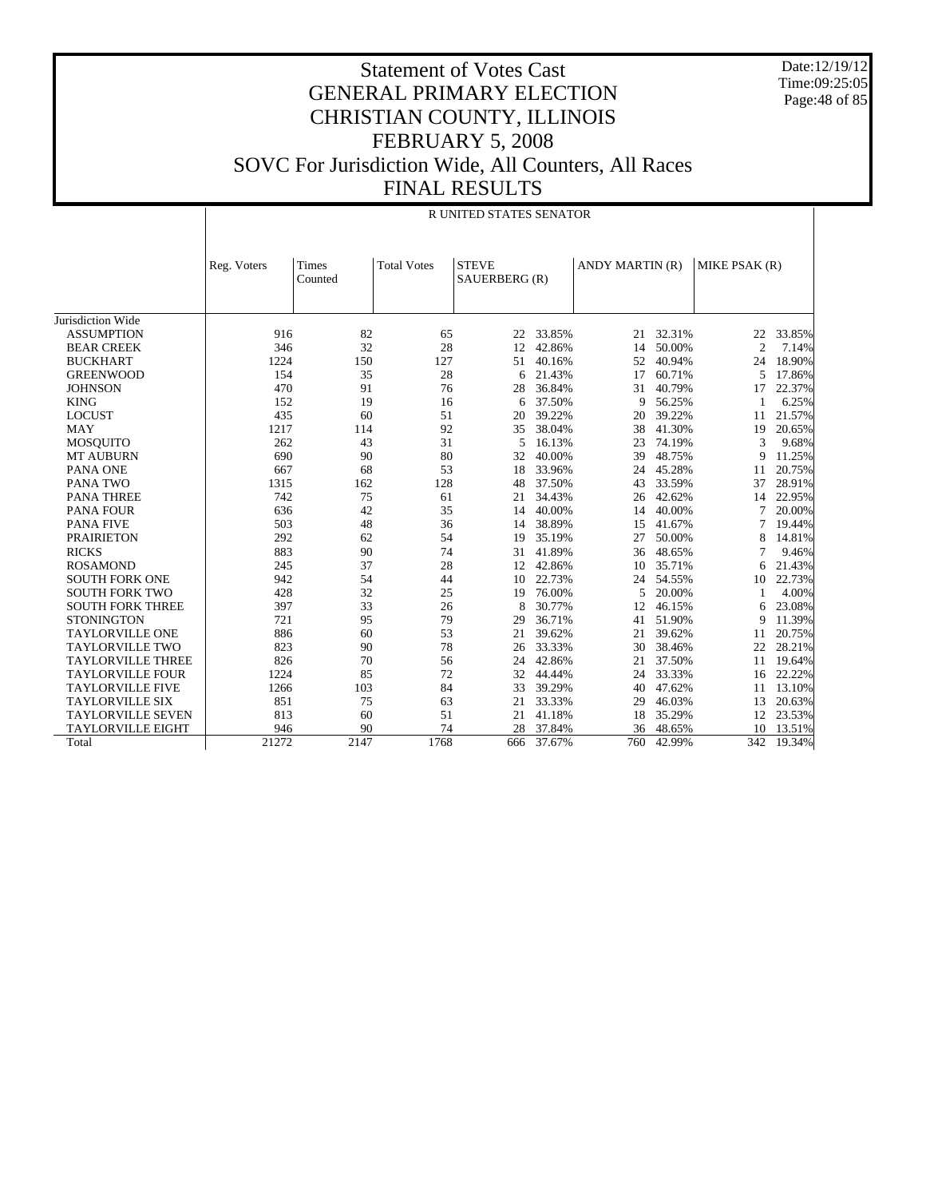Date:12/19/12 Time:09:25:05 Page: 48 of 85

|                          |             | <b>R UNITED STATES SENATOR</b> |                    |                               |        |                 |        |                |        |  |
|--------------------------|-------------|--------------------------------|--------------------|-------------------------------|--------|-----------------|--------|----------------|--------|--|
|                          | Reg. Voters | Times<br>Counted               | <b>Total Votes</b> | <b>STEVE</b><br>SAUERBERG (R) |        | ANDY MARTIN (R) |        | MIKE PSAK (R)  |        |  |
| Jurisdiction Wide        |             |                                |                    |                               |        |                 |        |                |        |  |
| <b>ASSUMPTION</b>        | 916         | 82                             | 65                 | 22                            | 33.85% | 21              | 32.31% | 22             | 33.85% |  |
| <b>BEAR CREEK</b>        | 346         | 32                             | 28                 | 12                            | 42.86% | 14              | 50.00% | $\overline{2}$ | 7.14%  |  |
| <b>BUCKHART</b>          | 1224        | 150                            | 127                | 51                            | 40.16% | 52              | 40.94% | 24             | 18.90% |  |
| <b>GREENWOOD</b>         | 154         | 35                             | 28                 | 6                             | 21.43% | 17              | 60.71% | 5              | 17.86% |  |
| <b>JOHNSON</b>           | 470         | 91                             | 76                 | 28                            | 36.84% | 31              | 40.79% | 17             | 22.37% |  |
| <b>KING</b>              | 152         | 19                             | 16                 | 6                             | 37.50% | 9               | 56.25% | 1              | 6.25%  |  |
| <b>LOCUST</b>            | 435         | 60                             | 51                 | 20                            | 39.22% | 20              | 39.22% | 11             | 21.57% |  |
| <b>MAY</b>               | 1217        | 114                            | 92                 | 35                            | 38.04% | 38              | 41.30% | 19             | 20.65% |  |
| <b>MOSQUITO</b>          | 262         | 43                             | 31                 | 5                             | 16.13% | 23              | 74.19% | 3              | 9.68%  |  |
| <b>MT AUBURN</b>         | 690         | 90                             | 80                 | 32                            | 40.00% | 39              | 48.75% | 9              | 11.25% |  |
| PANA ONE                 | 667         | 68                             | 53                 | 18                            | 33.96% | 24              | 45.28% | 11             | 20.75% |  |
| PANA TWO                 | 1315        | 162                            | 128                | 48                            | 37.50% | 43              | 33.59% | 37             | 28.91% |  |
| <b>PANA THREE</b>        | 742         | 75                             | 61                 | 21                            | 34.43% | 26              | 42.62% | 14             | 22.95% |  |
| <b>PANA FOUR</b>         | 636         | 42                             | 35                 | 14                            | 40.00% | 14              | 40.00% | 7              | 20.00% |  |
| <b>PANA FIVE</b>         | 503         | 48                             | 36                 | 14                            | 38.89% | 15              | 41.67% | 7              | 19.44% |  |
| <b>PRAIRIETON</b>        | 292         | 62                             | 54                 | 19                            | 35.19% | 27              | 50.00% | 8              | 14.81% |  |
| <b>RICKS</b>             | 883         | 90                             | 74                 | 31                            | 41.89% | 36              | 48.65% |                | 9.46%  |  |
| <b>ROSAMOND</b>          | 245         | 37                             | 28                 | 12                            | 42.86% | 10              | 35.71% | 6              | 21.43% |  |
| <b>SOUTH FORK ONE</b>    | 942         | 54                             | 44                 | 10                            | 22.73% | 24              | 54.55% | 10             | 22.73% |  |
| <b>SOUTH FORK TWO</b>    | 428         | 32                             | 25                 | 19                            | 76.00% | 5               | 20.00% |                | 4.00%  |  |
| <b>SOUTH FORK THREE</b>  | 397         | 33                             | 26                 | 8                             | 30.77% | 12              | 46.15% | 6              | 23.08% |  |
| <b>STONINGTON</b>        | 721         | 95                             | 79                 | 29                            | 36.71% | 41              | 51.90% | 9              | 11.39% |  |
| <b>TAYLORVILLE ONE</b>   | 886         | 60                             | 53                 | 21                            | 39.62% | 21              | 39.62% | 11             | 20.75% |  |
| <b>TAYLORVILLE TWO</b>   | 823         | 90                             | 78                 | 26                            | 33.33% | 30              | 38.46% | 22             | 28.21% |  |
| <b>TAYLORVILLE THREE</b> | 826         | 70                             | 56                 | 24                            | 42.86% | 21              | 37.50% | 11             | 19.64% |  |
| <b>TAYLORVILLE FOUR</b>  | 1224        | 85                             | 72                 | 32                            | 44.44% | 24              | 33.33% | 16             | 22.22% |  |
| <b>TAYLORVILLE FIVE</b>  | 1266        | 103                            | 84                 | 33                            | 39.29% | 40              | 47.62% | 11             | 13.10% |  |
| <b>TAYLORVILLE SIX</b>   | 851         | 75                             | 63                 | 21                            | 33.33% | 29              | 46.03% | 13             | 20.63% |  |
| <b>TAYLORVILLE SEVEN</b> | 813         | 60                             | 51                 | 21                            | 41.18% | 18              | 35.29% | 12             | 23.53% |  |
| <b>TAYLORVILLE EIGHT</b> | 946         | 90                             | 74                 | 28                            | 37.84% | 36              | 48.65% | 10             | 13.51% |  |
| Total                    | 21272       | 2147                           | 1768               | 666                           | 37.67% | 760             | 42.99% | 342            | 19.34% |  |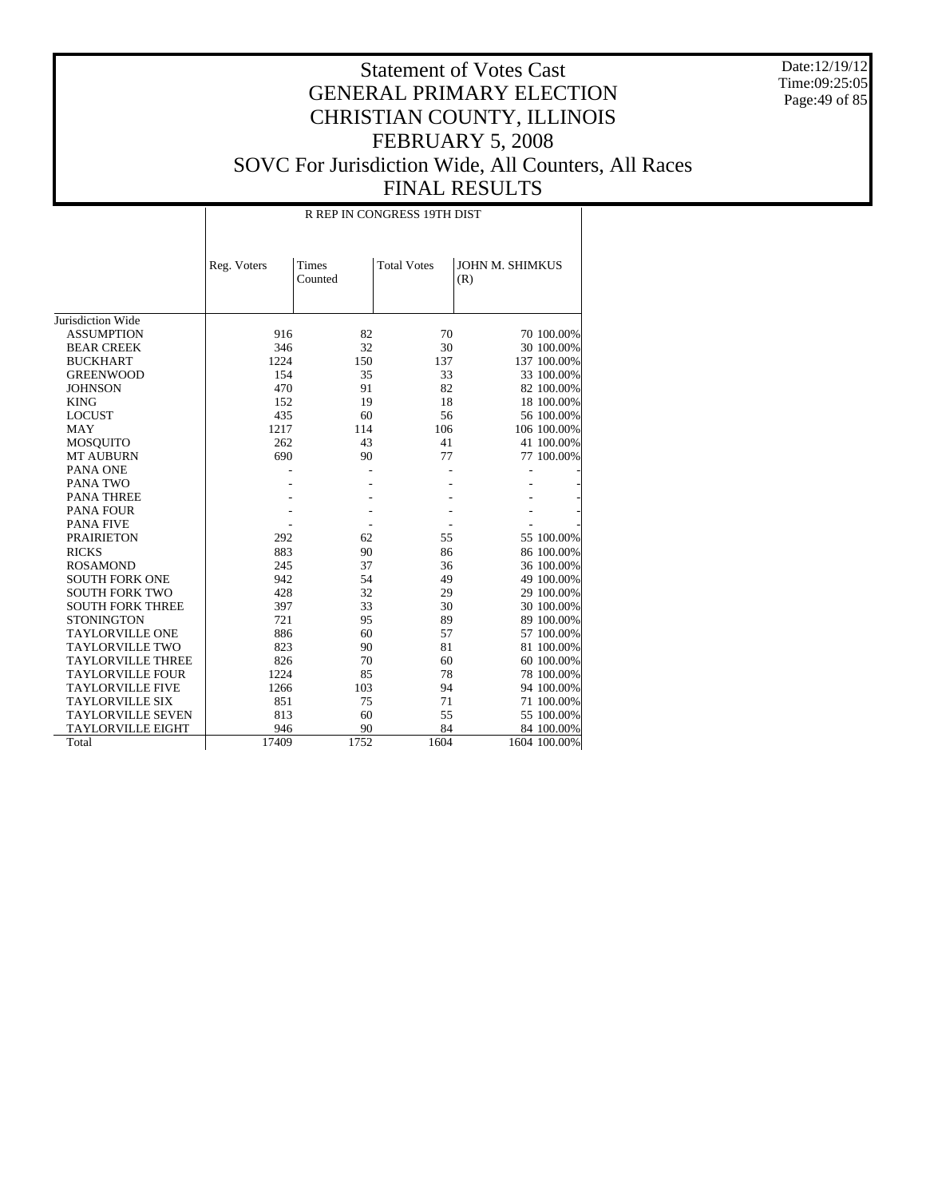Date:12/19/12 Time:09:25:05 Page:49 of 85

# Statement of Votes Cast GENERAL PRIMARY ELECTION CHRISTIAN COUNTY, ILLINOIS FEBRUARY 5, 2008 SOVC For Jurisdiction Wide, All Counters, All Races FINAL RESULTS

R REP IN CONGRESS 19TH DIST

|                          | Reg. Voters | Times   | <b>Total Votes</b> | <b>JOHN M. SHIMKUS</b> |              |
|--------------------------|-------------|---------|--------------------|------------------------|--------------|
|                          |             | Counted |                    | (R)                    |              |
|                          |             |         |                    |                        |              |
|                          |             |         |                    |                        |              |
| Jurisdiction Wide        |             |         |                    |                        |              |
| <b>ASSUMPTION</b>        | 916         | 82      | 70                 |                        | 70 100.00%   |
| <b>BEAR CREEK</b>        | 346         | 32      | 30                 |                        | 30 100.00%   |
| <b>BUCKHART</b>          | 1224        | 150     | 137                |                        | 137 100.00%  |
| <b>GREENWOOD</b>         | 154         | 35      | 33                 |                        | 33 100.00%   |
| <b>JOHNSON</b>           | 470         | 91      | 82                 |                        | 82 100.00%   |
| <b>KING</b>              | 152         | 19      | 18                 |                        | 18 100.00%   |
| <b>LOCUST</b>            | 435         | 60      | 56                 |                        | 56 100.00%   |
| MAY                      | 1217        | 114     | 106                |                        | 106 100.00%  |
| <b>MOSQUITO</b>          | 262         | 43      | 41                 |                        | 41 100.00%   |
| <b>MT AUBURN</b>         | 690         | 90      | 77                 |                        | 77 100.00%   |
| PANA ONE                 |             |         |                    |                        |              |
| PANA TWO                 |             |         |                    |                        |              |
| <b>PANA THREE</b>        |             |         |                    |                        |              |
| <b>PANA FOUR</b>         |             |         |                    |                        |              |
| <b>PANA FIVE</b>         |             |         |                    |                        |              |
| <b>PRAIRIETON</b>        | 292         | 62      | 55                 |                        | 55 100.00%   |
| <b>RICKS</b>             | 883         | 90      | 86                 |                        | 86 100.00%   |
| <b>ROSAMOND</b>          | 245         | 37      | 36                 |                        | 36 100.00%   |
| <b>SOUTH FORK ONE</b>    | 942         | 54      | 49                 |                        | 49 100.00%   |
| <b>SOUTH FORK TWO</b>    | 428         | 32      | 29                 |                        | 29 100.00%   |
| <b>SOUTH FORK THREE</b>  | 397         | 33      | 30                 |                        | 30 100.00%   |
| <b>STONINGTON</b>        | 721         | 95      | 89                 |                        | 89 100.00%   |
| <b>TAYLORVILLE ONE</b>   | 886         | 60      | 57                 |                        | 57 100.00%   |
| <b>TAYLORVILLE TWO</b>   | 823         | 90      | 81                 |                        | 81 100.00%   |
| <b>TAYLORVILLE THREE</b> | 826         | 70      | 60                 |                        | 60 100.00%   |
| <b>TAYLORVILLE FOUR</b>  | 1224        | 85      | 78                 |                        | 78 100.00%   |
| <b>TAYLORVILLE FIVE</b>  | 1266        | 103     | 94                 |                        | 94 100.00%   |
| <b>TAYLORVILLE SIX</b>   | 851         | 75      | 71                 |                        | 71 100.00%   |
| <b>TAYLORVILLE SEVEN</b> | 813         | 60      | 55                 |                        | 55 100.00%   |
| <b>TAYLORVILLE EIGHT</b> | 946         | 90      | 84                 |                        | 84 100.00%   |
| Total                    | 17409       | 1752    | 1604               |                        | 1604 100.00% |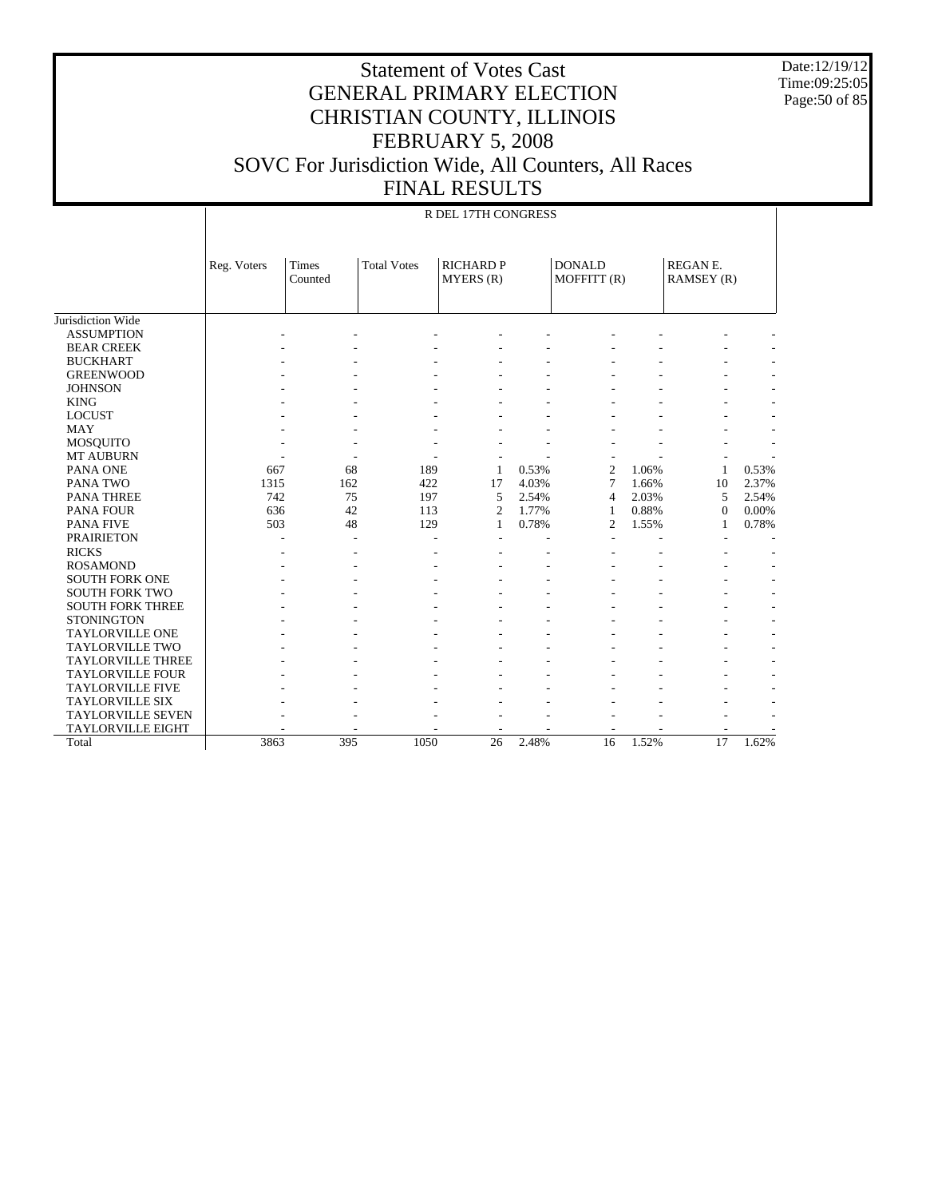Date:12/19/12 Time:09:25:05 Page:50 of 85

|                          |             |                         |                    | R DEL 17TH CONGRESS           |       |                              |       |                              |       |
|--------------------------|-------------|-------------------------|--------------------|-------------------------------|-------|------------------------------|-------|------------------------------|-------|
|                          | Reg. Voters | <b>Times</b><br>Counted | <b>Total Votes</b> | <b>RICHARD P</b><br>MYERS (R) |       | <b>DONALD</b><br>MOFFITT (R) |       | <b>REGANE.</b><br>RAMSEY (R) |       |
| Jurisdiction Wide        |             |                         |                    |                               |       |                              |       |                              |       |
| <b>ASSUMPTION</b>        |             |                         |                    |                               |       |                              |       |                              |       |
| <b>BEAR CREEK</b>        |             |                         |                    |                               |       |                              |       |                              |       |
| <b>BUCKHART</b>          |             |                         |                    |                               |       |                              |       |                              |       |
| <b>GREENWOOD</b>         |             |                         |                    |                               |       |                              |       |                              |       |
| <b>JOHNSON</b>           |             |                         |                    |                               |       |                              |       |                              |       |
| <b>KING</b>              |             |                         |                    |                               |       |                              |       |                              |       |
| <b>LOCUST</b>            |             |                         |                    |                               |       |                              |       |                              |       |
| <b>MAY</b>               |             |                         |                    |                               |       |                              |       |                              |       |
| <b>MOSQUITO</b>          |             |                         |                    |                               |       |                              |       |                              |       |
| <b>MT AUBURN</b>         |             |                         |                    |                               |       |                              |       |                              |       |
| PANA ONE                 | 667         | 68                      | 189                | $\mathbf{1}$                  | 0.53% | $\overline{2}$               | 1.06% | 1                            | 0.53% |
| PANA TWO                 | 1315        | 162                     | 422                | 17                            | 4.03% | 7                            | 1.66% | 10                           | 2.37% |
| <b>PANA THREE</b>        | 742         | 75                      | 197                | 5                             | 2.54% | $\overline{4}$               | 2.03% | 5                            | 2.54% |
| <b>PANA FOUR</b>         | 636         | 42                      | 113                | $\overline{2}$                | 1.77% | 1                            | 0.88% | $\mathbf{0}$                 | 0.00% |
| <b>PANA FIVE</b>         | 503         | 48                      | 129                | $\mathbf{1}$                  | 0.78% | $\overline{c}$               | 1.55% | 1                            | 0.78% |
| <b>PRAIRIETON</b>        |             |                         |                    |                               |       |                              |       |                              |       |
| <b>RICKS</b>             |             |                         |                    |                               |       |                              |       |                              |       |
| <b>ROSAMOND</b>          |             |                         |                    |                               |       |                              |       |                              |       |
| <b>SOUTH FORK ONE</b>    |             |                         |                    |                               |       |                              |       |                              |       |
| <b>SOUTH FORK TWO</b>    |             |                         |                    |                               |       |                              |       |                              |       |
| <b>SOUTH FORK THREE</b>  |             |                         |                    |                               |       |                              |       |                              |       |
| <b>STONINGTON</b>        |             |                         |                    |                               |       |                              |       |                              |       |
| <b>TAYLORVILLE ONE</b>   |             |                         |                    |                               |       |                              |       |                              |       |
| <b>TAYLORVILLE TWO</b>   |             |                         |                    |                               |       |                              |       |                              |       |
| <b>TAYLORVILLE THREE</b> |             |                         |                    |                               |       |                              |       |                              |       |
| <b>TAYLORVILLE FOUR</b>  |             |                         |                    |                               |       |                              |       |                              |       |
| <b>TAYLORVILLE FIVE</b>  |             |                         |                    |                               |       |                              |       |                              |       |
| <b>TAYLORVILLE SIX</b>   |             |                         |                    |                               |       |                              |       |                              |       |
| <b>TAYLORVILLE SEVEN</b> |             |                         |                    |                               |       |                              |       |                              |       |
| <b>TAYLORVILLE EIGHT</b> |             |                         |                    |                               |       |                              |       |                              |       |
| Total                    | 3863        | 395                     | 1050               | 26                            | 2.48% | 16                           | 1.52% | 17                           | 1.62% |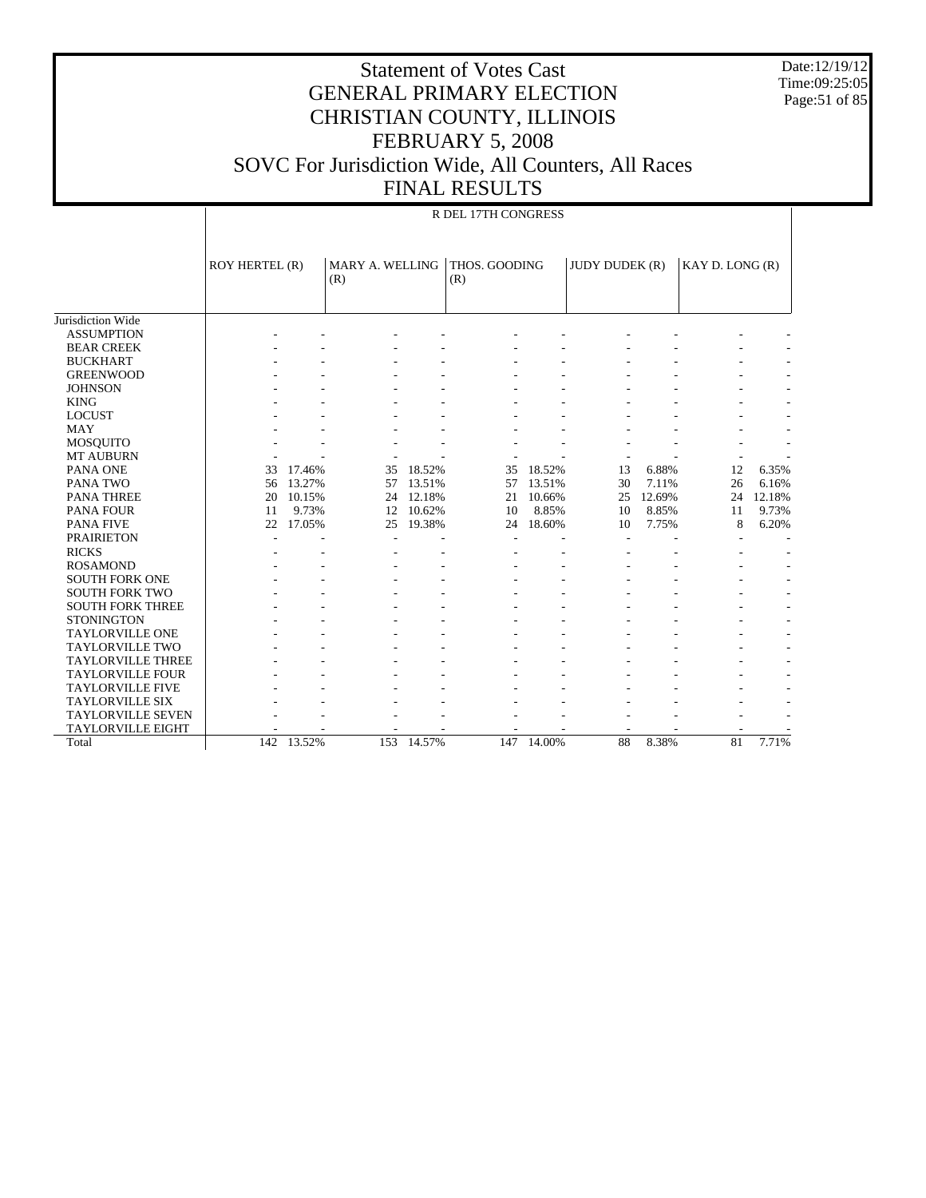Date:12/19/12 Time:09:25:05 Page:51 of 85

|                          | R DEL 17TH CONGRESS |            |                        |            |                      |            |                       |        |                 |        |  |  |
|--------------------------|---------------------|------------|------------------------|------------|----------------------|------------|-----------------------|--------|-----------------|--------|--|--|
|                          | ROY HERTEL (R)      |            | MARY A. WELLING<br>(R) |            | THOS. GOODING<br>(R) |            | <b>JUDY DUDEK (R)</b> |        | KAY D. LONG (R) |        |  |  |
| Jurisdiction Wide        |                     |            |                        |            |                      |            |                       |        |                 |        |  |  |
| <b>ASSUMPTION</b>        |                     |            |                        |            |                      |            |                       |        |                 |        |  |  |
| <b>BEAR CREEK</b>        |                     |            |                        |            |                      |            |                       |        |                 |        |  |  |
| <b>BUCKHART</b>          |                     |            |                        |            |                      |            |                       |        |                 |        |  |  |
| <b>GREENWOOD</b>         |                     |            |                        |            |                      |            |                       |        |                 |        |  |  |
| <b>JOHNSON</b>           |                     |            |                        |            |                      |            |                       |        |                 |        |  |  |
| <b>KING</b>              |                     |            |                        |            |                      |            |                       |        |                 |        |  |  |
| <b>LOCUST</b>            |                     |            |                        |            |                      |            |                       |        |                 |        |  |  |
| <b>MAY</b>               |                     |            |                        |            |                      |            |                       |        |                 |        |  |  |
| <b>MOSQUITO</b>          |                     |            |                        |            |                      |            |                       |        |                 |        |  |  |
| <b>MT AUBURN</b>         |                     |            |                        |            |                      |            |                       |        |                 |        |  |  |
| PANA ONE                 | 33                  | 17.46%     | 35                     | 18.52%     | 35                   | 18.52%     | 13                    | 6.88%  | 12              | 6.35%  |  |  |
| PANA TWO                 | 56                  | 13.27%     | 57                     | 13.51%     | 57                   | 13.51%     | 30                    | 7.11%  | 26              | 6.16%  |  |  |
| <b>PANA THREE</b>        | 20                  | 10.15%     | 24                     | 12.18%     | 21                   | 10.66%     | 25                    | 12.69% | 24              | 12.18% |  |  |
| PANA FOUR                | 11                  | 9.73%      | 12                     | 10.62%     | 10                   | 8.85%      | 10                    | 8.85%  | 11              | 9.73%  |  |  |
| <b>PANA FIVE</b>         | 22                  | 17.05%     | 25                     | 19.38%     | 24                   | 18.60%     | 10                    | 7.75%  | 8               | 6.20%  |  |  |
| <b>PRAIRIETON</b>        |                     |            |                        |            |                      |            |                       |        |                 |        |  |  |
| <b>RICKS</b>             |                     |            |                        |            |                      |            |                       |        |                 |        |  |  |
| <b>ROSAMOND</b>          |                     |            |                        |            |                      |            |                       |        |                 |        |  |  |
| <b>SOUTH FORK ONE</b>    |                     |            |                        |            |                      |            |                       |        |                 |        |  |  |
| <b>SOUTH FORK TWO</b>    |                     |            |                        |            |                      |            |                       |        |                 |        |  |  |
| <b>SOUTH FORK THREE</b>  |                     |            |                        |            |                      |            |                       |        |                 |        |  |  |
| <b>STONINGTON</b>        |                     |            |                        |            |                      |            |                       |        |                 |        |  |  |
| <b>TAYLORVILLE ONE</b>   |                     |            |                        |            |                      |            |                       |        |                 |        |  |  |
| <b>TAYLORVILLE TWO</b>   |                     |            |                        |            |                      |            |                       |        |                 |        |  |  |
| <b>TAYLORVILLE THREE</b> |                     |            |                        |            |                      |            |                       |        |                 |        |  |  |
| <b>TAYLORVILLE FOUR</b>  |                     |            |                        |            |                      |            |                       |        |                 |        |  |  |
| <b>TAYLORVILLE FIVE</b>  |                     |            |                        |            |                      |            |                       |        |                 |        |  |  |
| <b>TAYLORVILLE SIX</b>   |                     |            |                        |            |                      |            |                       |        |                 |        |  |  |
| <b>TAYLORVILLE SEVEN</b> |                     |            |                        |            |                      |            |                       |        |                 |        |  |  |
| <b>TAYLORVILLE EIGHT</b> |                     |            |                        |            |                      |            |                       |        |                 |        |  |  |
| Total                    |                     | 142 13.52% |                        | 153 14.57% |                      | 147 14.00% | 88                    | 8.38%  | 81              | 7.71%  |  |  |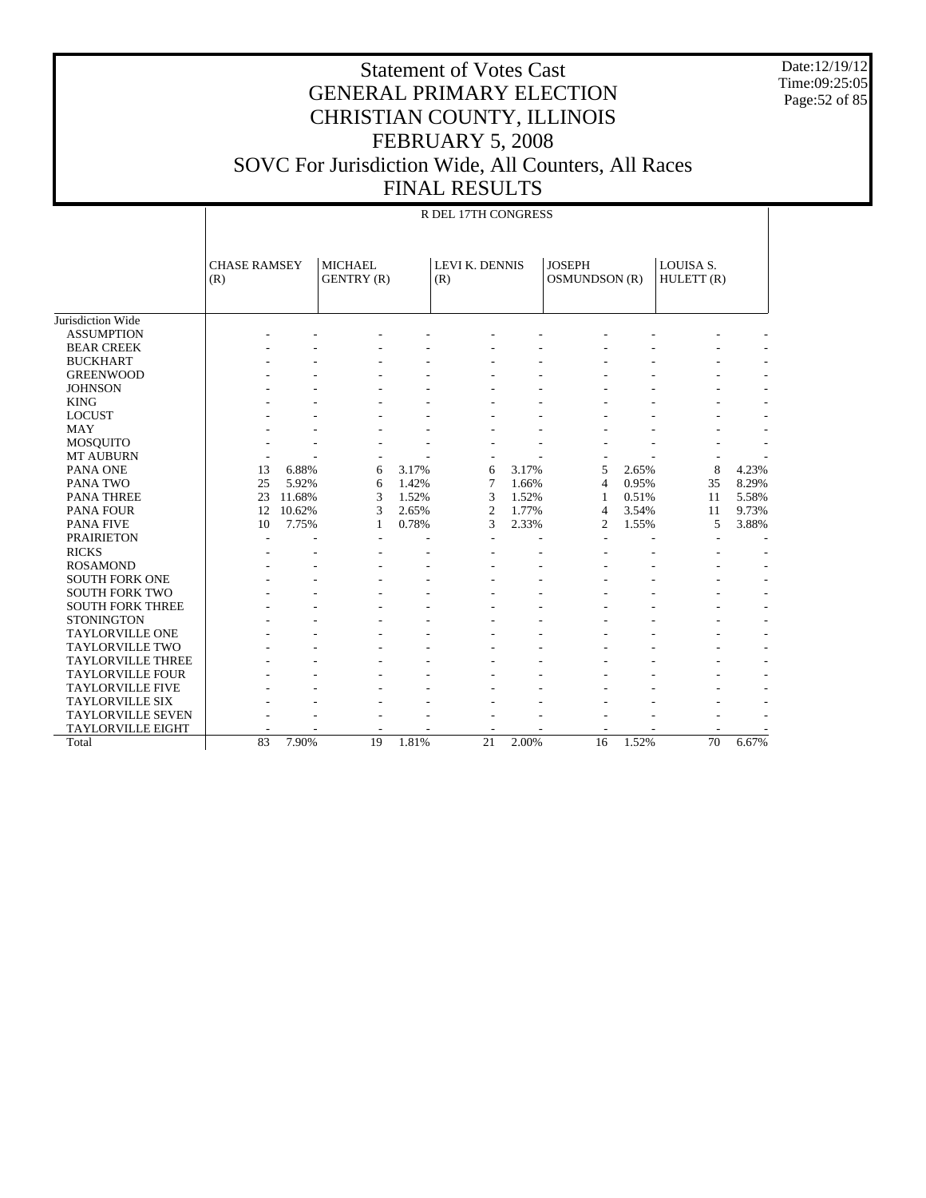Date:12/19/12 Time:09:25:05 Page:52 of 85

|                          |                            |        |                                     |       | R DEL 17TH CONGRESS   |       |                                |       |                                     |       |
|--------------------------|----------------------------|--------|-------------------------------------|-------|-----------------------|-------|--------------------------------|-------|-------------------------------------|-------|
|                          | <b>CHASE RAMSEY</b><br>(R) |        | <b>MICHAEL</b><br><b>GENTRY (R)</b> |       | LEVI K. DENNIS<br>(R) |       | <b>JOSEPH</b><br>OSMUNDSON (R) |       | LOUISA <sub>S</sub> .<br>HULETT (R) |       |
| Jurisdiction Wide        |                            |        |                                     |       |                       |       |                                |       |                                     |       |
| <b>ASSUMPTION</b>        |                            |        |                                     |       |                       |       |                                |       |                                     |       |
| <b>BEAR CREEK</b>        |                            |        |                                     |       |                       |       |                                |       |                                     |       |
| <b>BUCKHART</b>          |                            |        |                                     |       |                       |       |                                |       |                                     |       |
| <b>GREENWOOD</b>         |                            |        |                                     |       |                       |       |                                |       |                                     |       |
| <b>JOHNSON</b>           |                            |        |                                     |       |                       |       |                                |       |                                     |       |
| <b>KING</b>              |                            |        |                                     |       |                       |       |                                |       |                                     |       |
| <b>LOCUST</b>            |                            |        |                                     |       |                       |       |                                |       |                                     |       |
| <b>MAY</b>               |                            |        |                                     |       |                       |       |                                |       |                                     |       |
| <b>MOSQUITO</b>          |                            |        |                                     |       |                       |       |                                |       |                                     |       |
| <b>MT AUBURN</b>         |                            |        |                                     |       |                       |       |                                |       |                                     |       |
| PANA ONE                 | 13                         | 6.88%  | 6                                   | 3.17% | 6                     | 3.17% | 5                              | 2.65% | 8                                   | 4.23% |
| <b>PANA TWO</b>          | 25                         | 5.92%  | 6                                   | 1.42% | 7                     | 1.66% | $\overline{4}$                 | 0.95% | 35                                  | 8.29% |
| <b>PANA THREE</b>        | 23                         | 11.68% | 3                                   | 1.52% | 3                     | 1.52% | 1                              | 0.51% | 11                                  | 5.58% |
| <b>PANA FOUR</b>         | 12                         | 10.62% | 3                                   | 2.65% | $\overline{c}$        | 1.77% | 4                              | 3.54% | 11                                  | 9.73% |
| <b>PANA FIVE</b>         | 10                         | 7.75%  | $\mathbf{1}$                        | 0.78% | 3                     | 2.33% | $\overline{2}$                 | 1.55% | 5                                   | 3.88% |
| <b>PRAIRIETON</b>        |                            |        |                                     |       |                       |       |                                |       |                                     |       |
| <b>RICKS</b>             |                            |        |                                     |       |                       |       |                                |       |                                     |       |
| <b>ROSAMOND</b>          |                            |        |                                     |       |                       |       |                                |       |                                     |       |
| <b>SOUTH FORK ONE</b>    |                            |        |                                     |       |                       |       |                                |       |                                     |       |
| <b>SOUTH FORK TWO</b>    |                            |        |                                     |       |                       |       |                                |       |                                     |       |
| <b>SOUTH FORK THREE</b>  |                            |        |                                     |       |                       |       |                                |       |                                     |       |
| <b>STONINGTON</b>        |                            |        |                                     |       |                       |       |                                |       |                                     |       |
| <b>TAYLORVILLE ONE</b>   |                            |        |                                     |       |                       |       |                                |       |                                     |       |
| <b>TAYLORVILLE TWO</b>   |                            |        |                                     |       |                       |       |                                |       |                                     |       |
| <b>TAYLORVILLE THREE</b> |                            |        |                                     |       |                       |       |                                |       |                                     |       |
| <b>TAYLORVILLE FOUR</b>  |                            |        |                                     |       |                       |       |                                |       |                                     |       |
| <b>TAYLORVILLE FIVE</b>  |                            |        |                                     |       |                       |       |                                |       |                                     |       |
| <b>TAYLORVILLE SIX</b>   |                            |        |                                     |       |                       |       |                                |       |                                     |       |
| <b>TAYLORVILLE SEVEN</b> |                            |        |                                     |       |                       |       |                                |       |                                     |       |
| <b>TAYLORVILLE EIGHT</b> |                            |        |                                     |       |                       |       |                                |       |                                     |       |
| Total                    | 83                         | 7.90%  | 19                                  | 1.81% | 21                    | 2.00% | 16                             | 1.52% | $\overline{70}$                     | 6.67% |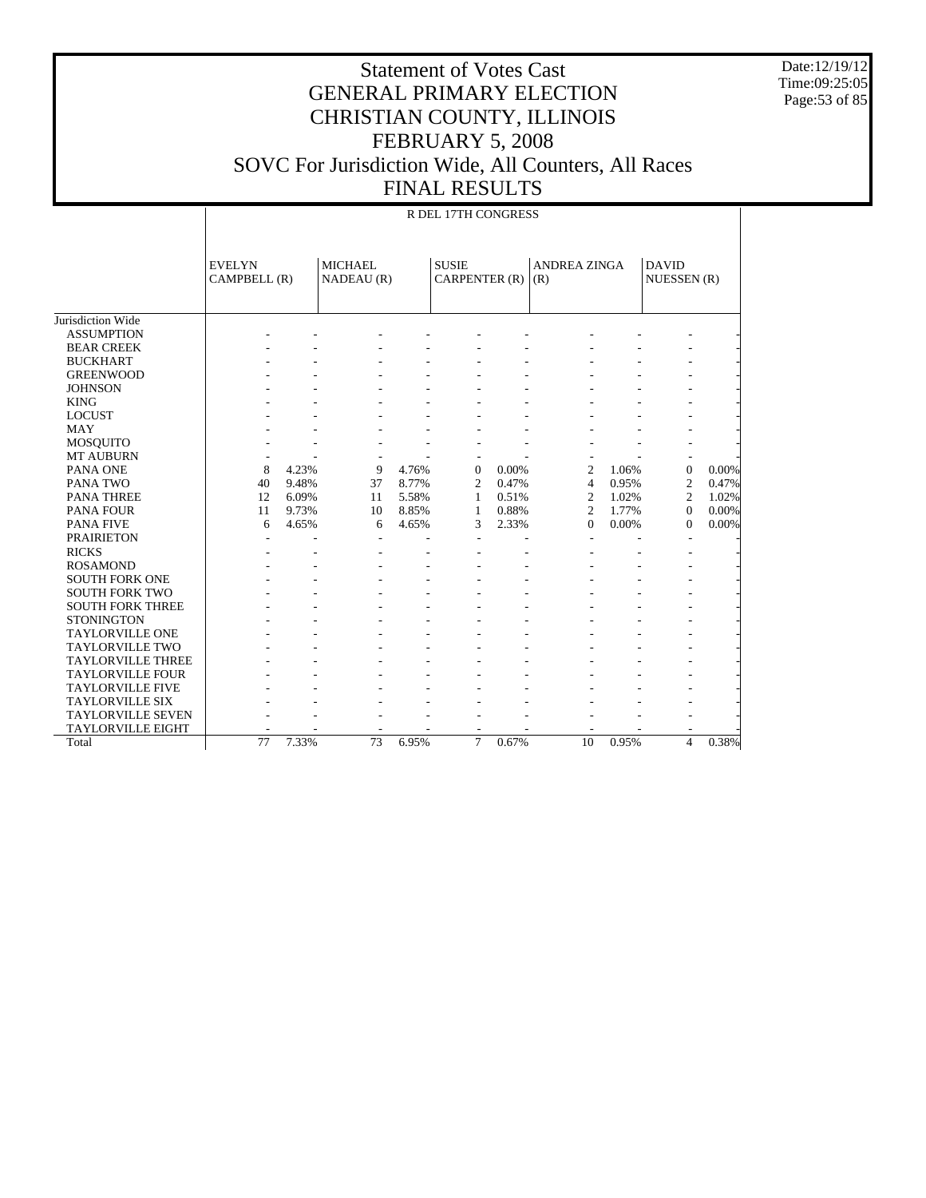Date:12/19/12 Time:09:25:05 Page:53 of 85

|                          |                               | R DEL 17TH CONGRESS |                              |       |                               |       |                            |       |                             |       |  |  |
|--------------------------|-------------------------------|---------------------|------------------------------|-------|-------------------------------|-------|----------------------------|-------|-----------------------------|-------|--|--|
|                          | <b>EVELYN</b><br>CAMPBELL (R) |                     | <b>MICHAEL</b><br>NADEAU (R) |       | <b>SUSIE</b><br>CARPENTER (R) |       | <b>ANDREA ZINGA</b><br>(R) |       | <b>DAVID</b><br>NUESSEN (R) |       |  |  |
| Jurisdiction Wide        |                               |                     |                              |       |                               |       |                            |       |                             |       |  |  |
| <b>ASSUMPTION</b>        |                               |                     |                              |       |                               |       |                            |       |                             |       |  |  |
| <b>BEAR CREEK</b>        |                               |                     |                              |       |                               |       |                            |       |                             |       |  |  |
| <b>BUCKHART</b>          |                               |                     |                              |       |                               |       |                            |       |                             |       |  |  |
| <b>GREENWOOD</b>         |                               |                     |                              |       |                               |       |                            |       |                             |       |  |  |
| <b>JOHNSON</b>           |                               |                     |                              |       |                               |       |                            |       |                             |       |  |  |
| <b>KING</b>              |                               |                     |                              |       |                               |       |                            |       |                             |       |  |  |
| <b>LOCUST</b>            |                               |                     |                              |       |                               |       |                            |       |                             |       |  |  |
| <b>MAY</b>               |                               |                     |                              |       |                               |       |                            |       |                             |       |  |  |
| <b>MOSQUITO</b>          |                               |                     |                              |       |                               |       |                            |       |                             |       |  |  |
| <b>MT AUBURN</b>         |                               |                     |                              |       | ٠                             |       |                            |       |                             |       |  |  |
| PANA ONE                 | 8                             | 4.23%               | 9                            | 4.76% | $\mathbf{0}$                  | 0.00% | $\overline{2}$             | 1.06% | $\overline{0}$              | 0.00% |  |  |
| PANA TWO                 | 40                            | 9.48%               | 37                           | 8.77% | $\overline{2}$                | 0.47% | $\overline{4}$             | 0.95% | $\overline{2}$              | 0.47% |  |  |
| <b>PANA THREE</b>        | 12                            | 6.09%               | 11                           | 5.58% | 1                             | 0.51% | $\overline{c}$             | 1.02% | $\overline{c}$              | 1.02% |  |  |
| <b>PANA FOUR</b>         | 11                            | 9.73%               | 10                           | 8.85% | 1                             | 0.88% | $\overline{c}$             | 1.77% | $\mathbf{0}$                | 0.00% |  |  |
| <b>PANA FIVE</b>         | 6                             | 4.65%               | 6                            | 4.65% | 3                             | 2.33% | $\overline{0}$             | 0.00% | $\overline{0}$              | 0.00% |  |  |
| <b>PRAIRIETON</b>        |                               |                     |                              |       |                               |       |                            |       |                             |       |  |  |
| <b>RICKS</b>             |                               |                     |                              |       |                               |       |                            |       |                             |       |  |  |
| <b>ROSAMOND</b>          |                               |                     |                              |       |                               |       |                            |       |                             |       |  |  |
| <b>SOUTH FORK ONE</b>    |                               |                     |                              |       |                               |       |                            |       |                             |       |  |  |
| <b>SOUTH FORK TWO</b>    |                               |                     |                              |       |                               |       |                            |       |                             |       |  |  |
| <b>SOUTH FORK THREE</b>  |                               |                     |                              |       |                               |       |                            |       |                             |       |  |  |
| <b>STONINGTON</b>        |                               |                     |                              |       |                               |       |                            |       |                             |       |  |  |
| <b>TAYLORVILLE ONE</b>   |                               |                     |                              |       |                               |       |                            |       |                             |       |  |  |
| <b>TAYLORVILLE TWO</b>   |                               |                     |                              |       |                               |       |                            |       |                             |       |  |  |
| <b>TAYLORVILLE THREE</b> |                               |                     |                              |       |                               |       |                            |       |                             |       |  |  |
| <b>TAYLORVILLE FOUR</b>  |                               |                     |                              |       |                               |       |                            |       |                             |       |  |  |
| <b>TAYLORVILLE FIVE</b>  |                               |                     |                              |       |                               |       |                            |       |                             |       |  |  |
| <b>TAYLORVILLE SIX</b>   |                               |                     |                              |       |                               |       |                            |       |                             |       |  |  |
| <b>TAYLORVILLE SEVEN</b> |                               |                     |                              |       |                               |       |                            |       |                             |       |  |  |
| <b>TAYLORVILLE EIGHT</b> |                               |                     |                              |       |                               |       |                            |       |                             |       |  |  |
| Total                    | 77                            | 7.33%               | 73                           | 6.95% | $\overline{7}$                | 0.67% | 10                         | 0.95% | $\overline{\mathcal{L}}$    | 0.38% |  |  |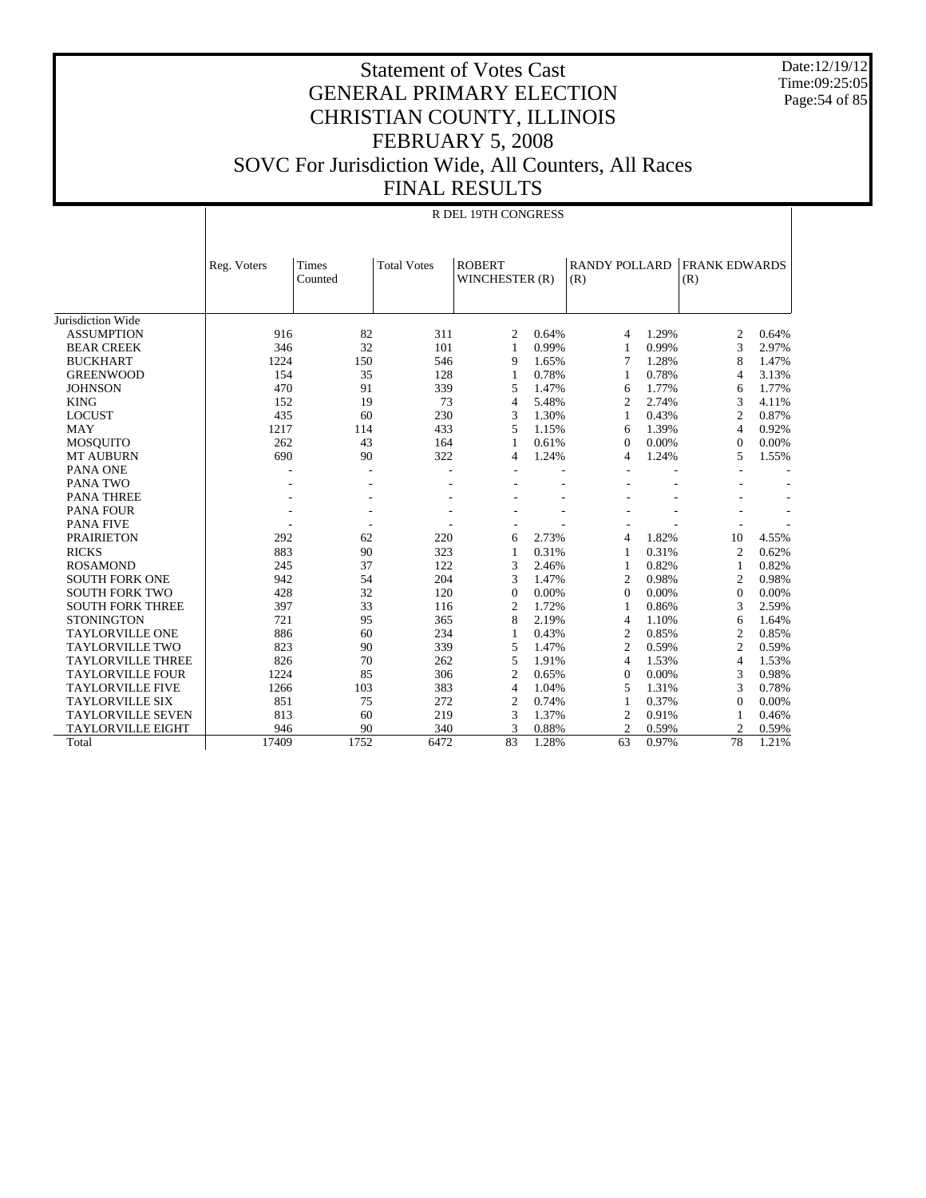Date:12/19/12 Time:09:25:05 Page:54 of 85

#### Statement of Votes Cast GENERAL PRIMARY ELECTION CHRISTIAN COUNTY, ILLINOIS FEBRUARY 5, 2008 SOVC For Jurisdiction Wide, All Counters, All Races FINAL RESULTS

|                          | R DEL 19TH CONGRESS |                  |                    |                                 |       |                             |       |                             |       |  |  |  |
|--------------------------|---------------------|------------------|--------------------|---------------------------------|-------|-----------------------------|-------|-----------------------------|-------|--|--|--|
|                          | Reg. Voters         | Times<br>Counted | <b>Total Votes</b> | <b>ROBERT</b><br>WINCHESTER (R) |       | <b>RANDY POLLARD</b><br>(R) |       | <b>FRANK EDWARDS</b><br>(R) |       |  |  |  |
| Jurisdiction Wide        |                     |                  |                    |                                 |       |                             |       |                             |       |  |  |  |
| <b>ASSUMPTION</b>        | 916                 | 82               | 311                | 2                               | 0.64% | 4                           | 1.29% | 2                           | 0.64% |  |  |  |
| <b>BEAR CREEK</b>        | 346                 | 32               | 101                | $\mathbf{1}$                    | 0.99% | 1                           | 0.99% | 3                           | 2.97% |  |  |  |
| <b>BUCKHART</b>          | 1224                | 150              | 546                | 9                               | 1.65% | 7                           | 1.28% | 8                           | 1.47% |  |  |  |
| <b>GREENWOOD</b>         | 154                 | 35               | 128                | $\mathbf{1}$                    | 0.78% | 1                           | 0.78% | $\overline{4}$              | 3.13% |  |  |  |
| <b>JOHNSON</b>           | 470                 | 91               | 339                | 5                               | 1.47% | 6                           | 1.77% | 6                           | 1.77% |  |  |  |
| <b>KING</b>              | 152                 | 19               | 73                 | $\overline{4}$                  | 5.48% | $\overline{c}$              | 2.74% | 3                           | 4.11% |  |  |  |
| <b>LOCUST</b>            | 435                 | 60               | 230                | 3                               | 1.30% | 1                           | 0.43% | 2                           | 0.87% |  |  |  |
| <b>MAY</b>               | 1217                | 114              | 433                | 5                               | 1.15% | 6                           | 1.39% | $\overline{4}$              | 0.92% |  |  |  |
| <b>MOSQUITO</b>          | 262                 | 43               | 164                | 1                               | 0.61% | $\Omega$                    | 0.00% | $\mathbf{0}$                | 0.00% |  |  |  |
| <b>MT AUBURN</b>         | 690                 | 90               | 322                | 4                               | 1.24% | 4                           | 1.24% | 5                           | 1.55% |  |  |  |
| PANA ONE                 |                     |                  |                    |                                 |       |                             |       |                             |       |  |  |  |
| <b>PANA TWO</b>          |                     |                  |                    |                                 |       |                             |       |                             |       |  |  |  |
| <b>PANA THREE</b>        |                     |                  |                    |                                 |       |                             |       |                             |       |  |  |  |
| <b>PANA FOUR</b>         |                     |                  |                    |                                 |       |                             |       |                             |       |  |  |  |
| <b>PANA FIVE</b>         |                     |                  |                    |                                 |       |                             |       |                             |       |  |  |  |
| <b>PRAIRIETON</b>        | 292                 | 62               | 220                | 6                               | 2.73% | 4                           | 1.82% | 10                          | 4.55% |  |  |  |
| <b>RICKS</b>             | 883                 | 90               | 323                | 1                               | 0.31% | 1                           | 0.31% | 2                           | 0.62% |  |  |  |
| <b>ROSAMOND</b>          | 245                 | 37               | 122                | 3                               | 2.46% | 1                           | 0.82% | $\mathbf{1}$                | 0.82% |  |  |  |
| <b>SOUTH FORK ONE</b>    | 942                 | 54               | 204                | 3                               | 1.47% | $\overline{c}$              | 0.98% | $\overline{c}$              | 0.98% |  |  |  |
| <b>SOUTH FORK TWO</b>    | 428                 | 32               | 120                | $\overline{0}$                  | 0.00% | $\theta$                    | 0.00% | $\mathbf{0}$                | 0.00% |  |  |  |
| <b>SOUTH FORK THREE</b>  | 397                 | 33               | 116                | $\overline{c}$                  | 1.72% | 1                           | 0.86% | 3                           | 2.59% |  |  |  |
| <b>STONINGTON</b>        | 721                 | 95               | 365                | 8                               | 2.19% | 4                           | 1.10% | 6                           | 1.64% |  |  |  |
| <b>TAYLORVILLE ONE</b>   | 886                 | 60               | 234                | 1                               | 0.43% | 2                           | 0.85% | $\overline{2}$              | 0.85% |  |  |  |
| <b>TAYLORVILLE TWO</b>   | 823                 | 90               | 339                | 5                               | 1.47% | $\overline{2}$              | 0.59% | $\overline{c}$              | 0.59% |  |  |  |
| <b>TAYLORVILLE THREE</b> | 826                 | 70               | 262                | 5                               | 1.91% | 4                           | 1.53% | $\overline{4}$              | 1.53% |  |  |  |
| <b>TAYLORVILLE FOUR</b>  | 1224                | 85               | 306                | $\overline{c}$                  | 0.65% | $\Omega$                    | 0.00% | 3                           | 0.98% |  |  |  |
| <b>TAYLORVILLE FIVE</b>  | 1266                | 103              | 383                | $\overline{4}$                  | 1.04% | 5                           | 1.31% | 3                           | 0.78% |  |  |  |
| <b>TAYLORVILLE SIX</b>   | 851                 | 75               | 272                | $\overline{2}$                  | 0.74% | 1                           | 0.37% | $\mathbf{0}$                | 0.00% |  |  |  |
| <b>TAYLORVILLE SEVEN</b> | 813                 | 60               | 219                | 3                               | 1.37% | 2                           | 0.91% | 1                           | 0.46% |  |  |  |
| <b>TAYLORVILLE EIGHT</b> | 946                 | 90               | 340                | 3                               | 0.88% | $\overline{c}$              | 0.59% | $\overline{2}$              | 0.59% |  |  |  |
| Total                    | 17409               | 1752             | 6472               | 83                              | 1.28% | 63                          | 0.97% | 78                          | 1.21% |  |  |  |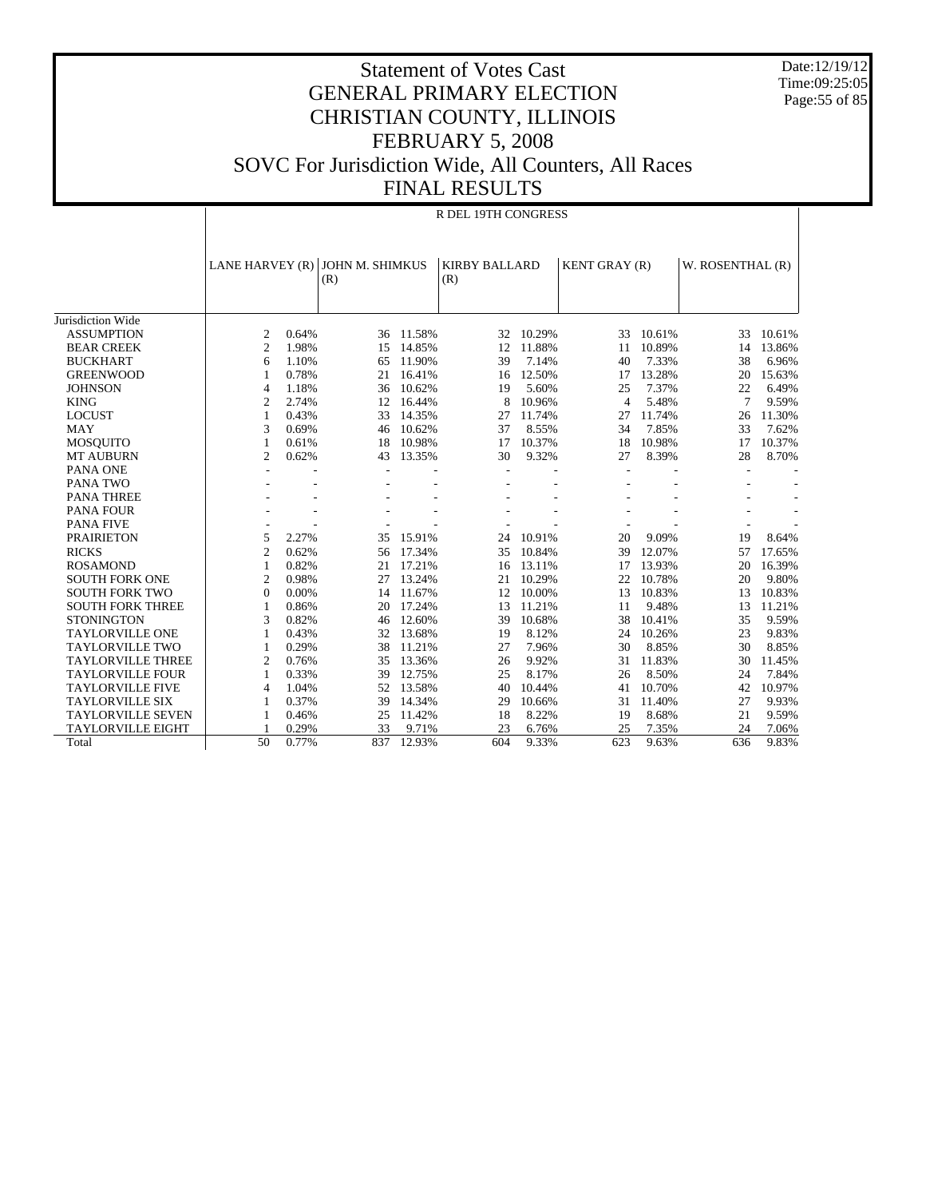Date:12/19/12 Time:09:25:05 Page:55 of 85

|                          |                 |       |                        |           | R DEL 19TH CONGRESS         |        |                      |        |                  |        |
|--------------------------|-----------------|-------|------------------------|-----------|-----------------------------|--------|----------------------|--------|------------------|--------|
|                          | LANE HARVEY (R) |       | JOHN M. SHIMKUS<br>(R) |           | <b>KIRBY BALLARD</b><br>(R) |        | <b>KENT GRAY (R)</b> |        | W. ROSENTHAL (R) |        |
| Jurisdiction Wide        |                 |       |                        |           |                             |        |                      |        |                  |        |
| <b>ASSUMPTION</b>        | 2               | 0.64% |                        | 36 11.58% | 32                          | 10.29% | 33                   | 10.61% | 33               | 10.61% |
| <b>BEAR CREEK</b>        | $\overline{2}$  | 1.98% | 15                     | 14.85%    | 12                          | 11.88% | 11                   | 10.89% | 14               | 13.86% |
| <b>BUCKHART</b>          | 6               | 1.10% | 65                     | 11.90%    | 39                          | 7.14%  | 40                   | 7.33%  | 38               | 6.96%  |
| <b>GREENWOOD</b>         | 1               | 0.78% | 21                     | 16.41%    | 16                          | 12.50% | 17                   | 13.28% | 20               | 15.63% |
| <b>JOHNSON</b>           | $\overline{4}$  | 1.18% | 36                     | 10.62%    | 19                          | 5.60%  | 25                   | 7.37%  | 22               | 6.49%  |
| <b>KING</b>              | $\overline{2}$  | 2.74% | 12                     | 16.44%    | 8                           | 10.96% | $\overline{4}$       | 5.48%  | 7                | 9.59%  |
| <b>LOCUST</b>            | 1               | 0.43% | 33                     | 14.35%    | 27                          | 11.74% | 27                   | 11.74% | 26               | 11.30% |
| <b>MAY</b>               | 3               | 0.69% | 46                     | 10.62%    | 37                          | 8.55%  | 34                   | 7.85%  | 33               | 7.62%  |
| <b>MOSQUITO</b>          | 1               | 0.61% | 18                     | 10.98%    | 17                          | 10.37% | 18                   | 10.98% | 17               | 10.37% |
| <b>MT AUBURN</b>         | $\overline{2}$  | 0.62% | 43                     | 13.35%    | 30                          | 9.32%  | 27                   | 8.39%  | 28               | 8.70%  |
| PANA ONE                 |                 |       |                        |           |                             |        |                      |        |                  |        |
| PANA TWO                 |                 |       |                        |           |                             |        |                      |        |                  |        |
| <b>PANA THREE</b>        |                 |       |                        |           |                             |        |                      |        |                  |        |
| PANA FOUR                |                 |       |                        |           |                             |        |                      |        |                  |        |
| <b>PANA FIVE</b>         |                 |       |                        |           |                             |        |                      |        |                  |        |
| <b>PRAIRIETON</b>        | 5               | 2.27% | 35                     | 15.91%    | 24                          | 10.91% | 20                   | 9.09%  | 19               | 8.64%  |
| <b>RICKS</b>             | $\overline{2}$  | 0.62% | 56                     | 17.34%    | 35                          | 10.84% | 39                   | 12.07% | 57               | 17.65% |
| <b>ROSAMOND</b>          | 1               | 0.82% | 21                     | 17.21%    | 16                          | 13.11% | 17                   | 13.93% | 20               | 16.39% |
| <b>SOUTH FORK ONE</b>    | $\overline{2}$  | 0.98% | 27                     | 13.24%    | 21                          | 10.29% | 22                   | 10.78% | 20               | 9.80%  |
| <b>SOUTH FORK TWO</b>    | $\mathbf{0}$    | 0.00% | 14                     | 11.67%    | 12                          | 10.00% | 13                   | 10.83% | 13               | 10.83% |
| <b>SOUTH FORK THREE</b>  | 1               | 0.86% | 20                     | 17.24%    | 13                          | 11.21% | 11                   | 9.48%  | 13               | 11.21% |
| <b>STONINGTON</b>        | 3               | 0.82% | 46                     | 12.60%    | 39                          | 10.68% | 38                   | 10.41% | 35               | 9.59%  |
| <b>TAYLORVILLE ONE</b>   | 1               | 0.43% | 32                     | 13.68%    | 19                          | 8.12%  | 24                   | 10.26% | 23               | 9.83%  |
| <b>TAYLORVILLE TWO</b>   | 1               | 0.29% | 38                     | 11.21%    | 27                          | 7.96%  | 30                   | 8.85%  | 30               | 8.85%  |
| <b>TAYLORVILLE THREE</b> | $\overline{2}$  | 0.76% | 35                     | 13.36%    | 26                          | 9.92%  | 31                   | 11.83% | 30               | 11.45% |
| <b>TAYLORVILLE FOUR</b>  | 1               | 0.33% | 39                     | 12.75%    | 25                          | 8.17%  | 26                   | 8.50%  | 24               | 7.84%  |
| <b>TAYLORVILLE FIVE</b>  | $\overline{4}$  | 1.04% | 52                     | 13.58%    | 40                          | 10.44% | 41                   | 10.70% | 42               | 10.97% |
| <b>TAYLORVILLE SIX</b>   | 1               | 0.37% | 39                     | 14.34%    | 29                          | 10.66% | 31                   | 11.40% | 27               | 9.93%  |
| <b>TAYLORVILLE SEVEN</b> | 1               | 0.46% | 25                     | 11.42%    | 18                          | 8.22%  | 19                   | 8.68%  | 21               | 9.59%  |
| <b>TAYLORVILLE EIGHT</b> |                 | 0.29% | 33                     | 9.71%     | 23                          | 6.76%  | 25                   | 7.35%  | 24               | 7.06%  |
| Total                    | 50              | 0.77% | 837                    | 12.93%    | 604                         | 9.33%  | 623                  | 9.63%  | 636              | 9.83%  |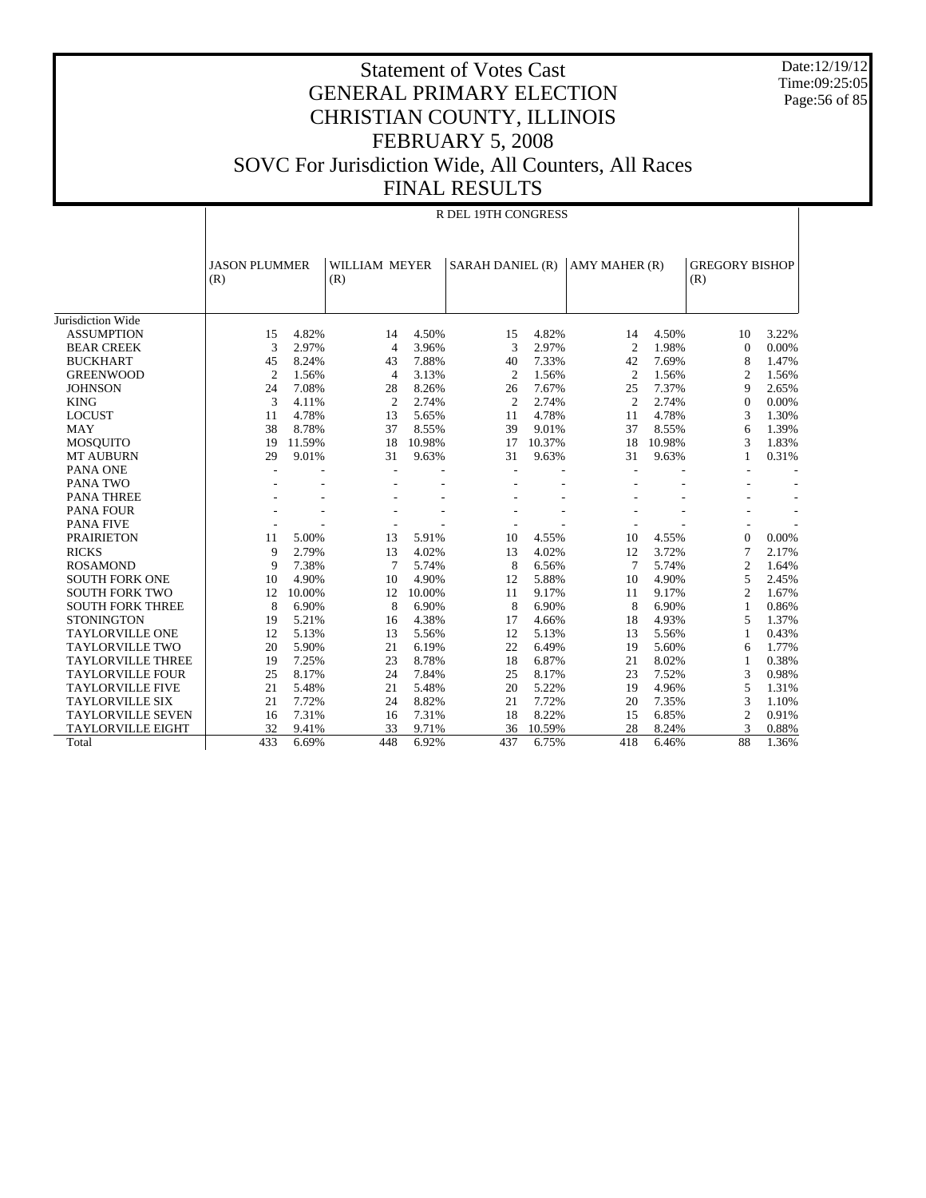Date:12/19/12 Time:09:25:05 Page:56 of 85

|                          | R DEL 19TH CONGRESS         |        |                      |        |                  |        |                |        |                              |       |  |  |
|--------------------------|-----------------------------|--------|----------------------|--------|------------------|--------|----------------|--------|------------------------------|-------|--|--|
|                          | <b>JASON PLUMMER</b><br>(R) |        | WILLIAM MEYER<br>(R) |        | SARAH DANIEL (R) |        | AMY MAHER (R)  |        | <b>GREGORY BISHOP</b><br>(R) |       |  |  |
| Jurisdiction Wide        |                             |        |                      |        |                  |        |                |        |                              |       |  |  |
| <b>ASSUMPTION</b>        | 15                          | 4.82%  | 14                   | 4.50%  | 15               | 4.82%  | 14             | 4.50%  | 10                           | 3.22% |  |  |
| <b>BEAR CREEK</b>        | 3                           | 2.97%  | $\overline{4}$       | 3.96%  | 3                | 2.97%  | $\overline{2}$ | 1.98%  | $\mathbf{0}$                 | 0.00% |  |  |
| <b>BUCKHART</b>          | 45                          | 8.24%  | 43                   | 7.88%  | 40               | 7.33%  | 42             | 7.69%  | 8                            | 1.47% |  |  |
| <b>GREENWOOD</b>         | 2                           | 1.56%  | $\overline{4}$       | 3.13%  | 2                | 1.56%  | $\overline{c}$ | 1.56%  | 2                            | 1.56% |  |  |
| <b>JOHNSON</b>           | 24                          | 7.08%  | 28                   | 8.26%  | 26               | 7.67%  | 25             | 7.37%  | 9                            | 2.65% |  |  |
| <b>KING</b>              | 3                           | 4.11%  | $\overline{c}$       | 2.74%  | $\overline{c}$   | 2.74%  | $\overline{c}$ | 2.74%  | $\mathbf{0}$                 | 0.00% |  |  |
| <b>LOCUST</b>            | 11                          | 4.78%  | 13                   | 5.65%  | 11               | 4.78%  | 11             | 4.78%  | 3                            | 1.30% |  |  |
| <b>MAY</b>               | 38                          | 8.78%  | 37                   | 8.55%  | 39               | 9.01%  | 37             | 8.55%  | 6                            | 1.39% |  |  |
| <b>MOSQUITO</b>          | 19                          | 11.59% | 18                   | 10.98% | 17               | 10.37% | 18             | 10.98% | 3                            | 1.83% |  |  |
| <b>MT AUBURN</b>         | 29                          | 9.01%  | 31                   | 9.63%  | 31               | 9.63%  | 31             | 9.63%  | 1                            | 0.31% |  |  |
| PANA ONE                 |                             |        |                      |        |                  |        |                |        |                              |       |  |  |
| <b>PANA TWO</b>          |                             |        |                      |        |                  |        |                |        |                              |       |  |  |
| <b>PANA THREE</b>        |                             |        |                      |        |                  |        |                |        |                              |       |  |  |
| PANA FOUR                |                             |        |                      |        |                  |        |                |        |                              |       |  |  |
| <b>PANA FIVE</b>         |                             |        |                      |        |                  |        |                |        |                              |       |  |  |
| <b>PRAIRIETON</b>        | 11                          | 5.00%  | 13                   | 5.91%  | 10               | 4.55%  | 10             | 4.55%  | $\Omega$                     | 0.00% |  |  |
| <b>RICKS</b>             | 9                           | 2.79%  | 13                   | 4.02%  | 13               | 4.02%  | 12             | 3.72%  | $\overline{7}$               | 2.17% |  |  |
| <b>ROSAMOND</b>          | 9                           | 7.38%  | $\tau$               | 5.74%  | 8                | 6.56%  | $\overline{7}$ | 5.74%  | 2                            | 1.64% |  |  |
| <b>SOUTH FORK ONE</b>    | 10                          | 4.90%  | 10                   | 4.90%  | 12               | 5.88%  | 10             | 4.90%  | 5                            | 2.45% |  |  |
| <b>SOUTH FORK TWO</b>    | 12                          | 10.00% | 12                   | 10.00% | 11               | 9.17%  | 11             | 9.17%  | $\overline{2}$               | 1.67% |  |  |
| <b>SOUTH FORK THREE</b>  | 8                           | 6.90%  | 8                    | 6.90%  | 8                | 6.90%  | 8              | 6.90%  | 1                            | 0.86% |  |  |
| <b>STONINGTON</b>        | 19                          | 5.21%  | 16                   | 4.38%  | 17               | 4.66%  | 18             | 4.93%  | 5                            | 1.37% |  |  |
| <b>TAYLORVILLE ONE</b>   | 12                          | 5.13%  | 13                   | 5.56%  | 12               | 5.13%  | 13             | 5.56%  | 1                            | 0.43% |  |  |
| <b>TAYLORVILLE TWO</b>   | 20                          | 5.90%  | 21                   | 6.19%  | 22               | 6.49%  | 19             | 5.60%  | 6                            | 1.77% |  |  |
| <b>TAYLORVILLE THREE</b> | 19                          | 7.25%  | 23                   | 8.78%  | 18               | 6.87%  | 21             | 8.02%  | $\mathbf{1}$                 | 0.38% |  |  |
| <b>TAYLORVILLE FOUR</b>  | 25                          | 8.17%  | 24                   | 7.84%  | 25               | 8.17%  | 23             | 7.52%  | 3                            | 0.98% |  |  |
| <b>TAYLORVILLE FIVE</b>  | 21                          | 5.48%  | 21                   | 5.48%  | 20               | 5.22%  | 19             | 4.96%  | 5                            | 1.31% |  |  |
| <b>TAYLORVILLE SIX</b>   | 21                          | 7.72%  | 24                   | 8.82%  | 21               | 7.72%  | 20             | 7.35%  | 3                            | 1.10% |  |  |
| <b>TAYLORVILLE SEVEN</b> | 16                          | 7.31%  | 16                   | 7.31%  | 18               | 8.22%  | 15             | 6.85%  | $\overline{2}$               | 0.91% |  |  |
| <b>TAYLORVILLE EIGHT</b> | 32                          | 9.41%  | 33                   | 9.71%  | 36               | 10.59% | 28             | 8.24%  | 3                            | 0.88% |  |  |
| Total                    | 433                         | 6.69%  | 448                  | 6.92%  | 437              | 6.75%  | 418            | 6.46%  | 88                           | 1.36% |  |  |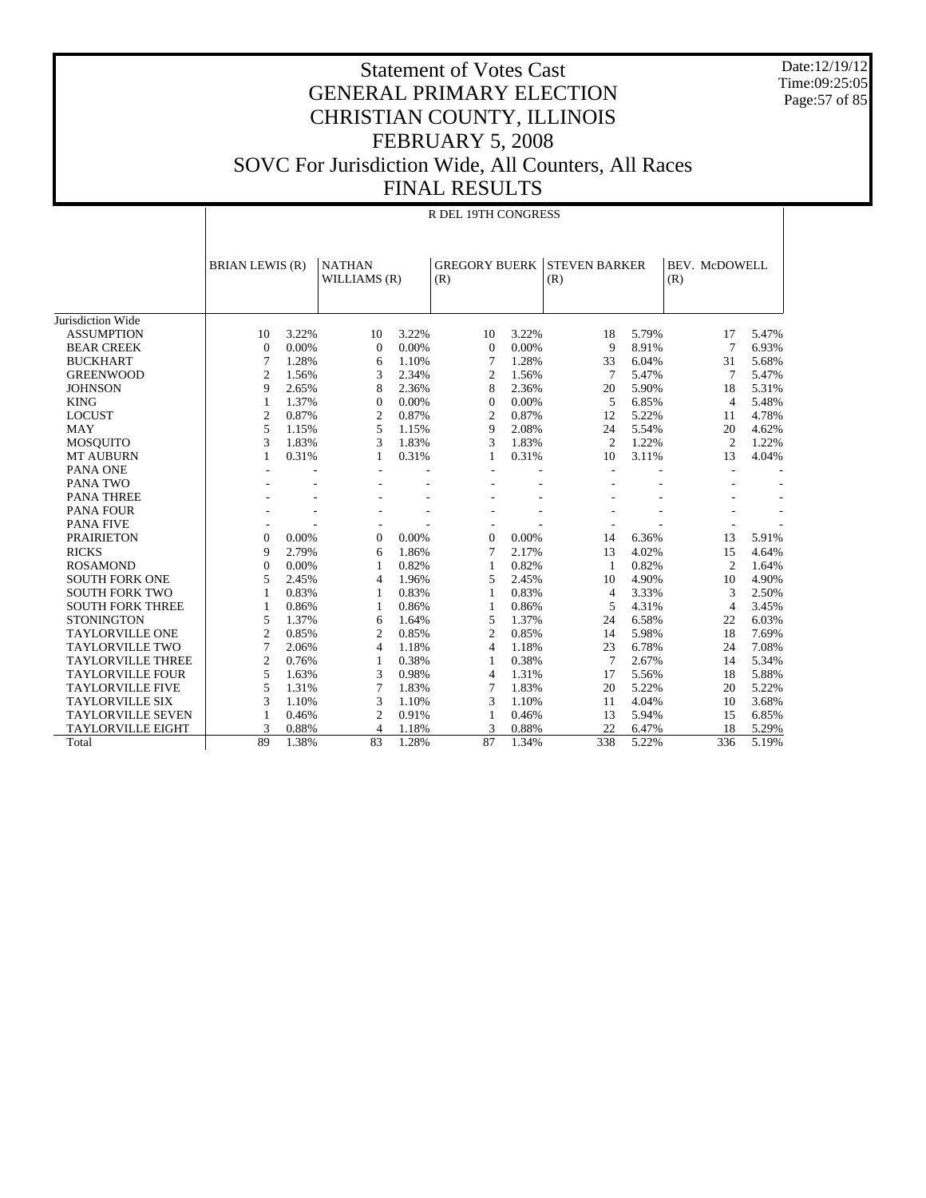Date:12/19/12 Time:09:25:05 Page:57 of 85

#### Statement of Votes Cast GENERAL PRIMARY ELECTION CHRISTIAN COUNTY, ILLINOIS FEBRUARY 5, 2008 SOVC For Jurisdiction Wide, All Counters, All Races FINAL RESULTS

|                          |                        | R DEL 19TH CONGRESS |                               |       |                             |       |                             |       |                      |                |       |  |
|--------------------------|------------------------|---------------------|-------------------------------|-------|-----------------------------|-------|-----------------------------|-------|----------------------|----------------|-------|--|
|                          | <b>BRIAN LEWIS (R)</b> |                     | <b>NATHAN</b><br>WILLIAMS (R) |       | <b>GREGORY BUERK</b><br>(R) |       | <b>STEVEN BARKER</b><br>(R) |       | BEV. McDOWELL<br>(R) |                |       |  |
| Jurisdiction Wide        |                        |                     |                               |       |                             |       |                             |       |                      |                |       |  |
| <b>ASSUMPTION</b>        | 10                     | 3.22%               | 10                            | 3.22% | 10                          | 3.22% | 18                          | 5.79% |                      | 17             | 5.47% |  |
| <b>BEAR CREEK</b>        | $\mathbf{0}$           | 0.00%               | $\mathbf{0}$                  | 0.00% | $\overline{0}$              | 0.00% | 9                           | 8.91% |                      | $\overline{7}$ | 6.93% |  |
| <b>BUCKHART</b>          | 7                      | 1.28%               | 6                             | 1.10% | 7                           | 1.28% | 33                          | 6.04% |                      | 31             | 5.68% |  |
| <b>GREENWOOD</b>         | $\overline{2}$         | 1.56%               | 3                             | 2.34% | 2                           | 1.56% | 7                           | 5.47% |                      | 7              | 5.47% |  |
| <b>JOHNSON</b>           | 9                      | 2.65%               | 8                             | 2.36% | 8                           | 2.36% | 20                          | 5.90% |                      | 18             | 5.31% |  |
| <b>KING</b>              | 1                      | 1.37%               | $\Omega$                      | 0.00% | $\theta$                    | 0.00% | 5                           | 6.85% |                      | $\overline{4}$ | 5.48% |  |
| <b>LOCUST</b>            | $\overline{2}$         | 0.87%               | $\overline{2}$                | 0.87% | $\overline{2}$              | 0.87% | 12                          | 5.22% |                      | 11             | 4.78% |  |
| <b>MAY</b>               | 5                      | 1.15%               | 5                             | 1.15% | 9                           | 2.08% | 24                          | 5.54% |                      | 20             | 4.62% |  |
| <b>MOSQUITO</b>          | 3                      | 1.83%               | 3                             | 1.83% | 3                           | 1.83% | $\overline{2}$              | 1.22% |                      | $\overline{2}$ | 1.22% |  |
| <b>MT AUBURN</b>         | 1                      | 0.31%               | 1                             | 0.31% | 1                           | 0.31% | 10                          | 3.11% |                      | 13             | 4.04% |  |
| PANA ONE                 |                        |                     |                               |       |                             |       | L.                          |       |                      |                |       |  |
| <b>PANA TWO</b>          |                        |                     |                               |       |                             |       |                             |       |                      |                |       |  |
| <b>PANA THREE</b>        |                        |                     |                               |       |                             |       |                             |       |                      |                |       |  |
| <b>PANA FOUR</b>         |                        |                     |                               |       |                             |       |                             |       |                      |                |       |  |
| <b>PANA FIVE</b>         |                        |                     |                               |       |                             |       |                             |       |                      |                |       |  |
| <b>PRAIRIETON</b>        | $\Omega$               | 0.00%               | $\mathbf{0}$                  | 0.00% | $\mathbf{0}$                | 0.00% | 14                          | 6.36% |                      | 13             | 5.91% |  |
| <b>RICKS</b>             | 9                      | 2.79%               | 6                             | 1.86% | 7                           | 2.17% | 13                          | 4.02% |                      | 15             | 4.64% |  |
| <b>ROSAMOND</b>          | $\overline{0}$         | 0.00%               | 1                             | 0.82% | $\mathbf{1}$                | 0.82% | 1                           | 0.82% |                      | $\overline{2}$ | 1.64% |  |
| <b>SOUTH FORK ONE</b>    | 5                      | 2.45%               | $\overline{4}$                | 1.96% | 5                           | 2.45% | 10                          | 4.90% |                      | 10             | 4.90% |  |
| <b>SOUTH FORK TWO</b>    | $\mathbf{1}$           | 0.83%               | 1                             | 0.83% | $\mathbf{1}$                | 0.83% | $\overline{4}$              | 3.33% |                      | 3              | 2.50% |  |
| <b>SOUTH FORK THREE</b>  | $\mathbf{1}$           | 0.86%               | 1                             | 0.86% | 1                           | 0.86% | 5                           | 4.31% |                      | $\overline{4}$ | 3.45% |  |
| <b>STONINGTON</b>        | 5                      | 1.37%               | 6                             | 1.64% | 5                           | 1.37% | 24                          | 6.58% |                      | 22             | 6.03% |  |
| <b>TAYLORVILLE ONE</b>   | $\overline{2}$         | 0.85%               | $\overline{c}$                | 0.85% | $\overline{2}$              | 0.85% | 14                          | 5.98% |                      | 18             | 7.69% |  |
| <b>TAYLORVILLE TWO</b>   | $\overline{7}$         | 2.06%               | $\overline{4}$                | 1.18% | $\overline{4}$              | 1.18% | 23                          | 6.78% |                      | 24             | 7.08% |  |
| <b>TAYLORVILLE THREE</b> | $\overline{c}$         | 0.76%               | $\mathbf{1}$                  | 0.38% | 1                           | 0.38% | 7                           | 2.67% |                      | 14             | 5.34% |  |
| <b>TAYLORVILLE FOUR</b>  | 5                      | 1.63%               | 3                             | 0.98% | 4                           | 1.31% | 17                          | 5.56% |                      | 18             | 5.88% |  |
| <b>TAYLORVILLE FIVE</b>  | 5                      | 1.31%               | 7                             | 1.83% | $\overline{7}$              | 1.83% | 20                          | 5.22% |                      | 20             | 5.22% |  |
| <b>TAYLORVILLE SIX</b>   | 3                      | 1.10%               | 3                             | 1.10% | 3                           | 1.10% | 11                          | 4.04% |                      | 10             | 3.68% |  |
| <b>TAYLORVILLE SEVEN</b> | $\mathbf{1}$           | 0.46%               | $\mathfrak{2}$                | 0.91% | 1                           | 0.46% | 13                          | 5.94% |                      | 15             | 6.85% |  |
| <b>TAYLORVILLE EIGHT</b> | 3                      | 0.88%               | 4                             | 1.18% | 3                           | 0.88% | 22                          | 6.47% |                      | 18             | 5.29% |  |
| Total                    | 89                     | 1.38%               | 83                            | 1.28% | 87                          | 1.34% | 338                         | 5.22% |                      | 336            | 5.19% |  |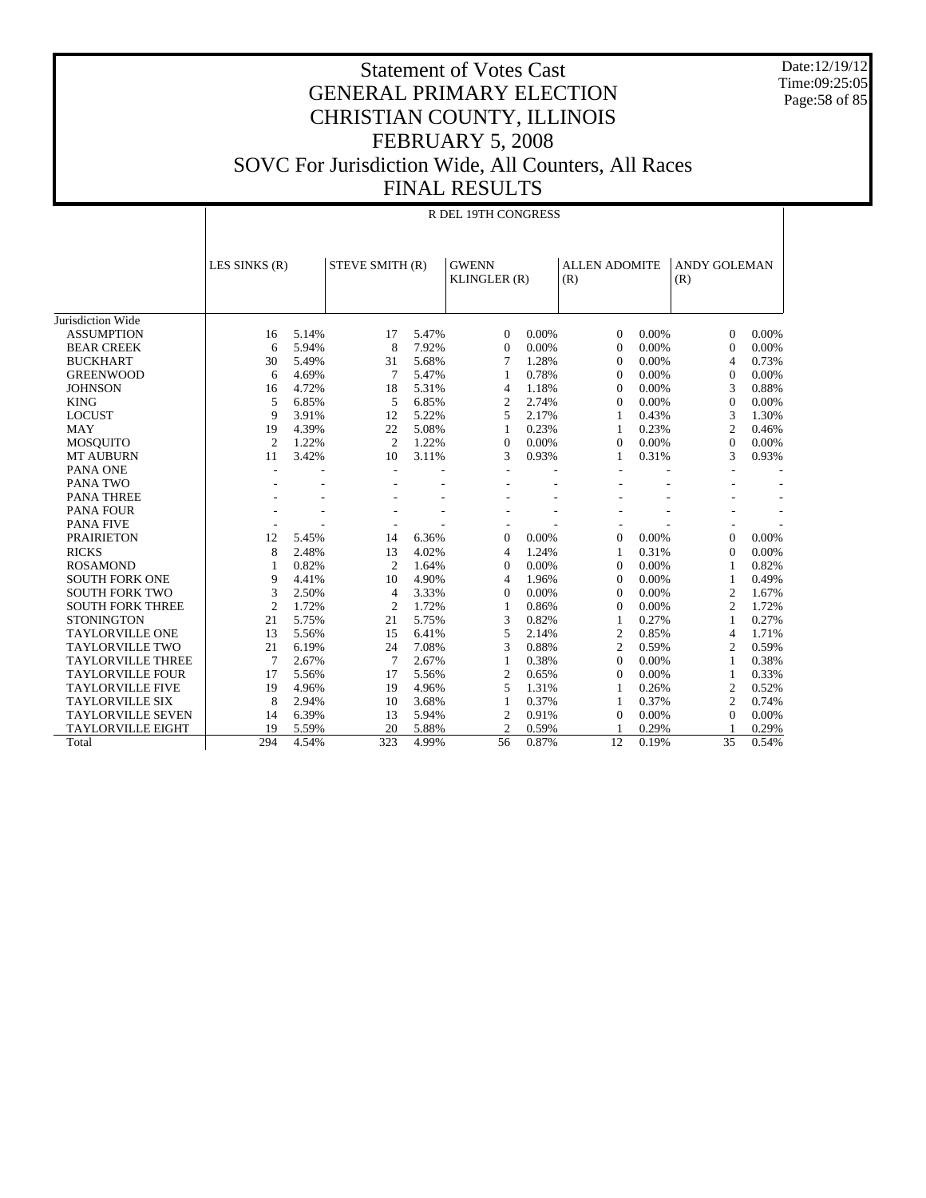Date:12/19/12 Time:09:25:05 Page:58 of 85

|                          |                          | R DEL 19TH CONGRESS |                |                 |                |                              |                |                      |                            |       |  |  |
|--------------------------|--------------------------|---------------------|----------------|-----------------|----------------|------------------------------|----------------|----------------------|----------------------------|-------|--|--|
|                          | LES SINKS (R)            |                     |                | STEVE SMITH (R) |                | <b>GWENN</b><br>KLINGLER (R) |                | <b>ALLEN ADOMITE</b> | <b>ANDY GOLEMAN</b><br>(R) |       |  |  |
| Jurisdiction Wide        |                          |                     |                |                 |                |                              |                |                      |                            |       |  |  |
| <b>ASSUMPTION</b>        | 16                       | 5.14%               | 17             | 5.47%           | 0              | 0.00%                        | $\Omega$       | 0.00%                | $\Omega$                   | 0.00% |  |  |
| <b>BEAR CREEK</b>        | 6                        | 5.94%               | 8              | 7.92%           | $\Omega$       | 0.00%                        | $\theta$       | 0.00%                | $\Omega$                   | 0.00% |  |  |
| <b>BUCKHART</b>          | 30                       | 5.49%               | 31             | 5.68%           | 7              | 1.28%                        | $\theta$       | 0.00%                | $\overline{4}$             | 0.73% |  |  |
| <b>GREENWOOD</b>         | 6                        | 4.69%               | $\overline{7}$ | 5.47%           | 1              | 0.78%                        | $\Omega$       | 0.00%                | $\mathbf{0}$               | 0.00% |  |  |
| <b>JOHNSON</b>           | 16                       | 4.72%               | 18             | 5.31%           | 4              | 1.18%                        | $\Omega$       | 0.00%                | 3                          | 0.88% |  |  |
| <b>KING</b>              | 5                        | 6.85%               | 5              | 6.85%           | $\mathfrak{2}$ | 2.74%                        | $\Omega$       | 0.00%                | $\mathbf{0}$               | 0.00% |  |  |
| <b>LOCUST</b>            | 9                        | 3.91%               | 12             | 5.22%           | 5              | 2.17%                        | 1              | 0.43%                | 3                          | 1.30% |  |  |
| <b>MAY</b>               | 19                       | 4.39%               | 22             | 5.08%           | 1              | 0.23%                        | 1              | 0.23%                | $\overline{c}$             | 0.46% |  |  |
| <b>MOSQUITO</b>          | $\overline{2}$           | 1.22%               | $\overline{c}$ | 1.22%           | $\Omega$       | 0.00%                        | $\Omega$       | 0.00%                | $\Omega$                   | 0.00% |  |  |
| <b>MT AUBURN</b>         | 11                       | 3.42%               | 10             | 3.11%           | 3              | 0.93%                        | 1              | 0.31%                | 3                          | 0.93% |  |  |
| PANA ONE                 | $\overline{\phantom{0}}$ |                     | ٠              |                 |                |                              |                |                      |                            |       |  |  |
| <b>PANA TWO</b>          |                          |                     |                |                 |                |                              |                |                      |                            |       |  |  |
| <b>PANA THREE</b>        |                          |                     |                |                 |                |                              |                |                      |                            |       |  |  |
| <b>PANA FOUR</b>         |                          |                     |                |                 |                |                              |                |                      |                            |       |  |  |
| <b>PANA FIVE</b>         |                          |                     |                |                 |                |                              |                |                      |                            |       |  |  |
| <b>PRAIRIETON</b>        | 12                       | 5.45%               | 14             | 6.36%           | $\Omega$       | 0.00%                        | $\Omega$       | 0.00%                | $\Omega$                   | 0.00% |  |  |
| <b>RICKS</b>             | 8                        | 2.48%               | 13             | 4.02%           | 4              | 1.24%                        | 1              | 0.31%                | $\Omega$                   | 0.00% |  |  |
| <b>ROSAMOND</b>          | $\mathbf{1}$             | 0.82%               | $\overline{2}$ | 1.64%           | $\Omega$       | 0.00%                        | $\Omega$       | 0.00%                | $\mathbf{1}$               | 0.82% |  |  |
| <b>SOUTH FORK ONE</b>    | 9                        | 4.41%               | 10             | 4.90%           | 4              | 1.96%                        | $\Omega$       | 0.00%                | $\mathbf{1}$               | 0.49% |  |  |
| <b>SOUTH FORK TWO</b>    | 3                        | 2.50%               | $\overline{4}$ | 3.33%           | $\Omega$       | 0.00%                        | $\Omega$       | 0.00%                | $\overline{2}$             | 1.67% |  |  |
| <b>SOUTH FORK THREE</b>  | $\overline{c}$           | 1.72%               | $\overline{c}$ | 1.72%           | 1              | 0.86%                        | $\Omega$       | 0.00%                | $\overline{c}$             | 1.72% |  |  |
| <b>STONINGTON</b>        | 21                       | 5.75%               | 21             | 5.75%           | 3              | 0.82%                        | 1              | 0.27%                | 1                          | 0.27% |  |  |
| <b>TAYLORVILLE ONE</b>   | 13                       | 5.56%               | 15             | 6.41%           | 5              | 2.14%                        | $\overline{2}$ | 0.85%                | $\overline{4}$             | 1.71% |  |  |
| <b>TAYLORVILLE TWO</b>   | 21                       | 6.19%               | 24             | 7.08%           | 3              | 0.88%                        | $\overline{c}$ | 0.59%                | $\overline{c}$             | 0.59% |  |  |
| <b>TAYLORVILLE THREE</b> | 7                        | 2.67%               | $\tau$         | 2.67%           | 1              | 0.38%                        | $\Omega$       | 0.00%                | 1                          | 0.38% |  |  |
| <b>TAYLORVILLE FOUR</b>  | 17                       | 5.56%               | 17             | 5.56%           | $\overline{c}$ | 0.65%                        | $\overline{0}$ | 0.00%                | 1                          | 0.33% |  |  |
| <b>TAYLORVILLE FIVE</b>  | 19                       | 4.96%               | 19             | 4.96%           | 5              | 1.31%                        | 1              | 0.26%                | $\overline{c}$             | 0.52% |  |  |
| <b>TAYLORVILLE SIX</b>   | 8                        | 2.94%               | 10             | 3.68%           | 1              | 0.37%                        | 1              | 0.37%                | $\overline{c}$             | 0.74% |  |  |
| <b>TAYLORVILLE SEVEN</b> | 14                       | 6.39%               | 13             | 5.94%           | $\mathfrak{2}$ | 0.91%                        | $\Omega$       | 0.00%                | $\Omega$                   | 0.00% |  |  |
| <b>TAYLORVILLE EIGHT</b> | 19                       | 5.59%               | 20             | 5.88%           | $\overline{c}$ | 0.59%                        |                | 0.29%                |                            | 0.29% |  |  |
| Total                    | 294                      | 4.54%               | 323            | 4.99%           | 56             | 0.87%                        | 12             | 0.19%                | 35                         | 0.54% |  |  |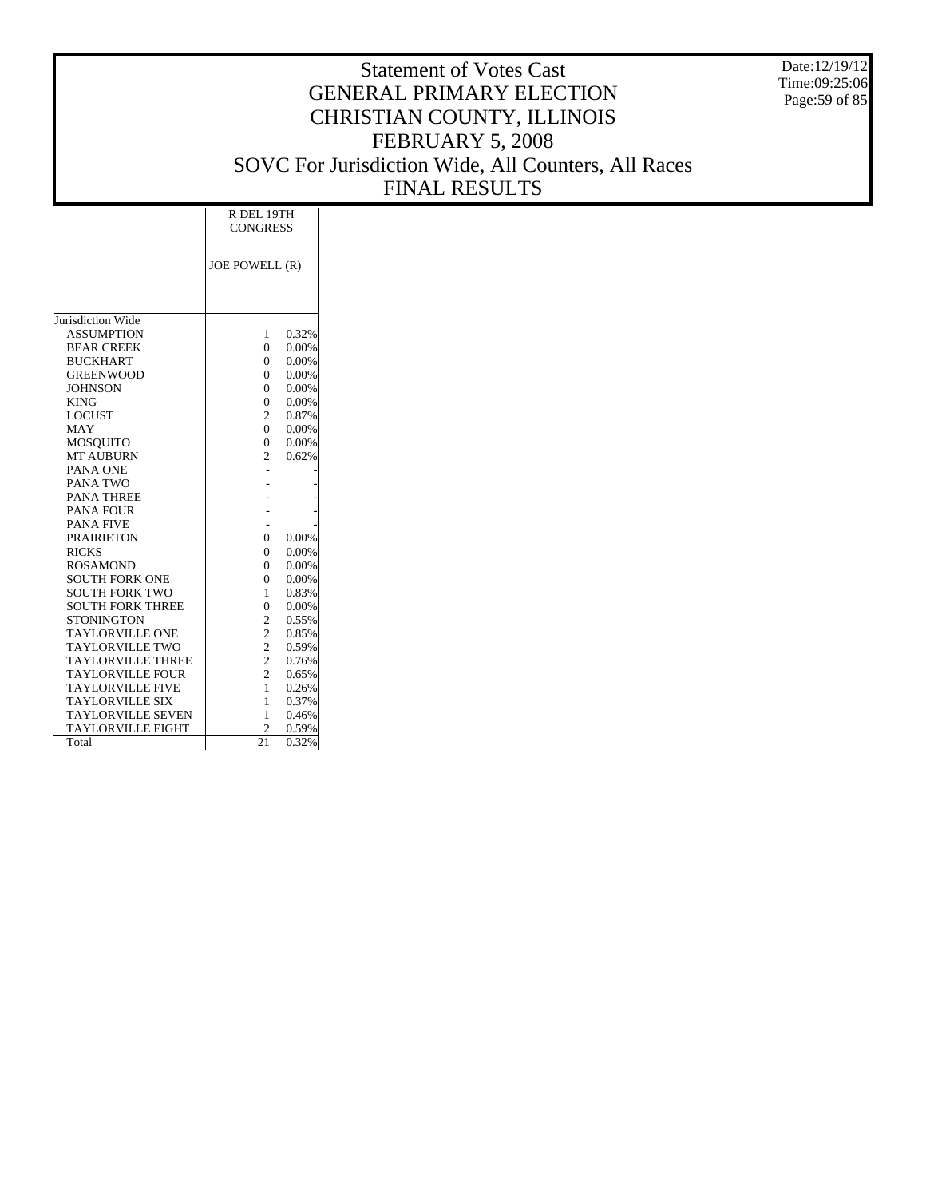Date:12/19/12 Time:09:25:06 Page:59 of 85

|                          | R DEL 19TH      |       |  |  |  |  |
|--------------------------|-----------------|-------|--|--|--|--|
|                          | <b>CONGRESS</b> |       |  |  |  |  |
|                          |                 |       |  |  |  |  |
|                          | JOE POWELL (R)  |       |  |  |  |  |
|                          |                 |       |  |  |  |  |
|                          |                 |       |  |  |  |  |
| Jurisdiction Wide        |                 |       |  |  |  |  |
| <b>ASSUMPTION</b>        | 1               | 0.32% |  |  |  |  |
| <b>BEAR CREEK</b>        | $\theta$        | 0.00% |  |  |  |  |
| <b>BUCKHART</b>          | $\theta$        | 0.00% |  |  |  |  |
| <b>GREENWOOD</b>         | $\theta$        | 0.00% |  |  |  |  |
| <b>JOHNSON</b>           | $\theta$        | 0.00% |  |  |  |  |
| <b>KING</b>              | $\theta$        | 0.00% |  |  |  |  |
| <b>LOCUST</b>            | $\overline{2}$  | 0.87% |  |  |  |  |
| MAY                      | $\Omega$        | 0.00% |  |  |  |  |
| <b>MOSOUITO</b>          | $\theta$        | 0.00% |  |  |  |  |
| <b>MT AUBURN</b>         | $\overline{2}$  | 0.62% |  |  |  |  |
| PANA ONE                 |                 |       |  |  |  |  |
| PANA TWO                 |                 |       |  |  |  |  |
| <b>PANA THREE</b>        |                 |       |  |  |  |  |
| <b>PANA FOUR</b>         |                 |       |  |  |  |  |
| <b>PANA FIVE</b>         |                 |       |  |  |  |  |
| <b>PRAIRIETON</b>        | $\theta$        | 0.00% |  |  |  |  |
| <b>RICKS</b>             | $\theta$        | 0.00% |  |  |  |  |
| <b>ROSAMOND</b>          | $\theta$        | 0.00% |  |  |  |  |
| <b>SOUTH FORK ONE</b>    | $\overline{0}$  | 0.00% |  |  |  |  |
| <b>SOUTH FORK TWO</b>    | 1               | 0.83% |  |  |  |  |
| <b>SOUTH FORK THREE</b>  | $\overline{0}$  | 0.00% |  |  |  |  |
| <b>STONINGTON</b>        | 2               | 0.55% |  |  |  |  |
| <b>TAYLORVILLE ONE</b>   | $\overline{c}$  | 0.85% |  |  |  |  |
| <b>TAYLORVILLE TWO</b>   | $\overline{c}$  | 0.59% |  |  |  |  |
| <b>TAYLORVILLE THREE</b> | $\overline{c}$  | 0.76% |  |  |  |  |
| <b>TAYLORVILLE FOUR</b>  | $\overline{2}$  | 0.65% |  |  |  |  |
| <b>TAYLORVILLE FIVE</b>  | 1               | 0.26% |  |  |  |  |
| <b>TAYLORVILLE SIX</b>   | 1               | 0.37% |  |  |  |  |
| <b>TAYLORVILLE SEVEN</b> | 1               | 0.46% |  |  |  |  |
| <b>TAYLORVILLE EIGHT</b> | $\overline{c}$  | 0.59% |  |  |  |  |
| Total                    | $\overline{21}$ | 0.32% |  |  |  |  |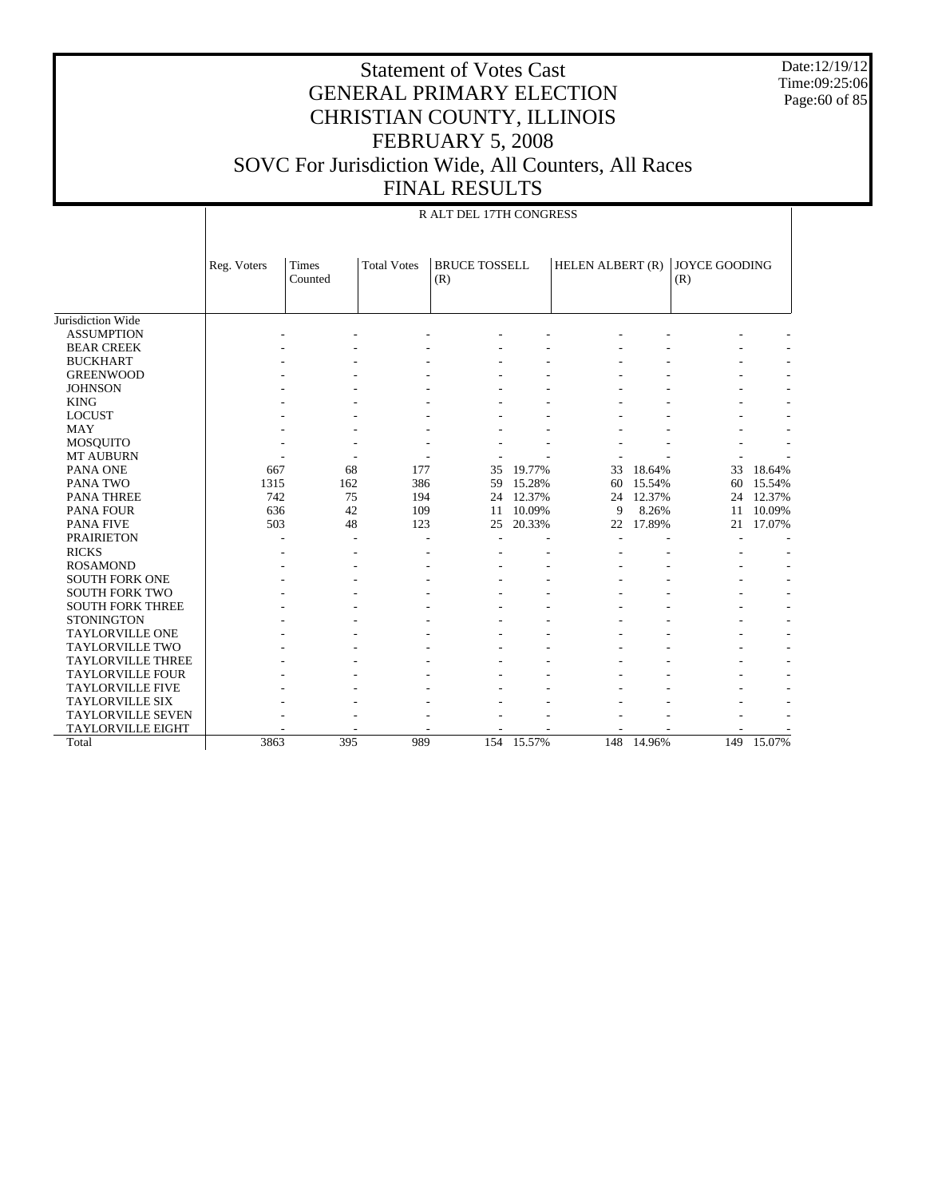Date:12/19/12 Time:09:25:06 Page:60 of 85

|                          |             | R ALT DEL 17TH CONGRESS |                    |                             |            |                  |        |                             |            |  |  |  |
|--------------------------|-------------|-------------------------|--------------------|-----------------------------|------------|------------------|--------|-----------------------------|------------|--|--|--|
|                          | Reg. Voters | Times<br>Counted        | <b>Total Votes</b> | <b>BRUCE TOSSELL</b><br>(R) |            | HELEN ALBERT (R) |        | <b>JOYCE GOODING</b><br>(R) |            |  |  |  |
| Jurisdiction Wide        |             |                         |                    |                             |            |                  |        |                             |            |  |  |  |
| <b>ASSUMPTION</b>        |             |                         |                    |                             |            |                  |        |                             |            |  |  |  |
| <b>BEAR CREEK</b>        |             |                         |                    |                             |            |                  |        |                             |            |  |  |  |
| <b>BUCKHART</b>          |             |                         |                    |                             |            |                  |        |                             |            |  |  |  |
| <b>GREENWOOD</b>         |             |                         |                    |                             |            |                  |        |                             |            |  |  |  |
| <b>JOHNSON</b>           |             |                         |                    |                             |            |                  |        |                             |            |  |  |  |
| <b>KING</b>              |             |                         |                    |                             |            |                  |        |                             |            |  |  |  |
| <b>LOCUST</b>            |             |                         |                    |                             |            |                  |        |                             |            |  |  |  |
| <b>MAY</b>               |             |                         |                    |                             |            |                  |        |                             |            |  |  |  |
| <b>MOSQUITO</b>          |             |                         |                    |                             |            |                  |        |                             |            |  |  |  |
| MT AUBURN                |             |                         |                    |                             |            |                  |        |                             |            |  |  |  |
| PANA ONE                 | 667         | 68                      | 177                | 35                          | 19.77%     | 33               | 18.64% | 33                          | 18.64%     |  |  |  |
| PANA TWO                 | 1315        | 162                     | 386                | 59                          | 15.28%     | 60               | 15.54% | 60                          | 15.54%     |  |  |  |
| <b>PANA THREE</b>        | 742         | 75                      | 194                | 24                          | 12.37%     | 24               | 12.37% | 24                          | 12.37%     |  |  |  |
| <b>PANA FOUR</b>         | 636         | 42                      | 109                | 11                          | 10.09%     | 9                | 8.26%  | 11                          | 10.09%     |  |  |  |
| <b>PANA FIVE</b>         | 503         | 48                      | 123                | 25                          | 20.33%     | 22               | 17.89% | 21                          | 17.07%     |  |  |  |
| <b>PRAIRIETON</b>        |             |                         |                    |                             |            |                  |        |                             |            |  |  |  |
| <b>RICKS</b>             |             |                         |                    |                             |            |                  |        |                             |            |  |  |  |
| <b>ROSAMOND</b>          |             |                         |                    |                             |            |                  |        |                             |            |  |  |  |
| <b>SOUTH FORK ONE</b>    |             |                         |                    |                             |            |                  |        |                             |            |  |  |  |
| <b>SOUTH FORK TWO</b>    |             |                         |                    |                             |            |                  |        |                             |            |  |  |  |
| <b>SOUTH FORK THREE</b>  |             |                         |                    |                             |            |                  |        |                             |            |  |  |  |
| <b>STONINGTON</b>        |             |                         |                    |                             |            |                  |        |                             |            |  |  |  |
| <b>TAYLORVILLE ONE</b>   |             |                         |                    |                             |            |                  |        |                             |            |  |  |  |
| <b>TAYLORVILLE TWO</b>   |             |                         |                    |                             |            |                  |        |                             |            |  |  |  |
| <b>TAYLORVILLE THREE</b> |             |                         |                    |                             |            |                  |        |                             |            |  |  |  |
| <b>TAYLORVILLE FOUR</b>  |             |                         |                    |                             |            |                  |        |                             |            |  |  |  |
| <b>TAYLORVILLE FIVE</b>  |             |                         |                    |                             |            |                  |        |                             |            |  |  |  |
| <b>TAYLORVILLE SIX</b>   |             |                         |                    |                             |            |                  |        |                             |            |  |  |  |
| <b>TAYLORVILLE SEVEN</b> |             |                         |                    |                             |            |                  |        |                             |            |  |  |  |
| <b>TAYLORVILLE EIGHT</b> |             |                         |                    |                             |            |                  |        |                             |            |  |  |  |
| Total                    | 3863        | 395                     | 989                |                             | 154 15.57% | 148              | 14.96% |                             | 149 15.07% |  |  |  |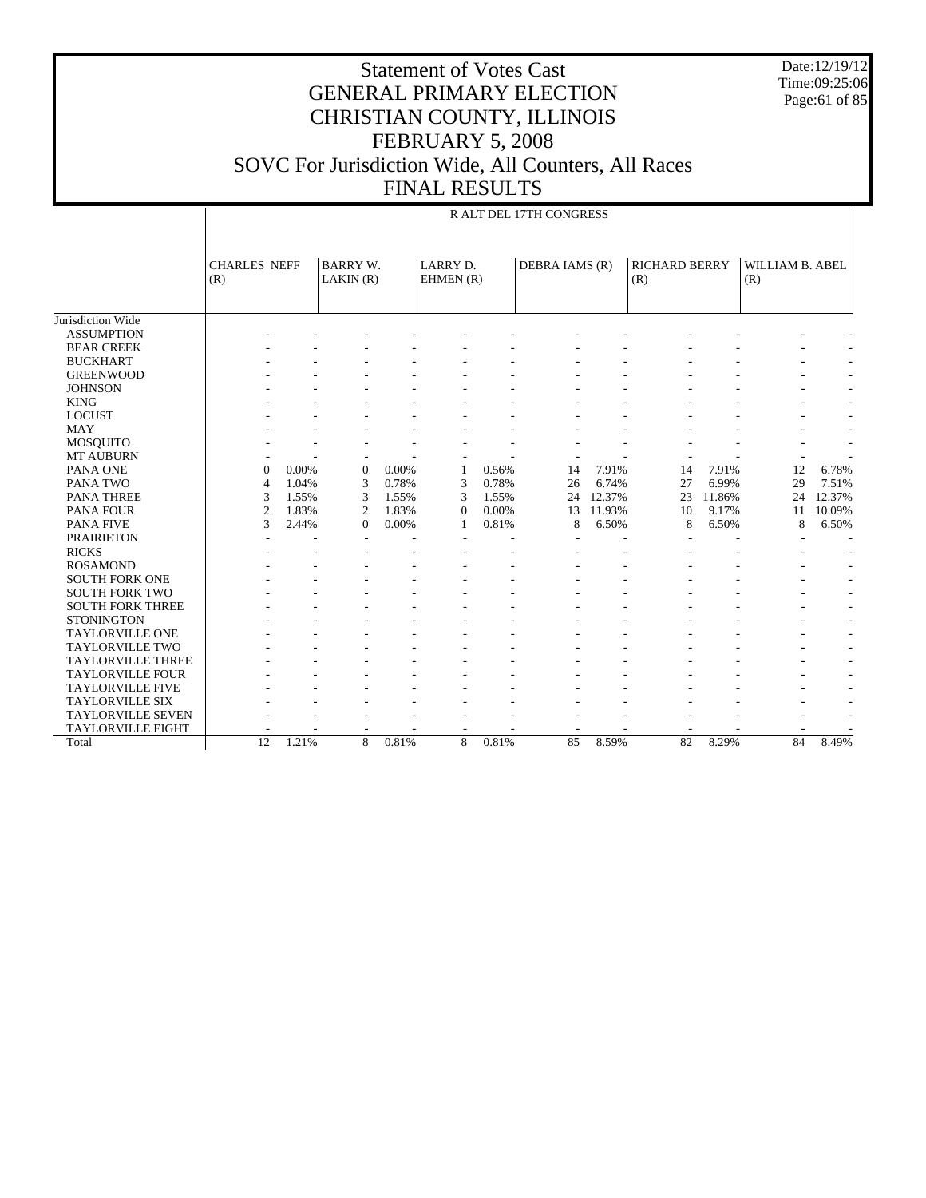Date:12/19/12 Time:09:25:06 Page:61 of 85

| <u>VALISLO</u> ULID     |
|-------------------------|
| R ALT DEL 17TH CONGRESS |

|                          | <b>CHARLES NEFF</b> |       | <b>BARRY W.</b> |       | <b>LARRY D.</b> |       | DEBRA IAMS (R) |        | <b>RICHARD BERRY</b> |        | WILLIAM B. ABEL |        |
|--------------------------|---------------------|-------|-----------------|-------|-----------------|-------|----------------|--------|----------------------|--------|-----------------|--------|
|                          | (R)                 |       | LAKIN(R)        |       | EHMEN (R)       |       |                |        | (R)                  |        | (R)             |        |
|                          |                     |       |                 |       |                 |       |                |        |                      |        |                 |        |
|                          |                     |       |                 |       |                 |       |                |        |                      |        |                 |        |
| Jurisdiction Wide        |                     |       |                 |       |                 |       |                |        |                      |        |                 |        |
| <b>ASSUMPTION</b>        |                     |       |                 |       |                 |       |                |        |                      |        |                 |        |
| <b>BEAR CREEK</b>        |                     |       |                 |       |                 |       |                |        |                      |        |                 |        |
| <b>BUCKHART</b>          |                     |       |                 |       |                 |       |                |        |                      |        |                 |        |
| <b>GREENWOOD</b>         |                     |       |                 |       |                 |       |                |        |                      |        |                 |        |
| <b>JOHNSON</b>           |                     |       |                 |       |                 |       |                |        |                      |        |                 |        |
| <b>KING</b>              |                     |       |                 |       |                 |       |                |        |                      |        |                 |        |
| <b>LOCUST</b>            |                     |       |                 |       |                 |       |                |        |                      |        |                 |        |
| <b>MAY</b>               |                     |       |                 |       |                 |       |                |        |                      |        |                 |        |
| <b>MOSQUITO</b>          |                     |       |                 |       |                 |       |                |        |                      |        |                 |        |
| <b>MT AUBURN</b>         |                     |       |                 |       |                 |       |                |        |                      |        |                 |        |
| PANA ONE                 | $\Omega$            | 0.00% | $\Omega$        | 0.00% | 1               | 0.56% | 14             | 7.91%  | 14                   | 7.91%  | 12              | 6.78%  |
| PANA TWO                 | $\overline{4}$      | 1.04% | 3               | 0.78% | 3               | 0.78% | 26             | 6.74%  | 27                   | 6.99%  | 29              | 7.51%  |
| <b>PANA THREE</b>        | 3                   | 1.55% | 3               | 1.55% | 3               | 1.55% | 24             | 12.37% | 23                   | 11.86% | 24              | 12.37% |
| <b>PANA FOUR</b>         | $\overline{2}$      | 1.83% | $\overline{2}$  | 1.83% | $\overline{0}$  | 0.00% | 13             | 11.93% | 10                   | 9.17%  | 11              | 10.09% |
| <b>PANA FIVE</b>         | 3                   | 2.44% | $\Omega$        | 0.00% | 1               | 0.81% | 8              | 6.50%  | 8                    | 6.50%  | 8               | 6.50%  |
| <b>PRAIRIETON</b>        |                     |       |                 |       |                 |       |                |        |                      |        |                 | ٠      |
| <b>RICKS</b>             |                     |       |                 |       |                 |       |                |        |                      |        |                 |        |
| <b>ROSAMOND</b>          |                     |       |                 |       |                 |       |                |        |                      |        |                 |        |
| <b>SOUTH FORK ONE</b>    |                     |       |                 |       |                 |       |                |        |                      |        |                 |        |
| <b>SOUTH FORK TWO</b>    |                     |       |                 |       |                 |       |                |        |                      |        |                 |        |
| <b>SOUTH FORK THREE</b>  |                     |       |                 |       |                 |       |                |        |                      |        |                 |        |
| <b>STONINGTON</b>        |                     |       |                 |       |                 |       |                |        |                      |        |                 |        |
| <b>TAYLORVILLE ONE</b>   |                     |       |                 |       |                 |       |                |        |                      |        |                 |        |
| <b>TAYLORVILLE TWO</b>   |                     |       |                 |       |                 |       |                |        |                      |        |                 |        |
| <b>TAYLORVILLE THREE</b> |                     |       |                 |       |                 |       |                |        |                      |        |                 |        |
| <b>TAYLORVILLE FOUR</b>  |                     |       |                 |       |                 |       |                |        |                      |        |                 |        |
| <b>TAYLORVILLE FIVE</b>  |                     |       |                 |       |                 |       |                |        |                      |        |                 |        |
| <b>TAYLORVILLE SIX</b>   |                     |       |                 |       |                 |       |                |        |                      |        |                 |        |
| <b>TAYLORVILLE SEVEN</b> |                     |       |                 |       |                 |       |                |        |                      |        |                 |        |
| <b>TAYLORVILLE EIGHT</b> |                     |       |                 |       |                 |       |                |        |                      |        |                 |        |
| Total                    | 12                  | 1.21% | 8               | 0.81% | 8               | 0.81% | 85             | 8.59%  | 82                   | 8.29%  | 84              | 8.49%  |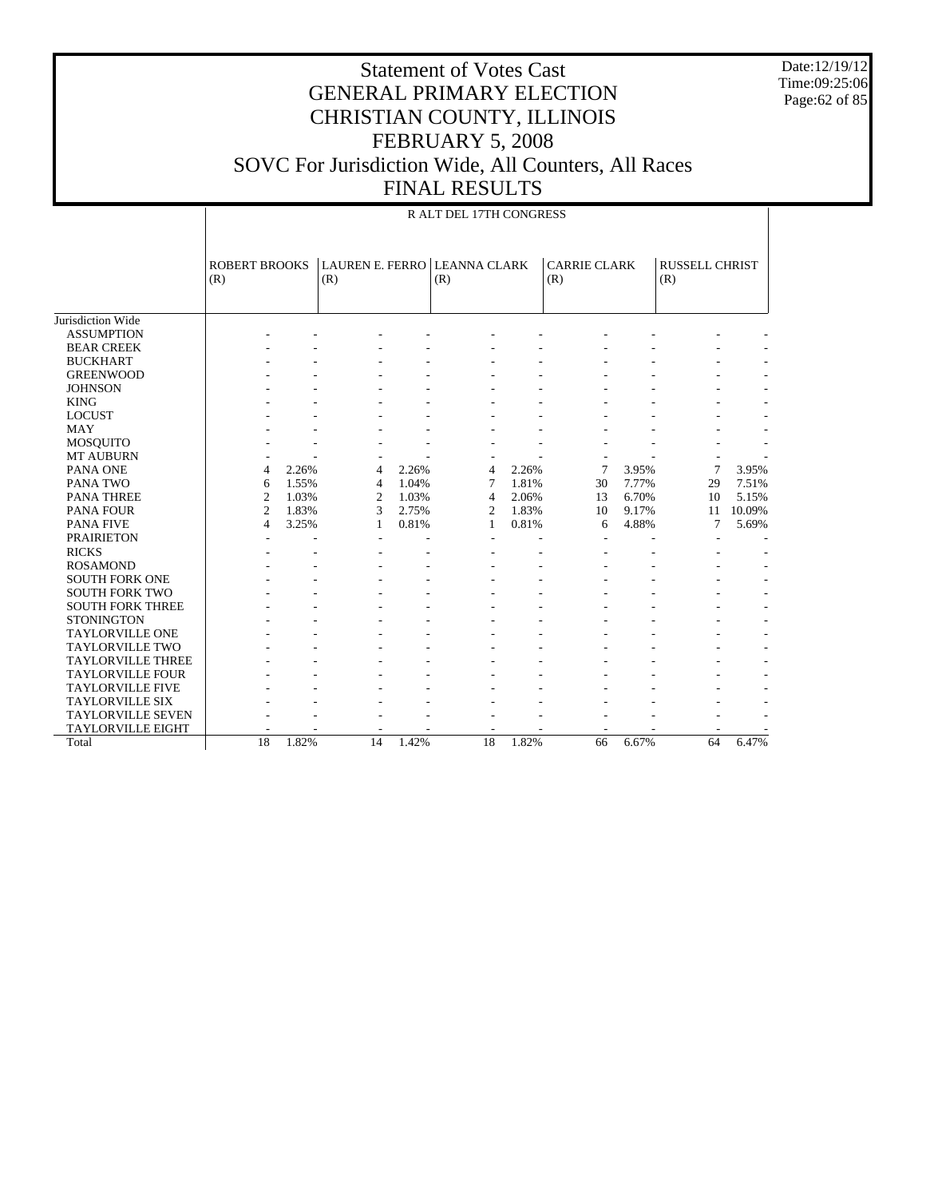Date:12/19/12 Time:09:25:06 Page:62 of 85

|                          |                             | R ALT DEL 17TH CONGRESS |                               |       |                            |       |                            |       |                              |        |  |  |
|--------------------------|-----------------------------|-------------------------|-------------------------------|-------|----------------------------|-------|----------------------------|-------|------------------------------|--------|--|--|
|                          | <b>ROBERT BROOKS</b><br>(R) |                         | <b>LAUREN E. FERRO</b><br>(R) |       | <b>LEANNA CLARK</b><br>(R) |       | <b>CARRIE CLARK</b><br>(R) |       | <b>RUSSELL CHRIST</b><br>(R) |        |  |  |
| Jurisdiction Wide        |                             |                         |                               |       |                            |       |                            |       |                              |        |  |  |
| <b>ASSUMPTION</b>        |                             |                         |                               |       |                            |       |                            |       |                              |        |  |  |
| <b>BEAR CREEK</b>        |                             |                         |                               |       |                            |       |                            |       |                              |        |  |  |
| <b>BUCKHART</b>          |                             |                         |                               |       |                            |       |                            |       |                              |        |  |  |
| <b>GREENWOOD</b>         |                             |                         |                               |       |                            |       |                            |       |                              |        |  |  |
| <b>JOHNSON</b>           |                             |                         |                               |       |                            |       |                            |       |                              |        |  |  |
| <b>KING</b>              |                             |                         |                               |       |                            |       |                            |       |                              |        |  |  |
| <b>LOCUST</b>            |                             |                         |                               |       |                            |       |                            |       |                              |        |  |  |
| <b>MAY</b>               |                             |                         |                               |       |                            |       |                            |       |                              |        |  |  |
| <b>MOSQUITO</b>          |                             |                         |                               |       |                            |       |                            |       |                              |        |  |  |
| <b>MT AUBURN</b>         |                             |                         |                               |       |                            |       |                            |       |                              |        |  |  |
| PANA ONE                 | $\overline{4}$              | 2.26%                   | 4                             | 2.26% | 4                          | 2.26% | 7                          | 3.95% | 7                            | 3.95%  |  |  |
| PANA TWO                 | 6                           | 1.55%                   | 4                             | 1.04% | 7                          | 1.81% | 30                         | 7.77% | 29                           | 7.51%  |  |  |
| <b>PANA THREE</b>        | $\overline{2}$              | 1.03%                   | 2                             | 1.03% | $\overline{4}$             | 2.06% | 13                         | 6.70% | 10                           | 5.15%  |  |  |
| <b>PANA FOUR</b>         | $\overline{2}$              | 1.83%                   | 3                             | 2.75% | $\overline{c}$             | 1.83% | 10                         | 9.17% | 11                           | 10.09% |  |  |
| <b>PANA FIVE</b>         | $\overline{4}$              | 3.25%                   | 1                             | 0.81% | 1                          | 0.81% | 6                          | 4.88% | 7                            | 5.69%  |  |  |
| <b>PRAIRIETON</b>        |                             |                         |                               |       |                            |       |                            |       |                              |        |  |  |
| <b>RICKS</b>             |                             |                         |                               |       |                            |       |                            |       |                              |        |  |  |
| <b>ROSAMOND</b>          |                             |                         |                               |       |                            |       |                            |       |                              |        |  |  |
| <b>SOUTH FORK ONE</b>    |                             |                         |                               |       |                            |       |                            |       |                              |        |  |  |
| <b>SOUTH FORK TWO</b>    |                             |                         |                               |       |                            |       |                            |       |                              |        |  |  |
| <b>SOUTH FORK THREE</b>  |                             |                         |                               |       |                            |       |                            |       |                              |        |  |  |
| <b>STONINGTON</b>        |                             |                         |                               |       |                            |       |                            |       |                              |        |  |  |
| <b>TAYLORVILLE ONE</b>   |                             |                         |                               |       |                            |       |                            |       |                              |        |  |  |
| <b>TAYLORVILLE TWO</b>   |                             |                         |                               |       |                            |       |                            |       |                              |        |  |  |
| <b>TAYLORVILLE THREE</b> |                             |                         |                               |       |                            |       |                            |       |                              |        |  |  |
| <b>TAYLORVILLE FOUR</b>  |                             |                         |                               |       |                            |       |                            |       |                              |        |  |  |
| <b>TAYLORVILLE FIVE</b>  |                             |                         |                               |       |                            |       |                            |       |                              |        |  |  |
| <b>TAYLORVILLE SIX</b>   |                             |                         |                               |       |                            |       |                            |       |                              |        |  |  |
| <b>TAYLORVILLE SEVEN</b> |                             |                         |                               |       |                            |       |                            |       |                              |        |  |  |
| <b>TAYLORVILLE EIGHT</b> |                             |                         |                               |       |                            |       |                            |       |                              |        |  |  |
| Total                    | 18                          | 1.82%                   | 14                            | 1.42% | 18                         | 1.82% | 66                         | 6.67% | 64                           | 6.47%  |  |  |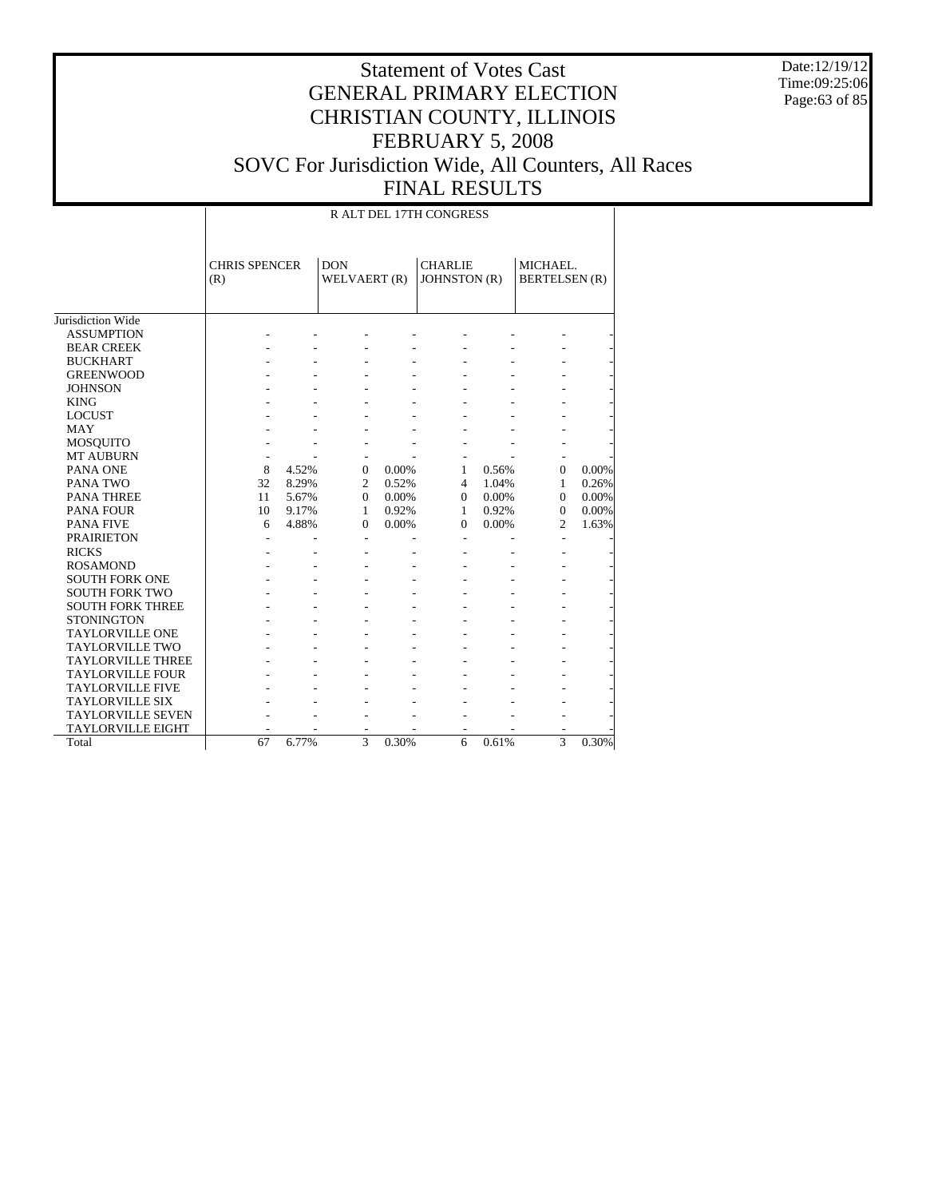Date:12/19/12 Time:09:25:06 Page:63 of 85

|                          |                             |       |                            |       | R ALT DEL 17TH CONGRESS        |       |                                  |       |
|--------------------------|-----------------------------|-------|----------------------------|-------|--------------------------------|-------|----------------------------------|-------|
|                          | <b>CHRIS SPENCER</b><br>(R) |       | <b>DON</b><br>WELVAERT (R) |       | <b>CHARLIE</b><br>JOHNSTON (R) |       | MICHAEL.<br><b>BERTELSEN</b> (R) |       |
| Jurisdiction Wide        |                             |       |                            |       |                                |       |                                  |       |
| <b>ASSUMPTION</b>        |                             |       |                            |       |                                |       |                                  |       |
| <b>BEAR CREEK</b>        |                             |       |                            |       |                                |       |                                  |       |
| <b>BUCKHART</b>          |                             |       |                            |       |                                |       |                                  |       |
| <b>GREENWOOD</b>         |                             |       |                            |       |                                |       |                                  |       |
| <b>JOHNSON</b>           |                             |       |                            |       |                                |       |                                  |       |
| <b>KING</b>              |                             |       |                            |       |                                |       |                                  |       |
| <b>LOCUST</b>            |                             |       |                            |       |                                |       |                                  |       |
| MAY                      |                             |       |                            |       |                                |       |                                  |       |
| <b>MOSQUITO</b>          |                             |       |                            |       |                                |       |                                  |       |
| <b>MT AUBURN</b>         |                             |       | ٠                          |       |                                |       |                                  |       |
| PANA ONE                 | 8                           | 4.52% | $\overline{0}$             | 0.00% | 1                              | 0.56% | $\Omega$                         | 0.00% |
| PANA TWO                 | 32                          | 8.29% | $\overline{c}$             | 0.52% | $\overline{4}$                 | 1.04% | $\mathbf{1}$                     | 0.26% |
| PANA THREE               | 11                          | 5.67% | $\Omega$                   | 0.00% | $\Omega$                       | 0.00% | $\Omega$                         | 0.00% |
| <b>PANA FOUR</b>         | 10                          | 9.17% | $\mathbf{1}$               | 0.92% | 1                              | 0.92% | $\theta$                         | 0.00% |
| <b>PANA FIVE</b>         | 6                           | 4.88% | $\overline{0}$             | 0.00% | $\mathbf{0}$                   | 0.00% | $\overline{c}$                   | 1.63% |
| <b>PRAIRIETON</b>        |                             |       | $\overline{\phantom{0}}$   |       | $\overline{a}$                 |       |                                  |       |
| <b>RICKS</b>             |                             |       |                            |       |                                |       |                                  |       |
| <b>ROSAMOND</b>          |                             |       |                            |       |                                |       |                                  |       |
| <b>SOUTH FORK ONE</b>    |                             |       |                            |       |                                |       |                                  |       |
| <b>SOUTH FORK TWO</b>    |                             |       |                            |       |                                |       |                                  |       |
| <b>SOUTH FORK THREE</b>  |                             |       |                            |       |                                |       |                                  |       |
| <b>STONINGTON</b>        |                             |       |                            |       |                                |       |                                  |       |
| <b>TAYLORVILLE ONE</b>   |                             |       |                            |       |                                |       |                                  |       |
| <b>TAYLORVILLE TWO</b>   |                             |       |                            |       |                                |       |                                  |       |
| <b>TAYLORVILLE THREE</b> |                             |       |                            |       |                                |       |                                  |       |
| <b>TAYLORVILLE FOUR</b>  |                             |       |                            |       |                                |       |                                  |       |
| <b>TAYLORVILLE FIVE</b>  |                             |       |                            |       |                                |       |                                  |       |
| <b>TAYLORVILLE SIX</b>   |                             |       |                            |       |                                |       |                                  |       |
| <b>TAYLORVILLE SEVEN</b> |                             |       |                            |       |                                |       |                                  |       |
| TAYLORVILLE EIGHT        |                             |       |                            |       |                                |       |                                  |       |
| Total                    | 67                          | 6.77% | $\overline{3}$             | 0.30% | 6                              | 0.61% | $\overline{3}$                   | 0.30% |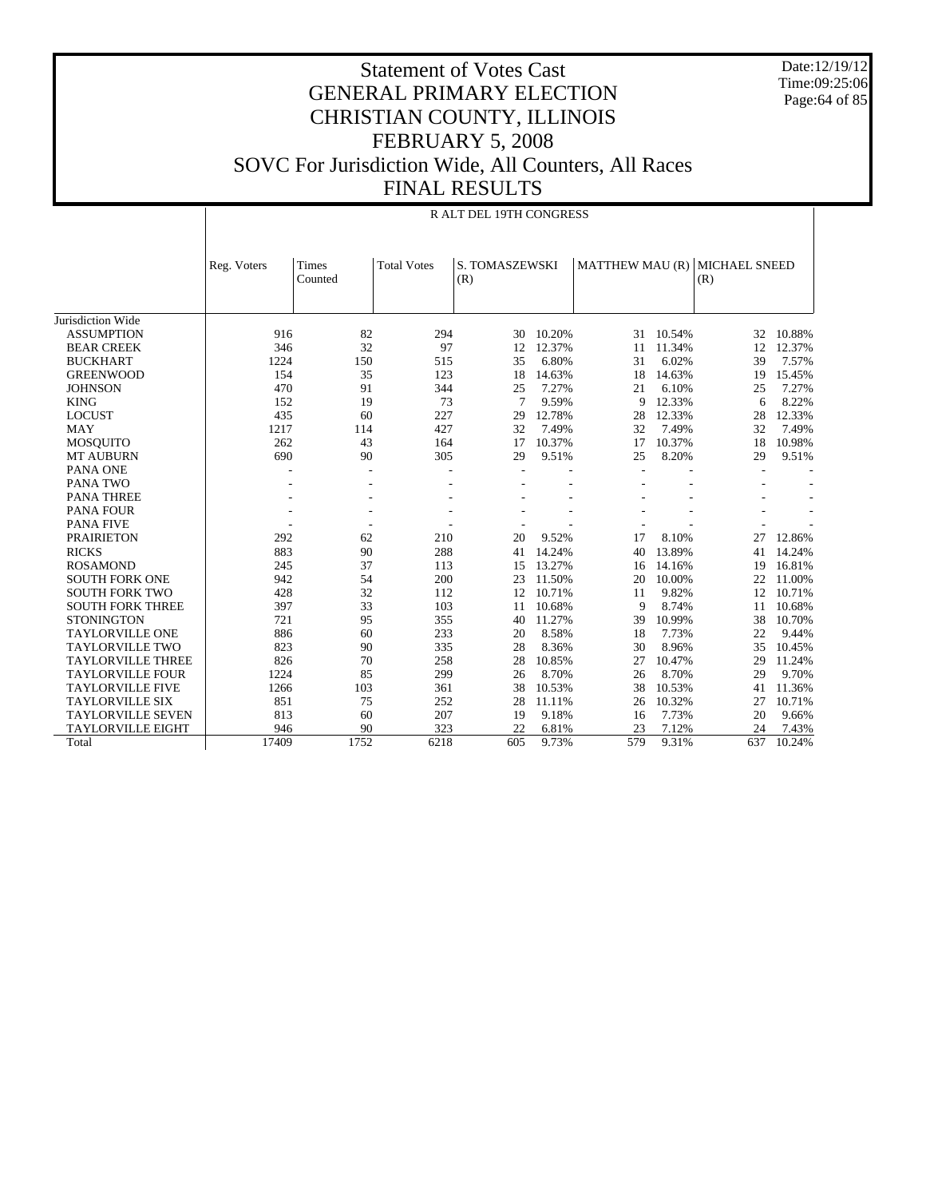Date:12/19/12 Time:09:25:06 Page:64 of 85

|                          | <b>R ALT DEL 19TH CONGRESS</b> |                  |                    |                       |        |     |        |                                      |        |  |  |  |
|--------------------------|--------------------------------|------------------|--------------------|-----------------------|--------|-----|--------|--------------------------------------|--------|--|--|--|
|                          | Reg. Voters                    | Times<br>Counted | <b>Total Votes</b> | S. TOMASZEWSKI<br>(R) |        |     |        | MATTHEW MAU (R) MICHAEL SNEED<br>(R) |        |  |  |  |
| Jurisdiction Wide        |                                |                  |                    |                       |        |     |        |                                      |        |  |  |  |
| <b>ASSUMPTION</b>        | 916                            | 82               | 294                | 30                    | 10.20% | 31  | 10.54% | 32                                   | 10.88% |  |  |  |
| <b>BEAR CREEK</b>        | 346                            | 32               | 97                 | 12                    | 12.37% | 11  | 11.34% | 12                                   | 12.37% |  |  |  |
| <b>BUCKHART</b>          | 1224                           | 150              | 515                | 35                    | 6.80%  | 31  | 6.02%  | 39                                   | 7.57%  |  |  |  |
| <b>GREENWOOD</b>         | 154                            | 35               | 123                | 18                    | 14.63% | 18  | 14.63% | 19                                   | 15.45% |  |  |  |
| <b>JOHNSON</b>           | 470                            | 91               | 344                | 25                    | 7.27%  | 21  | 6.10%  | 25                                   | 7.27%  |  |  |  |
| <b>KING</b>              | 152                            | 19               | 73                 | $\overline{7}$        | 9.59%  | 9   | 12.33% | 6                                    | 8.22%  |  |  |  |
| <b>LOCUST</b>            | 435                            | 60               | 227                | 29                    | 12.78% | 28  | 12.33% | 28                                   | 12.33% |  |  |  |
| <b>MAY</b>               | 1217                           | 114              | 427                | 32                    | 7.49%  | 32  | 7.49%  | 32                                   | 7.49%  |  |  |  |
| <b>MOSQUITO</b>          | 262                            | 43               | 164                | 17                    | 10.37% | 17  | 10.37% | 18                                   | 10.98% |  |  |  |
| <b>MT AUBURN</b>         | 690                            | 90               | 305                | 29                    | 9.51%  | 25  | 8.20%  | 29                                   | 9.51%  |  |  |  |
| PANA ONE                 |                                |                  |                    |                       |        |     |        |                                      |        |  |  |  |
| PANA TWO                 |                                |                  |                    |                       |        |     |        |                                      |        |  |  |  |
| <b>PANA THREE</b>        |                                |                  |                    |                       |        |     |        |                                      |        |  |  |  |
| <b>PANA FOUR</b>         |                                |                  |                    |                       |        |     |        |                                      |        |  |  |  |
| <b>PANA FIVE</b>         |                                |                  |                    |                       |        |     |        |                                      |        |  |  |  |
| <b>PRAIRIETON</b>        | 292                            | 62               | 210                | 20                    | 9.52%  | 17  | 8.10%  | 27                                   | 12.86% |  |  |  |
| <b>RICKS</b>             | 883                            | 90               | 288                | 41                    | 14.24% | 40  | 13.89% | 41                                   | 14.24% |  |  |  |
| <b>ROSAMOND</b>          | 245                            | 37               | 113                | 15                    | 13.27% | 16  | 14.16% | 19                                   | 16.81% |  |  |  |
| <b>SOUTH FORK ONE</b>    | 942                            | 54               | 200                | 23                    | 11.50% | 20  | 10.00% | 22                                   | 11.00% |  |  |  |
| <b>SOUTH FORK TWO</b>    | 428                            | 32               | 112                | 12                    | 10.71% | 11  | 9.82%  | 12                                   | 10.71% |  |  |  |
| <b>SOUTH FORK THREE</b>  | 397                            | 33               | 103                | 11                    | 10.68% | 9   | 8.74%  | 11                                   | 10.68% |  |  |  |
| <b>STONINGTON</b>        | 721                            | 95               | 355                | 40                    | 11.27% | 39  | 10.99% | 38                                   | 10.70% |  |  |  |
| <b>TAYLORVILLE ONE</b>   | 886                            | 60               | 233                | 20                    | 8.58%  | 18  | 7.73%  | 22                                   | 9.44%  |  |  |  |
| <b>TAYLORVILLE TWO</b>   | 823                            | 90               | 335                | 28                    | 8.36%  | 30  | 8.96%  | 35                                   | 10.45% |  |  |  |
| <b>TAYLORVILLE THREE</b> | 826                            | 70               | 258                | 28                    | 10.85% | 27  | 10.47% | 29                                   | 11.24% |  |  |  |
| TAYLORVILLE FOUR         | 1224                           | 85               | 299                | 26                    | 8.70%  | 26  | 8.70%  | 29                                   | 9.70%  |  |  |  |
| <b>TAYLORVILLE FIVE</b>  | 1266                           | 103              | 361                | 38                    | 10.53% | 38  | 10.53% | 41                                   | 11.36% |  |  |  |
| <b>TAYLORVILLE SIX</b>   | 851                            | 75               | 252                | 28                    | 11.11% | 26  | 10.32% | 27                                   | 10.71% |  |  |  |
| <b>TAYLORVILLE SEVEN</b> | 813                            | 60               | 207                | 19                    | 9.18%  | 16  | 7.73%  | 20                                   | 9.66%  |  |  |  |
| <b>TAYLORVILLE EIGHT</b> | 946                            | 90               | 323                | 22                    | 6.81%  | 23  | 7.12%  | 24                                   | 7.43%  |  |  |  |
| Total                    | 17409                          | 1752             | 6218               | 605                   | 9.73%  | 579 | 9.31%  | 637                                  | 10.24% |  |  |  |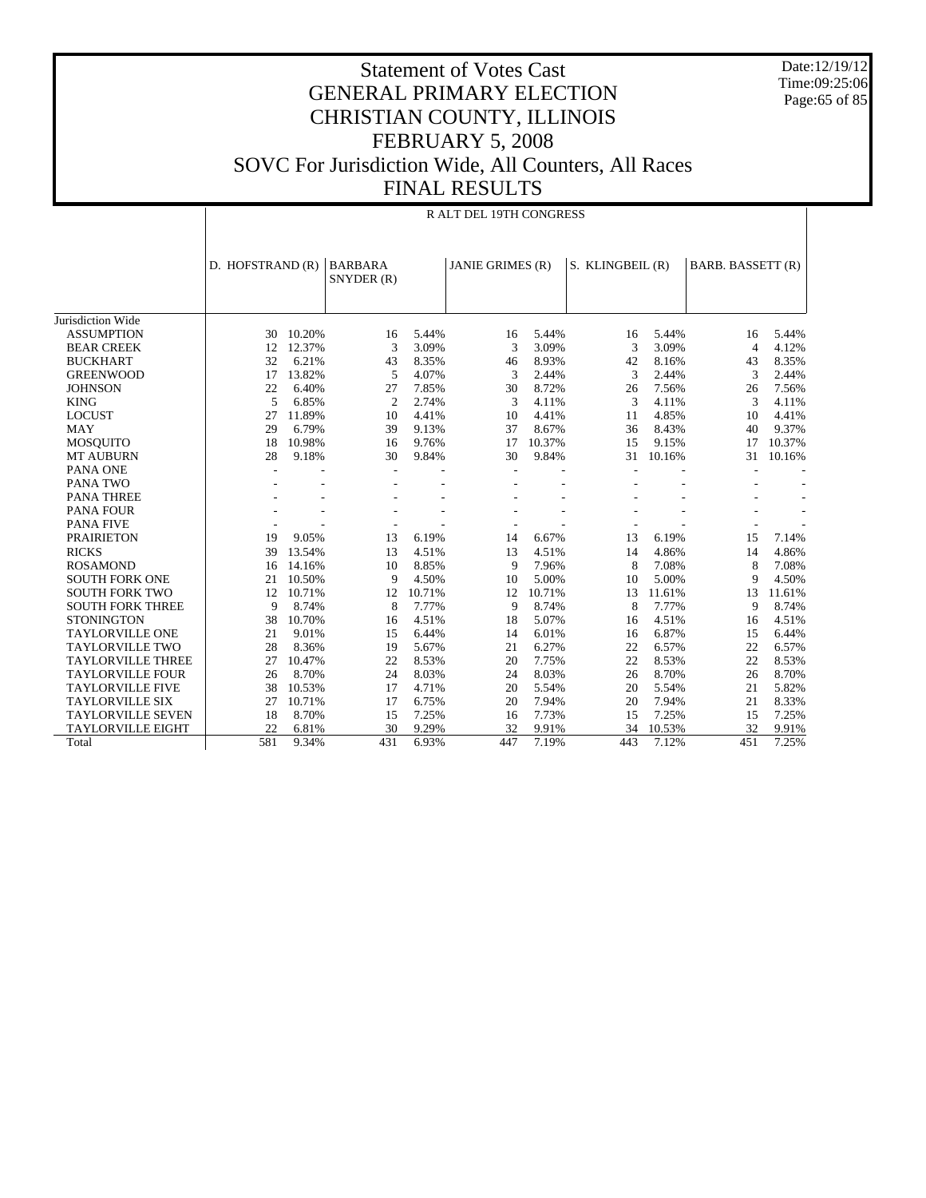Date:12/19/12 Time:09:25:06 Page: 65 of 85

#### Statement of Votes Cast GENERAL PRIMARY ELECTION CHRISTIAN COUNTY, ILLINOIS FEBRUARY 5, 2008 SOVC For Jurisdiction Wide, All Counters, All Races FINAL RESULTS

|                                        | <b>R ALT DEL 19TH CONGRESS</b> |        |                          |        |                         |                 |                  |        |                   |        |
|----------------------------------------|--------------------------------|--------|--------------------------|--------|-------------------------|-----------------|------------------|--------|-------------------|--------|
|                                        | D. HOFSTRAND (R)               |        | <b>BARBARA</b>           |        | <b>JANIE GRIMES (R)</b> |                 | S. KLINGBEIL (R) |        | BARB. BASSETT (R) |        |
|                                        |                                |        | SNYDER (R)               |        |                         |                 |                  |        |                   |        |
|                                        |                                |        |                          |        |                         |                 |                  |        |                   |        |
| Jurisdiction Wide<br><b>ASSUMPTION</b> | 30                             | 10.20% | 16                       | 5.44%  | 16                      | 5.44%           | 16               | 5.44%  | 16                | 5.44%  |
| <b>BEAR CREEK</b>                      | 12                             | 12.37% | 3                        | 3.09%  | 3                       | 3.09%           | 3                | 3.09%  | $\overline{4}$    | 4.12%  |
| <b>BUCKHART</b>                        | 32                             | 6.21%  | 43                       | 8.35%  |                         | 8.93%           | 42               | 8.16%  | 43                | 8.35%  |
| <b>GREENWOOD</b>                       | 17                             | 13.82% | 5                        | 4.07%  | 46<br>3                 | 2.44%           | 3                | 2.44%  | 3                 | 2.44%  |
| <b>JOHNSON</b>                         |                                | 6.40%  |                          | 7.85%  |                         | 8.72%           |                  | 7.56%  |                   | 7.56%  |
| <b>KING</b>                            | 22<br>5                        | 6.85%  | 27<br>$\overline{c}$     | 2.74%  | 30<br>3                 | 4.11%           | 26<br>3          | 4.11%  | 26<br>3           | 4.11%  |
| <b>LOCUST</b>                          | 27                             | 11.89% | 10                       | 4.41%  | 10                      | 4.41%           | 11               | 4.85%  | 10                | 4.41%  |
|                                        |                                |        |                          |        |                         |                 |                  |        |                   |        |
| <b>MAY</b>                             | 29                             | 6.79%  | 39                       | 9.13%  | 37                      | 8.67%           | 36               | 8.43%  | 40                | 9.37%  |
| <b>MOSOUITO</b>                        | 18                             | 10.98% | 16                       | 9.76%  | 17                      | 10.37%<br>9.84% | 15               | 9.15%  | 17                | 10.37% |
| <b>MT AUBURN</b>                       | 28                             | 9.18%  | 30                       | 9.84%  | 30                      |                 | 31               | 10.16% | 31                | 10.16% |
| PANA ONE                               |                                |        | $\overline{\phantom{a}}$ |        |                         |                 |                  |        |                   |        |
| <b>PANA TWO</b>                        |                                |        |                          |        |                         |                 |                  |        |                   |        |
| <b>PANA THREE</b>                      |                                |        |                          |        |                         |                 |                  |        |                   |        |
| <b>PANA FOUR</b>                       |                                |        |                          |        |                         |                 |                  |        |                   |        |
| <b>PANA FIVE</b>                       |                                |        |                          |        |                         |                 |                  |        |                   |        |
| <b>PRAIRIETON</b>                      | 19                             | 9.05%  | 13                       | 6.19%  | 14                      | 6.67%           | 13               | 6.19%  | 15                | 7.14%  |
| <b>RICKS</b>                           | 39                             | 13.54% | 13                       | 4.51%  | 13                      | 4.51%           | 14               | 4.86%  | 14                | 4.86%  |
| <b>ROSAMOND</b>                        | 16                             | 14.16% | 10                       | 8.85%  | 9                       | 7.96%           | 8                | 7.08%  | 8                 | 7.08%  |
| <b>SOUTH FORK ONE</b>                  | 21                             | 10.50% | 9                        | 4.50%  | 10                      | 5.00%           | 10               | 5.00%  | $\mathbf Q$       | 4.50%  |
| <b>SOUTH FORK TWO</b>                  | 12                             | 10.71% | 12                       | 10.71% | 12                      | 10.71%          | 13               | 11.61% | 13                | 11.61% |
| <b>SOUTH FORK THREE</b>                | 9                              | 8.74%  | 8                        | 7.77%  | 9                       | 8.74%           | 8                | 7.77%  | 9                 | 8.74%  |
| <b>STONINGTON</b>                      | 38                             | 10.70% | 16                       | 4.51%  | 18                      | 5.07%           | 16               | 4.51%  | 16                | 4.51%  |
| <b>TAYLORVILLE ONE</b>                 | 21                             | 9.01%  | 15                       | 6.44%  | 14                      | 6.01%           | 16               | 6.87%  | 15                | 6.44%  |
| <b>TAYLORVILLE TWO</b>                 | 28                             | 8.36%  | 19                       | 5.67%  | 21                      | 6.27%           | 22               | 6.57%  | 22                | 6.57%  |
| <b>TAYLORVILLE THREE</b>               | 27                             | 10.47% | 22                       | 8.53%  | 20                      | 7.75%           | 22               | 8.53%  | 22                | 8.53%  |
| <b>TAYLORVILLE FOUR</b>                | 26                             | 8.70%  | 24                       | 8.03%  | 24                      | 8.03%           | 26               | 8.70%  | 26                | 8.70%  |
| <b>TAYLORVILLE FIVE</b>                | 38                             | 10.53% | 17                       | 4.71%  | 20                      | 5.54%           | 20               | 5.54%  | 21                | 5.82%  |
| <b>TAYLORVILLE SIX</b>                 | 27                             | 10.71% | 17                       | 6.75%  | 20                      | 7.94%           | 20               | 7.94%  | 21                | 8.33%  |
| <b>TAYLORVILLE SEVEN</b>               | 18                             | 8.70%  | 15                       | 7.25%  | 16                      | 7.73%           | 15               | 7.25%  | 15                | 7.25%  |
| <b>TAYLORVILLE EIGHT</b>               | 22                             | 6.81%  | 30                       | 9.29%  | 32                      | 9.91%           | 34               | 10.53% | 32                | 9.91%  |
| Total                                  | 581                            | 9.34%  | 431                      | 6.93%  | 447                     | 7.19%           | 443              | 7.12%  | 451               | 7.25%  |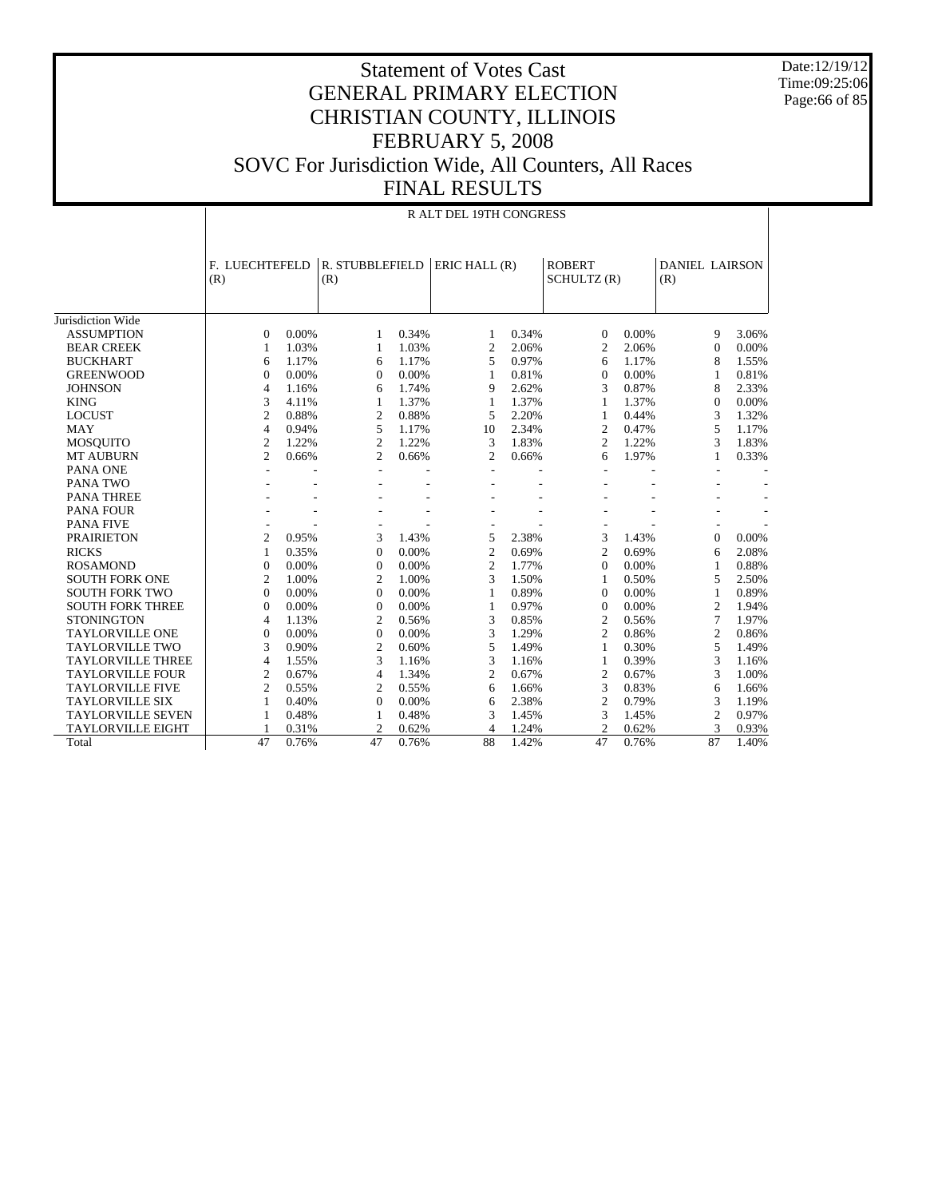Date:12/19/12 Time:09:25:06 Page:66 of 85

|                          |                       | R ALT DEL 19TH CONGRESS |                        |       |                |       |                              |       |                              |       |  |  |
|--------------------------|-----------------------|-------------------------|------------------------|-------|----------------|-------|------------------------------|-------|------------------------------|-------|--|--|
|                          | F. LUECHTEFELD<br>(R) |                         | R. STUBBLEFIELD<br>(R) |       | ERIC HALL (R)  |       | <b>ROBERT</b><br>SCHULTZ (R) |       | <b>DANIEL LAIRSON</b><br>(R) |       |  |  |
| Jurisdiction Wide        |                       |                         |                        |       |                |       |                              |       |                              |       |  |  |
| <b>ASSUMPTION</b>        | $\Omega$              | 0.00%                   | 1                      | 0.34% | 1              | 0.34% | $\Omega$                     | 0.00% | 9                            | 3.06% |  |  |
| <b>BEAR CREEK</b>        | 1                     | 1.03%                   | 1                      | 1.03% | 2              | 2.06% | 2                            | 2.06% | $\mathbf{0}$                 | 0.00% |  |  |
| <b>BUCKHART</b>          | 6                     | 1.17%                   | 6                      | 1.17% | 5              | 0.97% | 6                            | 1.17% | 8                            | 1.55% |  |  |
| <b>GREENWOOD</b>         | $\overline{0}$        | 0.00%                   | $\Omega$               | 0.00% | 1              | 0.81% | $\mathbf{0}$                 | 0.00% | $\mathbf{1}$                 | 0.81% |  |  |
| <b>JOHNSON</b>           | $\overline{4}$        | 1.16%                   | 6                      | 1.74% | 9              | 2.62% | 3                            | 0.87% | 8                            | 2.33% |  |  |
| <b>KING</b>              | 3                     | 4.11%                   | $\mathbf{1}$           | 1.37% | 1              | 1.37% | 1                            | 1.37% | $\overline{0}$               | 0.00% |  |  |
| <b>LOCUST</b>            | $\overline{2}$        | 0.88%                   | $\overline{2}$         | 0.88% | 5              | 2.20% | $\mathbf{1}$                 | 0.44% | 3                            | 1.32% |  |  |
| <b>MAY</b>               | $\overline{4}$        | 0.94%                   | 5                      | 1.17% | 10             | 2.34% | $\overline{c}$               | 0.47% | 5                            | 1.17% |  |  |
| <b>MOSQUITO</b>          | $\overline{2}$        | 1.22%                   | $\overline{c}$         | 1.22% | 3              | 1.83% | 2                            | 1.22% | 3                            | 1.83% |  |  |
| <b>MT AUBURN</b>         | $\overline{2}$        | 0.66%                   | 2                      | 0.66% | 2              | 0.66% | 6                            | 1.97% | 1                            | 0.33% |  |  |
| PANA ONE                 | $\overline{a}$        |                         |                        |       | $\blacksquare$ |       |                              |       |                              |       |  |  |
| PANA TWO                 |                       |                         |                        |       |                |       |                              |       |                              |       |  |  |
| <b>PANA THREE</b>        |                       |                         |                        |       |                |       |                              |       |                              |       |  |  |
| <b>PANA FOUR</b>         |                       |                         |                        |       |                |       |                              |       |                              |       |  |  |
| <b>PANA FIVE</b>         |                       |                         |                        |       |                |       |                              |       |                              |       |  |  |
| <b>PRAIRIETON</b>        | $\overline{2}$        | 0.95%                   | 3                      | 1.43% | 5              | 2.38% | 3                            | 1.43% | $\theta$                     | 0.00% |  |  |
| <b>RICKS</b>             | 1                     | 0.35%                   | $\Omega$               | 0.00% | $\overline{c}$ | 0.69% | $\overline{c}$               | 0.69% | 6                            | 2.08% |  |  |
| <b>ROSAMOND</b>          | $\overline{0}$        | 0.00%                   | $\Omega$               | 0.00% | 2              | 1.77% | $\Omega$                     | 0.00% | 1                            | 0.88% |  |  |
| <b>SOUTH FORK ONE</b>    | $\overline{2}$        | 1.00%                   | $\overline{c}$         | 1.00% | 3              | 1.50% | 1                            | 0.50% | 5                            | 2.50% |  |  |
| <b>SOUTH FORK TWO</b>    | $\Omega$              | 0.00%                   | $\Omega$               | 0.00% | 1              | 0.89% | $\Omega$                     | 0.00% | 1                            | 0.89% |  |  |
| <b>SOUTH FORK THREE</b>  | $\mathbf{0}$          | 0.00%                   | $\Omega$               | 0.00% | 1              | 0.97% | $\mathbf{0}$                 | 0.00% | $\overline{2}$               | 1.94% |  |  |
| <b>STONINGTON</b>        | $\overline{4}$        | 1.13%                   | $\overline{2}$         | 0.56% | 3              | 0.85% | 2                            | 0.56% | 7                            | 1.97% |  |  |
| <b>TAYLORVILLE ONE</b>   | $\overline{0}$        | 0.00%                   | $\mathbf{0}$           | 0.00% | 3              | 1.29% | 2                            | 0.86% | $\overline{2}$               | 0.86% |  |  |
| <b>TAYLORVILLE TWO</b>   | 3                     | 0.90%                   | $\overline{2}$         | 0.60% | 5              | 1.49% | 1                            | 0.30% | 5                            | 1.49% |  |  |
| <b>TAYLORVILLE THREE</b> | $\overline{4}$        | 1.55%                   | 3                      | 1.16% | 3              | 1.16% | 1                            | 0.39% | 3                            | 1.16% |  |  |
| <b>TAYLORVILLE FOUR</b>  | $\overline{2}$        | 0.67%                   | $\overline{4}$         | 1.34% | $\overline{c}$ | 0.67% | $\overline{c}$               | 0.67% | 3                            | 1.00% |  |  |
| <b>TAYLORVILLE FIVE</b>  | $\overline{2}$        | 0.55%                   | $\overline{c}$         | 0.55% | 6              | 1.66% | 3                            | 0.83% | 6                            | 1.66% |  |  |
| <b>TAYLORVILLE SIX</b>   | 1                     | 0.40%                   | $\Omega$               | 0.00% | 6              | 2.38% | $\overline{c}$               | 0.79% | 3                            | 1.19% |  |  |
| <b>TAYLORVILLE SEVEN</b> | 1                     | 0.48%                   | 1                      | 0.48% | 3              | 1.45% | 3                            | 1.45% | $\overline{2}$               | 0.97% |  |  |
| <b>TAYLORVILLE EIGHT</b> |                       | 0.31%                   | $\overline{c}$         | 0.62% | 4              | 1.24% | 2                            | 0.62% | 3                            | 0.93% |  |  |
| Total                    | 47                    | 0.76%                   | 47                     | 0.76% | 88             | 1.42% | 47                           | 0.76% | 87                           | 1.40% |  |  |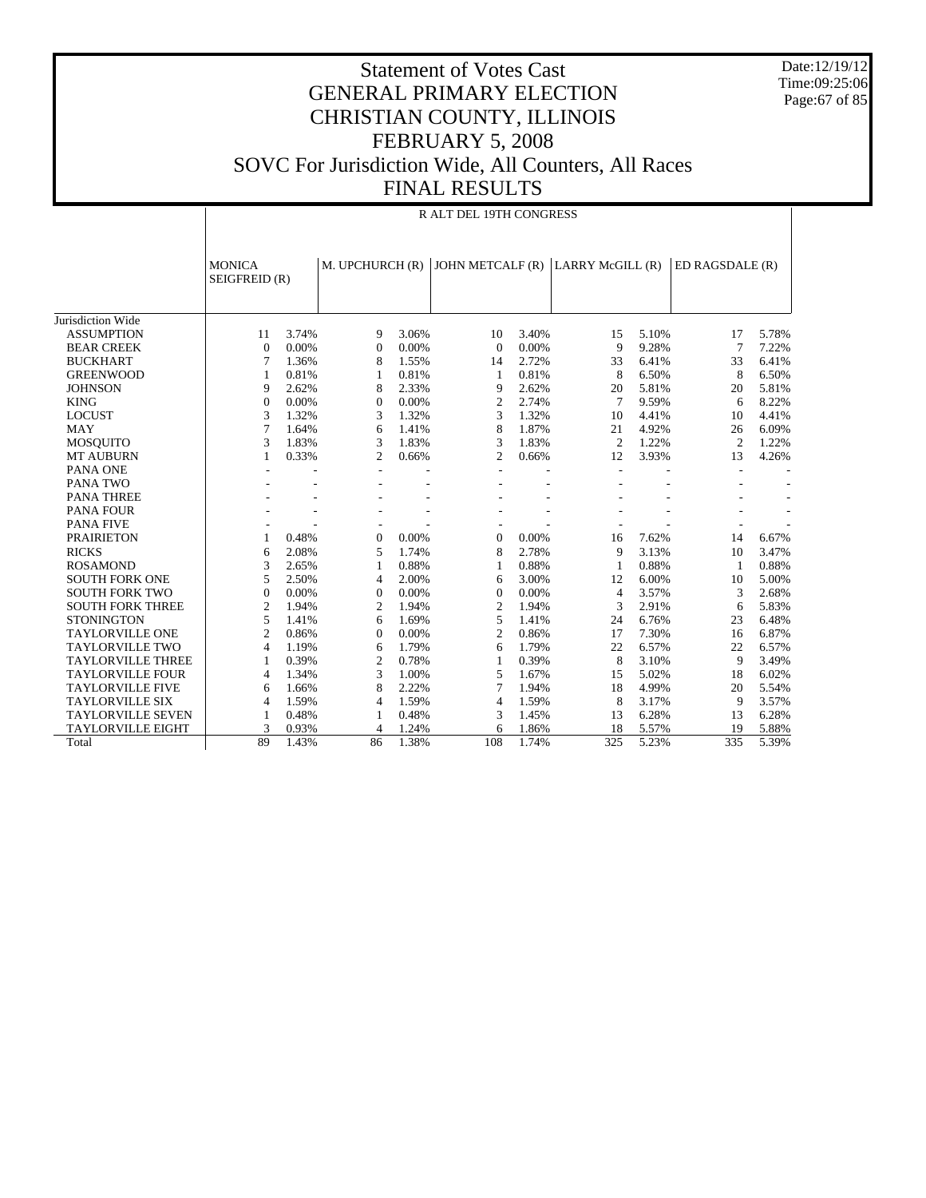Date:12/19/12 Time:09:25:06 Page:67 of 85

|                              |                                | R ALT DEL 19TH CONGRESS |                 |       |                  |       |                 |       |                 |       |  |  |
|------------------------------|--------------------------------|-------------------------|-----------------|-------|------------------|-------|-----------------|-------|-----------------|-------|--|--|
|                              | <b>MONICA</b><br>SEIGFREID (R) |                         | M. UPCHURCH (R) |       | JOHN METCALF (R) |       | LARRY McGILL(R) |       | ED RAGSDALE (R) |       |  |  |
| Jurisdiction Wide            |                                |                         |                 |       |                  |       |                 |       |                 |       |  |  |
| <b>ASSUMPTION</b>            | 11                             | 3.74%                   | 9               | 3.06% | 10               | 3.40% | 15              | 5.10% | 17              | 5.78% |  |  |
| <b>BEAR CREEK</b>            | $\theta$                       | 0.00%                   | $\theta$        | 0.00% | $\Omega$         | 0.00% | 9               | 9.28% | 7               | 7.22% |  |  |
| <b>BUCKHART</b>              | 7                              | 1.36%                   | 8               | 1.55% | 14               | 2.72% | 33              | 6.41% | 33              | 6.41% |  |  |
| <b>GREENWOOD</b>             | 1                              | 0.81%                   | 1               | 0.81% | 1                | 0.81% | 8               | 6.50% | 8               | 6.50% |  |  |
| <b>JOHNSON</b>               | 9                              | 2.62%                   | 8               | 2.33% | 9                | 2.62% | 20              | 5.81% | 20              | 5.81% |  |  |
| <b>KING</b>                  | $\Omega$                       | 0.00%                   | $\Omega$        | 0.00% | 2                | 2.74% | $\tau$          | 9.59% | 6               | 8.22% |  |  |
| <b>LOCUST</b>                | 3                              | 1.32%                   | 3               | 1.32% | 3                | 1.32% | 10              | 4.41% | 10              | 4.41% |  |  |
| <b>MAY</b>                   | 7                              |                         |                 | 1.41% | 8                | 1.87% | 21              | 4.92% | 26              | 6.09% |  |  |
|                              | 3                              | 1.64%<br>1.83%          | 6<br>3          | 1.83% | 3                | 1.83% | 2               | 1.22% | $\overline{2}$  | 1.22% |  |  |
| <b>MOSQUITO</b>              | 1                              | 0.33%                   | $\overline{c}$  |       | 2                | 0.66% | 12              | 3.93% | 13              |       |  |  |
| <b>MT AUBURN</b><br>PANA ONE |                                |                         |                 | 0.66% |                  |       |                 |       |                 | 4.26% |  |  |
| PANA TWO                     |                                |                         |                 |       |                  |       |                 |       |                 |       |  |  |
| <b>PANA THREE</b>            |                                |                         |                 |       |                  |       |                 |       |                 |       |  |  |
| <b>PANA FOUR</b>             |                                |                         |                 |       |                  |       |                 |       |                 |       |  |  |
| <b>PANA FIVE</b>             |                                |                         |                 |       |                  |       |                 |       |                 |       |  |  |
|                              |                                |                         |                 |       |                  |       |                 |       |                 |       |  |  |
| <b>PRAIRIETON</b>            | 1                              | 0.48%                   | $\mathbf{0}$    | 0.00% | $\theta$         | 0.00% | 16              | 7.62% | 14              | 6.67% |  |  |
| <b>RICKS</b>                 | 6                              | 2.08%                   | 5               | 1.74% | 8                | 2.78% | 9               | 3.13% | 10              | 3.47% |  |  |
| <b>ROSAMOND</b>              | 3                              | 2.65%                   | $\mathbf{1}$    | 0.88% | 1                | 0.88% | -1              | 0.88% | $\mathbf{1}$    | 0.88% |  |  |
| <b>SOUTH FORK ONE</b>        | 5                              | 2.50%                   | $\overline{4}$  | 2.00% | 6                | 3.00% | 12              | 6.00% | 10              | 5.00% |  |  |
| <b>SOUTH FORK TWO</b>        | $\theta$                       | 0.00%                   | $\Omega$        | 0.00% | $\Omega$         | 0.00% | $\overline{4}$  | 3.57% | 3               | 2.68% |  |  |
| <b>SOUTH FORK THREE</b>      | $\overline{2}$                 | 1.94%                   | $\overline{c}$  | 1.94% | 2                | 1.94% | 3               | 2.91% | 6               | 5.83% |  |  |
| <b>STONINGTON</b>            | 5                              | 1.41%                   | 6               | 1.69% | 5                | 1.41% | 24              | 6.76% | 23              | 6.48% |  |  |
| <b>TAYLORVILLE ONE</b>       | $\overline{2}$                 | 0.86%                   | $\Omega$        | 0.00% | $\overline{2}$   | 0.86% | 17              | 7.30% | 16              | 6.87% |  |  |
| <b>TAYLORVILLE TWO</b>       | 4                              | 1.19%                   | 6               | 1.79% | 6                | 1.79% | 22              | 6.57% | 22              | 6.57% |  |  |
| <b>TAYLORVILLE THREE</b>     | 1                              | 0.39%                   | $\overline{c}$  | 0.78% | $\mathbf{1}$     | 0.39% | 8               | 3.10% | 9               | 3.49% |  |  |
| <b>TAYLORVILLE FOUR</b>      | 4                              | 1.34%                   | 3               | 1.00% | 5                | 1.67% | 15              | 5.02% | 18              | 6.02% |  |  |
| <b>TAYLORVILLE FIVE</b>      | 6                              | 1.66%                   | 8               | 2.22% | 7                | 1.94% | 18              | 4.99% | 20              | 5.54% |  |  |
| <b>TAYLORVILLE SIX</b>       | 4                              | 1.59%                   | 4               | 1.59% | $\overline{4}$   | 1.59% | 8               | 3.17% | 9               | 3.57% |  |  |
| <b>TAYLORVILLE SEVEN</b>     | 1                              | 0.48%                   | 1               | 0.48% | 3                | 1.45% | 13              | 6.28% | 13              | 6.28% |  |  |
| <b>TAYLORVILLE EIGHT</b>     | 3                              | 0.93%                   | 4               | 1.24% | 6                | 1.86% | 18              | 5.57% | 19              | 5.88% |  |  |
| Total                        | 89                             | 1.43%                   | 86              | 1.38% | 108              | 1.74% | 325             | 5.23% | 335             | 5.39% |  |  |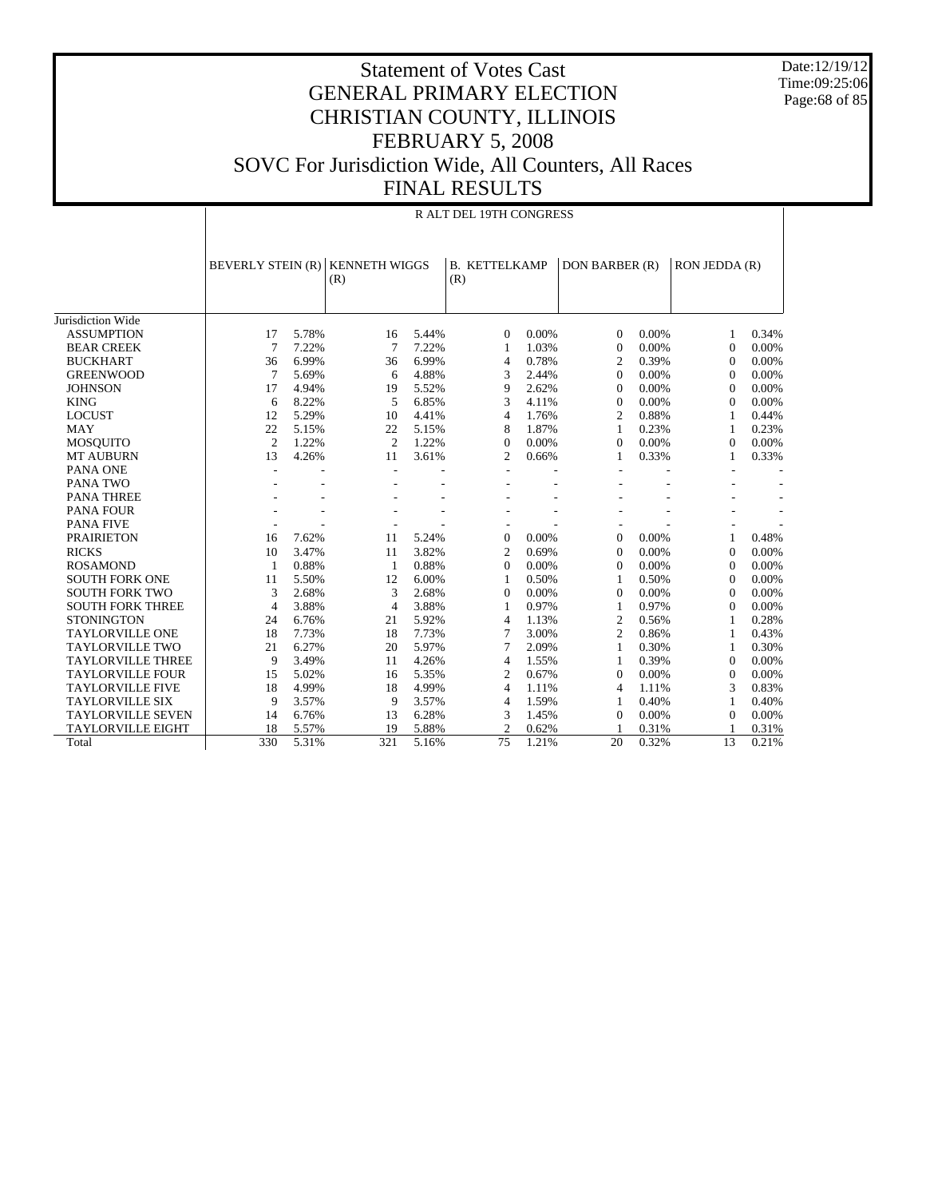Date:12/19/12 Time:09:25:06 Page:68 of 85

|                          | R ALT DEL 19TH CONGRESS  |       |                             |       |                             |       |                |          |               |       |  |
|--------------------------|--------------------------|-------|-----------------------------|-------|-----------------------------|-------|----------------|----------|---------------|-------|--|
|                          | <b>BEVERLY STEIN (R)</b> |       | <b>KENNETH WIGGS</b><br>(R) |       | <b>B. KETTELKAMP</b><br>(R) |       | DON BARBER (R) |          | RON JEDDA (R) |       |  |
|                          |                          |       |                             |       |                             |       |                |          |               |       |  |
| Jurisdiction Wide        |                          |       |                             |       |                             |       |                |          |               |       |  |
| <b>ASSUMPTION</b>        | 17                       | 5.78% | 16                          | 5.44% | $\mathbf{0}$                | 0.00% | $\mathbf{0}$   | 0.00%    | 1             | 0.34% |  |
| <b>BEAR CREEK</b>        | 7                        | 7.22% | 7                           | 7.22% | 1                           | 1.03% | $\mathbf{0}$   | $0.00\%$ | $\mathbf{0}$  | 0.00% |  |
| <b>BUCKHART</b>          | 36                       | 6.99% | 36                          | 6.99% | 4                           | 0.78% | 2              | 0.39%    | $\Omega$      | 0.00% |  |
| <b>GREENWOOD</b>         | 7                        | 5.69% | 6                           | 4.88% | 3                           | 2.44% | $\Omega$       | 0.00%    | $\Omega$      | 0.00% |  |
| <b>JOHNSON</b>           | 17                       | 4.94% | 19                          | 5.52% | 9                           | 2.62% | $\Omega$       | 0.00%    | $\Omega$      | 0.00% |  |
| <b>KING</b>              | 6                        | 8.22% | 5                           | 6.85% | 3                           | 4.11% | $\Omega$       | $0.00\%$ | $\Omega$      | 0.00% |  |
| <b>LOCUST</b>            | 12                       | 5.29% | 10                          | 4.41% | $\overline{4}$              | 1.76% | $\mathfrak{2}$ | 0.88%    | 1             | 0.44% |  |
| <b>MAY</b>               | 22                       | 5.15% | 22                          | 5.15% | 8                           | 1.87% | $\mathbf{1}$   | 0.23%    | 1             | 0.23% |  |
| <b>MOSQUITO</b>          | $\overline{c}$           | 1.22% | $\overline{2}$              | 1.22% | $\mathbf{0}$                | 0.00% | $\mathbf{0}$   | 0.00%    | $\mathbf{0}$  | 0.00% |  |
| <b>MT AUBURN</b>         | 13                       | 4.26% | 11                          | 3.61% | 2                           | 0.66% | 1              | 0.33%    | 1             | 0.33% |  |
| <b>PANA ONE</b>          | L,                       |       | $\overline{\phantom{a}}$    |       | ÷,                          |       |                |          |               |       |  |
| PANA TWO                 |                          |       |                             |       |                             |       |                |          |               |       |  |
| <b>PANA THREE</b>        |                          |       |                             |       |                             |       |                |          |               |       |  |
| <b>PANA FOUR</b>         |                          |       |                             |       |                             |       |                |          |               |       |  |
| <b>PANA FIVE</b>         |                          |       |                             |       |                             |       |                |          |               |       |  |
| <b>PRAIRIETON</b>        | 16                       | 7.62% | 11                          | 5.24% | $\mathbf{0}$                | 0.00% | $\mathbf{0}$   | 0.00%    | 1             | 0.48% |  |
| <b>RICKS</b>             | 10                       | 3.47% | 11                          | 3.82% | $\overline{c}$              | 0.69% | $\overline{0}$ | 0.00%    | $\mathbf{0}$  | 0.00% |  |
| <b>ROSAMOND</b>          | $\mathbf{1}$             | 0.88% | 1                           | 0.88% | $\Omega$                    | 0.00% | $\Omega$       | 0.00%    | $\Omega$      | 0.00% |  |
| <b>SOUTH FORK ONE</b>    | 11                       | 5.50% | 12                          | 6.00% | 1                           | 0.50% | 1              | 0.50%    | $\Omega$      | 0.00% |  |
| <b>SOUTH FORK TWO</b>    | 3                        | 2.68% | 3                           | 2.68% | $\Omega$                    | 0.00% | $\Omega$       | 0.00%    | $\Omega$      | 0.00% |  |
| <b>SOUTH FORK THREE</b>  | $\overline{4}$           | 3.88% | $\overline{4}$              | 3.88% | 1                           | 0.97% | 1              | 0.97%    | $\Omega$      | 0.00% |  |
| <b>STONINGTON</b>        | 24                       | 6.76% | 21                          | 5.92% | 4                           | 1.13% | $\overline{2}$ | 0.56%    | 1             | 0.28% |  |
| <b>TAYLORVILLE ONE</b>   | 18                       | 7.73% | 18                          | 7.73% | 7                           | 3.00% | $\overline{c}$ | 0.86%    | 1             | 0.43% |  |
| <b>TAYLORVILLE TWO</b>   | 21                       | 6.27% | 20                          | 5.97% | 7                           | 2.09% | $\mathbf{1}$   | 0.30%    | $\mathbf{1}$  | 0.30% |  |
| <b>TAYLORVILLE THREE</b> | 9                        | 3.49% | 11                          | 4.26% | $\overline{4}$              | 1.55% | $\mathbf{1}$   | 0.39%    | $\mathbf{0}$  | 0.00% |  |
| <b>TAYLORVILLE FOUR</b>  | 15                       | 5.02% | 16                          | 5.35% | $\overline{2}$              | 0.67% | $\Omega$       | 0.00%    | $\mathbf{0}$  | 0.00% |  |
| <b>TAYLORVILLE FIVE</b>  | 18                       | 4.99% | 18                          | 4.99% | 4                           | 1.11% | $\overline{4}$ | 1.11%    | 3             | 0.83% |  |
| <b>TAYLORVILLE SIX</b>   | 9                        | 3.57% | 9                           | 3.57% | $\overline{4}$              | 1.59% | 1              | 0.40%    | 1             | 0.40% |  |
| <b>TAYLORVILLE SEVEN</b> | 14                       | 6.76% | 13                          | 6.28% | 3                           | 1.45% | $\Omega$       | $0.00\%$ | $\Omega$      | 0.00% |  |
| <b>TAYLORVILLE EIGHT</b> | 18                       | 5.57% | 19                          | 5.88% | $\overline{c}$              | 0.62% |                | 0.31%    |               | 0.31% |  |
| Total                    | 330                      | 5.31% | 321                         | 5.16% | 75                          | 1.21% | 20             | 0.32%    | 13            | 0.21% |  |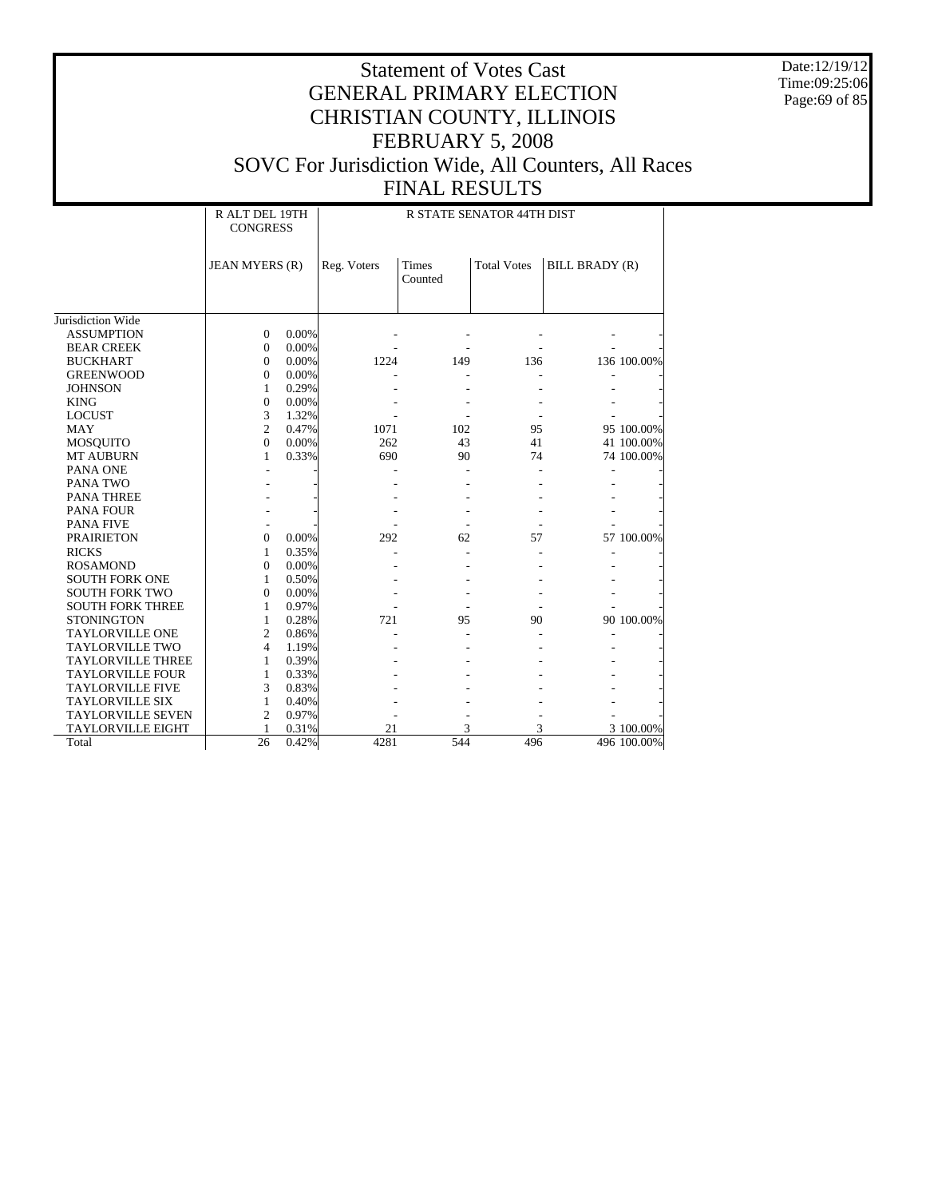Date:12/19/12 Time:09:25:06 Page:69 of 85

|                          | R ALT DEL 19TH<br>R STATE SENATOR 44TH DIST<br><b>CONGRESS</b> |       |             |                  |                    |                |             |  |  |
|--------------------------|----------------------------------------------------------------|-------|-------------|------------------|--------------------|----------------|-------------|--|--|
|                          | JEAN MYERS (R)                                                 |       | Reg. Voters | Times<br>Counted | <b>Total Votes</b> | BILL BRADY (R) |             |  |  |
|                          |                                                                |       |             |                  |                    |                |             |  |  |
| Jurisdiction Wide        |                                                                |       |             |                  |                    |                |             |  |  |
| <b>ASSUMPTION</b>        | $\Omega$                                                       | 0.00% |             |                  |                    |                |             |  |  |
| <b>BEAR CREEK</b>        | $\Omega$                                                       | 0.00% |             |                  |                    |                |             |  |  |
| <b>BUCKHART</b>          | $\Omega$                                                       | 0.00% | 1224        | 149              | 136                |                | 136 100.00% |  |  |
| <b>GREENWOOD</b>         | $\mathbf{0}$                                                   | 0.00% |             |                  |                    |                |             |  |  |
| <b>JOHNSON</b>           | $\mathbf{1}$                                                   | 0.29% |             |                  |                    |                |             |  |  |
| <b>KING</b>              | $\mathbf{0}$                                                   | 0.00% |             |                  |                    |                |             |  |  |
| <b>LOCUST</b>            | 3                                                              | 1.32% |             |                  |                    |                |             |  |  |
| <b>MAY</b>               | $\overline{c}$                                                 | 0.47% | 1071        | 102              | 95                 |                | 95 100.00%  |  |  |
| <b>MOSQUITO</b>          | $\Omega$                                                       | 0.00% | 262         | 43               | 41                 |                | 41 100.00%  |  |  |
| <b>MT AUBURN</b>         | 1                                                              | 0.33% | 690         | 90               | 74                 |                | 74 100.00%  |  |  |
| PANA ONE                 |                                                                |       |             |                  |                    |                |             |  |  |
| <b>PANA TWO</b>          |                                                                |       |             |                  |                    |                |             |  |  |
| <b>PANA THREE</b>        |                                                                |       |             |                  |                    |                |             |  |  |
| <b>PANA FOUR</b>         |                                                                |       |             |                  |                    |                |             |  |  |
| <b>PANA FIVE</b>         |                                                                |       |             |                  |                    |                |             |  |  |
| <b>PRAIRIETON</b>        | $\Omega$                                                       | 0.00% | 292         | 62               | 57                 |                | 57 100.00%  |  |  |
| <b>RICKS</b>             | 1                                                              | 0.35% |             |                  |                    |                |             |  |  |
| <b>ROSAMOND</b>          | $\Omega$                                                       | 0.00% |             |                  |                    |                |             |  |  |
| <b>SOUTH FORK ONE</b>    | 1                                                              | 0.50% |             |                  |                    |                |             |  |  |
| <b>SOUTH FORK TWO</b>    | $\mathbf{0}$                                                   | 0.00% |             |                  |                    |                |             |  |  |
| <b>SOUTH FORK THREE</b>  | $\mathbf{1}$                                                   | 0.97% |             |                  |                    |                |             |  |  |
| <b>STONINGTON</b>        | $\mathbf{1}$                                                   | 0.28% | 721         | 95               | 90                 |                | 90 100.00%  |  |  |
| <b>TAYLORVILLE ONE</b>   | $\overline{c}$                                                 | 0.86% |             |                  |                    |                |             |  |  |
| <b>TAYLORVILLE TWO</b>   | $\overline{4}$                                                 | 1.19% |             |                  |                    |                |             |  |  |
| <b>TAYLORVILLE THREE</b> | 1                                                              | 0.39% |             |                  |                    |                |             |  |  |
| <b>TAYLORVILLE FOUR</b>  | $\mathbf{1}$                                                   | 0.33% |             |                  |                    |                |             |  |  |
| <b>TAYLORVILLE FIVE</b>  | 3                                                              | 0.83% |             |                  |                    |                |             |  |  |
| <b>TAYLORVILLE SIX</b>   | 1                                                              | 0.40% |             |                  |                    |                |             |  |  |
| <b>TAYLORVILLE SEVEN</b> | $\overline{2}$                                                 | 0.97% |             |                  |                    |                |             |  |  |
| <b>TAYLORVILLE EIGHT</b> | 1                                                              | 0.31% | 21          | 3                | 3                  |                | 3 100.00%   |  |  |
| Total                    | 26                                                             | 0.42% | 4281        | 544              | 496                |                | 496 100.00% |  |  |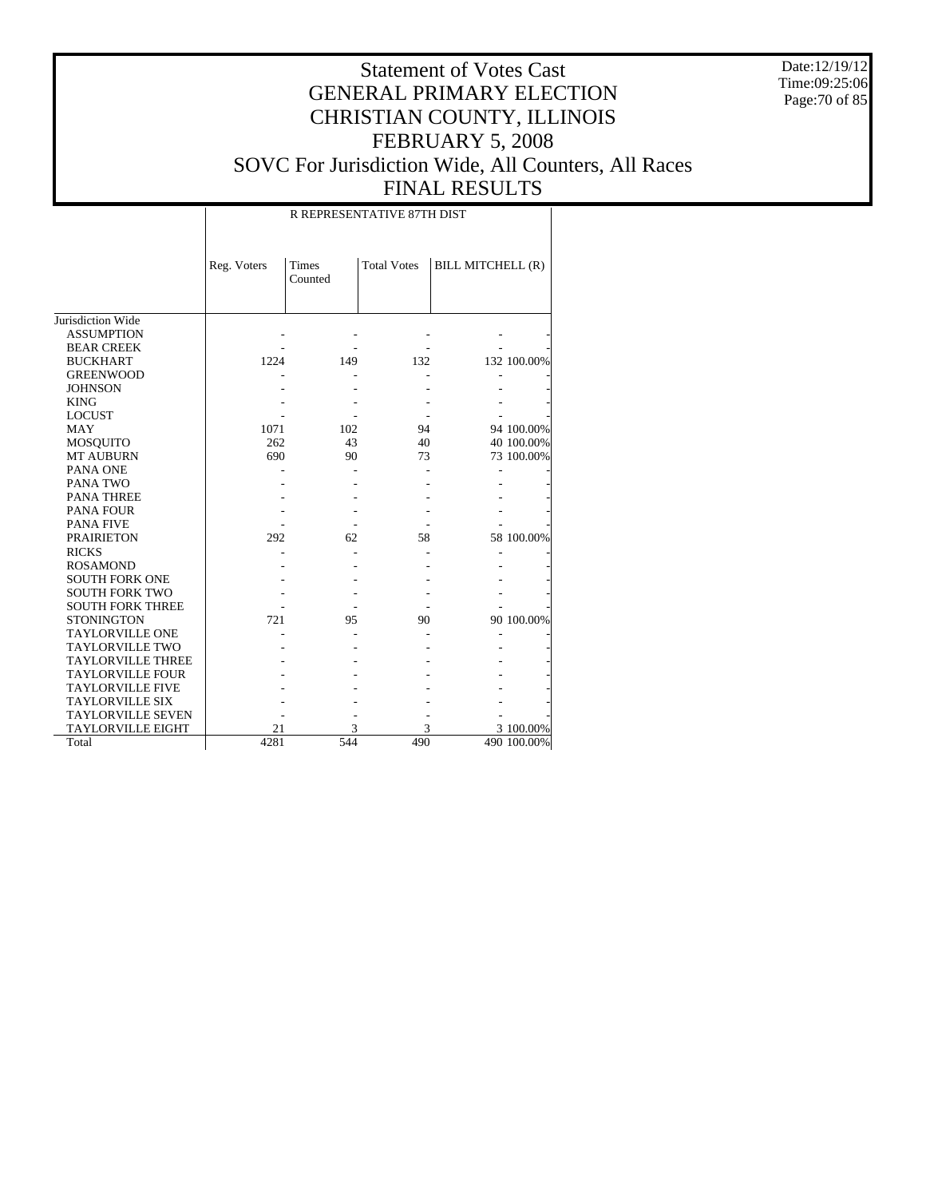Date:12/19/12 Time:09:25:06 Page:70 of 85

# Statement of Votes Cast GENERAL PRIMARY ELECTION CHRISTIAN COUNTY, ILLINOIS FEBRUARY 5, 2008 SOVC For Jurisdiction Wide, All Counters, All Races FINAL RESULTS

#### R REPRESENTATIVE 87TH DIST

|                          | Reg. Voters | <b>Times</b> | <b>Total Votes</b> | BILL MITCHELL (R) |             |
|--------------------------|-------------|--------------|--------------------|-------------------|-------------|
|                          |             | Counted      |                    |                   |             |
|                          |             |              |                    |                   |             |
|                          |             |              |                    |                   |             |
| Jurisdiction Wide        |             |              |                    |                   |             |
| <b>ASSUMPTION</b>        |             |              |                    |                   |             |
| <b>BEAR CREEK</b>        |             |              |                    |                   |             |
| <b>BUCKHART</b>          | 1224        | 149          | 132                |                   | 132 100.00% |
| <b>GREENWOOD</b>         |             |              |                    |                   |             |
| <b>JOHNSON</b>           |             |              |                    |                   |             |
| <b>KING</b>              |             |              |                    |                   |             |
| <b>LOCUST</b>            |             |              |                    |                   |             |
| <b>MAY</b>               | 1071        | 102          | 94                 |                   | 94 100.00%  |
| <b>MOSQUITO</b>          | 262         | 43           | 40                 |                   | 40 100.00%  |
| <b>MT AUBURN</b>         | 690         | 90           | 73                 |                   | 73 100.00%  |
| PANA ONE                 |             |              |                    |                   |             |
| PANA TWO                 |             |              |                    |                   |             |
| <b>PANA THREE</b>        |             |              |                    |                   |             |
| <b>PANA FOUR</b>         |             |              |                    |                   |             |
| <b>PANA FIVE</b>         |             |              |                    |                   |             |
| <b>PRAIRIETON</b>        | 292         | 62           | 58                 |                   | 58 100.00%  |
| <b>RICKS</b>             |             |              |                    |                   |             |
| <b>ROSAMOND</b>          |             |              |                    |                   |             |
| <b>SOUTH FORK ONE</b>    |             |              |                    |                   |             |
| <b>SOUTH FORK TWO</b>    |             |              |                    |                   |             |
| <b>SOUTH FORK THREE</b>  |             |              |                    |                   |             |
| <b>STONINGTON</b>        | 721         | 95           | 90                 |                   | 90 100.00%  |
| <b>TAYLORVILLE ONE</b>   |             |              |                    |                   |             |
| <b>TAYLORVILLE TWO</b>   |             |              |                    |                   |             |
| <b>TAYLORVILLE THREE</b> |             |              |                    |                   |             |
| <b>TAYLORVILLE FOUR</b>  |             |              |                    |                   |             |
| <b>TAYLORVILLE FIVE</b>  |             |              |                    |                   |             |
| <b>TAYLORVILLE SIX</b>   |             |              |                    |                   |             |
| <b>TAYLORVILLE SEVEN</b> |             |              |                    |                   |             |
| <b>TAYLORVILLE EIGHT</b> | 21          | 3            | 3                  |                   | 3 100.00%   |
| Total                    | 4281        | 544          | 490                |                   | 490 100.00% |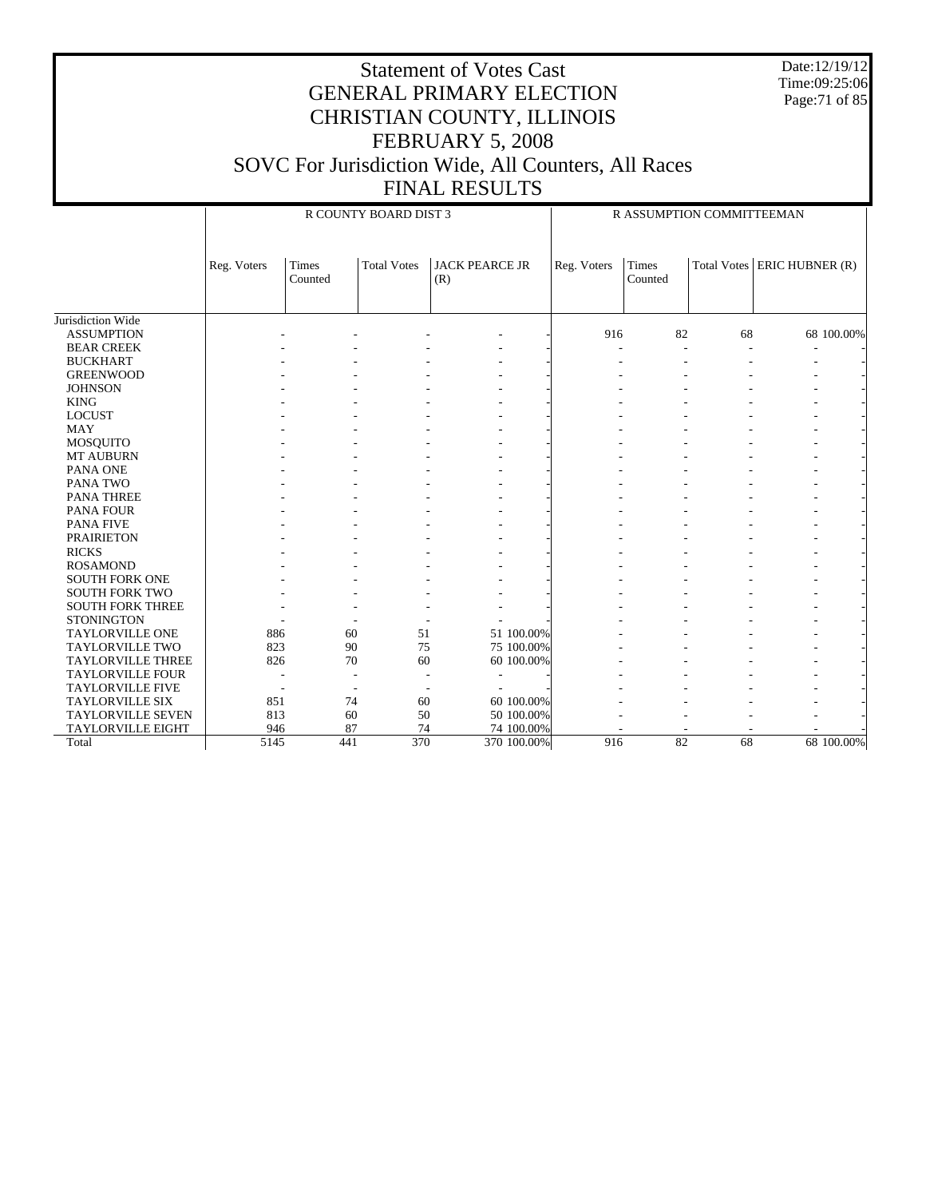Date:12/19/12 Time:09:25:06 Page:71 of 85

|                          |             |                  | R COUNTY BOARD DIST 3 |                              |             |                         | R ASSUMPTION COMMITTEEMAN |                        |
|--------------------------|-------------|------------------|-----------------------|------------------------------|-------------|-------------------------|---------------------------|------------------------|
|                          | Reg. Voters | Times<br>Counted | <b>Total Votes</b>    | <b>JACK PEARCE JR</b><br>(R) | Reg. Voters | <b>Times</b><br>Counted | <b>Total Votes</b>        | <b>ERIC HUBNER (R)</b> |
| Jurisdiction Wide        |             |                  |                       |                              |             |                         |                           |                        |
| <b>ASSUMPTION</b>        |             |                  |                       |                              | 916         | 82                      | 68                        | 68 100.00%             |
| <b>BEAR CREEK</b>        |             |                  |                       |                              |             |                         |                           |                        |
| <b>BUCKHART</b>          |             |                  |                       |                              |             |                         |                           |                        |
| <b>GREENWOOD</b>         |             |                  |                       |                              |             |                         |                           |                        |
| <b>JOHNSON</b>           |             |                  |                       |                              |             |                         |                           |                        |
| <b>KING</b>              |             |                  |                       |                              |             |                         |                           |                        |
| <b>LOCUST</b>            |             |                  |                       |                              |             |                         |                           |                        |
| <b>MAY</b>               |             |                  |                       |                              |             |                         |                           |                        |
| <b>MOSQUITO</b>          |             |                  |                       |                              |             |                         |                           |                        |
| MT AUBURN                |             |                  |                       |                              |             |                         |                           |                        |
| PANA ONE                 |             |                  |                       |                              |             |                         |                           |                        |
| PANA TWO                 |             |                  |                       |                              |             |                         |                           |                        |
| <b>PANA THREE</b>        |             |                  |                       |                              |             |                         |                           |                        |
| <b>PANA FOUR</b>         |             |                  |                       |                              |             |                         |                           |                        |
| <b>PANA FIVE</b>         |             |                  |                       |                              |             |                         |                           |                        |
| <b>PRAIRIETON</b>        |             |                  |                       |                              |             |                         |                           |                        |
| <b>RICKS</b>             |             |                  |                       |                              |             |                         |                           |                        |
| <b>ROSAMOND</b>          |             |                  |                       |                              |             |                         |                           |                        |
| <b>SOUTH FORK ONE</b>    |             |                  |                       |                              |             |                         |                           |                        |
| <b>SOUTH FORK TWO</b>    |             |                  |                       |                              |             |                         |                           |                        |
| <b>SOUTH FORK THREE</b>  |             |                  |                       |                              |             |                         |                           |                        |
| <b>STONINGTON</b>        |             |                  |                       |                              |             |                         |                           |                        |
| <b>TAYLORVILLE ONE</b>   | 886         | 60               | 51                    | 51 100.00%                   |             |                         |                           |                        |
| TAYLORVILLE TWO          | 823         | 90               | 75                    | 75 100.00%                   |             |                         |                           |                        |
| <b>TAYLORVILLE THREE</b> | 826         | 70               | 60                    | 60 100.00%                   |             |                         |                           |                        |
| <b>TAYLORVILLE FOUR</b>  |             |                  |                       |                              |             |                         |                           |                        |
| <b>TAYLORVILLE FIVE</b>  |             |                  |                       |                              |             |                         |                           |                        |
| <b>TAYLORVILLE SIX</b>   | 851         | 74               | 60                    | 60 100.00%                   |             |                         |                           |                        |
| <b>TAYLORVILLE SEVEN</b> | 813         | 60               | 50                    | 50 100.00%                   |             |                         |                           |                        |
| <b>TAYLORVILLE EIGHT</b> | 946         | 87               | 74                    | 74 100.00%                   |             |                         |                           |                        |
| Total                    | 5145        | 441              | 370                   | 370 100.00%                  | 916         | 82                      | 68                        | 68 100.00%             |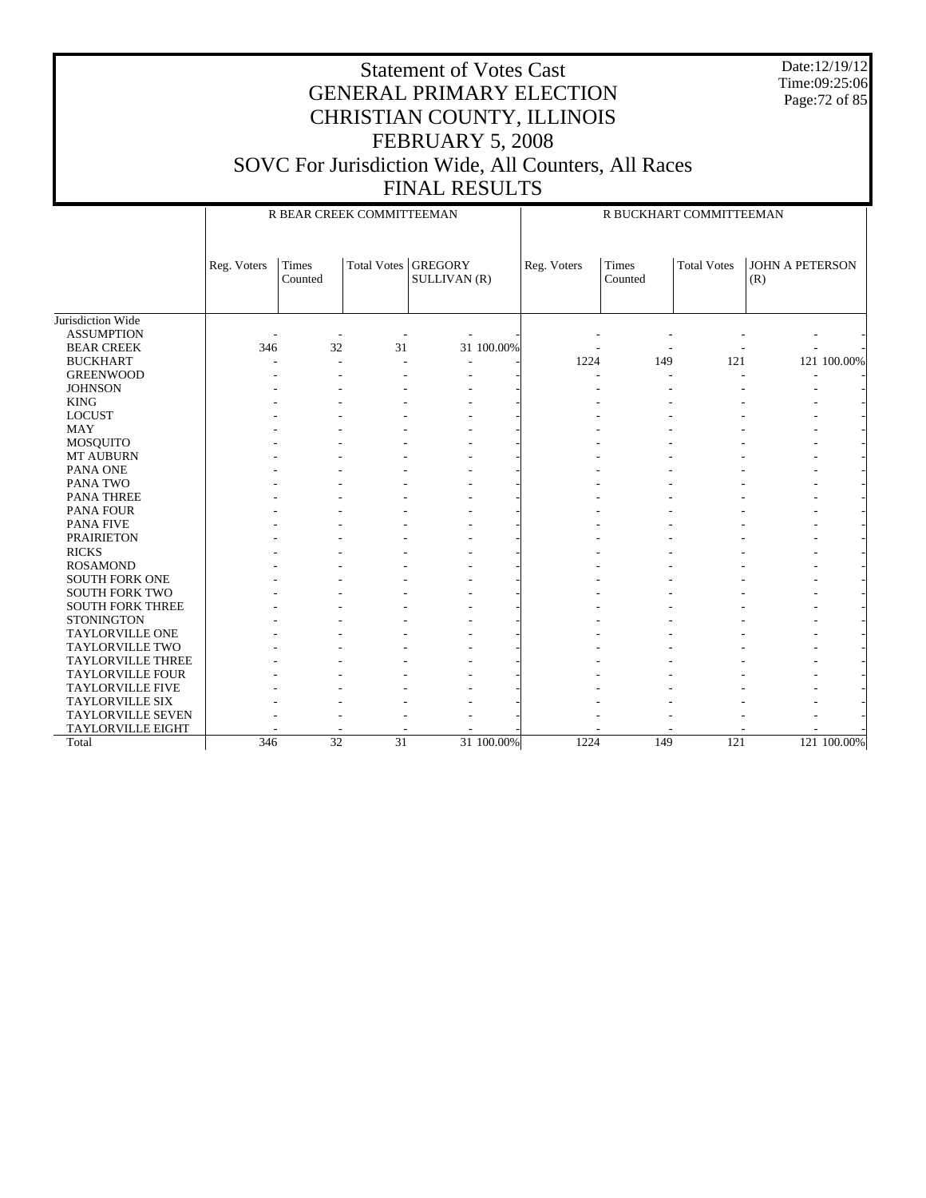Date:12/19/12 Time:09:25:06 Page:72 of 85

#### Statement of Votes Cast GENERAL PRIMARY ELECTION CHRISTIAN COUNTY, ILLINOIS FEBRUARY 5, 2008 SOVC For Jurisdiction Wide, All Counters, All Races FINAL RESULTS

Jurisdiction Wide ASSUMPTION BEAR CREEK BUCKHART GREENWOOD **JOHNSON**  KING LOCUST MAY MOSQUITO MT AUBURN PANA ONE PANA TWO PANA THREE PANA FOUR PANA FIVE PRAIRIETON RICKS ROSAMOND SOUTH FORK ONE SOUTH FORK TWO SOUTH FORK THREE **STONINGTON**  TAYLORVILLE ONE TAYLORVILLE TWO TAYLORVILLE THREE TAYLORVILLE FOUR TAYLORVILLE FIVE TAYLORVILLE SIX TAYLORVILLE SEVEN TAYLORVILLE EIGHT Total Reg. Voters Times Counted Total Votes GREGORY SULLIVAN (R) R BEAR CREEK COMMITTEEMAN Reg. Voters Times Counted Total Votes | JOHN A PETERSON (R) R BUCKHART COMMITTEEMAN - - - - - - - - - - 346 32 31 31 100.00% - - - - - - - -- - - - - - - - 1224 149 121 121 100.00% - - - - - - - - - - - - - - - - - - - - - - - - - - - - - - - - - - - - - - - - - - - - - - - - - - - - - - - - - - - - - - - - - - - - - - - - - - - - - - - - - - - - - - - - - - - - - - - - - - - - - - - - - - - - - - - - - - - - - - - - - - - - - - - - - - - - - - - - - - - - - - - - - - - - - - - - - - - - - - - - - - - - - - - - - - - - - - - - - - - - - - - - - - - - - - - - - - - - - - - - - - - - - - - - - - - - - - - - - - - - - - - - - - - - - - - - - - - - - - - - - - - - - - - - - - - - - - - - - - - - - - - - - - - - - - 346 32 31 31 100.00% 1224 149 121 121 100.00%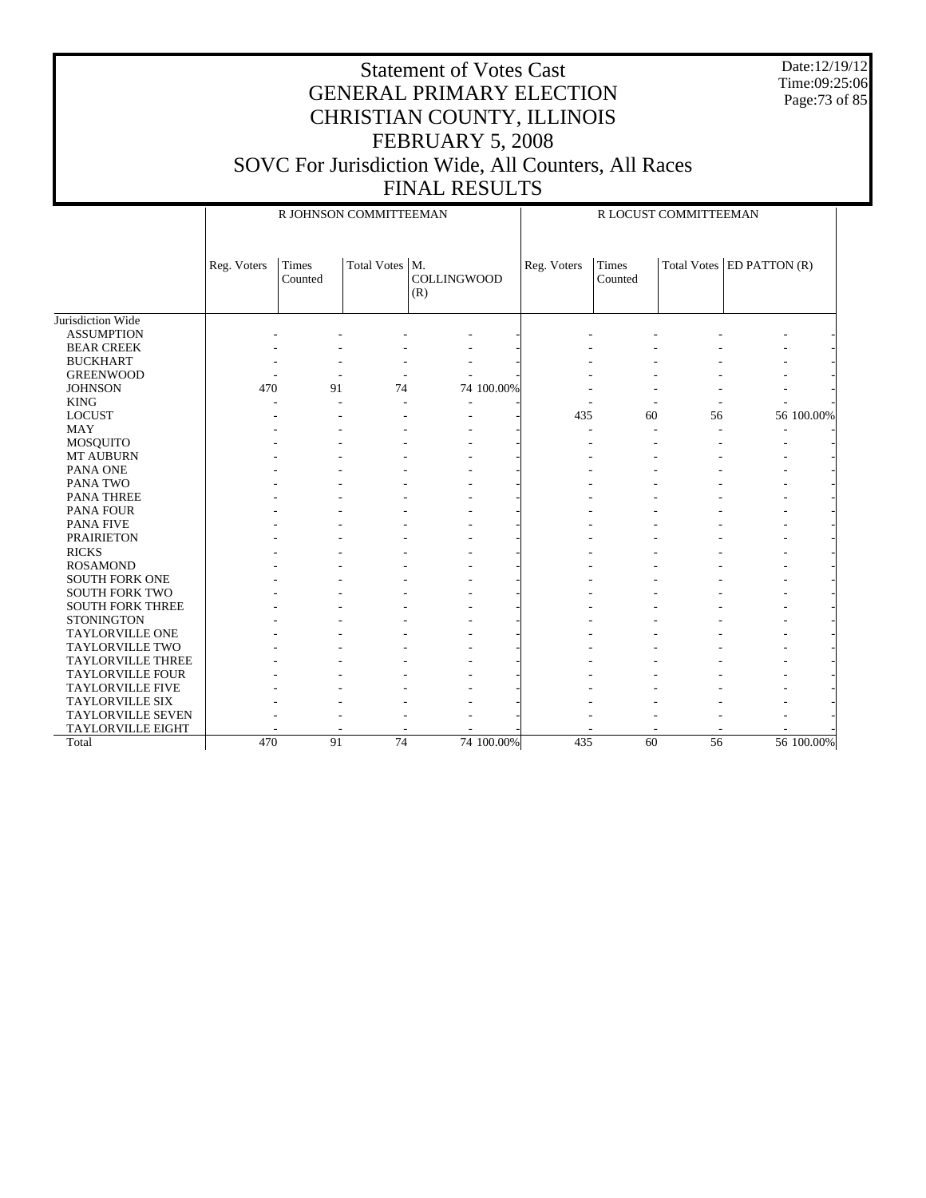Date:12/19/12 Time:09:25:06 Page:73 of 85

|                          |             | R JOHNSON COMMITTEEMAN |                  |                           |             |                         | R LOCUST COMMITTEEMAN |                               |
|--------------------------|-------------|------------------------|------------------|---------------------------|-------------|-------------------------|-----------------------|-------------------------------|
|                          | Reg. Voters | Times<br>Counted       | Total Votes   M. | <b>COLLINGWOOD</b><br>(R) | Reg. Voters | <b>Times</b><br>Counted |                       | Total Votes $ED$ PATTON $(R)$ |
| Jurisdiction Wide        |             |                        |                  |                           |             |                         |                       |                               |
| <b>ASSUMPTION</b>        |             |                        |                  |                           |             |                         |                       |                               |
| <b>BEAR CREEK</b>        |             |                        |                  |                           |             |                         |                       |                               |
| <b>BUCKHART</b>          |             |                        |                  |                           |             |                         |                       |                               |
| <b>GREENWOOD</b>         |             |                        |                  |                           |             |                         |                       |                               |
| <b>JOHNSON</b>           | 470         | 91                     | 74               | 74 100.00%                |             |                         |                       |                               |
| <b>KING</b>              |             |                        |                  |                           |             |                         |                       |                               |
| <b>LOCUST</b>            |             |                        |                  |                           | 435         | 60                      | 56                    | 56 100.00%                    |
| <b>MAY</b>               |             |                        |                  |                           |             |                         |                       |                               |
| <b>MOSQUITO</b>          |             |                        |                  |                           |             |                         |                       |                               |
| MT AUBURN                |             |                        |                  |                           |             |                         |                       |                               |
| PANA ONE                 |             |                        |                  |                           |             |                         |                       |                               |
| PANA TWO                 |             |                        |                  |                           |             |                         |                       |                               |
| <b>PANA THREE</b>        |             |                        |                  |                           |             |                         |                       |                               |
| <b>PANA FOUR</b>         |             |                        |                  |                           |             |                         |                       |                               |
| <b>PANA FIVE</b>         |             |                        |                  |                           |             |                         |                       |                               |
| <b>PRAIRIETON</b>        |             |                        |                  |                           |             |                         |                       |                               |
| <b>RICKS</b>             |             |                        |                  |                           |             |                         |                       |                               |
| <b>ROSAMOND</b>          |             |                        |                  |                           |             |                         |                       |                               |
| <b>SOUTH FORK ONE</b>    |             |                        |                  |                           |             |                         |                       |                               |
| <b>SOUTH FORK TWO</b>    |             |                        |                  |                           |             |                         |                       |                               |
| <b>SOUTH FORK THREE</b>  |             |                        |                  |                           |             |                         |                       |                               |
| <b>STONINGTON</b>        |             |                        |                  |                           |             |                         |                       |                               |
| <b>TAYLORVILLE ONE</b>   |             |                        |                  |                           |             |                         |                       |                               |
| <b>TAYLORVILLE TWO</b>   |             |                        |                  |                           |             |                         |                       |                               |
| <b>TAYLORVILLE THREE</b> |             |                        |                  |                           |             |                         |                       |                               |
| <b>TAYLORVILLE FOUR</b>  |             |                        |                  |                           |             |                         |                       |                               |
| <b>TAYLORVILLE FIVE</b>  |             |                        |                  |                           |             |                         |                       |                               |
| <b>TAYLORVILLE SIX</b>   |             |                        |                  |                           |             |                         |                       |                               |
| <b>TAYLORVILLE SEVEN</b> |             |                        |                  |                           |             |                         |                       |                               |
| <b>TAYLORVILLE EIGHT</b> |             |                        |                  |                           |             |                         |                       |                               |
| Total                    | 470         | 91                     | 74               | 74 100,00%                | 435         | 60                      | 56                    | 56 100,00%                    |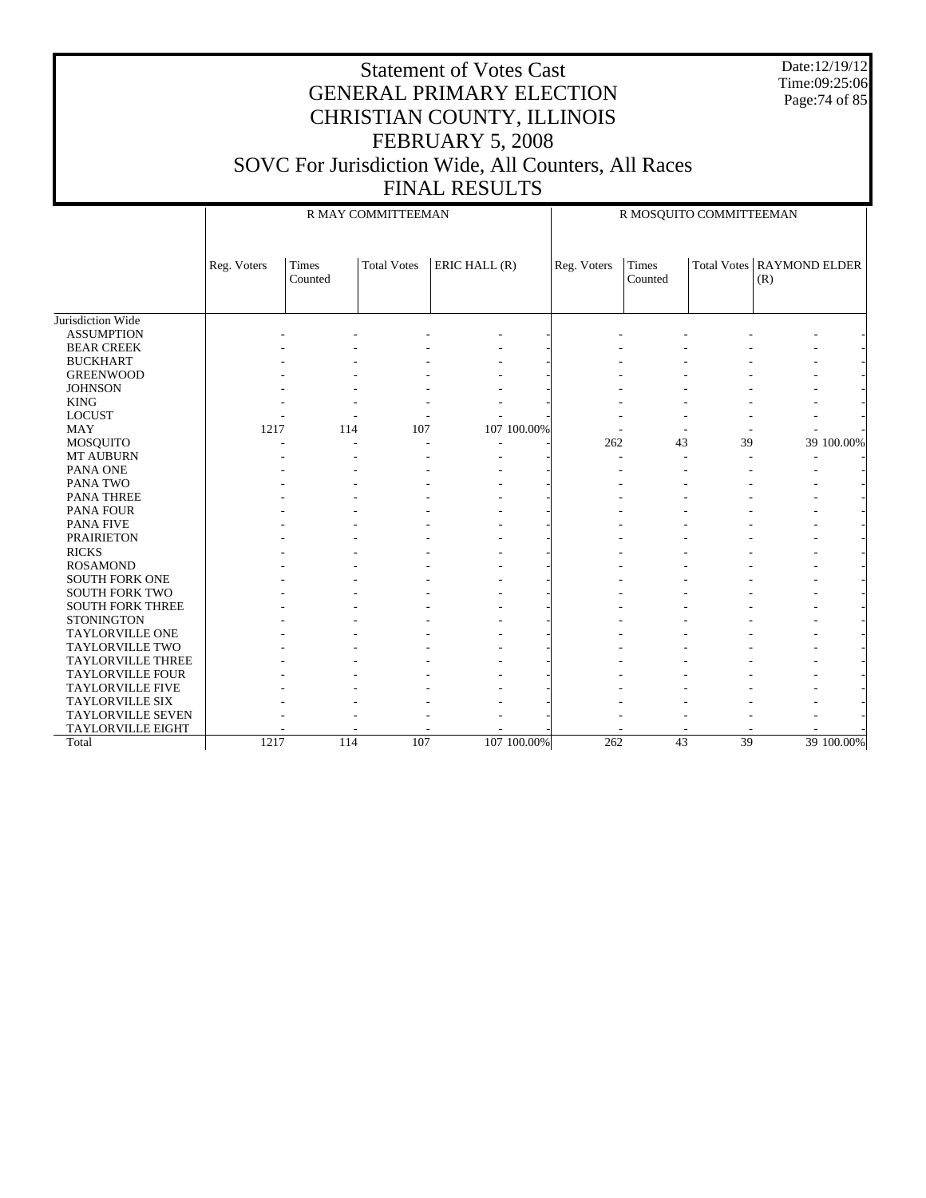Date:12/19/12 Time:09:25:06 Page:74 of 85

|                          |             |                  | R MAY COMMITTEEMAN |               |             |                         | R MOSQUITO COMMITTEEMAN |                                           |
|--------------------------|-------------|------------------|--------------------|---------------|-------------|-------------------------|-------------------------|-------------------------------------------|
|                          | Reg. Voters | Times<br>Counted | <b>Total Votes</b> | ERIC HALL (R) | Reg. Voters | <b>Times</b><br>Counted |                         | <b>Total Votes   RAYMOND ELDER</b><br>(R) |
| Jurisdiction Wide        |             |                  |                    |               |             |                         |                         |                                           |
| <b>ASSUMPTION</b>        |             |                  |                    |               |             |                         |                         |                                           |
| <b>BEAR CREEK</b>        |             |                  |                    |               |             |                         |                         |                                           |
| <b>BUCKHART</b>          |             |                  |                    |               |             |                         |                         |                                           |
| <b>GREENWOOD</b>         |             |                  |                    |               |             |                         |                         |                                           |
| <b>JOHNSON</b>           |             |                  |                    |               |             |                         |                         |                                           |
| <b>KING</b>              |             |                  |                    |               |             |                         |                         |                                           |
| <b>LOCUST</b>            |             |                  |                    |               |             |                         |                         |                                           |
| <b>MAY</b>               | 1217        | 114              | 107                | 107 100.00%   |             |                         |                         |                                           |
| <b>MOSQUITO</b>          |             |                  |                    |               | 262         | 43                      | 39                      | 39 100.00%                                |
| MT AUBURN                |             |                  |                    |               |             |                         |                         |                                           |
| PANA ONE                 |             |                  |                    |               |             |                         |                         |                                           |
| <b>PANA TWO</b>          |             |                  |                    |               |             |                         |                         |                                           |
| PANA THREE               |             |                  |                    |               |             |                         |                         |                                           |
| <b>PANA FOUR</b>         |             |                  |                    |               |             |                         |                         |                                           |
| <b>PANA FIVE</b>         |             |                  |                    |               |             |                         |                         |                                           |
| <b>PRAIRIETON</b>        |             |                  |                    |               |             |                         |                         |                                           |
| <b>RICKS</b>             |             |                  |                    |               |             |                         |                         |                                           |
| <b>ROSAMOND</b>          |             |                  |                    |               |             |                         |                         |                                           |
| <b>SOUTH FORK ONE</b>    |             |                  |                    |               |             |                         |                         |                                           |
| <b>SOUTH FORK TWO</b>    |             |                  |                    |               |             |                         |                         |                                           |
| <b>SOUTH FORK THREE</b>  |             |                  |                    |               |             |                         |                         |                                           |
| <b>STONINGTON</b>        |             |                  |                    |               |             |                         |                         |                                           |
| <b>TAYLORVILLE ONE</b>   |             |                  |                    |               |             |                         |                         |                                           |
| <b>TAYLORVILLE TWO</b>   |             |                  |                    |               |             |                         |                         |                                           |
| <b>TAYLORVILLE THREE</b> |             |                  |                    |               |             |                         |                         |                                           |
| <b>TAYLORVILLE FOUR</b>  |             |                  |                    |               |             |                         |                         |                                           |
| TAYLORVILLE FIVE         |             |                  |                    |               |             |                         |                         |                                           |
| <b>TAYLORVILLE SIX</b>   |             |                  |                    |               |             |                         |                         |                                           |
| <b>TAYLORVILLE SEVEN</b> |             |                  |                    |               |             |                         |                         |                                           |
| <b>TAYLORVILLE EIGHT</b> |             |                  |                    |               |             |                         |                         |                                           |
| Total                    | 1217        | 114              | 107                | 107 100.00%   | 262         | $\overline{43}$         | 39                      | 39 100.00%                                |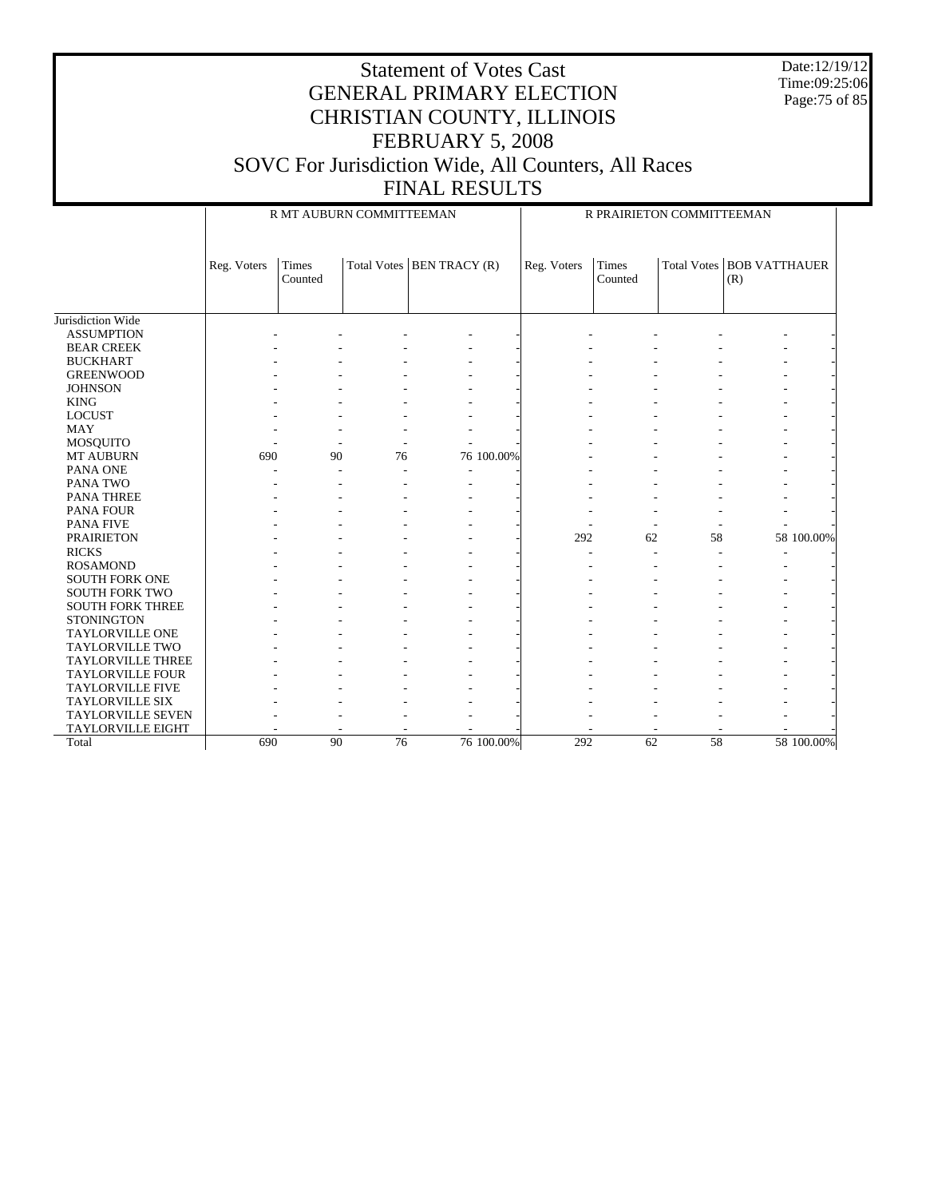Date:12/19/12 Time:09:25:06 Page:75 of 85

|                          |             | R MT AUBURN COMMITTEEMAN |    |                             |             |                         | R PRAIRIETON COMMITTEEMAN |                             |
|--------------------------|-------------|--------------------------|----|-----------------------------|-------------|-------------------------|---------------------------|-----------------------------|
|                          | Reg. Voters | Times<br>Counted         |    | Total Votes   BEN TRACY (R) | Reg. Voters | <b>Times</b><br>Counted | <b>Total Votes</b>        | <b>BOB VATTHAUER</b><br>(R) |
| Jurisdiction Wide        |             |                          |    |                             |             |                         |                           |                             |
| <b>ASSUMPTION</b>        |             |                          |    |                             |             |                         |                           |                             |
| <b>BEAR CREEK</b>        |             |                          |    |                             |             |                         |                           |                             |
| <b>BUCKHART</b>          |             |                          |    |                             |             |                         |                           |                             |
| <b>GREENWOOD</b>         |             |                          |    |                             |             |                         |                           |                             |
| <b>JOHNSON</b>           |             |                          |    |                             |             |                         |                           |                             |
| <b>KING</b>              |             |                          |    |                             |             |                         |                           |                             |
| <b>LOCUST</b>            |             |                          |    |                             |             |                         |                           |                             |
| <b>MAY</b>               |             |                          |    |                             |             |                         |                           |                             |
| MOSQUITO                 |             |                          |    |                             |             |                         |                           |                             |
| MT AUBURN                | 690         | 90                       | 76 | 76 100.00%                  |             |                         |                           |                             |
| <b>PANA ONE</b>          |             |                          |    |                             |             |                         |                           |                             |
| PANA TWO                 |             |                          |    |                             |             |                         |                           |                             |
| <b>PANA THREE</b>        |             |                          |    |                             |             |                         |                           |                             |
| <b>PANA FOUR</b>         |             |                          |    |                             |             |                         |                           |                             |
| <b>PANA FIVE</b>         |             |                          |    |                             |             |                         |                           |                             |
| <b>PRAIRIETON</b>        |             |                          |    |                             | 292         | 62                      | 58                        | 58 100.00%                  |
| <b>RICKS</b>             |             |                          |    |                             |             |                         |                           | ٠                           |
| <b>ROSAMOND</b>          |             |                          |    |                             |             |                         |                           |                             |
| <b>SOUTH FORK ONE</b>    |             |                          |    |                             |             |                         |                           |                             |
| <b>SOUTH FORK TWO</b>    |             |                          |    |                             |             |                         |                           |                             |
| <b>SOUTH FORK THREE</b>  |             |                          |    |                             |             |                         |                           |                             |
| <b>STONINGTON</b>        |             |                          |    |                             |             |                         |                           |                             |
| <b>TAYLORVILLE ONE</b>   |             |                          |    |                             |             |                         |                           |                             |
| <b>TAYLORVILLE TWO</b>   |             |                          |    |                             |             |                         |                           |                             |
| <b>TAYLORVILLE THREE</b> |             |                          |    |                             |             |                         |                           |                             |
| <b>TAYLORVILLE FOUR</b>  |             |                          |    |                             |             |                         |                           |                             |
| <b>TAYLORVILLE FIVE</b>  |             |                          |    |                             |             |                         |                           |                             |
| <b>TAYLORVILLE SIX</b>   |             |                          |    |                             |             |                         |                           |                             |
| <b>TAYLORVILLE SEVEN</b> |             |                          |    |                             |             |                         |                           |                             |
| <b>TAYLORVILLE EIGHT</b> |             |                          |    |                             |             |                         |                           |                             |
| Total                    | 690         | 90                       | 76 | 76 100,00%                  | 292         | 62                      | 58                        | 58 100.00%                  |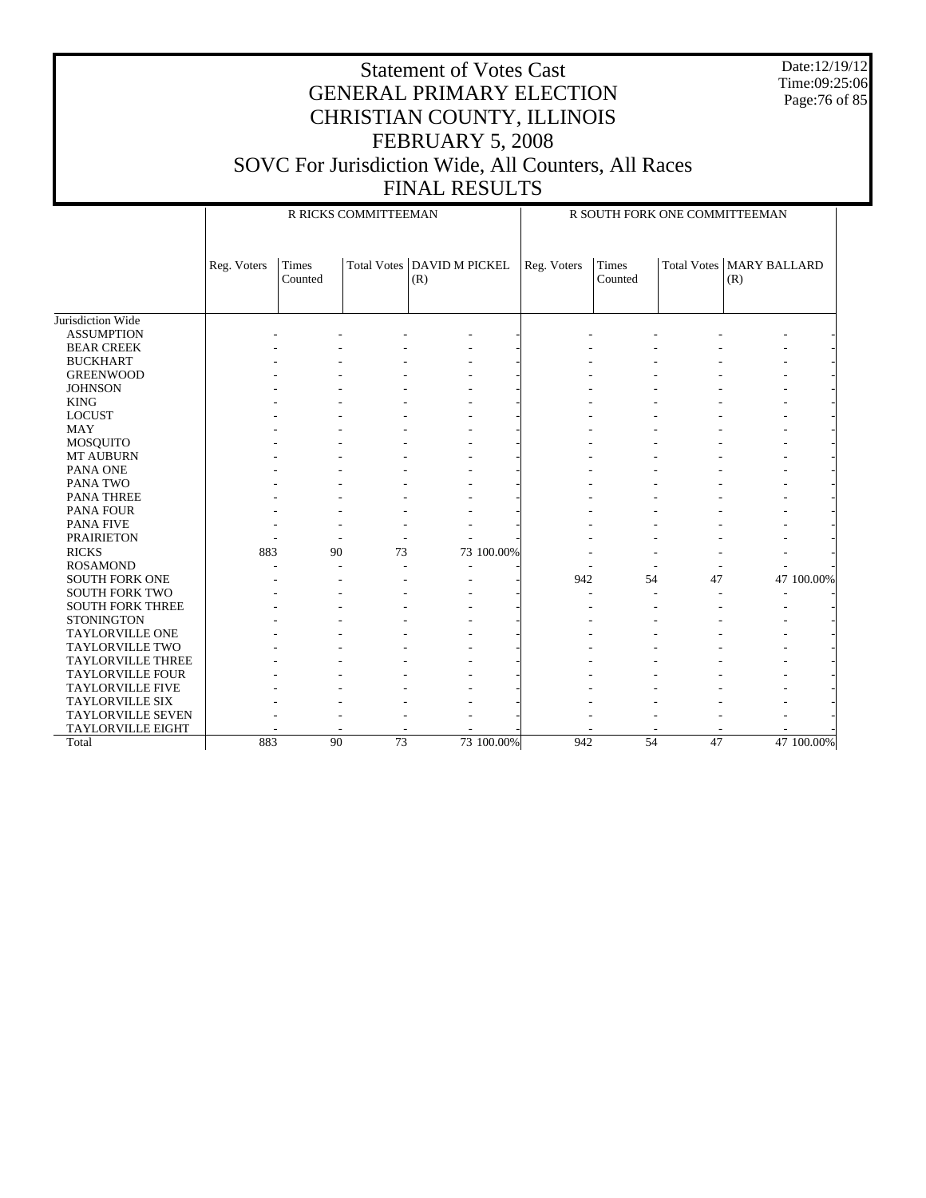Date:12/19/12 Time:09:25:06 Page:76 of 85

|                          |             |                         | R RICKS COMMITTEEMAN |                                     |             |                         |                    | R SOUTH FORK ONE COMMITTEEMAN |            |
|--------------------------|-------------|-------------------------|----------------------|-------------------------------------|-------------|-------------------------|--------------------|-------------------------------|------------|
|                          | Reg. Voters | <b>Times</b><br>Counted |                      | Total Votes   DAVID M PICKEL<br>(R) | Reg. Voters | <b>Times</b><br>Counted | <b>Total Votes</b> | <b>MARY BALLARD</b><br>(R)    |            |
| Jurisdiction Wide        |             |                         |                      |                                     |             |                         |                    |                               |            |
| <b>ASSUMPTION</b>        |             |                         |                      |                                     |             |                         |                    |                               |            |
| <b>BEAR CREEK</b>        |             |                         |                      |                                     |             |                         |                    |                               |            |
| <b>BUCKHART</b>          |             |                         |                      |                                     |             |                         |                    |                               |            |
| <b>GREENWOOD</b>         |             |                         |                      |                                     |             |                         |                    |                               |            |
| <b>JOHNSON</b>           |             |                         |                      |                                     |             |                         |                    |                               |            |
| <b>KING</b>              |             |                         |                      |                                     |             |                         |                    |                               |            |
| <b>LOCUST</b>            |             |                         |                      |                                     |             |                         |                    |                               |            |
| <b>MAY</b>               |             |                         |                      |                                     |             |                         |                    |                               |            |
| <b>MOSQUITO</b>          |             |                         |                      |                                     |             |                         |                    |                               |            |
| <b>MT AUBURN</b>         |             |                         |                      |                                     |             |                         |                    |                               |            |
| PANA ONE                 |             |                         |                      |                                     |             |                         |                    |                               |            |
| PANA TWO                 |             |                         |                      |                                     |             |                         |                    |                               |            |
| <b>PANA THREE</b>        |             |                         |                      |                                     |             |                         |                    |                               |            |
| <b>PANA FOUR</b>         |             |                         |                      |                                     |             |                         |                    |                               |            |
| <b>PANA FIVE</b>         |             |                         |                      |                                     |             |                         |                    |                               |            |
| <b>PRAIRIETON</b>        |             |                         |                      |                                     |             |                         |                    |                               |            |
| <b>RICKS</b>             | 883         | 90                      | 73                   | 73 100.00%                          |             |                         |                    |                               |            |
| <b>ROSAMOND</b>          |             |                         | ÷                    | $\overline{\phantom{a}}$            |             |                         |                    |                               |            |
| <b>SOUTH FORK ONE</b>    |             |                         |                      |                                     | 942         | 54                      | 47                 |                               | 47 100.00% |
| <b>SOUTH FORK TWO</b>    |             |                         |                      |                                     |             |                         |                    |                               |            |
| <b>SOUTH FORK THREE</b>  |             |                         |                      |                                     |             |                         |                    |                               |            |
| <b>STONINGTON</b>        |             |                         |                      |                                     |             |                         |                    |                               |            |
| <b>TAYLORVILLE ONE</b>   |             |                         |                      |                                     |             |                         |                    |                               |            |
| <b>TAYLORVILLE TWO</b>   |             |                         |                      |                                     |             |                         |                    |                               |            |
| <b>TAYLORVILLE THREE</b> |             |                         |                      |                                     |             |                         |                    |                               |            |
| <b>TAYLORVILLE FOUR</b>  |             |                         |                      |                                     |             |                         |                    |                               |            |
| <b>TAYLORVILLE FIVE</b>  |             |                         |                      |                                     |             |                         |                    |                               |            |
| <b>TAYLORVILLE SIX</b>   |             |                         |                      |                                     |             |                         |                    |                               |            |
| <b>TAYLORVILLE SEVEN</b> |             |                         |                      |                                     |             |                         |                    |                               |            |
| <b>TAYLORVILLE EIGHT</b> |             |                         |                      |                                     |             |                         |                    |                               |            |
| Total                    | 883         | 90                      | 73                   | 73 100.00%                          | 942         | 54                      | 47                 |                               | 47 100.00% |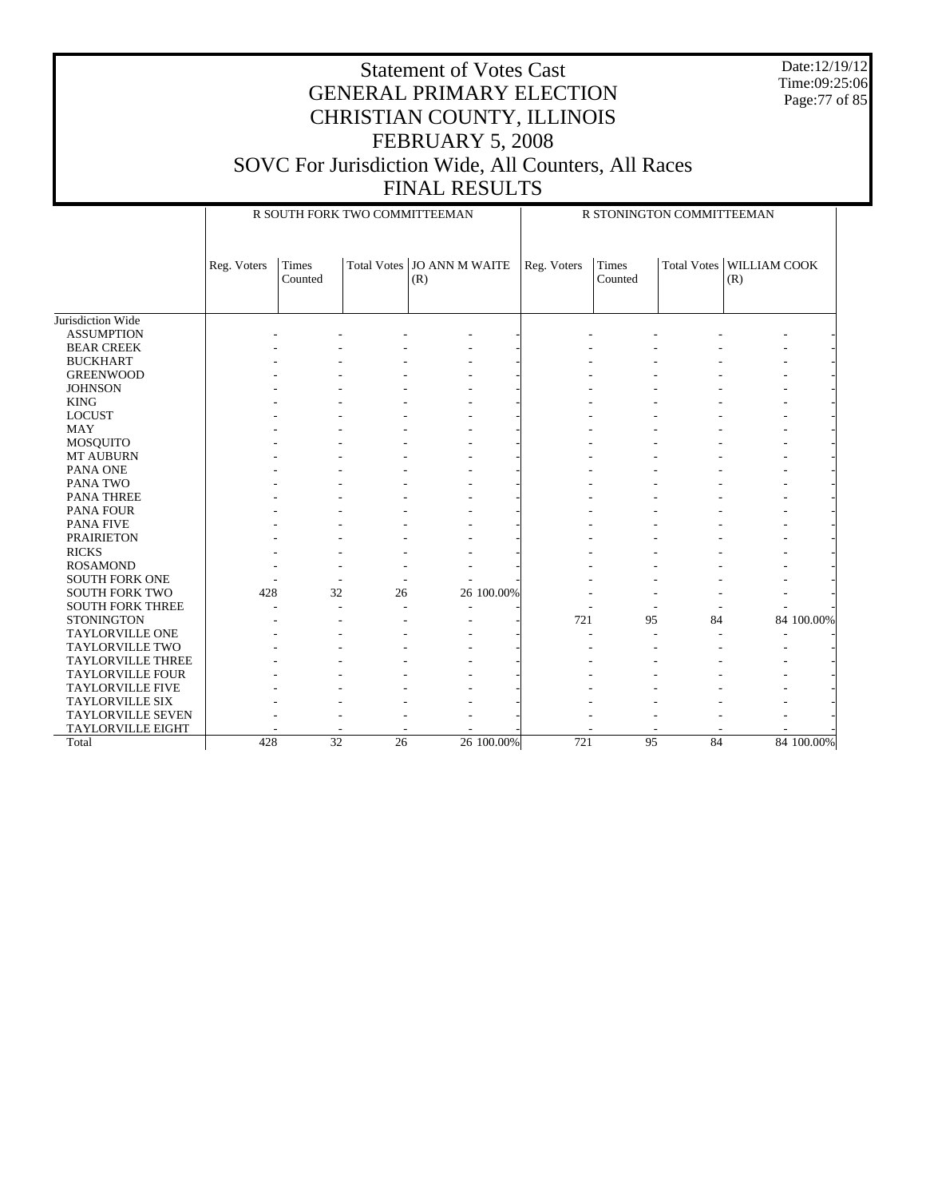Date:12/19/12 Time:09:25:06 Page:77 of 85

#### Statement of Votes Cast GENERAL PRIMARY ELECTION CHRISTIAN COUNTY, ILLINOIS FEBRUARY 5, 2008 SOVC For Jurisdiction Wide, All Counters, All Races FINAL RESULTS

Jurisdiction Wide ASSUMPTION BEAR CREEK BUCKHART GREENWOOD **JOHNSON**  KING LOCUST MAY MOSQUITO MT AUBURN PANA ONE PANA TWO PANA THREE PANA FOUR PANA FIVE PRAIRIETON RICKS ROSAMOND SOUTH FORK ONE SOUTH FORK TWO SOUTH FORK THREE **STONINGTON**  TAYLORVILLE ONE TAYLORVILLE TWO TAYLORVILLE THREE TAYLORVILLE FOUR TAYLORVILLE FIVE TAYLORVILLE SIX TAYLORVILLE SEVEN TAYLORVILLE EIGHT Total Reg. Voters Times Counted Total Votes | JO ANN M WAITE (R) R SOUTH FORK TWO COMMITTEEMAN Reg. Voters Times Counted Total Votes | WILLIAM COOK (R) R STONINGTON COMMITTEEMAN - - - - - - - - - - - - - - - - - - - - - - - - - - - - - - - - - - - - - - - - - - - - - - - - - - - - - - - - - - - - - - - - - - - - - - - - - - - - - - - - - - - - - - - - - - - - - - - - - - - - - - - - - - - - - - - - - - - - - - - - - - - - - - - - - - - - - - - - - - - - - - - - - - - - - - - - - - - - - - - - - - - - - - - - - - - - - - - - - - - - - - - - - - - - - - 428 32 26 26 100.00% - - - - - - - - - - - - - - - - - - - - - - - - 721 95 84 84 100.00% - - - - - - - - - - - - - - - - - - - - - - - - - - - - - - - - - - - - - - - - - - - - - - - - - - - - - - - - - - - - - - - - - - - - - - - - - - - - - - - - 428 32 26 26 100.00% 721 95 84 84 100.00%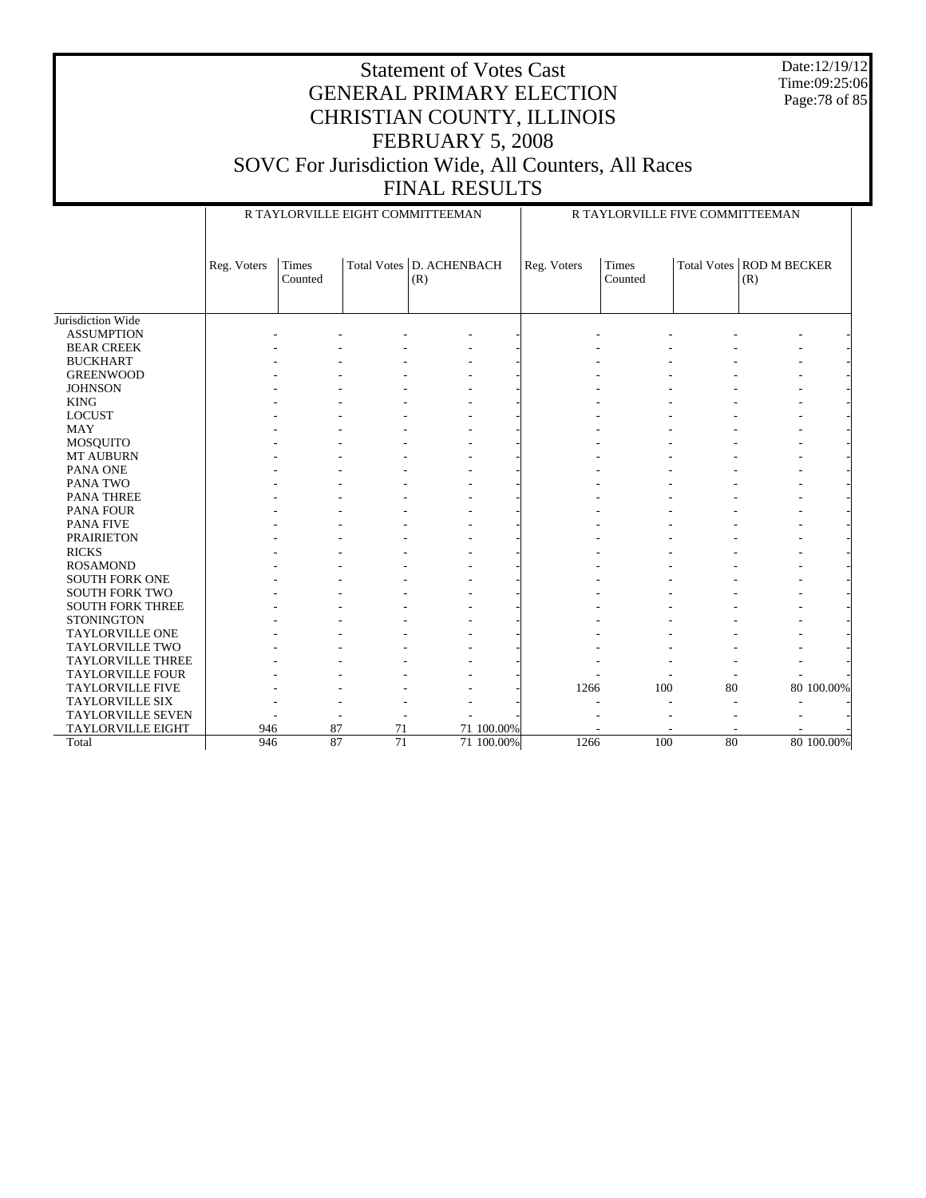Date:12/19/12 Time:09:25:06 Page:78 of 85

#### Statement of Votes Cast GENERAL PRIMARY ELECTION CHRISTIAN COUNTY, ILLINOIS FEBRUARY 5, 2008 SOVC For Jurisdiction Wide, All Counters, All Races FINAL RESULTS

Jurisdiction Wide ASSUMPTION BEAR CREEK BUCKHART GREENWOOD **JOHNSON**  KING LOCUST MAY MOSQUITO MT AUBURN PANA ONE PANA TWO PANA THREE PANA FOUR PANA FIVE PRAIRIETON RICKS ROSAMOND SOUTH FORK ONE SOUTH FORK TWO SOUTH FORK THREE **STONINGTON**  TAYLORVILLE ONE TAYLORVILLE TWO TAYLORVILLE THREE TAYLORVILLE FOUR TAYLORVILLE FIVE TAYLORVILLE SIX TAYLORVILLE SEVEN TAYLORVILLE EIGHT Total Reg. Voters Times Counted Total Votes | D. ACHENBACH (R) R TAYLORVILLE EIGHT COMMITTEEMAN Reg. Voters Times Counted Total Votes | ROD M BECKER (R) R TAYLORVILLE FIVE COMMITTEEMAN - - - - - - - - - - - - - - - - - - - - - - - - - - - - - - - - - - - - - - - - - - - - - - - - - - - - - - - - - - - - - - - - - - - - - - - - - - - - - - - - - - - - - - - - - - - - - - - - - - - - - - - - - - - - - - - - - - - - - - - - - - - - - - - - - - - - - - - - - - - - - - - - - - - - - - - - - - - - - - - - - - - - - - - - - - - - - - - - - - - - - - - - - - - - - - - - - - - - - - - - - - - - - - - - - - - - - - - - - - - - - - - - - - - - - - - - - - - - - - - - - - - - - - - - - - - - - - - - - - - - - - - - - - - - - 1266 100 80 80 100.00% - - - - - - - - - - - - - - - - - - - - 946 87 71 71 100.00% - - - - - 946 87 71 71 100.00% 1266 100 80 80 100.00%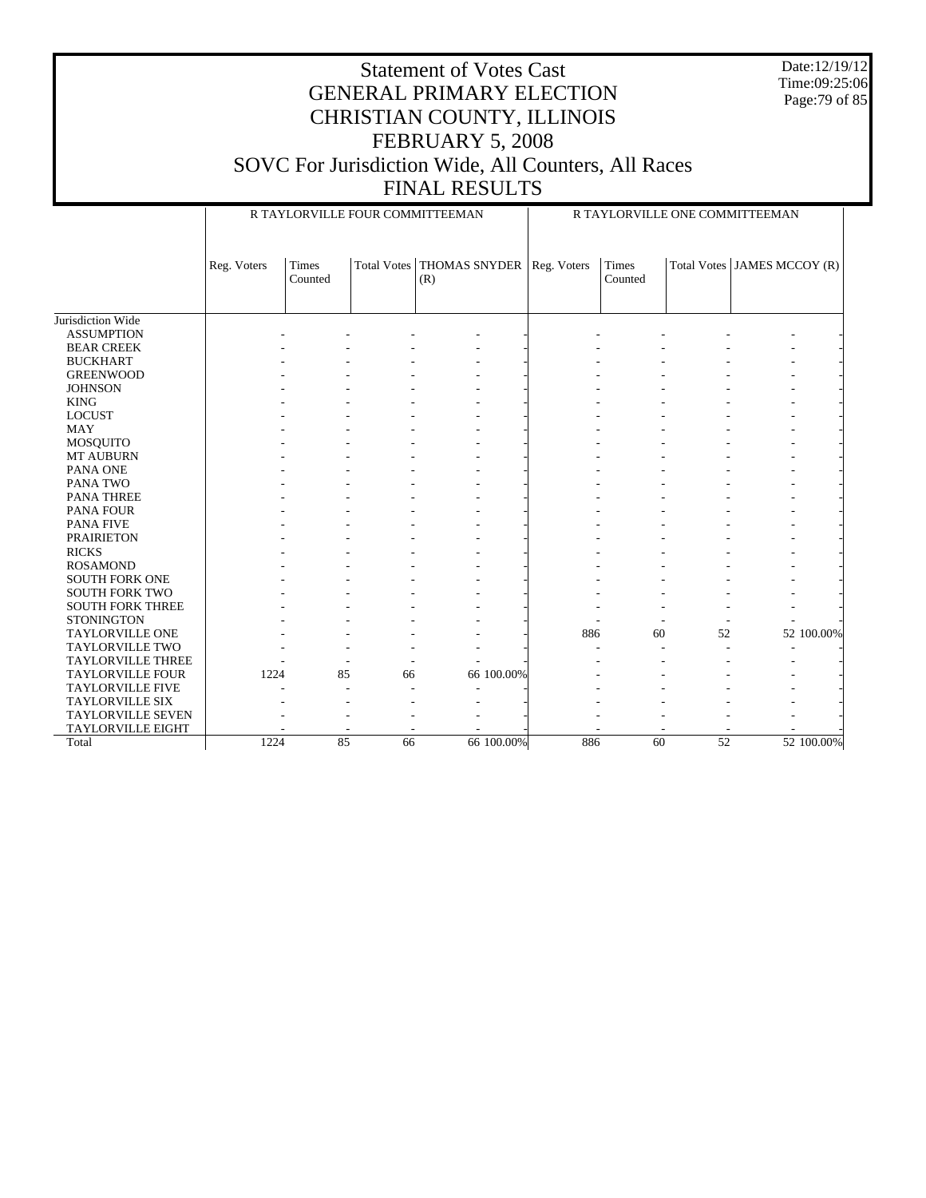Statement of Votes Cast GENERAL PRIMARY ELECTION CHRISTIAN COUNTY, ILLINOIS FEBRUARY 5, 2008 Date:12/19/12 Time:09:25:06 Page:79 of 85

# SOVC For Jurisdiction Wide, All Counters, All Races

## FINAL RESULTS

|                          | R TAYLORVILLE FOUR COMMITTEEMAN<br>R TAYLORVILLE ONE COMMITTEEMAN |                         |          |                                                  |     |                  |    |                             |
|--------------------------|-------------------------------------------------------------------|-------------------------|----------|--------------------------------------------------|-----|------------------|----|-----------------------------|
|                          | Reg. Voters                                                       | <b>Times</b><br>Counted |          | Total Votes   THOMAS SNYDER   Reg. Voters<br>(R) |     | Times<br>Counted |    | Total Votes JAMES MCCOY (R) |
| Jurisdiction Wide        |                                                                   |                         |          |                                                  |     |                  |    |                             |
| <b>ASSUMPTION</b>        |                                                                   |                         |          |                                                  |     |                  |    |                             |
| <b>BEAR CREEK</b>        |                                                                   |                         |          |                                                  |     |                  |    |                             |
| <b>BUCKHART</b>          |                                                                   |                         |          |                                                  |     |                  |    |                             |
| <b>GREENWOOD</b>         |                                                                   |                         |          |                                                  |     |                  |    |                             |
| <b>JOHNSON</b>           |                                                                   |                         |          |                                                  |     |                  |    |                             |
| <b>KING</b>              |                                                                   |                         |          |                                                  |     |                  |    |                             |
| <b>LOCUST</b>            |                                                                   |                         |          |                                                  |     |                  |    |                             |
| <b>MAY</b>               |                                                                   |                         |          |                                                  |     |                  |    |                             |
| <b>MOSQUITO</b>          |                                                                   |                         |          |                                                  |     |                  |    |                             |
| <b>MT AUBURN</b>         |                                                                   |                         |          |                                                  |     |                  |    |                             |
| PANA ONE                 |                                                                   |                         |          |                                                  |     |                  |    |                             |
| <b>PANA TWO</b>          |                                                                   |                         |          |                                                  |     |                  |    |                             |
| <b>PANA THREE</b>        |                                                                   |                         |          |                                                  |     |                  |    |                             |
| <b>PANA FOUR</b>         |                                                                   |                         |          |                                                  |     |                  |    |                             |
| <b>PANA FIVE</b>         |                                                                   |                         |          |                                                  |     |                  |    |                             |
| <b>PRAIRIETON</b>        |                                                                   |                         |          |                                                  |     |                  |    |                             |
| <b>RICKS</b>             |                                                                   |                         |          |                                                  |     |                  |    |                             |
| <b>ROSAMOND</b>          |                                                                   |                         |          |                                                  |     |                  |    |                             |
| <b>SOUTH FORK ONE</b>    |                                                                   |                         |          |                                                  |     |                  |    |                             |
| <b>SOUTH FORK TWO</b>    |                                                                   |                         |          |                                                  |     |                  |    |                             |
| <b>SOUTH FORK THREE</b>  |                                                                   |                         |          |                                                  |     |                  |    |                             |
| <b>STONINGTON</b>        |                                                                   |                         |          |                                                  |     |                  |    |                             |
| TAYLORVILLE ONE          |                                                                   |                         |          |                                                  | 886 | 60               | 52 | 52 100.00%                  |
| TAYLORVILLE TWO          |                                                                   |                         |          |                                                  |     |                  |    |                             |
| <b>TAYLORVILLE THREE</b> |                                                                   |                         |          |                                                  |     |                  |    |                             |
| <b>TAYLORVILLE FOUR</b>  | 1224                                                              |                         | 85<br>66 | 66 100.00%                                       |     |                  |    |                             |
| <b>TAYLORVILLE FIVE</b>  |                                                                   |                         |          |                                                  |     |                  |    |                             |
| <b>TAYLORVILLE SIX</b>   |                                                                   |                         |          |                                                  |     |                  |    |                             |
| TAYLORVILLE SEVEN        |                                                                   |                         |          |                                                  |     |                  |    |                             |
| TAYLORVILLE EIGHT        |                                                                   |                         |          |                                                  |     |                  |    |                             |
| Total                    | 1224                                                              |                         | 85<br>66 | 66 100.00%                                       | 886 | 60               | 52 | 52 100.00%                  |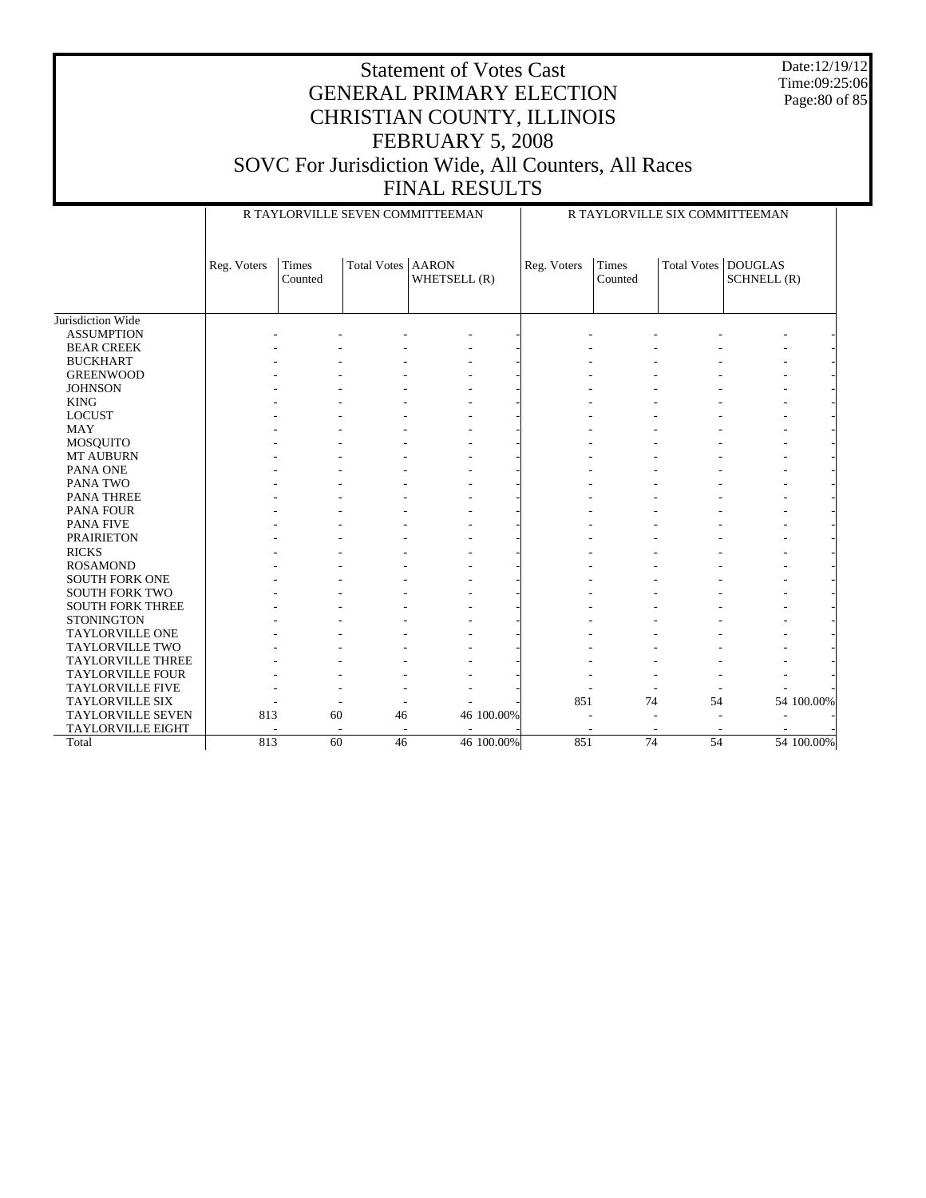Date:12/19/12 Time:09:25:06 Page:80 of 85

|                          |             |                  |                          | R TAYLORVILLE SEVEN COMMITTEEMAN | R TAYLORVILLE SIX COMMITTEEMAN |                  |                    |                               |  |  |
|--------------------------|-------------|------------------|--------------------------|----------------------------------|--------------------------------|------------------|--------------------|-------------------------------|--|--|
|                          | Reg. Voters | Times<br>Counted | Total Votes              | <b>AARON</b><br>WHETSELL (R)     | Reg. Voters                    | Times<br>Counted | <b>Total Votes</b> | <b>DOUGLAS</b><br>SCHNELL (R) |  |  |
| Jurisdiction Wide        |             |                  |                          |                                  |                                |                  |                    |                               |  |  |
| <b>ASSUMPTION</b>        |             |                  |                          |                                  |                                |                  |                    |                               |  |  |
| <b>BEAR CREEK</b>        |             |                  |                          |                                  |                                |                  |                    |                               |  |  |
| <b>BUCKHART</b>          |             |                  |                          |                                  |                                |                  |                    |                               |  |  |
| <b>GREENWOOD</b>         |             |                  |                          |                                  |                                |                  |                    |                               |  |  |
| <b>JOHNSON</b>           |             |                  |                          |                                  |                                |                  |                    |                               |  |  |
| <b>KING</b>              |             |                  |                          |                                  |                                |                  |                    |                               |  |  |
| <b>LOCUST</b>            |             |                  |                          |                                  |                                |                  |                    |                               |  |  |
| <b>MAY</b>               |             |                  |                          |                                  |                                |                  |                    |                               |  |  |
| MOSQUITO                 |             |                  |                          |                                  |                                |                  |                    |                               |  |  |
| MT AUBURN                |             |                  |                          |                                  |                                |                  |                    |                               |  |  |
| PANA ONE                 |             |                  |                          |                                  |                                |                  |                    |                               |  |  |
| PANA TWO                 |             |                  |                          |                                  |                                |                  |                    |                               |  |  |
| <b>PANA THREE</b>        |             |                  |                          |                                  |                                |                  |                    |                               |  |  |
| <b>PANA FOUR</b>         |             |                  |                          |                                  |                                |                  |                    |                               |  |  |
| <b>PANA FIVE</b>         |             |                  |                          |                                  |                                |                  |                    |                               |  |  |
| <b>PRAIRIETON</b>        |             |                  |                          |                                  |                                |                  |                    |                               |  |  |
| <b>RICKS</b>             |             |                  |                          |                                  |                                |                  |                    |                               |  |  |
| <b>ROSAMOND</b>          |             |                  |                          |                                  |                                |                  |                    |                               |  |  |
| <b>SOUTH FORK ONE</b>    |             |                  |                          |                                  |                                |                  |                    |                               |  |  |
| <b>SOUTH FORK TWO</b>    |             |                  |                          |                                  |                                |                  |                    |                               |  |  |
| <b>SOUTH FORK THREE</b>  |             |                  |                          |                                  |                                |                  |                    |                               |  |  |
| <b>STONINGTON</b>        |             |                  |                          |                                  |                                |                  |                    |                               |  |  |
| <b>TAYLORVILLE ONE</b>   |             |                  |                          |                                  |                                |                  |                    |                               |  |  |
| <b>TAYLORVILLE TWO</b>   |             |                  |                          |                                  |                                |                  |                    |                               |  |  |
| <b>TAYLORVILLE THREE</b> |             |                  |                          |                                  |                                |                  |                    |                               |  |  |
| <b>TAYLORVILLE FOUR</b>  |             |                  |                          |                                  |                                |                  |                    |                               |  |  |
| <b>TAYLORVILLE FIVE</b>  |             |                  |                          |                                  |                                |                  |                    |                               |  |  |
| <b>TAYLORVILLE SIX</b>   |             |                  |                          |                                  | 851                            | 74               | 54                 | 54 100.00%                    |  |  |
| <b>TAYLORVILLE SEVEN</b> | 813         | 60               | 46                       | 46 100.00%                       |                                |                  |                    |                               |  |  |
| <b>TAYLORVILLE EIGHT</b> |             |                  | $\overline{\phantom{a}}$ |                                  |                                |                  |                    |                               |  |  |
| Total                    | 813         | $\overline{60}$  | $\overline{46}$          | 46 100.00%                       | 851                            | 74               | 54                 | 54 100.00%                    |  |  |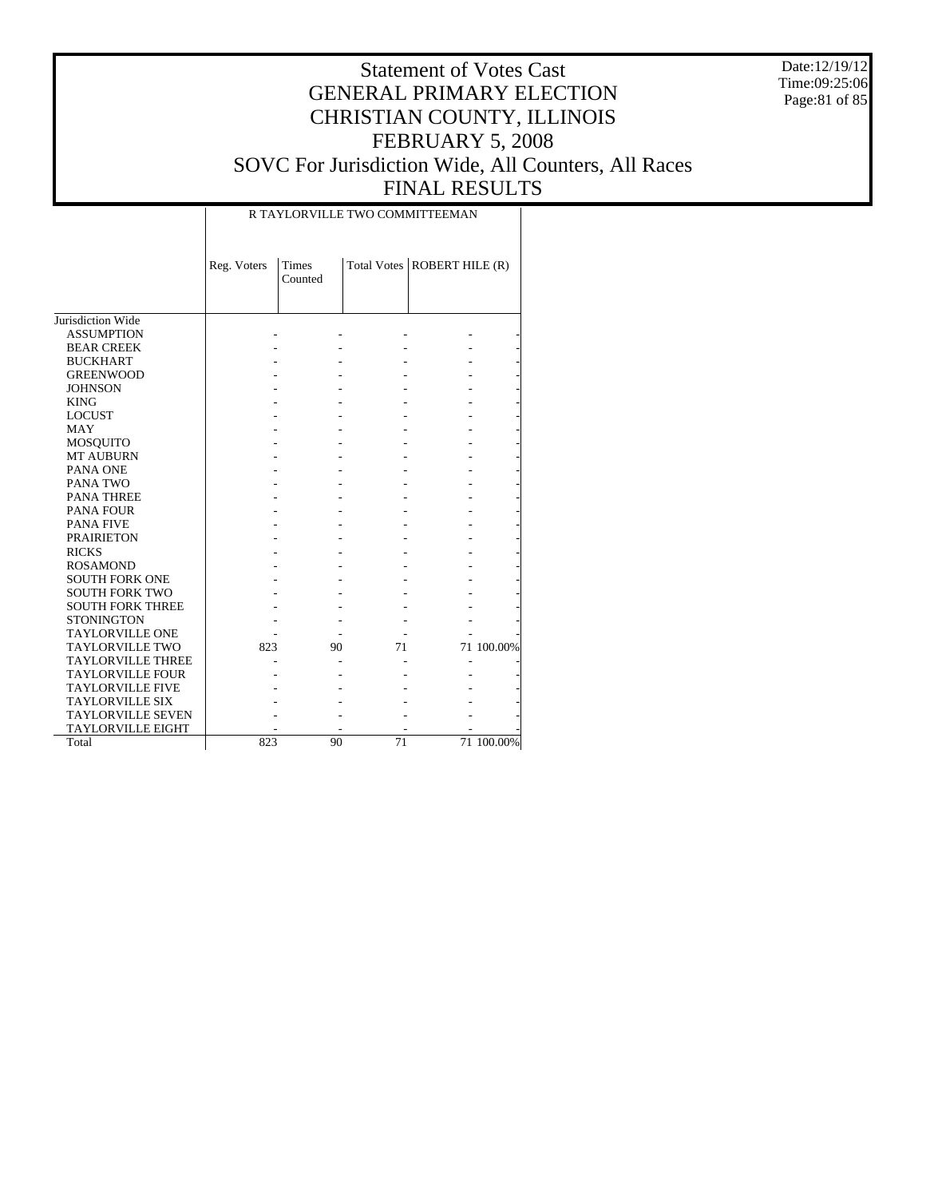Date:12/19/12 Time:09:25:06 Page:81 of 85

### Statement of Votes Cast GENERAL PRIMARY ELECTION CHRISTIAN COUNTY, ILLINOIS FEBRUARY 5, 2008 SOVC For Jurisdiction Wide, All Counters, All Races FINAL RESULTS

#### R TAYLORVILLE TWO COMMITTEEMAN

|                          | Reg. Voters | <b>Times</b> |    | Total Votes   ROBERT HILE (R) |            |
|--------------------------|-------------|--------------|----|-------------------------------|------------|
|                          |             | Counted      |    |                               |            |
|                          |             |              |    |                               |            |
|                          |             |              |    |                               |            |
| Jurisdiction Wide        |             |              |    |                               |            |
| <b>ASSUMPTION</b>        |             |              |    |                               |            |
| <b>BEAR CREEK</b>        |             |              |    |                               |            |
| <b>BUCKHART</b>          |             |              |    |                               |            |
| <b>GREENWOOD</b>         |             |              |    |                               |            |
| <b>JOHNSON</b>           |             |              |    |                               |            |
| <b>KING</b>              |             |              |    |                               |            |
| <b>LOCUST</b>            |             |              |    |                               |            |
| <b>MAY</b>               |             |              |    |                               |            |
| <b>MOSQUITO</b>          |             |              |    |                               |            |
| <b>MT AUBURN</b>         |             |              |    |                               |            |
| PANA ONE                 |             |              |    |                               |            |
| PANA TWO                 |             |              |    |                               |            |
| <b>PANA THREE</b>        |             |              |    |                               |            |
| <b>PANA FOUR</b>         |             |              |    |                               |            |
| <b>PANA FIVE</b>         |             |              |    |                               |            |
| <b>PRAIRIETON</b>        |             |              |    |                               |            |
| <b>RICKS</b>             |             |              |    |                               |            |
| <b>ROSAMOND</b>          |             |              |    |                               |            |
| <b>SOUTH FORK ONE</b>    |             |              |    |                               |            |
| <b>SOUTH FORK TWO</b>    |             |              |    |                               |            |
| <b>SOUTH FORK THREE</b>  |             |              |    |                               |            |
| <b>STONINGTON</b>        |             |              |    |                               |            |
| <b>TAYLORVILLE ONE</b>   |             |              |    |                               |            |
| <b>TAYLORVILLE TWO</b>   | 823         | 90           | 71 |                               | 71 100.00% |
| <b>TAYLORVILLE THREE</b> |             |              |    |                               |            |
| <b>TAYLORVILLE FOUR</b>  |             |              |    |                               |            |
| <b>TAYLORVILLE FIVE</b>  |             |              |    |                               |            |
| <b>TAYLORVILLE SIX</b>   |             |              |    |                               |            |
| <b>TAYLORVILLE SEVEN</b> |             |              |    |                               |            |
| <b>TAYLORVILLE EIGHT</b> |             |              |    |                               |            |
| Total                    | 823         | 90           | 71 |                               | 71 100.00% |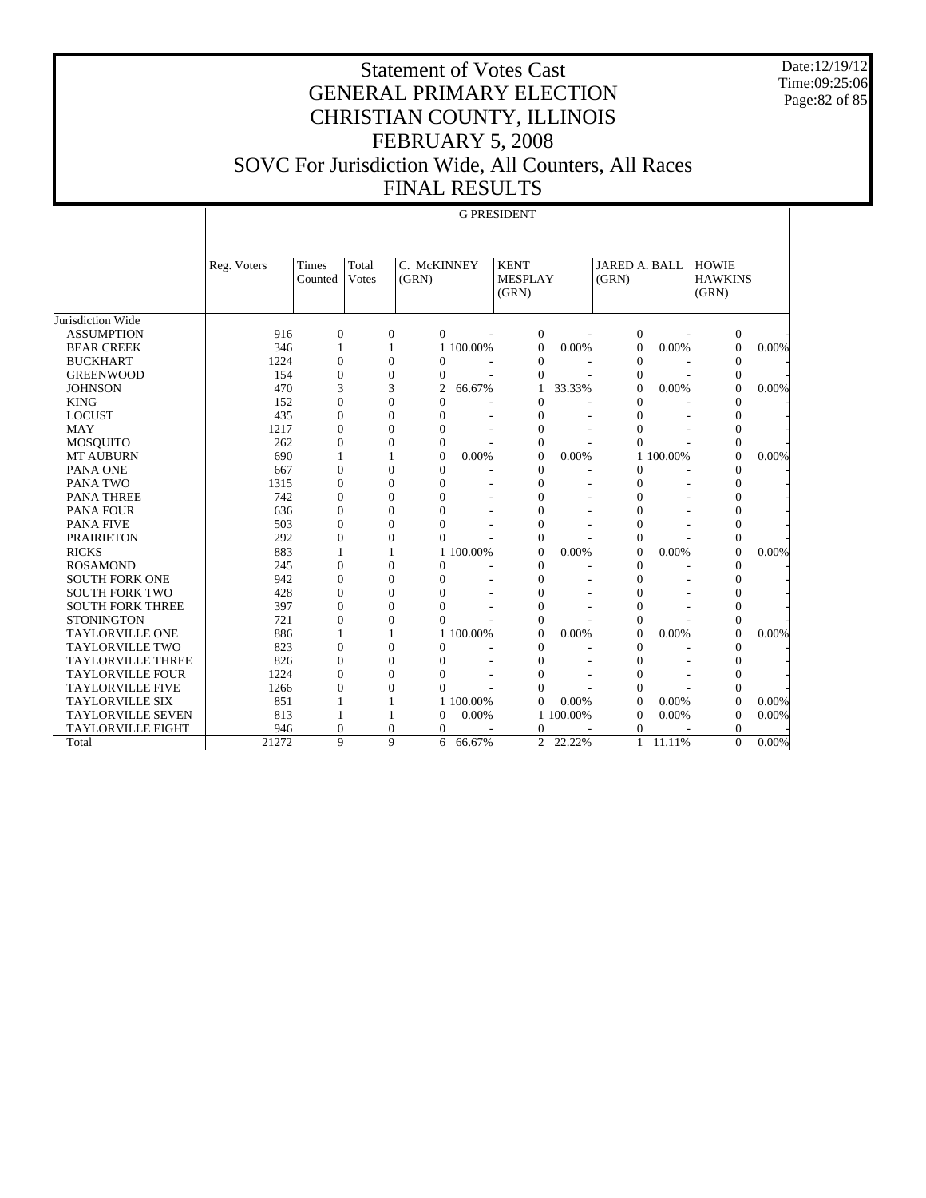Date:12/19/12 Time:09:25:06 Page:82 of 85

### Statement of Votes Cast GENERAL PRIMARY ELECTION CHRISTIAN COUNTY, ILLINOIS FEBRUARY 5, 2008 SOVC For Jurisdiction Wide, All Counters, All Races FINAL RESULTS

#### G PRESIDENT

|                          | Reg. Voters | <b>Times</b><br>Counted | Total<br><b>V</b> otes | C. McKINNEY<br>(GRN) |           | <b>KENT</b><br><b>MESPLAY</b><br>(GRN) |         | JARED A. BALL<br>(GRN) |           | <b>HOWIE</b><br><b>HAWKINS</b><br>(GRN) |          |
|--------------------------|-------------|-------------------------|------------------------|----------------------|-----------|----------------------------------------|---------|------------------------|-----------|-----------------------------------------|----------|
| Jurisdiction Wide        |             |                         |                        |                      |           |                                        |         |                        |           |                                         |          |
| <b>ASSUMPTION</b>        | 916         | $\overline{0}$          | $\overline{0}$         | $\Omega$             |           | $\boldsymbol{0}$                       |         | $\mathbf{0}$           |           | $\boldsymbol{0}$                        |          |
| <b>BEAR CREEK</b>        | 346         | 1                       | 1                      |                      | 1 100.00% | $\mathbf{0}$                           | 0.00%   | $\overline{0}$         | 0.00%     | $\mathbf{0}$                            | 0.00%    |
| <b>BUCKHART</b>          | 1224        | $\overline{0}$          | $\mathbf{0}$           | $\overline{0}$       |           | $\mathbf{0}$                           |         | $\theta$               |           | $\mathbf{0}$                            |          |
| <b>GREENWOOD</b>         | 154         | $\overline{0}$          | $\mathbf{0}$           | $\overline{0}$       |           | $\Omega$                               |         | $\theta$               |           | $\mathbf{0}$                            |          |
| <b>JOHNSON</b>           | 470         | 3                       | 3                      | $\overline{2}$       | 66.67%    | 1                                      | 33.33%  | $\overline{0}$         | 0.00%     | $\overline{0}$                          | 0.00%    |
| <b>KING</b>              | 152         | $\overline{0}$          | $\overline{0}$         | $\overline{0}$       |           | $\mathbf{0}$                           |         | $\mathbf{0}$           | ÷.        | $\mathbf{0}$                            |          |
| <b>LOCUST</b>            | 435         | $\overline{0}$          | $\overline{0}$         | $\overline{0}$       | ٠         | $\mathbf{0}$                           | ٠       | $\mathbf{0}$           |           | $\overline{0}$                          |          |
| <b>MAY</b>               | 1217        | $\overline{0}$          | 0                      | $\overline{0}$       | ٠         | $\mathbf{0}$                           |         | $\overline{0}$         |           | $\overline{0}$                          |          |
| <b>MOSOUITO</b>          | 262         | $\boldsymbol{0}$        | 0                      | $\overline{0}$       |           | $\mathbf{0}$                           |         | $\theta$               |           | $\mathbf{0}$                            |          |
| <b>MT AUBURN</b>         | 690         | 1                       | 1                      | $\theta$             | 0.00%     | $\Omega$                               | 0.00%   |                        | 1 100.00% | $\overline{0}$                          | 0.00%    |
| PANA ONE                 | 667         | $\overline{0}$          | $\overline{0}$         | $\overline{0}$       |           | $\mathbf{0}$                           | ٠       | $\overline{0}$         |           | $\mathbf{0}$                            |          |
| PANA TWO                 | 1315        | $\Omega$                | $\theta$               | $\theta$             |           | $\Omega$                               | ٠       | $\theta$               |           | $\overline{0}$                          |          |
| <b>PANA THREE</b>        | 742         | $\overline{0}$          | $\overline{0}$         | $\overline{0}$       | ٠         | $\overline{0}$                         | ۰       | $\overline{0}$         |           | $\overline{0}$                          |          |
| <b>PANA FOUR</b>         | 636         | $\overline{0}$          | 0                      | $\overline{0}$       |           | $\overline{0}$                         |         | $\overline{0}$         |           | $\overline{0}$                          |          |
| <b>PANA FIVE</b>         | 503         | $\overline{0}$          | $\overline{0}$         | $\theta$             |           | $\overline{0}$                         |         | $\overline{0}$         |           | $\mathbf{0}$                            |          |
| <b>PRAIRIETON</b>        | 292         | $\overline{0}$          | $\overline{0}$         | $\Omega$             |           | $\mathbf{0}$                           |         | $\overline{0}$         |           | $\mathbf{0}$                            |          |
| <b>RICKS</b>             | 883         | $\mathbf{1}$            |                        |                      | 1 100,00% | $\Omega$                               | 0.00%   | $\Omega$               | 0.00%     | $\theta$                                | 0.00%    |
| <b>ROSAMOND</b>          | 245         | $\theta$                | $\theta$               | $\theta$             |           | $\Omega$                               | ۰       | $\theta$               | ٠         | $\overline{0}$                          |          |
| <b>SOUTH FORK ONE</b>    | 942         | $\overline{0}$          | $\overline{0}$         | $\overline{0}$       |           | $\overline{0}$                         | ٠       | $\mathbf{0}$           |           | $\overline{0}$                          |          |
| <b>SOUTH FORK TWO</b>    | 428         | $\overline{0}$          | $\overline{0}$         | $\theta$             |           | $\overline{0}$                         | ٠       | $\overline{0}$         |           | $\mathbf{0}$                            |          |
| <b>SOUTH FORK THREE</b>  | 397         | $\overline{0}$          | $\overline{0}$         | $\theta$             |           | $\overline{0}$                         | ٠       | $\overline{0}$         |           | $\overline{0}$                          |          |
| <b>STONINGTON</b>        | 721         | $\overline{0}$          | $\overline{0}$         | $\theta$             |           | $\overline{0}$                         |         | $\overline{0}$         |           | $\overline{0}$                          |          |
| <b>TAYLORVILLE ONE</b>   | 886         | 1                       | 1                      |                      | 1 100.00% | $\Omega$                               | 0.00%   | $\Omega$               | $0.00\%$  | $\theta$                                | 0.00%    |
| <b>TAYLORVILLE TWO</b>   | 823         | $\overline{0}$          | $\overline{0}$         | $\theta$             |           | $\overline{0}$                         | ٠       | $\overline{0}$         | ٠         | $\overline{0}$                          |          |
| <b>TAYLORVILLE THREE</b> | 826         | $\overline{0}$          | $\overline{0}$         | $\theta$             |           | $\overline{0}$                         |         | $\mathbf{0}$           |           | $\overline{0}$                          |          |
| <b>TAYLORVILLE FOUR</b>  | 1224        | $\Omega$                | $\theta$               | $\theta$             |           | $\theta$                               |         | $\overline{0}$         |           | $\overline{0}$                          |          |
| <b>TAYLORVILLE FIVE</b>  | 1266        | $\overline{0}$          | $\overline{0}$         | $\Omega$             |           | $\Omega$                               |         | $\theta$               |           | $\theta$                                |          |
| <b>TAYLORVILLE SIX</b>   | 851         | 1                       | 1                      |                      | 1 100,00% | $\theta$                               | 0.00%   | $\theta$               | 0.00%     | $\theta$                                | 0.00%    |
| <b>TAYLORVILLE SEVEN</b> | 813         | 1                       | 1                      | $\Omega$             | 0.00%     | $\mathbf{1}$                           | 100.00% | $\theta$               | 0.00%     | $\theta$                                | 0.00%    |
| <b>TAYLORVILLE EIGHT</b> | 946         | $\overline{0}$          | $\overline{0}$         | $\theta$             |           | $\mathbf{0}$                           |         | $\overline{0}$         |           | $\mathbf{0}$                            |          |
| Total                    | 21272       | 9                       | 9                      | 6                    | 66.67%    | $\overline{c}$                         | 22.22%  | $\mathbf{1}$           | 11.11%    | $\Omega$                                | $0.00\%$ |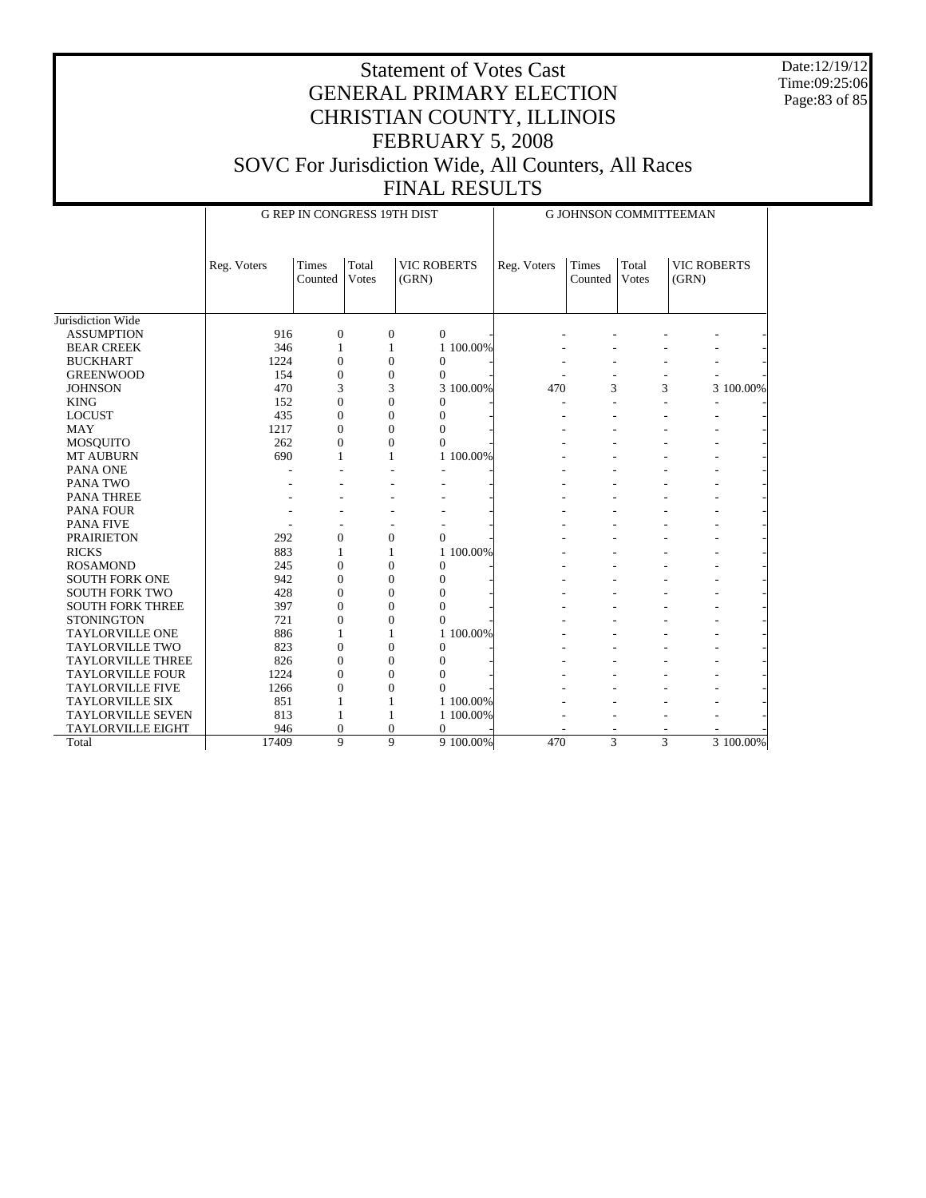Date:12/19/12 Time:09:25:06 Page:83 of 85

|                          |             | <b>G REP IN CONGRESS 19TH DIST</b> |                       |                             |           | G JOHNSON COMMITTEEMAN |                  |                |                             |           |
|--------------------------|-------------|------------------------------------|-----------------------|-----------------------------|-----------|------------------------|------------------|----------------|-----------------------------|-----------|
|                          | Reg. Voters | Times<br>Counted                   | Total<br><b>Votes</b> | <b>VIC ROBERTS</b><br>(GRN) |           | Reg. Voters            | Times<br>Counted | Total<br>Votes | <b>VIC ROBERTS</b><br>(GRN) |           |
| Jurisdiction Wide        |             |                                    |                       |                             |           |                        |                  |                |                             |           |
| <b>ASSUMPTION</b>        | 916         | $\overline{0}$                     | $\mathbf{0}$          | $\overline{0}$              |           |                        |                  |                |                             |           |
| <b>BEAR CREEK</b>        | 346         | 1                                  | 1                     |                             | 1 100,00% |                        |                  |                |                             |           |
| <b>BUCKHART</b>          | 1224        | $\overline{0}$                     | $\theta$              | $\boldsymbol{0}$            |           |                        |                  |                |                             |           |
| <b>GREENWOOD</b>         | 154         | $\theta$                           | $\theta$              | $\mathbf{0}$                |           |                        |                  |                |                             |           |
| <b>JOHNSON</b>           | 470         | 3                                  | 3                     |                             | 3 100.00% | 470                    | 3                |                | 3                           | 3 100.00% |
| <b>KING</b>              | 152         | $\overline{0}$                     | $\overline{0}$        | $\Omega$                    |           |                        |                  |                |                             |           |
| <b>LOCUST</b>            | 435         | $\overline{0}$                     | $\theta$              | $\overline{0}$              |           |                        |                  |                |                             |           |
| <b>MAY</b>               | 1217        | $\Omega$                           | $\Omega$              | $\theta$                    |           |                        |                  |                |                             |           |
| <b>MOSQUITO</b>          | 262         | $\theta$                           | $\theta$              | $\theta$                    |           |                        |                  |                |                             |           |
| <b>MT AUBURN</b>         | 690         | 1                                  | 1                     |                             | 1 100.00% |                        |                  |                |                             |           |
| PANA ONE                 |             |                                    |                       |                             |           |                        |                  |                |                             |           |
| PANA TWO                 |             |                                    |                       |                             |           |                        |                  |                |                             |           |
| <b>PANA THREE</b>        |             |                                    |                       |                             |           |                        |                  |                |                             |           |
| PANA FOUR                |             |                                    |                       |                             |           |                        |                  |                |                             |           |
| <b>PANA FIVE</b>         |             |                                    |                       |                             |           |                        |                  |                |                             |           |
| <b>PRAIRIETON</b>        | 292         | $\overline{0}$                     | $\overline{0}$        | $\overline{0}$              |           |                        |                  |                |                             |           |
| <b>RICKS</b>             | 883         |                                    | 1                     |                             | 1 100.00% |                        |                  |                |                             |           |
| <b>ROSAMOND</b>          | 245         | $\theta$                           | $\Omega$              | $\theta$                    |           |                        |                  |                |                             |           |
| <b>SOUTH FORK ONE</b>    | 942         | $\theta$                           | $\Omega$              | $\Omega$                    |           |                        |                  |                |                             |           |
| <b>SOUTH FORK TWO</b>    | 428         | $\overline{0}$                     | $\overline{0}$        | $\overline{0}$              |           |                        |                  |                |                             |           |
| <b>SOUTH FORK THREE</b>  | 397         | $\overline{0}$                     | $\mathbf{0}$          | $\overline{0}$              |           |                        |                  |                |                             |           |
| <b>STONINGTON</b>        | 721         | $\overline{0}$                     | $\theta$              | $\theta$                    |           |                        |                  |                |                             |           |
| <b>TAYLORVILLE ONE</b>   | 886         | 1                                  | 1                     |                             | 1 100.00% |                        |                  |                |                             |           |
| <b>TAYLORVILLE TWO</b>   | 823         | $\theta$                           | $\Omega$              | $\Omega$                    |           |                        |                  |                |                             |           |
| <b>TAYLORVILLE THREE</b> | 826         | $\overline{0}$                     | $\theta$              | $\overline{0}$              |           |                        |                  |                |                             |           |
| <b>TAYLORVILLE FOUR</b>  | 1224        | $\theta$                           | $\Omega$              | $\overline{0}$              |           |                        |                  |                |                             |           |
| <b>TAYLORVILLE FIVE</b>  | 1266        | $\overline{0}$                     | $\theta$              | $\theta$                    |           |                        |                  |                |                             |           |
| <b>TAYLORVILLE SIX</b>   | 851         | 1                                  | 1                     |                             | 1 100.00% |                        |                  |                |                             |           |
| <b>TAYLORVILLE SEVEN</b> | 813         |                                    | 1                     |                             | 1 100.00% |                        |                  |                |                             |           |
| <b>TAYLORVILLE EIGHT</b> | 946         | $\Omega$                           | $\theta$              | $\overline{0}$              |           |                        |                  |                |                             |           |
| Total                    | 17409       | 9                                  |                       | $\mathbf{Q}$                | 9 100.00% | 470                    | 3                | 3              |                             | 3 100.00% |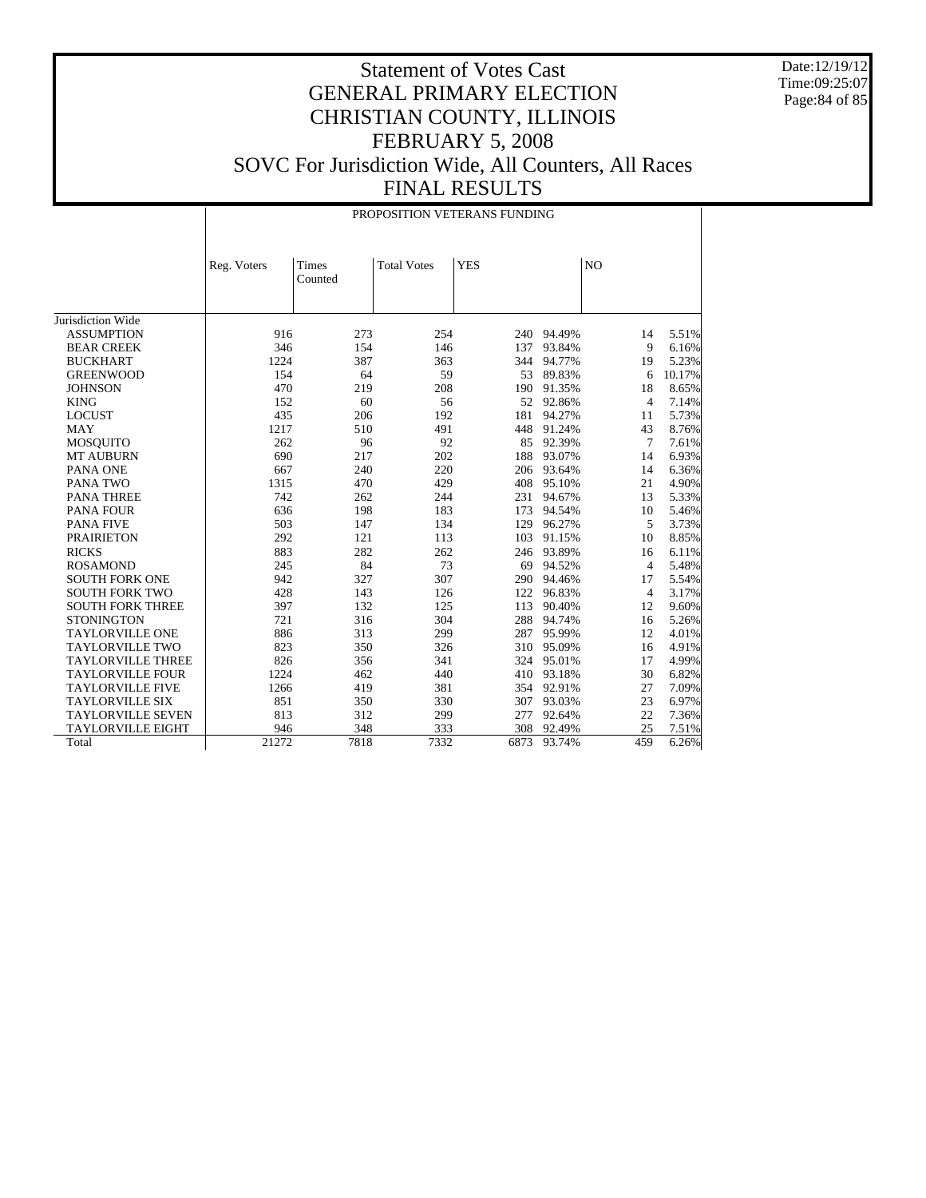Date:12/19/12 Time:09:25:07 Page:84 of 85

|                          |             |                  |                    | PROPOSITION VETERANS FUNDING |            |                |        |
|--------------------------|-------------|------------------|--------------------|------------------------------|------------|----------------|--------|
|                          | Reg. Voters | Times<br>Counted | <b>Total Votes</b> | <b>YES</b>                   |            | N <sub>O</sub> |        |
| Jurisdiction Wide        |             |                  |                    |                              |            |                |        |
| <b>ASSUMPTION</b>        | 916         | 273              | 254                |                              | 240 94.49% | 14             | 5.51%  |
| <b>BEAR CREEK</b>        | 346         | 154              | 146                | 137                          | 93.84%     | 9              | 6.16%  |
| <b>BUCKHART</b>          | 1224        | 387              | 363                | 344                          | 94.77%     | 19             | 5.23%  |
| <b>GREENWOOD</b>         | 154         | 64               | 59                 | 53                           | 89.83%     | 6              | 10.17% |
| <b>JOHNSON</b>           | 470         | 219              | 208                | 190                          | 91.35%     | 18             | 8.65%  |
| <b>KING</b>              | 152         | 60               | 56                 | 52                           | 92.86%     | $\overline{4}$ | 7.14%  |
| <b>LOCUST</b>            | 435         | 206              | 192                | 181                          | 94.27%     | 11             | 5.73%  |
| <b>MAY</b>               | 1217        | 510              | 491                | 448                          | 91.24%     | 43             | 8.76%  |
| <b>MOSQUITO</b>          | 262         | 96               | 92                 | 85                           | 92.39%     | 7              | 7.61%  |
| <b>MT AUBURN</b>         | 690         | 217              | 202                | 188                          | 93.07%     | 14             | 6.93%  |
| PANA ONE                 | 667         | 240              | 220                | 206                          | 93.64%     | 14             | 6.36%  |
| <b>PANA TWO</b>          | 1315        | 470              | 429                | 408                          | 95.10%     | 21             | 4.90%  |
| <b>PANA THREE</b>        | 742         | 262              | 244                | 231                          | 94.67%     | 13             | 5.33%  |
| <b>PANA FOUR</b>         | 636         | 198              | 183                | 173                          | 94.54%     | 10             | 5.46%  |
| <b>PANA FIVE</b>         | 503         | 147              | 134                | 129                          | 96.27%     | 5              | 3.73%  |
| <b>PRAIRIETON</b>        | 292         | 121              | 113                | 103                          | 91.15%     | 10             | 8.85%  |
| <b>RICKS</b>             | 883         | 282              | 262                | 246                          | 93.89%     | 16             | 6.11%  |
| <b>ROSAMOND</b>          | 245         | 84               | 73                 | 69                           | 94.52%     | $\overline{4}$ | 5.48%  |
| <b>SOUTH FORK ONE</b>    | 942         | 327              | 307                | 290                          | 94.46%     | 17             | 5.54%  |
| <b>SOUTH FORK TWO</b>    | 428         | 143              | 126                | 122                          | 96.83%     | $\overline{4}$ | 3.17%  |
| <b>SOUTH FORK THREE</b>  | 397         | 132              | 125                | 113                          | 90.40%     | 12             | 9.60%  |
| <b>STONINGTON</b>        | 721         | 316              | 304                | 288                          | 94.74%     | 16             | 5.26%  |
| <b>TAYLORVILLE ONE</b>   | 886         | 313              | 299                | 287                          | 95.99%     | 12             | 4.01%  |
| <b>TAYLORVILLE TWO</b>   | 823         | 350              | 326                | 310                          | 95.09%     | 16             | 4.91%  |
| <b>TAYLORVILLE THREE</b> | 826         | 356              | 341                | 324                          | 95.01%     | 17             | 4.99%  |
| <b>TAYLORVILLE FOUR</b>  | 1224        | 462              | 440                | 410                          | 93.18%     | 30             | 6.82%  |
| <b>TAYLORVILLE FIVE</b>  | 1266        | 419              | 381                | 354                          | 92.91%     | 27             | 7.09%  |
| <b>TAYLORVILLE SIX</b>   | 851         | 350              | 330                | 307                          | 93.03%     | 23             | 6.97%  |
| <b>TAYLORVILLE SEVEN</b> | 813         | 312              | 299                | 277                          | 92.64%     | 22             | 7.36%  |
| <b>TAYLORVILLE EIGHT</b> | 946         | 348              | 333                | 308                          | 92.49%     | 25             | 7.51%  |
| Total                    | 21272       | 7818             | 7332               | 6873                         | 93.74%     | 459            | 6.26%  |